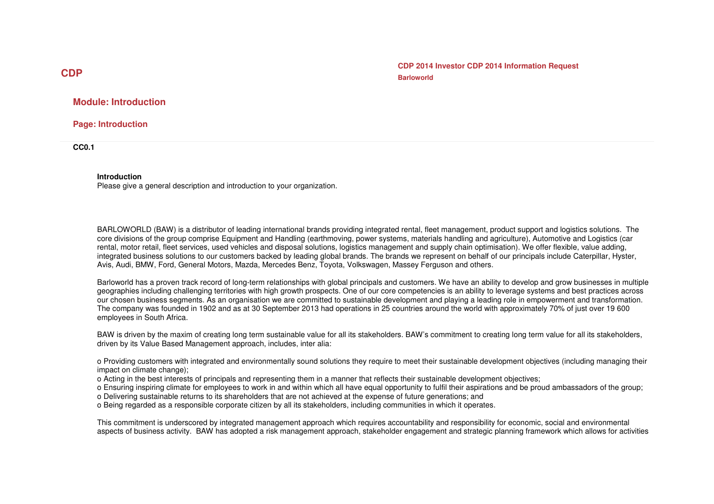**CDP CDP 2014 Investor CDP 2014 Information Request Barloworld**

## **Module: Introduction**

**Page: Introduction** 

**CC0.1** 

#### **Introduction**

Please give a general description and introduction to your organization.

BARLOWORLD (BAW) is a distributor of leading international brands providing integrated rental, fleet management, product support and logistics solutions. The core divisions of the group comprise Equipment and Handling (earthmoving, power systems, materials handling and agriculture), Automotive and Logistics (car rental, motor retail, fleet services, used vehicles and disposal solutions, logistics management and supply chain optimisation). We offer flexible, value adding, integrated business solutions to our customers backed by leading global brands. The brands we represent on behalf of our principals include Caterpillar, Hyster, Avis, Audi, BMW, Ford, General Motors, Mazda, Mercedes Benz, Toyota, Volkswagen, Massey Ferguson and others.

Barloworld has a proven track record of long-term relationships with global principals and customers. We have an ability to develop and grow businesses in multiple geographies including challenging territories with high growth prospects. One of our core competencies is an ability to leverage systems and best practices across our chosen business segments. As an organisation we are committed to sustainable development and playing a leading role in empowerment and transformation. The company was founded in 1902 and as at 30 September 2013 had operations in 25 countries around the world with approximately 70% of just over 19 600 employees in South Africa.

BAW is driven by the maxim of creating long term sustainable value for all its stakeholders. BAW's commitment to creating long term value for all its stakeholders, driven by its Value Based Management approach, includes, inter alia:

o Providing customers with integrated and environmentally sound solutions they require to meet their sustainable development objectives (including managing their impact on climate change);

o Acting in the best interests of principals and representing them in a manner that reflects their sustainable development objectives;

 o Ensuring inspiring climate for employees to work in and within which all have equal opportunity to fulfil their aspirations and be proud ambassadors of the group; o Delivering sustainable returns to its shareholders that are not achieved at the expense of future generations; and

o Being regarded as a responsible corporate citizen by all its stakeholders, including communities in which it operates.

This commitment is underscored by integrated management approach which requires accountability and responsibility for economic, social and environmental aspects of business activity. BAW has adopted a risk management approach, stakeholder engagement and strategic planning framework which allows for activities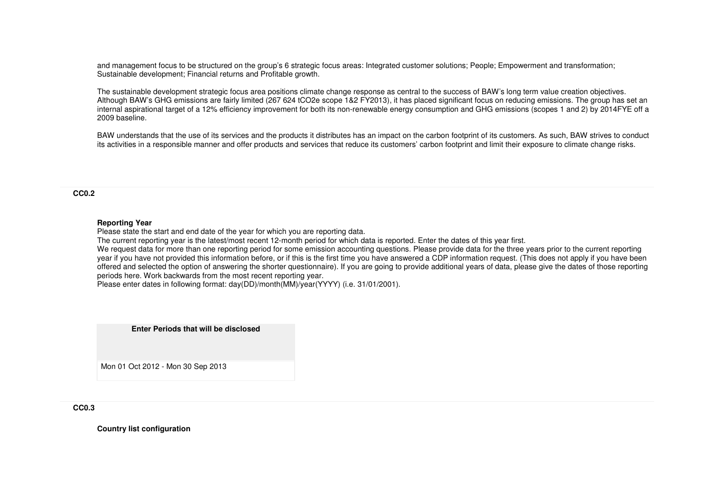and management focus to be structured on the group's 6 strategic focus areas: Integrated customer solutions; People; Empowerment and transformation; Sustainable development; Financial returns and Profitable growth.

The sustainable development strategic focus area positions climate change response as central to the success of BAW's long term value creation objectives. Although BAW's GHG emissions are fairly limited (267 624 tCO2e scope 1&2 FY2013), it has placed significant focus on reducing emissions. The group has set an internal aspirational target of a 12% efficiency improvement for both its non-renewable energy consumption and GHG emissions (scopes 1 and 2) by 2014FYE off a 2009 baseline.

BAW understands that the use of its services and the products it distributes has an impact on the carbon footprint of its customers. As such, BAW strives to conduct its activities in a responsible manner and offer products and services that reduce its customers' carbon footprint and limit their exposure to climate change risks.

**CC0.2** 

#### **Reporting Year**

Please state the start and end date of the year for which you are reporting data.

The current reporting year is the latest/most recent 12-month period for which data is reported. Enter the dates of this year first.

We request data for more than one reporting period for some emission accounting questions. Please provide data for the three years prior to the current reporting year if you have not provided this information before, or if this is the first time you have answered a CDP information request. (This does not apply if you have been offered and selected the option of answering the shorter questionnaire). If you are going to provide additional years of data, please give the dates of those reporting periods here. Work backwards from the most recent reporting year.

Please enter dates in following format: day(DD)/month(MM)/year(YYYY) (i.e. 31/01/2001).

**Enter Periods that will be disclosed**

Mon 01 Oct 2012 - Mon 30 Sep 2013

**CC0.3** 

**Country list configuration**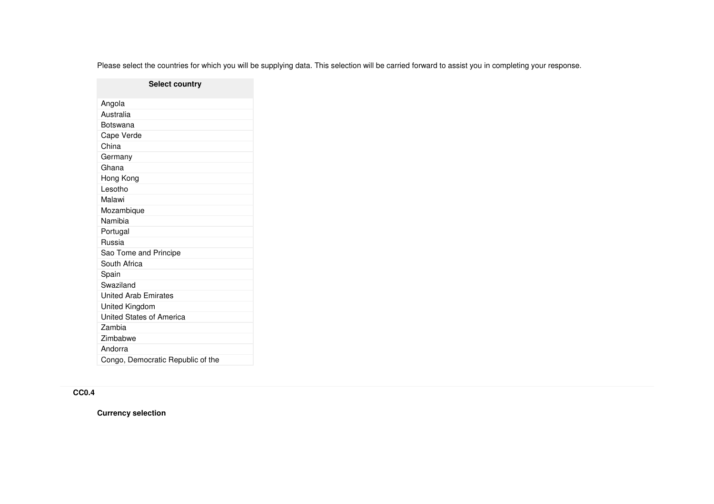Please select the countries for which you will be supplying data. This selection will be carried forward to assist you in completing your response.

## **Select country**

| Angola                            |
|-----------------------------------|
| Australia                         |
| Botswana                          |
| Cape Verde                        |
| China                             |
| Germany                           |
| Ghana                             |
| Hong Kong                         |
| Lesotho                           |
| Malawi                            |
| Mozambique                        |
| Namibia                           |
| Portugal                          |
| Russia                            |
| Sao Tome and Principe             |
| South Africa                      |
| Spain                             |
| Swaziland                         |
| <b>United Arab Emirates</b>       |
| United Kingdom                    |
| United States of America          |
| Zambia                            |
| Zimbabwe                          |
| Andorra                           |
| Congo, Democratic Republic of the |

# **CC0.4**

**Currency selection**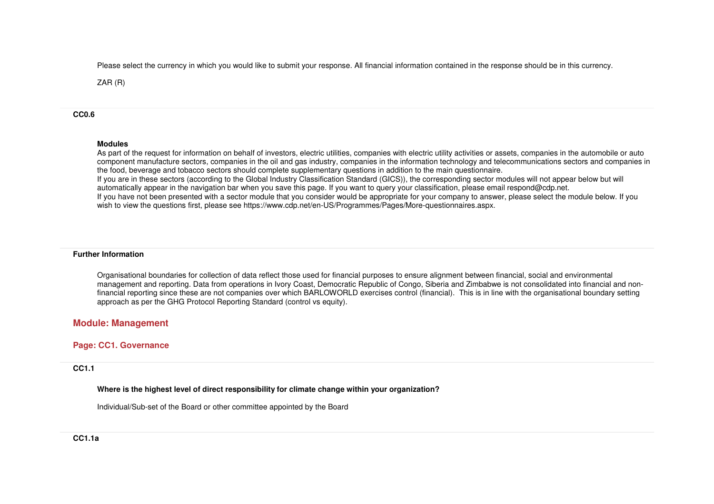Please select the currency in which you would like to submit your response. All financial information contained in the response should be in this currency.

ZAR (R)

## **CC0.6**

## **Modules**

 As part of the request for information on behalf of investors, electric utilities, companies with electric utility activities or assets, companies in the automobile or auto component manufacture sectors, companies in the oil and gas industry, companies in the information technology and telecommunications sectors and companies in the food, beverage and tobacco sectors should complete supplementary questions in addition to the main questionnaire. If you are in these sectors (according to the Global Industry Classification Standard (GICS)), the corresponding sector modules will not appear below but will automatically appear in the navigation bar when you save this page. If you want to query your classification, please email respond@cdp.net. If you have not been presented with a sector module that you consider would be appropriate for your company to answer, please select the module below. If you wish to view the questions first, please see https://www.cdp.net/en-US/Programmes/Pages/More-questionnaires.aspx.

## **Further Information**

Organisational boundaries for collection of data reflect those used for financial purposes to ensure alignment between financial, social and environmental management and reporting. Data from operations in Ivory Coast, Democratic Republic of Congo, Siberia and Zimbabwe is not consolidated into financial and nonfinancial reporting since these are not companies over which BARLOWORLD exercises control (financial). This is in line with the organisational boundary setting approach as per the GHG Protocol Reporting Standard (control vs equity).

# **Module: Management**

# **Page: CC1. Governance**

# **CC1.1**

**Where is the highest level of direct responsibility for climate change within your organization?**

Individual/Sub-set of the Board or other committee appointed by the Board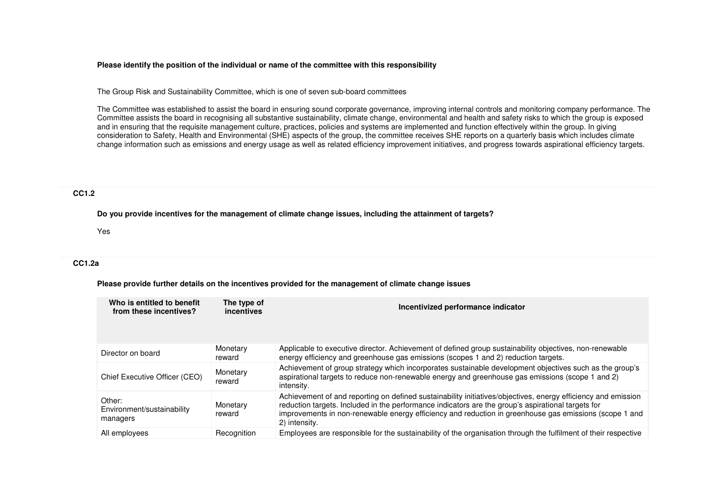#### **Please identify the position of the individual or name of the committee with this responsibility**

The Group Risk and Sustainability Committee, which is one of seven sub-board committees

The Committee was established to assist the board in ensuring sound corporate governance, improving internal controls and monitoring company performance. The Committee assists the board in recognising all substantive sustainability, climate change, environmental and health and safety risks to which the group is exposed and in ensuring that the requisite management culture, practices, policies and systems are implemented and function effectively within the group. In giving consideration to Safety, Health and Environmental (SHE) aspects of the group, the committee receives SHE reports on a quarterly basis which includes climate change information such as emissions and energy usage as well as related efficiency improvement initiatives, and progress towards aspirational efficiency targets.

## **CC1.2**

**Do you provide incentives for the management of climate change issues, including the attainment of targets?**

Yes

## **CC1.2a**

**Please provide further details on the incentives provided for the management of climate change issues**

| Who is entitled to benefit<br>from these incentives? | The type of<br>incentives | Incentivized performance indicator                                                                                                                                                                                                                                                                                                             |
|------------------------------------------------------|---------------------------|------------------------------------------------------------------------------------------------------------------------------------------------------------------------------------------------------------------------------------------------------------------------------------------------------------------------------------------------|
| Director on board                                    | Monetary<br>reward        | Applicable to executive director. Achievement of defined group sustainability objectives, non-renewable<br>energy efficiency and greenhouse gas emissions (scopes 1 and 2) reduction targets.                                                                                                                                                  |
| Chief Executive Officer (CEO)                        | Monetary<br>reward        | Achievement of group strategy which incorporates sustainable development objectives such as the group's<br>aspirational targets to reduce non-renewable energy and greenhouse gas emissions (scope 1 and 2)<br>intensity.                                                                                                                      |
| Other:<br>Environment/sustainability<br>managers     | Monetary<br>reward        | Achievement of and reporting on defined sustainability initiatives/objectives, energy efficiency and emission<br>reduction targets. Included in the performance indicators are the group's aspirational targets for<br>improvements in non-renewable energy efficiency and reduction in greenhouse gas emissions (scope 1 and<br>2) intensity. |
| All employees                                        | Recognition               | Employees are responsible for the sustainability of the organisation through the fulfilment of their respective                                                                                                                                                                                                                                |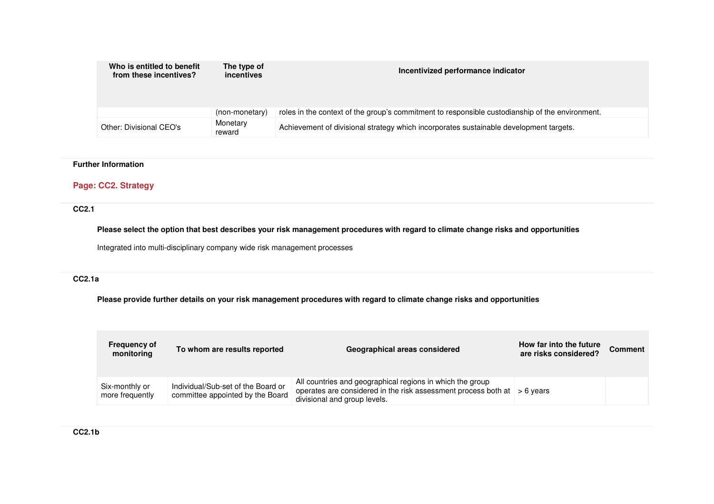| Who is entitled to benefit<br>from these incentives? | The type of<br>incentives | Incentivized performance indicator                                                              |
|------------------------------------------------------|---------------------------|-------------------------------------------------------------------------------------------------|
|                                                      | (non-monetary)            | roles in the context of the group's commitment to responsible custodianship of the environment. |
| Other: Divisional CEO's                              | Monetary<br>reward        | Achievement of divisional strategy which incorporates sustainable development targets.          |

## **Further Information**

# **Page: CC2. Strategy**

## **CC2.1**

**Please select the option that best describes your risk management procedures with regard to climate change risks and opportunities**

Integrated into multi-disciplinary company wide risk management processes

## **CC2.1a**

**Please provide further details on your risk management procedures with regard to climate change risks and opportunities**

| <b>Frequency of</b><br>monitoring | To whom are results reported                                           | Geographical areas considered                                                                                                                                                 | How far into the future<br>are risks considered? | <b>Comment</b> |
|-----------------------------------|------------------------------------------------------------------------|-------------------------------------------------------------------------------------------------------------------------------------------------------------------------------|--------------------------------------------------|----------------|
| Six-monthly or<br>more frequently | Individual/Sub-set of the Board or<br>committee appointed by the Board | All countries and geographical regions in which the group<br>operates are considered in the risk assessment process both at $\vert$ > 6 years<br>divisional and group levels. |                                                  |                |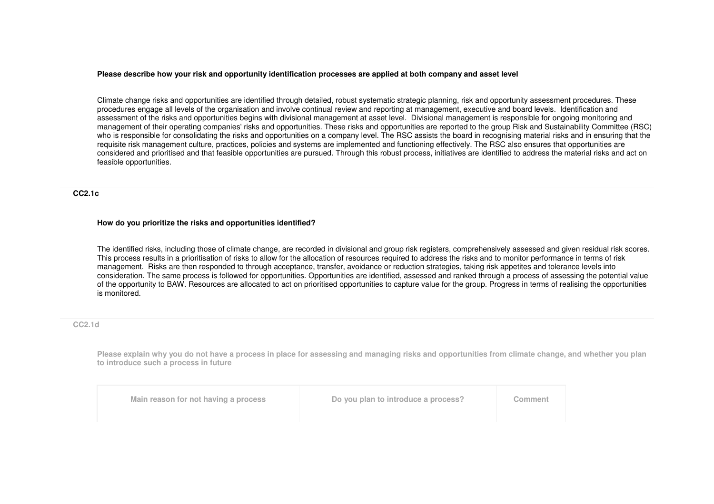#### **Please describe how your risk and opportunity identification processes are applied at both company and asset level**

Climate change risks and opportunities are identified through detailed, robust systematic strategic planning, risk and opportunity assessment procedures. These procedures engage all levels of the organisation and involve continual review and reporting at management, executive and board levels. Identification and assessment of the risks and opportunities begins with divisional management at asset level. Divisional management is responsible for ongoing monitoring and management of their operating companies' risks and opportunities. These risks and opportunities are reported to the group Risk and Sustainability Committee (RSC) who is responsible for consolidating the risks and opportunities on a company level. The RSC assists the board in recognising material risks and in ensuring that the requisite risk management culture, practices, policies and systems are implemented and functioning effectively. The RSC also ensures that opportunities are considered and prioritised and that feasible opportunities are pursued. Through this robust process, initiatives are identified to address the material risks and act on feasible opportunities.

#### **CC2.1c**

#### **How do you prioritize the risks and opportunities identified?**

The identified risks, including those of climate change, are recorded in divisional and group risk registers, comprehensively assessed and given residual risk scores. This process results in a prioritisation of risks to allow for the allocation of resources required to address the risks and to monitor performance in terms of risk management. Risks are then responded to through acceptance, transfer, avoidance or reduction strategies, taking risk appetites and tolerance levels into consideration. The same process is followed for opportunities. Opportunities are identified, assessed and ranked through a process of assessing the potential value of the opportunity to BAW. Resources are allocated to act on prioritised opportunities to capture value for the group. Progress in terms of realising the opportunities is monitored.

#### **CC2.1d**

**Please explain why you do not have a process in place for assessing and managing risks and opportunities from climate change, and whether you plan to introduce such a process in future**

| Main reason for not having a process | Do you plan to introduce a process? | Comment |
|--------------------------------------|-------------------------------------|---------|
|--------------------------------------|-------------------------------------|---------|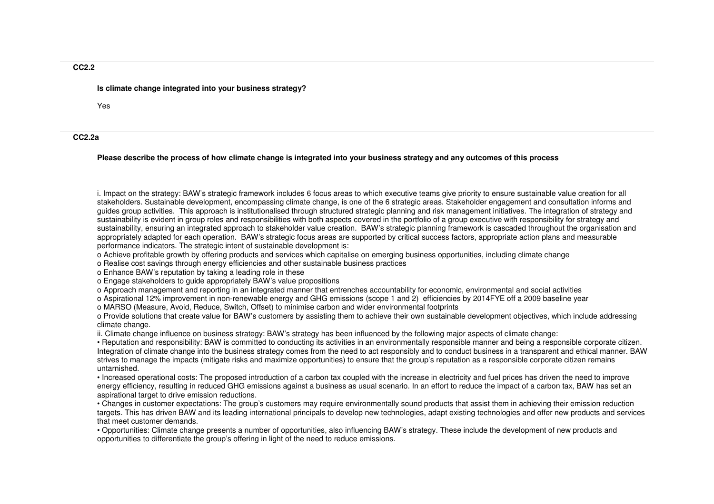#### **Is climate change integrated into your business strategy?**

Yes

#### **CC2.2a**

#### **Please describe the process of how climate change is integrated into your business strategy and any outcomes of this process**

i. Impact on the strategy: BAW's strategic framework includes 6 focus areas to which executive teams give priority to ensure sustainable value creation for all stakeholders. Sustainable development, encompassing climate change, is one of the 6 strategic areas. Stakeholder engagement and consultation informs and guides group activities. This approach is institutionalised through structured strategic planning and risk management initiatives. The integration of strategy and sustainability is evident in group roles and responsibilities with both aspects covered in the portfolio of a group executive with responsibility for strategy and sustainability, ensuring an integrated approach to stakeholder value creation. BAW's strategic planning framework is cascaded throughout the organisation and appropriately adapted for each operation. BAW's strategic focus areas are supported by critical success factors, appropriate action plans and measurableperformance indicators. The strategic intent of sustainable development is:

- o Achieve profitable growth by offering products and services which capitalise on emerging business opportunities, including climate change
- o Realise cost savings through energy efficiencies and other sustainable business practices
- o Enhance BAW's reputation by taking a leading role in these
- o Engage stakeholders to guide appropriately BAW's value propositions
- o Approach management and reporting in an integrated manner that entrenches accountability for economic, environmental and social activities
- o Aspirational 12% improvement in non-renewable energy and GHG emissions (scope 1 and 2) efficiencies by 2014FYE off a 2009 baseline year
- o MARSO (Measure, Avoid, Reduce, Switch, Offset) to minimise carbon and wider environmental footprints

 o Provide solutions that create value for BAW's customers by assisting them to achieve their own sustainable development objectives, which include addressing climate change.

ii. Climate change influence on business strategy: BAW's strategy has been influenced by the following major aspects of climate change:

 • Reputation and responsibility: BAW is committed to conducting its activities in an environmentally responsible manner and being a responsible corporate citizen. Integration of climate change into the business strategy comes from the need to act responsibly and to conduct business in a transparent and ethical manner. BAW strives to manage the impacts (mitigate risks and maximize opportunities) to ensure that the group's reputation as a responsible corporate citizen remains untarnished.

 • Increased operational costs: The proposed introduction of a carbon tax coupled with the increase in electricity and fuel prices has driven the need to improve energy efficiency, resulting in reduced GHG emissions against a business as usual scenario. In an effort to reduce the impact of a carbon tax, BAW has set an aspirational target to drive emission reductions.

 • Changes in customer expectations: The group's customers may require environmentally sound products that assist them in achieving their emission reduction targets. This has driven BAW and its leading international principals to develop new technologies, adapt existing technologies and offer new products and services that meet customer demands.

 • Opportunities: Climate change presents a number of opportunities, also influencing BAW's strategy. These include the development of new products and opportunities to differentiate the group's offering in light of the need to reduce emissions.

#### **CC2.2**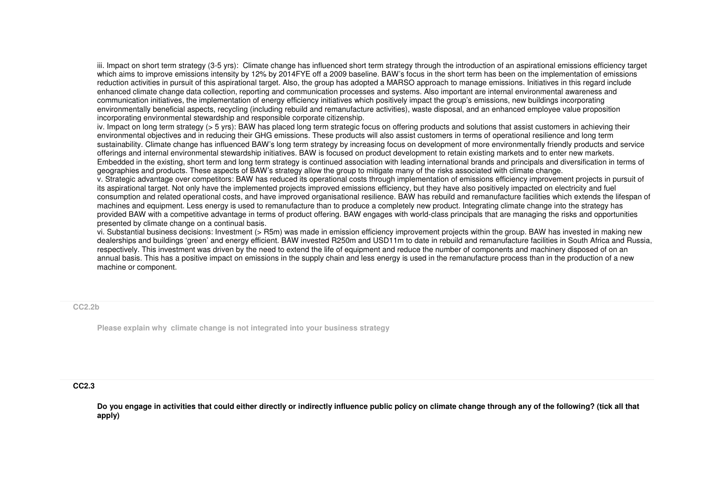iii. Impact on short term strategy (3-5 yrs): Climate change has influenced short term strategy through the introduction of an aspirational emissions efficiency target which aims to improve emissions intensity by 12% by 2014FYE off a 2009 baseline. BAW's focus in the short term has been on the implementation of emissions reduction activities in pursuit of this aspirational target. Also, the group has adopted a MARSO approach to manage emissions. Initiatives in this regard include enhanced climate change data collection, reporting and communication processes and systems. Also important are internal environmental awareness and communication initiatives, the implementation of energy efficiency initiatives which positively impact the group's emissions, new buildings incorporating environmentally beneficial aspects, recycling (including rebuild and remanufacture activities), waste disposal, and an enhanced employee value proposition incorporating environmental stewardship and responsible corporate citizenship.

 iv. Impact on long term strategy (> 5 yrs): BAW has placed long term strategic focus on offering products and solutions that assist customers in achieving their environmental objectives and in reducing their GHG emissions. These products will also assist customers in terms of operational resilience and long term sustainability. Climate change has influenced BAW's long term strategy by increasing focus on development of more environmentally friendly products and service offerings and internal environmental stewardship initiatives. BAW is focused on product development to retain existing markets and to enter new markets. Embedded in the existing, short term and long term strategy is continued association with leading international brands and principals and diversification in terms of geographies and products. These aspects of BAW's strategy allow the group to mitigate many of the risks associated with climate change.

 v. Strategic advantage over competitors: BAW has reduced its operational costs through implementation of emissions efficiency improvement projects in pursuit of its aspirational target. Not only have the implemented projects improved emissions efficiency, but they have also positively impacted on electricity and fuel consumption and related operational costs, and have improved organisational resilience. BAW has rebuild and remanufacture facilities which extends the lifespan of machines and equipment. Less energy is used to remanufacture than to produce a completely new product. Integrating climate change into the strategy has provided BAW with a competitive advantage in terms of product offering. BAW engages with world-class principals that are managing the risks and opportunities presented by climate change on a continual basis.

 vi. Substantial business decisions: Investment (> R5m) was made in emission efficiency improvement projects within the group. BAW has invested in making new dealerships and buildings 'green' and energy efficient. BAW invested R250m and USD11m to date in rebuild and remanufacture facilities in South Africa and Russia, respectively. This investment was driven by the need to extend the life of equipment and reduce the number of components and machinery disposed of on an annual basis. This has a positive impact on emissions in the supply chain and less energy is used in the remanufacture process than in the production of a new machine or component.

**CC2.2b**

**Please explain why climate change is not integrated into your business strategy**

#### **CC2.3**

**Do you engage in activities that could either directly or indirectly influence public policy on climate change through any of the following? (tick all that apply)**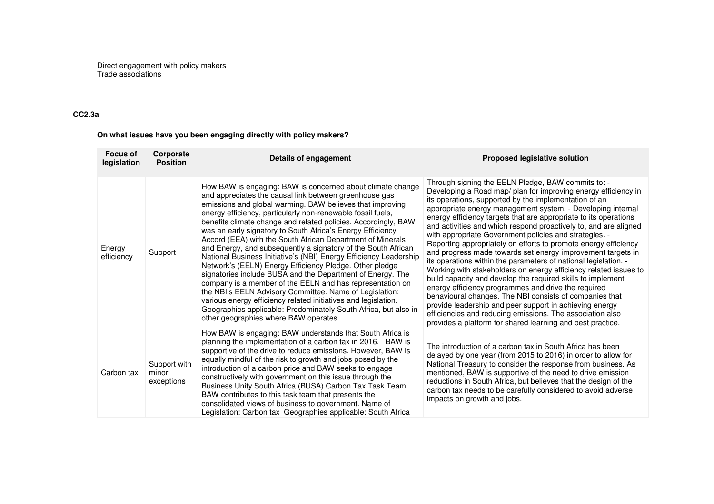Direct engagement with policy makers Trade associations

# **CC2.3a**

**On what issues have you been engaging directly with policy makers?**

| <b>Focus of</b><br>legislation | Corporate<br><b>Position</b>        | Details of engagement                                                                                                                                                                                                                                                                                                                                                                                                                                                                                                                                                                                                                                                                                                                                                                                                                                                                                                                                                                                               | <b>Proposed legislative solution</b>                                                                                                                                                                                                                                                                                                                                                                                                                                                                                                                                                                                                                                                                                                                                                                                                                                                                                                                                                                                                                                                           |
|--------------------------------|-------------------------------------|---------------------------------------------------------------------------------------------------------------------------------------------------------------------------------------------------------------------------------------------------------------------------------------------------------------------------------------------------------------------------------------------------------------------------------------------------------------------------------------------------------------------------------------------------------------------------------------------------------------------------------------------------------------------------------------------------------------------------------------------------------------------------------------------------------------------------------------------------------------------------------------------------------------------------------------------------------------------------------------------------------------------|------------------------------------------------------------------------------------------------------------------------------------------------------------------------------------------------------------------------------------------------------------------------------------------------------------------------------------------------------------------------------------------------------------------------------------------------------------------------------------------------------------------------------------------------------------------------------------------------------------------------------------------------------------------------------------------------------------------------------------------------------------------------------------------------------------------------------------------------------------------------------------------------------------------------------------------------------------------------------------------------------------------------------------------------------------------------------------------------|
| Energy<br>efficiency           | Support                             | How BAW is engaging: BAW is concerned about climate change<br>and appreciates the causal link between greenhouse gas<br>emissions and global warming. BAW believes that improving<br>energy efficiency, particularly non-renewable fossil fuels,<br>benefits climate change and related policies. Accordingly, BAW<br>was an early signatory to South Africa's Energy Efficiency<br>Accord (EEA) with the South African Department of Minerals<br>and Energy, and subsequently a signatory of the South African<br>National Business Initiative's (NBI) Energy Efficiency Leadership<br>Network's (EELN) Energy Efficiency Pledge. Other pledge<br>signatories include BUSA and the Department of Energy. The<br>company is a member of the EELN and has representation on<br>the NBI's EELN Advisory Committee. Name of Legislation:<br>various energy efficiency related initiatives and legislation.<br>Geographies applicable: Predominately South Africa, but also in<br>other geographies where BAW operates. | Through signing the EELN Pledge, BAW commits to: -<br>Developing a Road map/ plan for improving energy efficiency in<br>its operations, supported by the implementation of an<br>appropriate energy management system. - Developing internal<br>energy efficiency targets that are appropriate to its operations<br>and activities and which respond proactively to, and are aligned<br>with appropriate Government policies and strategies. -<br>Reporting appropriately on efforts to promote energy efficiency<br>and progress made towards set energy improvement targets in<br>its operations within the parameters of national legislation. -<br>Working with stakeholders on energy efficiency related issues to<br>build capacity and develop the required skills to implement<br>energy efficiency programmes and drive the required<br>behavioural changes. The NBI consists of companies that<br>provide leadership and peer support in achieving energy<br>efficiencies and reducing emissions. The association also<br>provides a platform for shared learning and best practice. |
| Carbon tax                     | Support with<br>minor<br>exceptions | How BAW is engaging: BAW understands that South Africa is<br>planning the implementation of a carbon tax in 2016. BAW is<br>supportive of the drive to reduce emissions. However, BAW is<br>equally mindful of the risk to growth and jobs posed by the<br>introduction of a carbon price and BAW seeks to engage<br>constructively with government on this issue through the<br>Business Unity South Africa (BUSA) Carbon Tax Task Team.<br>BAW contributes to this task team that presents the<br>consolidated views of business to government. Name of<br>Legislation: Carbon tax Geographies applicable: South Africa                                                                                                                                                                                                                                                                                                                                                                                           | The introduction of a carbon tax in South Africa has been<br>delayed by one year (from 2015 to 2016) in order to allow for<br>National Treasury to consider the response from business. As<br>mentioned, BAW is supportive of the need to drive emission<br>reductions in South Africa, but believes that the design of the<br>carbon tax needs to be carefully considered to avoid adverse<br>impacts on growth and jobs.                                                                                                                                                                                                                                                                                                                                                                                                                                                                                                                                                                                                                                                                     |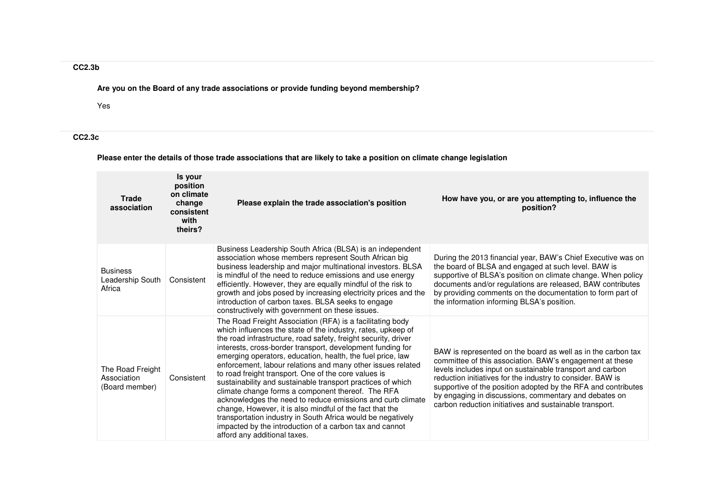# **CC2.3b**

**Are you on the Board of any trade associations or provide funding beyond membership?**

Yes

**CC2.3c** 

# **Please enter the details of those trade associations that are likely to take a position on climate change legislation**

| <b>Trade</b><br>association                       | Is your<br>position<br>on climate<br>change<br>consistent<br>with<br>theirs? | Please explain the trade association's position                                                                                                                                                                                                                                                                                                                                                                                                                                                                                                                                                                                                                                                                                                                                                                                                        | How have you, or are you attempting to, influence the<br>position?                                                                                                                                                                                                                                                                                                                                                                       |
|---------------------------------------------------|------------------------------------------------------------------------------|--------------------------------------------------------------------------------------------------------------------------------------------------------------------------------------------------------------------------------------------------------------------------------------------------------------------------------------------------------------------------------------------------------------------------------------------------------------------------------------------------------------------------------------------------------------------------------------------------------------------------------------------------------------------------------------------------------------------------------------------------------------------------------------------------------------------------------------------------------|------------------------------------------------------------------------------------------------------------------------------------------------------------------------------------------------------------------------------------------------------------------------------------------------------------------------------------------------------------------------------------------------------------------------------------------|
| <b>Business</b><br>Leadership South<br>Africa     | Consistent                                                                   | Business Leadership South Africa (BLSA) is an independent<br>association whose members represent South African big<br>business leadership and major multinational investors. BLSA<br>is mindful of the need to reduce emissions and use energy<br>efficiently. However, they are equally mindful of the risk to<br>growth and jobs posed by increasing electricity prices and the<br>introduction of carbon taxes. BLSA seeks to engage<br>constructively with government on these issues.                                                                                                                                                                                                                                                                                                                                                             | During the 2013 financial year, BAW's Chief Executive was on<br>the board of BLSA and engaged at such level. BAW is<br>supportive of BLSA's position on climate change. When policy<br>documents and/or regulations are released, BAW contributes<br>by providing comments on the documentation to form part of<br>the information informing BLSA's position.                                                                            |
| The Road Freight<br>Association<br>(Board member) | Consistent                                                                   | The Road Freight Association (RFA) is a facilitating body<br>which influences the state of the industry, rates, upkeep of<br>the road infrastructure, road safety, freight security, driver<br>interests, cross-border transport, development funding for<br>emerging operators, education, health, the fuel price, law<br>enforcement, labour relations and many other issues related<br>to road freight transport. One of the core values is<br>sustainability and sustainable transport practices of which<br>climate change forms a component thereof. The RFA<br>acknowledges the need to reduce emissions and curb climate<br>change, However, it is also mindful of the fact that the<br>transportation industry in South Africa would be negatively<br>impacted by the introduction of a carbon tax and cannot<br>afford any additional taxes. | BAW is represented on the board as well as in the carbon tax<br>committee of this association. BAW's engagement at these<br>levels includes input on sustainable transport and carbon<br>reduction initiatives for the industry to consider. BAW is<br>supportive of the position adopted by the RFA and contributes<br>by engaging in discussions, commentary and debates on<br>carbon reduction initiatives and sustainable transport. |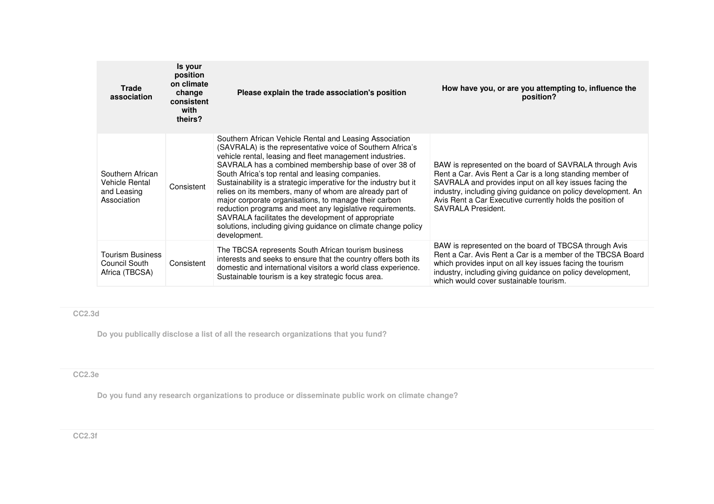| <b>Trade</b><br>association                                             | Is your<br>position<br>on climate<br>change<br>consistent<br>with<br>theirs? | Please explain the trade association's position                                                                                                                                                                                                                                                                                                                                                                                                                                                                                                                                                                                                                                           | How have you, or are you attempting to, influence the<br>position?                                                                                                                                                                                                                                                                        |
|-------------------------------------------------------------------------|------------------------------------------------------------------------------|-------------------------------------------------------------------------------------------------------------------------------------------------------------------------------------------------------------------------------------------------------------------------------------------------------------------------------------------------------------------------------------------------------------------------------------------------------------------------------------------------------------------------------------------------------------------------------------------------------------------------------------------------------------------------------------------|-------------------------------------------------------------------------------------------------------------------------------------------------------------------------------------------------------------------------------------------------------------------------------------------------------------------------------------------|
| Southern African<br><b>Vehicle Rental</b><br>and Leasing<br>Association | Consistent                                                                   | Southern African Vehicle Rental and Leasing Association<br>(SAVRALA) is the representative voice of Southern Africa's<br>vehicle rental, leasing and fleet management industries.<br>SAVRALA has a combined membership base of over 38 of<br>South Africa's top rental and leasing companies.<br>Sustainability is a strategic imperative for the industry but it<br>relies on its members, many of whom are already part of<br>major corporate organisations, to manage their carbon<br>reduction programs and meet any legislative requirements.<br>SAVRALA facilitates the development of appropriate<br>solutions, including giving guidance on climate change policy<br>development. | BAW is represented on the board of SAVRALA through Avis<br>Rent a Car. Avis Rent a Car is a long standing member of<br>SAVRALA and provides input on all key issues facing the<br>industry, including giving guidance on policy development. An<br>Avis Rent a Car Executive currently holds the position of<br><b>SAVRALA President.</b> |
| <b>Tourism Business</b><br>Council South<br>Africa (TBCSA)              | Consistent                                                                   | The TBCSA represents South African tourism business<br>interests and seeks to ensure that the country offers both its<br>domestic and international visitors a world class experience.<br>Sustainable tourism is a key strategic focus area.                                                                                                                                                                                                                                                                                                                                                                                                                                              | BAW is represented on the board of TBCSA through Avis<br>Rent a Car. Avis Rent a Car is a member of the TBCSA Board<br>which provides input on all key issues facing the tourism<br>industry, including giving guidance on policy development,<br>which would cover sustainable tourism.                                                  |

# **CC2.3d**

**Do you publically disclose a list of all the research organizations that you fund?**

# **CC2.3e**

**Do you fund any research organizations to produce or disseminate public work on climate change?**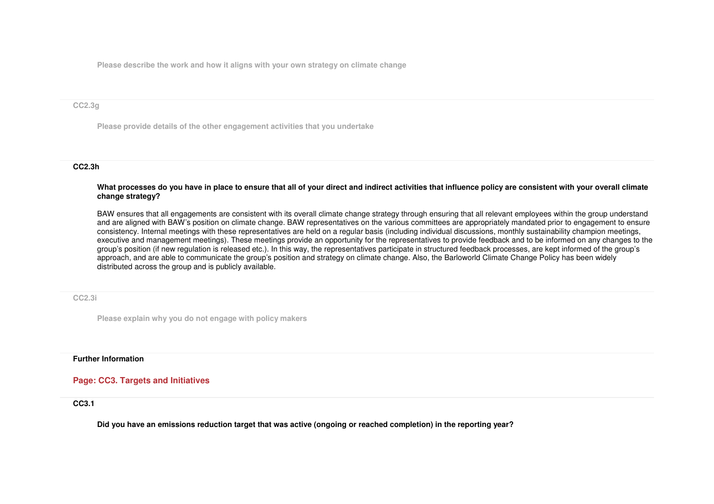**Please describe the work and how it aligns with your own strategy on climate change**

#### **CC2.3g**

**Please provide details of the other engagement activities that you undertake**

## **CC2.3h**

**What processes do you have in place to ensure that all of your direct and indirect activities that influence policy are consistent with your overall climate change strategy?**

BAW ensures that all engagements are consistent with its overall climate change strategy through ensuring that all relevant employees within the group understand and are aligned with BAW's position on climate change. BAW representatives on the various committees are appropriately mandated prior to engagement to ensure consistency. Internal meetings with these representatives are held on a regular basis (including individual discussions, monthly sustainability champion meetings, executive and management meetings). These meetings provide an opportunity for the representatives to provide feedback and to be informed on any changes to the group's position (if new regulation is released etc.). In this way, the representatives participate in structured feedback processes, are kept informed of the group's approach, and are able to communicate the group's position and strategy on climate change. Also, the Barloworld Climate Change Policy has been widely distributed across the group and is publicly available.

**CC2.3i**

**Please explain why you do not engage with policy makers**

## **Further Information**

## **Page: CC3. Targets and Initiatives**

**CC3.1** 

**Did you have an emissions reduction target that was active (ongoing or reached completion) in the reporting year?**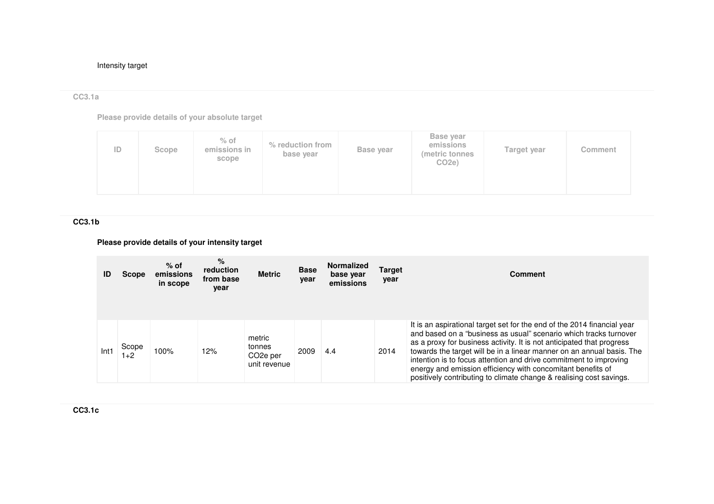## Intensity target

# **CC3.1a**

**Please provide details of your absolute target**

| <b>Base year</b><br>$%$ of<br>% reduction from<br>emissions<br>ID<br>emissions in<br>Base year<br>Target year<br>Scope<br>(metric tonnes<br>base year<br>scope<br>CO <sub>2e</sub> ) | Comment |
|--------------------------------------------------------------------------------------------------------------------------------------------------------------------------------------|---------|
|--------------------------------------------------------------------------------------------------------------------------------------------------------------------------------------|---------|

**CC3.1b** 

# **Please provide details of your intensity target**

| ID   | Scope          | $%$ of<br>emissions<br>in scope | %<br>reduction<br>from base<br>year | <b>Metric</b>                                             | <b>Base</b><br>year | <b>Normalized</b><br>base year<br>emissions | <b>Target</b><br>year | Comment                                                                                                                                                                                                                                                                                                                                                                                                                                                                                                   |
|------|----------------|---------------------------------|-------------------------------------|-----------------------------------------------------------|---------------------|---------------------------------------------|-----------------------|-----------------------------------------------------------------------------------------------------------------------------------------------------------------------------------------------------------------------------------------------------------------------------------------------------------------------------------------------------------------------------------------------------------------------------------------------------------------------------------------------------------|
| Int1 | Scope<br>$1+2$ | 100%                            | 12%                                 | metric<br>tonnes<br>CO <sub>2</sub> e per<br>unit revenue | 2009                | 4.4                                         | 2014                  | It is an aspirational target set for the end of the 2014 financial year<br>and based on a "business as usual" scenario which tracks turnover<br>as a proxy for business activity. It is not anticipated that progress<br>towards the target will be in a linear manner on an annual basis. The<br>intention is to focus attention and drive commitment to improving<br>energy and emission efficiency with concomitant benefits of<br>positively contributing to climate change & realising cost savings. |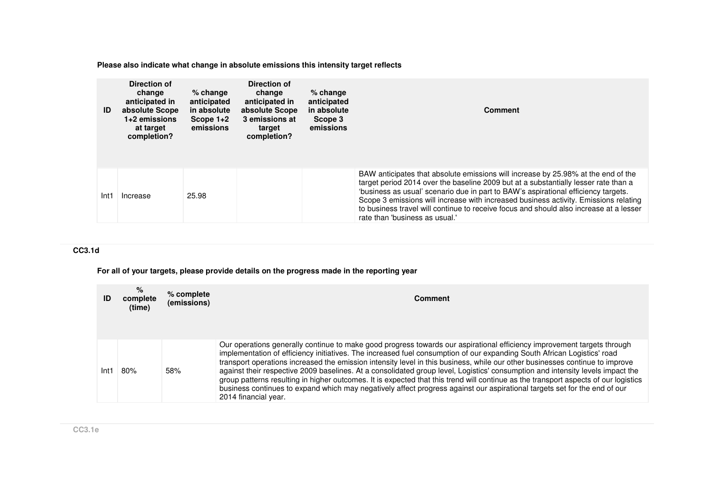**Please also indicate what change in absolute emissions this intensity target reflects**

| ID   | Direction of<br>change<br>anticipated in<br>absolute Scope<br>$1+2$ emissions<br>at target<br>completion? | $%$ change<br>anticipated<br>in absolute<br>Scope $1+2$<br>emissions | Direction of<br>change<br>anticipated in<br>absolute Scope<br>3 emissions at<br>target<br>completion? | $%$ change<br>anticipated<br>in absolute<br>Scope 3<br>emissions | <b>Comment</b>                                                                                                                                                                                                                                                                                                                                                                                                                                                                     |
|------|-----------------------------------------------------------------------------------------------------------|----------------------------------------------------------------------|-------------------------------------------------------------------------------------------------------|------------------------------------------------------------------|------------------------------------------------------------------------------------------------------------------------------------------------------------------------------------------------------------------------------------------------------------------------------------------------------------------------------------------------------------------------------------------------------------------------------------------------------------------------------------|
| Int1 | Increase                                                                                                  | 25.98                                                                |                                                                                                       |                                                                  | BAW anticipates that absolute emissions will increase by 25.98% at the end of the<br>target period 2014 over the baseline 2009 but at a substantially lesser rate than a<br>'business as usual' scenario due in part to BAW's aspirational efficiency targets.<br>Scope 3 emissions will increase with increased business activity. Emissions relating<br>to business travel will continue to receive focus and should also increase at a lesser<br>rate than 'business as usual.' |

# **CC3.1d**

**For all of your targets, please provide details on the progress made in the reporting year**

| ID   | %<br>complete<br>(time) | % complete<br>(emissions) | Comment                                                                                                                                                                                                                                                                                                                                                                                                                                                                                                                                                                                                                                                                                                                                                                                                          |
|------|-------------------------|---------------------------|------------------------------------------------------------------------------------------------------------------------------------------------------------------------------------------------------------------------------------------------------------------------------------------------------------------------------------------------------------------------------------------------------------------------------------------------------------------------------------------------------------------------------------------------------------------------------------------------------------------------------------------------------------------------------------------------------------------------------------------------------------------------------------------------------------------|
| Int1 | 80%                     | 58%                       | Our operations generally continue to make good progress towards our aspirational efficiency improvement targets through<br>implementation of efficiency initiatives. The increased fuel consumption of our expanding South African Logistics' road<br>transport operations increased the emission intensity level in this business, while our other businesses continue to improve<br>against their respective 2009 baselines. At a consolidated group level, Logistics' consumption and intensity levels impact the<br>group patterns resulting in higher outcomes. It is expected that this trend will continue as the transport aspects of our logistics<br>business continues to expand which may negatively affect progress against our aspirational targets set for the end of our<br>2014 financial year. |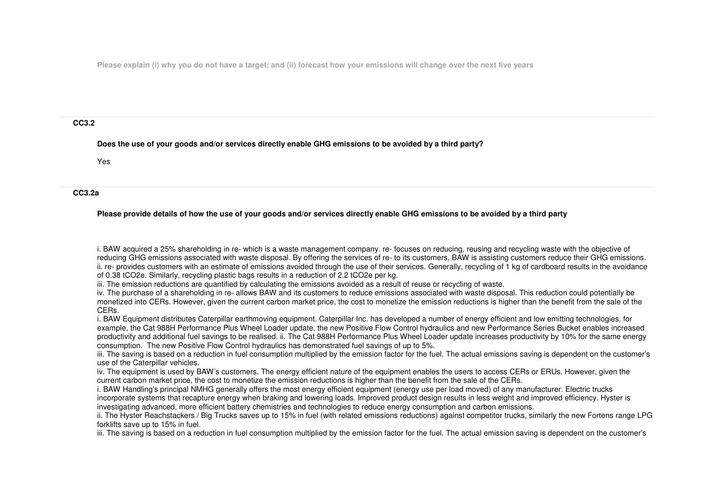**Please explain (i) why you do not have a target; and (ii) forecast how your emissions will change over the next five years**

#### **CC3.2**

**Does the use of your goods and/or services directly enable GHG emissions to be avoided by a third party?**

Yes

### **CC3.2a**

## **Please provide details of how the use of your goods and/or services directly enable GHG emissions to be avoided by a third party**

i. BAW acquired a 25% shareholding in re- which is a waste management company. re- focuses on reducing, reusing and recycling waste with the objective of reducing GHG emissions associated with waste disposal. By offering the services of re- to its customers, BAW is assisting customers reduce their GHG emissions. ii. re- provides customers with an estimate of emissions avoided through the use of their services. Generally, recycling of 1 kg of cardboard results in the avoidance of 0.38 tCO2e. Similarly, recycling plastic bags results in a reduction of 2.2 tCO2e per kg.

iii. The emission reductions are quantified by calculating the emissions avoided as a result of reuse or recycling of waste.

 iv. The purchase of a shareholding in re- allows BAW and its customers to reduce emissions associated with waste disposal. This reduction could potentially be monetized into CERs. However, given the current carbon market price, the cost to monetize the emission reductions is higher than the benefit from the sale of the CERs.

 i. BAW Equipment distributes Caterpillar earthmoving equipment. Caterpillar Inc. has developed a number of energy efficient and low emitting technologies, for example, the Cat 988H Performance Plus Wheel Loader update, the new Positive Flow Control hydraulics and new Performance Series Bucket enables increased productivity and additional fuel savings to be realised. ii. The Cat 988H Performance Plus Wheel Loader update increases productivity by 10% for the same energy consumption. The new Positive Flow Control hydraulics has demonstrated fuel savings of up to 5%.

 iii. The saving is based on a reduction in fuel consumption multiplied by the emission factor for the fuel. The actual emissions saving is dependent on the customer's use of the Caterpillar vehicles.

 iv. The equipment is used by BAW's customers. The energy efficient nature of the equipment enables the users to access CERs or ERUs. However, given the current carbon market price, the cost to monetize the emission reductions is higher than the benefit from the sale of the CERs.

 i. BAW Handling's principal NMHG generally offers the most energy efficient equipment (energy use per load moved) of any manufacturer. Electric trucks incorporate systems that recapture energy when braking and lowering loads. Improved product design results in less weight and improved efficiency. Hyster is investigating advanced, more efficient battery chemistries and technologies to reduce energy consumption and carbon emissions.

 ii. The Hyster Reachstackers / Big Trucks saves up to 15% in fuel (with related emissions reductions) against competitor trucks, similarly the new Fortens range LPG forklifts save up to 15% in fuel.

iii. The saving is based on a reduction in fuel consumption multiplied by the emission factor for the fuel. The actual emission saving is dependent on the customer's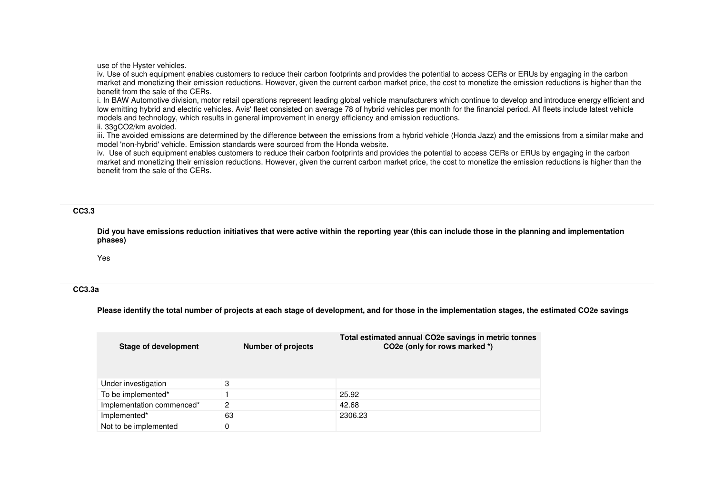use of the Hyster vehicles.

 iv. Use of such equipment enables customers to reduce their carbon footprints and provides the potential to access CERs or ERUs by engaging in the carbon market and monetizing their emission reductions. However, given the current carbon market price, the cost to monetize the emission reductions is higher than the benefit from the sale of the CERs.

 i. In BAW Automotive division, motor retail operations represent leading global vehicle manufacturers which continue to develop and introduce energy efficient and low emitting hybrid and electric vehicles. Avis' fleet consisted on average 78 of hybrid vehicles per month for the financial period. All fleets include latest vehicle models and technology, which results in general improvement in energy efficiency and emission reductions.

ii. 33gCO2/km avoided.

 iii. The avoided emissions are determined by the difference between the emissions from a hybrid vehicle (Honda Jazz) and the emissions from a similar make and model 'non-hybrid' vehicle. Emission standards were sourced from the Honda website.

 iv. Use of such equipment enables customers to reduce their carbon footprints and provides the potential to access CERs or ERUs by engaging in the carbon market and monetizing their emission reductions. However, given the current carbon market price, the cost to monetize the emission reductions is higher than the benefit from the sale of the CERs.

#### **CC3.3**

**Did you have emissions reduction initiatives that were active within the reporting year (this can include those in the planning and implementation phases)**

Yes

### **CC3.3a**

**Please identify the total number of projects at each stage of development, and for those in the implementation stages, the estimated CO2e savings**

| <b>Stage of development</b> | Number of projects | Total estimated annual CO2e savings in metric tonnes<br>CO <sub>2</sub> e (only for rows marked *) |
|-----------------------------|--------------------|----------------------------------------------------------------------------------------------------|
| Under investigation         | 3                  |                                                                                                    |
| To be implemented*          |                    | 25.92                                                                                              |
| Implementation commenced*   | 2                  | 42.68                                                                                              |
| Implemented*                | 63                 | 2306.23                                                                                            |
| Not to be implemented       | 0                  |                                                                                                    |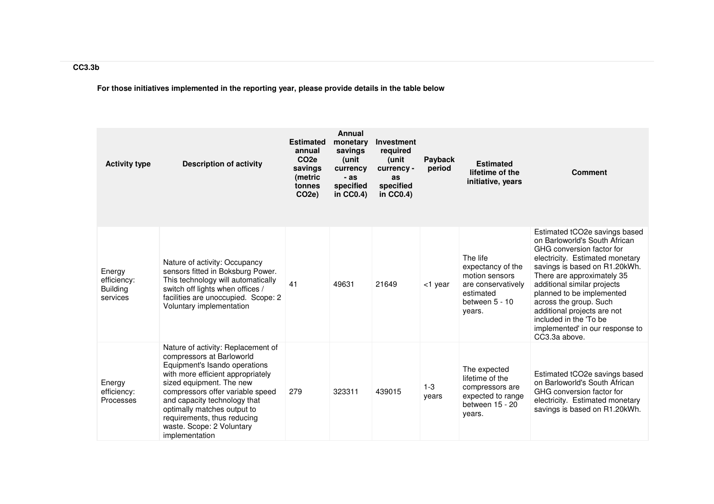**For those initiatives implemented in the reporting year, please provide details in the table below**

| <b>Activity type</b>                                 | <b>Description of activity</b>                                                                                                                                                                                                                                                                                                                     | <b>Estimated</b><br>annual<br>CO <sub>2e</sub><br>savings<br>(metric<br>tonnes<br>CO <sub>2</sub> e) | Annual<br>monetary<br>savings<br>(unit<br>currency<br>$-as$<br>specified<br>in $CC0.4$ ) | <b>Investment</b><br>required<br>(unit<br>currency -<br>as<br>specified<br>in CC0.4) | Payback<br>period | <b>Estimated</b><br>lifetime of the<br>initiative, years                                                       | <b>Comment</b>                                                                                                                                                                                                                                                                                                                                                                                   |
|------------------------------------------------------|----------------------------------------------------------------------------------------------------------------------------------------------------------------------------------------------------------------------------------------------------------------------------------------------------------------------------------------------------|------------------------------------------------------------------------------------------------------|------------------------------------------------------------------------------------------|--------------------------------------------------------------------------------------|-------------------|----------------------------------------------------------------------------------------------------------------|--------------------------------------------------------------------------------------------------------------------------------------------------------------------------------------------------------------------------------------------------------------------------------------------------------------------------------------------------------------------------------------------------|
| Energy<br>efficiency:<br><b>Building</b><br>services | Nature of activity: Occupancy<br>sensors fitted in Boksburg Power.<br>This technology will automatically<br>switch off lights when offices /<br>facilities are unoccupied. Scope: 2<br>Voluntary implementation                                                                                                                                    | 41                                                                                                   | 49631                                                                                    | 21649                                                                                | <1 year           | The life<br>expectancy of the<br>motion sensors<br>are conservatively<br>estimated<br>between 5 - 10<br>years. | Estimated tCO2e savings based<br>on Barloworld's South African<br>GHG conversion factor for<br>electricity. Estimated monetary<br>savings is based on R1.20kWh.<br>There are approximately 35<br>additional similar projects<br>planned to be implemented<br>across the group. Such<br>additional projects are not<br>included in the 'To be<br>implemented' in our response to<br>CC3.3a above. |
| Energy<br>efficiency:<br>Processes                   | Nature of activity: Replacement of<br>compressors at Barloworld<br>Equipment's Isando operations<br>with more efficient appropriately<br>sized equipment. The new<br>compressors offer variable speed<br>and capacity technology that<br>optimally matches output to<br>requirements, thus reducing<br>waste. Scope: 2 Voluntary<br>implementation | 279                                                                                                  | 323311                                                                                   | 439015                                                                               | $1 - 3$<br>years  | The expected<br>lifetime of the<br>compressors are<br>expected to range<br>between 15 - 20<br>years.           | Estimated tCO2e savings based<br>on Barloworld's South African<br>GHG conversion factor for<br>electricity. Estimated monetary<br>savings is based on R1.20kWh.                                                                                                                                                                                                                                  |

# **CC3.3b**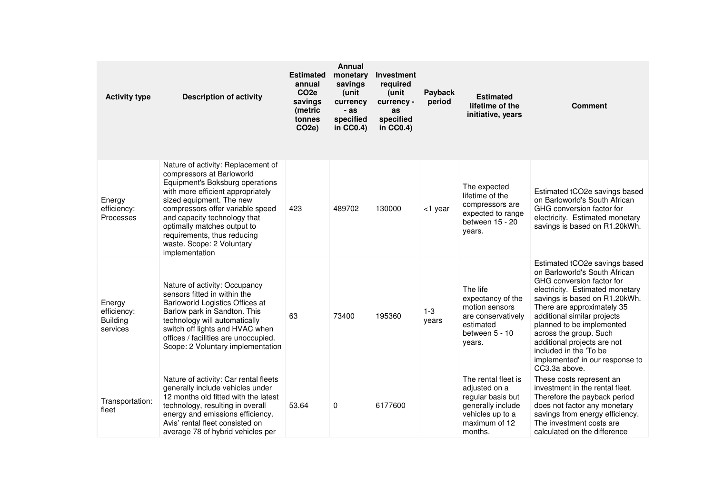| <b>Activity type</b>                                 | <b>Description of activity</b>                                                                                                                                                                                                                                                                                                                       | <b>Estimated</b><br>annual<br>CO <sub>2e</sub><br>savings<br>(metric<br>tonnes<br>CO <sub>2</sub> e) | <b>Annual</b><br>monetary<br>savings<br>(unit<br>currency<br>- as<br>specified<br>in CC0.4) | Investment<br>required<br>(unit<br>currency -<br>as<br>specified<br>in $CC0.4$ ) | Payback<br>period | <b>Estimated</b><br>lifetime of the<br>initiative, years                                                                       | <b>Comment</b>                                                                                                                                                                                                                                                                                                                                                                                   |
|------------------------------------------------------|------------------------------------------------------------------------------------------------------------------------------------------------------------------------------------------------------------------------------------------------------------------------------------------------------------------------------------------------------|------------------------------------------------------------------------------------------------------|---------------------------------------------------------------------------------------------|----------------------------------------------------------------------------------|-------------------|--------------------------------------------------------------------------------------------------------------------------------|--------------------------------------------------------------------------------------------------------------------------------------------------------------------------------------------------------------------------------------------------------------------------------------------------------------------------------------------------------------------------------------------------|
| Energy<br>efficiency:<br>Processes                   | Nature of activity: Replacement of<br>compressors at Barloworld<br>Equipment's Boksburg operations<br>with more efficient appropriately<br>sized equipment. The new<br>compressors offer variable speed<br>and capacity technology that<br>optimally matches output to<br>requirements, thus reducing<br>waste. Scope: 2 Voluntary<br>implementation | 423                                                                                                  | 489702                                                                                      | 130000                                                                           | <1 year           | The expected<br>lifetime of the<br>compressors are<br>expected to range<br>between 15 - 20<br>years.                           | Estimated tCO2e savings based<br>on Barloworld's South African<br>GHG conversion factor for<br>electricity. Estimated monetary<br>savings is based on R1.20kWh.                                                                                                                                                                                                                                  |
| Energy<br>efficiency:<br><b>Building</b><br>services | Nature of activity: Occupancy<br>sensors fitted in within the<br>Barloworld Logistics Offices at<br>Barlow park in Sandton. This<br>technology will automatically<br>switch off lights and HVAC when<br>offices / facilities are unoccupied.<br>Scope: 2 Voluntary implementation                                                                    | 63                                                                                                   | 73400                                                                                       | 195360                                                                           | $1 - 3$<br>years  | The life<br>expectancy of the<br>motion sensors<br>are conservatively<br>estimated<br>between 5 - 10<br>years.                 | Estimated tCO2e savings based<br>on Barloworld's South African<br>GHG conversion factor for<br>electricity. Estimated monetary<br>savings is based on R1.20kWh.<br>There are approximately 35<br>additional similar projects<br>planned to be implemented<br>across the group. Such<br>additional projects are not<br>included in the 'To be<br>implemented' in our response to<br>CC3.3a above. |
| Transportation:<br>fleet                             | Nature of activity: Car rental fleets<br>generally include vehicles under<br>12 months old fitted with the latest<br>technology, resulting in overall<br>energy and emissions efficiency.<br>Avis' rental fleet consisted on<br>average 78 of hybrid vehicles per                                                                                    | 53.64                                                                                                | 0                                                                                           | 6177600                                                                          |                   | The rental fleet is<br>adjusted on a<br>regular basis but<br>generally include<br>vehicles up to a<br>maximum of 12<br>months. | These costs represent an<br>investment in the rental fleet.<br>Therefore the payback period<br>does not factor any monetary<br>savings from energy efficiency.<br>The investment costs are<br>calculated on the difference                                                                                                                                                                       |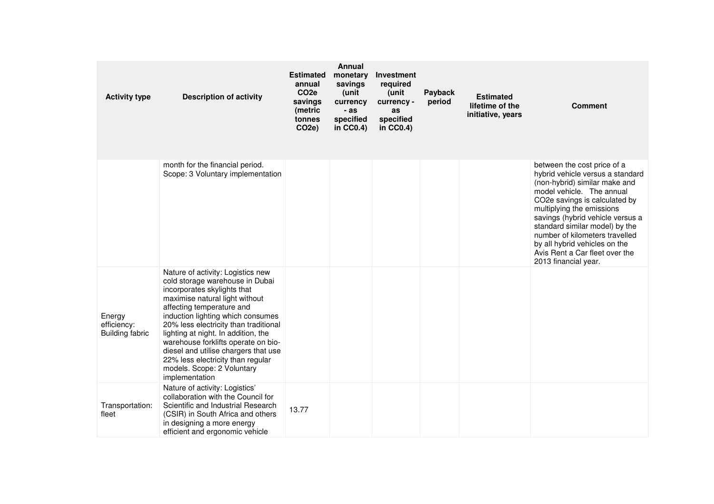| <b>Activity type</b>                            | <b>Description of activity</b>                                                                                                                                                                                                                                                                                                                                                                                                                              | <b>Estimated</b><br>annual<br>CO <sub>2e</sub><br>savings<br>(metric<br>tonnes<br>CO <sub>2e</sub> ) | <b>Annual</b><br>monetary<br>savings<br>(unit<br>currency<br>- as<br>specified<br>in $CC0.4$ ) | Investment<br>required<br>(unit<br>currency -<br>as<br>specified<br>in CC0.4) | Payback<br>period | <b>Estimated</b><br>lifetime of the<br>initiative, years | <b>Comment</b>                                                                                                                                                                                                                                                                                                                                                                                 |
|-------------------------------------------------|-------------------------------------------------------------------------------------------------------------------------------------------------------------------------------------------------------------------------------------------------------------------------------------------------------------------------------------------------------------------------------------------------------------------------------------------------------------|------------------------------------------------------------------------------------------------------|------------------------------------------------------------------------------------------------|-------------------------------------------------------------------------------|-------------------|----------------------------------------------------------|------------------------------------------------------------------------------------------------------------------------------------------------------------------------------------------------------------------------------------------------------------------------------------------------------------------------------------------------------------------------------------------------|
|                                                 | month for the financial period.<br>Scope: 3 Voluntary implementation                                                                                                                                                                                                                                                                                                                                                                                        |                                                                                                      |                                                                                                |                                                                               |                   |                                                          | between the cost price of a<br>hybrid vehicle versus a standard<br>(non-hybrid) similar make and<br>model vehicle. The annual<br>CO2e savings is calculated by<br>multiplying the emissions<br>savings (hybrid vehicle versus a<br>standard similar model) by the<br>number of kilometers travelled<br>by all hybrid vehicles on the<br>Avis Rent a Car fleet over the<br>2013 financial year. |
| Energy<br>efficiency:<br><b>Building fabric</b> | Nature of activity: Logistics new<br>cold storage warehouse in Dubai<br>incorporates skylights that<br>maximise natural light without<br>affecting temperature and<br>induction lighting which consumes<br>20% less electricity than traditional<br>lighting at night. In addition, the<br>warehouse forklifts operate on bio-<br>diesel and utilise chargers that use<br>22% less electricity than regular<br>models. Scope: 2 Voluntary<br>implementation |                                                                                                      |                                                                                                |                                                                               |                   |                                                          |                                                                                                                                                                                                                                                                                                                                                                                                |
| Transportation:<br>fleet                        | Nature of activity: Logistics'<br>collaboration with the Council for<br>Scientific and Industrial Research<br>(CSIR) in South Africa and others<br>in designing a more energy<br>efficient and ergonomic vehicle                                                                                                                                                                                                                                            | 13.77                                                                                                |                                                                                                |                                                                               |                   |                                                          |                                                                                                                                                                                                                                                                                                                                                                                                |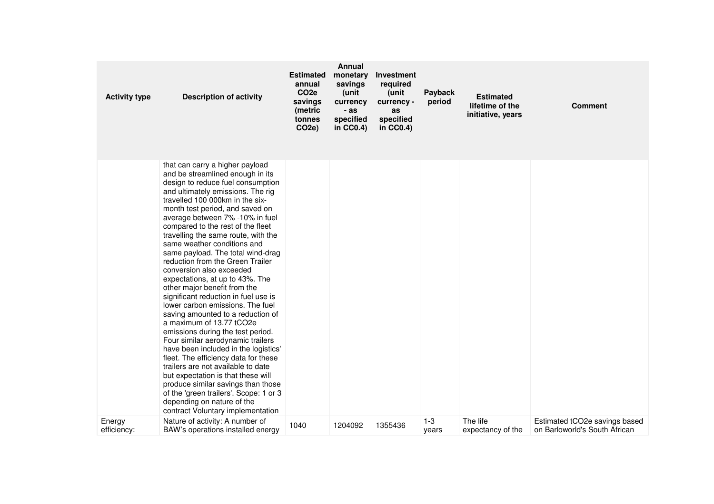| <b>Activity type</b>  | <b>Description of activity</b>                                                                                                                                                                                                                                                                                                                                                                                                                                                                                                                                                                                                                                                                                                                                                                                                                                                                                                                                                                                                                                                  | <b>Estimated</b><br>annual<br>CO <sub>2e</sub><br>savings<br>(metric<br>tonnes<br>CO <sub>2</sub> e) | <b>Annual</b><br>monetary<br>savings<br>(unit<br>currency<br>- as<br>specified<br>in $CC0.4$ ) | Investment<br>required<br>(unit<br>currency -<br>as<br>specified<br>in CC0.4) | Payback<br>period | <b>Estimated</b><br>lifetime of the<br>initiative, years | <b>Comment</b>                                                 |
|-----------------------|---------------------------------------------------------------------------------------------------------------------------------------------------------------------------------------------------------------------------------------------------------------------------------------------------------------------------------------------------------------------------------------------------------------------------------------------------------------------------------------------------------------------------------------------------------------------------------------------------------------------------------------------------------------------------------------------------------------------------------------------------------------------------------------------------------------------------------------------------------------------------------------------------------------------------------------------------------------------------------------------------------------------------------------------------------------------------------|------------------------------------------------------------------------------------------------------|------------------------------------------------------------------------------------------------|-------------------------------------------------------------------------------|-------------------|----------------------------------------------------------|----------------------------------------------------------------|
|                       | that can carry a higher payload<br>and be streamlined enough in its<br>design to reduce fuel consumption<br>and ultimately emissions. The rig<br>travelled 100 000km in the six-<br>month test period, and saved on<br>average between 7% -10% in fuel<br>compared to the rest of the fleet<br>travelling the same route, with the<br>same weather conditions and<br>same payload. The total wind-drag<br>reduction from the Green Trailer<br>conversion also exceeded<br>expectations, at up to 43%. The<br>other major benefit from the<br>significant reduction in fuel use is<br>lower carbon emissions. The fuel<br>saving amounted to a reduction of<br>a maximum of 13.77 tCO2e<br>emissions during the test period.<br>Four similar aerodynamic trailers<br>have been included in the logistics'<br>fleet. The efficiency data for these<br>trailers are not available to date<br>but expectation is that these will<br>produce similar savings than those<br>of the 'green trailers'. Scope: 1 or 3<br>depending on nature of the<br>contract Voluntary implementation |                                                                                                      |                                                                                                |                                                                               |                   |                                                          |                                                                |
| Energy<br>efficiency: | Nature of activity: A number of<br>BAW's operations installed energy                                                                                                                                                                                                                                                                                                                                                                                                                                                                                                                                                                                                                                                                                                                                                                                                                                                                                                                                                                                                            | 1040                                                                                                 | 1204092                                                                                        | 1355436                                                                       | $1 - 3$<br>years  | The life<br>expectancy of the                            | Estimated tCO2e savings based<br>on Barloworld's South African |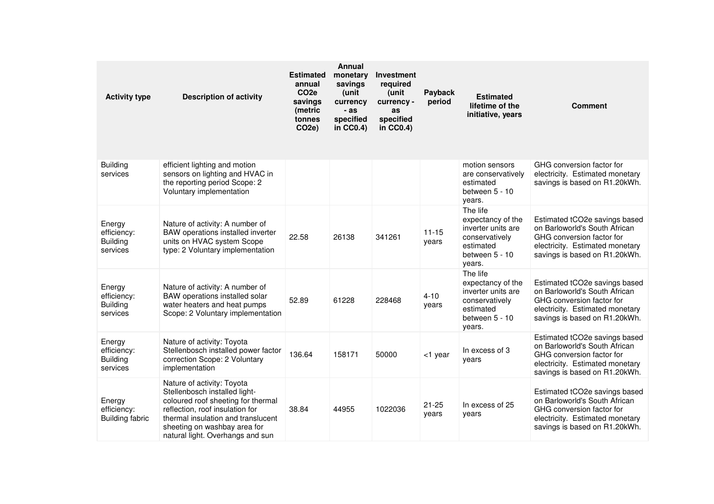| <b>Activity type</b>                                 | <b>Description of activity</b>                                                                                                                                                                                                                 | <b>Estimated</b><br>annual<br>CO <sub>2e</sub><br>savings<br>(metric<br>tonnes<br>CO <sub>2e</sub> ) | <b>Annual</b><br>monetary<br>savings<br>(unit<br>currency<br>- as<br>specified<br>in $CC0.4$ ) | Investment<br>required<br>(unit<br>currency -<br>as<br>specified<br>in CC0.4) | Payback<br>period  | <b>Estimated</b><br>lifetime of the<br>initiative, years                                                       | <b>Comment</b>                                                                                                                                                  |
|------------------------------------------------------|------------------------------------------------------------------------------------------------------------------------------------------------------------------------------------------------------------------------------------------------|------------------------------------------------------------------------------------------------------|------------------------------------------------------------------------------------------------|-------------------------------------------------------------------------------|--------------------|----------------------------------------------------------------------------------------------------------------|-----------------------------------------------------------------------------------------------------------------------------------------------------------------|
| <b>Building</b><br>services                          | efficient lighting and motion<br>sensors on lighting and HVAC in<br>the reporting period Scope: 2<br>Voluntary implementation                                                                                                                  |                                                                                                      |                                                                                                |                                                                               |                    | motion sensors<br>are conservatively<br>estimated<br>between 5 - 10<br>years.                                  | GHG conversion factor for<br>electricity. Estimated monetary<br>savings is based on R1.20kWh.                                                                   |
| Energy<br>efficiency:<br><b>Building</b><br>services | Nature of activity: A number of<br>BAW operations installed inverter<br>units on HVAC system Scope<br>type: 2 Voluntary implementation                                                                                                         | 22.58                                                                                                | 26138                                                                                          | 341261                                                                        | $11 - 15$<br>years | The life<br>expectancy of the<br>inverter units are<br>conservatively<br>estimated<br>between 5 - 10<br>years. | Estimated tCO2e savings based<br>on Barloworld's South African<br>GHG conversion factor for<br>electricity. Estimated monetary<br>savings is based on R1.20kWh. |
| Energy<br>efficiency:<br><b>Building</b><br>services | Nature of activity: A number of<br>BAW operations installed solar<br>water heaters and heat pumps<br>Scope: 2 Voluntary implementation                                                                                                         | 52.89                                                                                                | 61228                                                                                          | 228468                                                                        | $4 - 10$<br>years  | The life<br>expectancy of the<br>inverter units are<br>conservatively<br>estimated<br>between 5 - 10<br>years. | Estimated tCO2e savings based<br>on Barloworld's South African<br>GHG conversion factor for<br>electricity. Estimated monetary<br>savings is based on R1.20kWh. |
| Energy<br>efficiency:<br><b>Building</b><br>services | Nature of activity: Toyota<br>Stellenbosch installed power factor<br>correction Scope: 2 Voluntary<br>implementation                                                                                                                           | 136.64                                                                                               | 158171                                                                                         | 50000                                                                         | <1 year            | In excess of 3<br>years                                                                                        | Estimated tCO2e savings based<br>on Barloworld's South African<br>GHG conversion factor for<br>electricity. Estimated monetary<br>savings is based on R1.20kWh. |
| Energy<br>efficiency:<br><b>Building fabric</b>      | Nature of activity: Toyota<br>Stellenbosch installed light-<br>coloured roof sheeting for thermal<br>reflection, roof insulation for<br>thermal insulation and translucent<br>sheeting on washbay area for<br>natural light. Overhangs and sun | 38.84                                                                                                | 44955                                                                                          | 1022036                                                                       | $21 - 25$<br>years | In excess of 25<br>years                                                                                       | Estimated tCO2e savings based<br>on Barloworld's South African<br>GHG conversion factor for<br>electricity. Estimated monetary<br>savings is based on R1.20kWh. |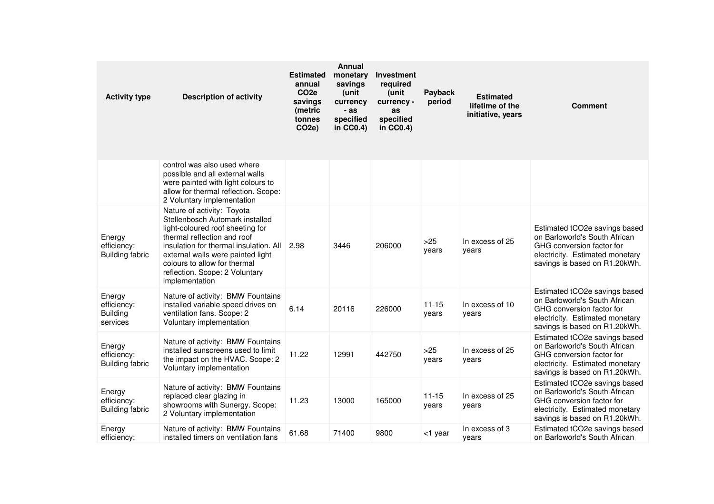| <b>Activity type</b>                                 | <b>Description of activity</b>                                                                                                                                                                                                                                                                      | <b>Estimated</b><br>annual<br>CO <sub>2e</sub><br>savings<br>(metric<br>tonnes<br>CO <sub>2</sub> e) | <b>Annual</b><br>monetary<br>savings<br>unit)<br>currency<br>- as<br>specified<br>in $CC0.4$ ) | Investment<br>required<br>(unit<br>currency -<br>as<br>specified<br>in CC0.4) | Payback<br>period  | <b>Estimated</b><br>lifetime of the<br>initiative, years | <b>Comment</b>                                                                                                                                                  |
|------------------------------------------------------|-----------------------------------------------------------------------------------------------------------------------------------------------------------------------------------------------------------------------------------------------------------------------------------------------------|------------------------------------------------------------------------------------------------------|------------------------------------------------------------------------------------------------|-------------------------------------------------------------------------------|--------------------|----------------------------------------------------------|-----------------------------------------------------------------------------------------------------------------------------------------------------------------|
|                                                      | control was also used where<br>possible and all external walls<br>were painted with light colours to<br>allow for thermal reflection. Scope:<br>2 Voluntary implementation                                                                                                                          |                                                                                                      |                                                                                                |                                                                               |                    |                                                          |                                                                                                                                                                 |
| Energy<br>efficiency:<br><b>Building fabric</b>      | Nature of activity: Toyota<br>Stellenbosch Automark installed<br>light-coloured roof sheeting for<br>thermal reflection and roof<br>insulation for thermal insulation. All<br>external walls were painted light<br>colours to allow for thermal<br>reflection. Scope: 2 Voluntary<br>implementation | 2.98                                                                                                 | 3446                                                                                           | 206000                                                                        | >25<br>years       | In excess of 25<br>years                                 | Estimated tCO2e savings based<br>on Barloworld's South African<br>GHG conversion factor for<br>electricity. Estimated monetary<br>savings is based on R1.20kWh. |
| Energy<br>efficiency:<br><b>Building</b><br>services | Nature of activity: BMW Fountains<br>installed variable speed drives on<br>ventilation fans. Scope: 2<br>Voluntary implementation                                                                                                                                                                   | 6.14                                                                                                 | 20116                                                                                          | 226000                                                                        | $11 - 15$<br>years | In excess of 10<br>years                                 | Estimated tCO2e savings based<br>on Barloworld's South African<br>GHG conversion factor for<br>electricity. Estimated monetary<br>savings is based on R1.20kWh. |
| Energy<br>efficiency:<br><b>Building fabric</b>      | Nature of activity: BMW Fountains<br>installed sunscreens used to limit<br>the impact on the HVAC. Scope: 2<br>Voluntary implementation                                                                                                                                                             | 11.22                                                                                                | 12991                                                                                          | 442750                                                                        | $>25$<br>years     | In excess of 25<br>years                                 | Estimated tCO2e savings based<br>on Barloworld's South African<br>GHG conversion factor for<br>electricity. Estimated monetary<br>savings is based on R1.20kWh. |
| Energy<br>efficiency:<br><b>Building fabric</b>      | Nature of activity: BMW Fountains<br>replaced clear glazing in<br>showrooms with Sunergy. Scope:<br>2 Voluntary implementation                                                                                                                                                                      | 11.23                                                                                                | 13000                                                                                          | 165000                                                                        | $11 - 15$<br>years | In excess of 25<br>years                                 | Estimated tCO2e savings based<br>on Barloworld's South African<br>GHG conversion factor for<br>electricity. Estimated monetary<br>savings is based on R1.20kWh. |
| Energy<br>efficiency:                                | Nature of activity: BMW Fountains<br>installed timers on ventilation fans                                                                                                                                                                                                                           | 61.68                                                                                                | 71400                                                                                          | 9800                                                                          | $<$ 1 year         | In excess of 3<br>vears                                  | Estimated tCO2e savings based<br>on Barloworld's South African                                                                                                  |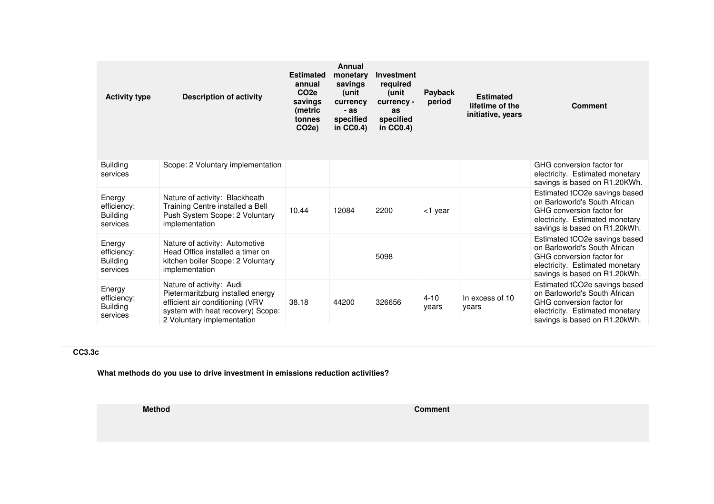| <b>Activity type</b>                                 | <b>Description of activity</b>                                                                                                                                      | <b>Estimated</b><br>annual<br>CO <sub>2e</sub><br>savings<br>(metric<br>tonnes<br>CO <sub>2</sub> e) | Annual<br>monetary<br>savings<br>(unit<br>currency<br>$-as$<br>specified<br>in $CC0.4$ ) | Investment<br>required<br>(unit<br>currency -<br>as<br>specified<br>in $CC0.4$ ) | Payback<br>period | <b>Estimated</b><br>lifetime of the<br>initiative, years | <b>Comment</b>                                                                                                                                                  |
|------------------------------------------------------|---------------------------------------------------------------------------------------------------------------------------------------------------------------------|------------------------------------------------------------------------------------------------------|------------------------------------------------------------------------------------------|----------------------------------------------------------------------------------|-------------------|----------------------------------------------------------|-----------------------------------------------------------------------------------------------------------------------------------------------------------------|
| <b>Building</b><br>services                          | Scope: 2 Voluntary implementation                                                                                                                                   |                                                                                                      |                                                                                          |                                                                                  |                   |                                                          | GHG conversion factor for<br>electricity. Estimated monetary<br>savings is based on R1.20KWh.                                                                   |
| Energy<br>efficiency:<br><b>Building</b><br>services | Nature of activity: Blackheath<br>Training Centre installed a Bell<br>Push System Scope: 2 Voluntary<br>implementation                                              | 10.44                                                                                                | 12084                                                                                    | 2200                                                                             | <1 year           |                                                          | Estimated tCO2e savings based<br>on Barloworld's South African<br>GHG conversion factor for<br>electricity. Estimated monetary<br>savings is based on R1.20kWh. |
| Energy<br>efficiency:<br><b>Building</b><br>services | Nature of activity: Automotive<br>Head Office installed a timer on<br>kitchen boiler Scope: 2 Voluntary<br>implementation                                           |                                                                                                      |                                                                                          | 5098                                                                             |                   |                                                          | Estimated tCO2e savings based<br>on Barloworld's South African<br>GHG conversion factor for<br>electricity. Estimated monetary<br>savings is based on R1.20kWh. |
| Energy<br>efficiency:<br><b>Building</b><br>services | Nature of activity: Audi<br>Pietermaritzburg installed energy<br>efficient air conditioning (VRV<br>system with heat recovery) Scope:<br>2 Voluntary implementation | 38.18                                                                                                | 44200                                                                                    | 326656                                                                           | $4 - 10$<br>years | In excess of 10<br>years                                 | Estimated tCO2e savings based<br>on Barloworld's South African<br>GHG conversion factor for<br>electricity. Estimated monetary<br>savings is based on R1.20kWh. |

# **CC3.3c**

**What methods do you use to drive investment in emissions reduction activities?**

**Method**

**d** Comment **Comment Comment**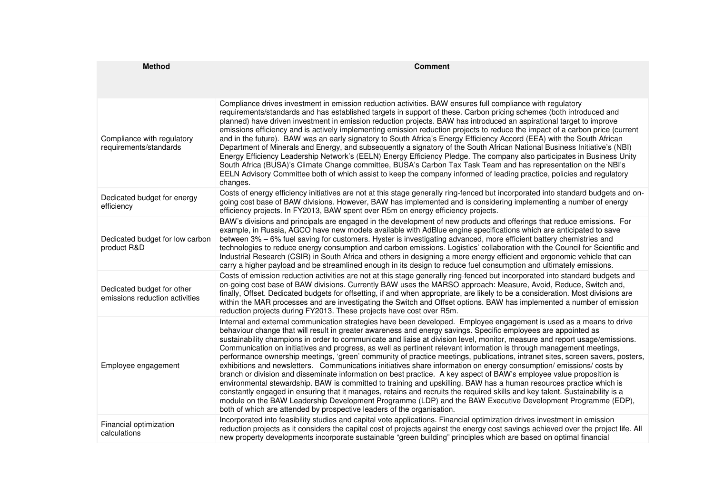| <b>Method</b>                                                | <b>Comment</b>                                                                                                                                                                                                                                                                                                                                                                                                                                                                                                                                                                                                                                                                                                                                                                                                                                                                                                                                                                                                                                                                                                                                                                                                                                                                                                              |
|--------------------------------------------------------------|-----------------------------------------------------------------------------------------------------------------------------------------------------------------------------------------------------------------------------------------------------------------------------------------------------------------------------------------------------------------------------------------------------------------------------------------------------------------------------------------------------------------------------------------------------------------------------------------------------------------------------------------------------------------------------------------------------------------------------------------------------------------------------------------------------------------------------------------------------------------------------------------------------------------------------------------------------------------------------------------------------------------------------------------------------------------------------------------------------------------------------------------------------------------------------------------------------------------------------------------------------------------------------------------------------------------------------|
|                                                              |                                                                                                                                                                                                                                                                                                                                                                                                                                                                                                                                                                                                                                                                                                                                                                                                                                                                                                                                                                                                                                                                                                                                                                                                                                                                                                                             |
| Compliance with regulatory<br>requirements/standards         | Compliance drives investment in emission reduction activities. BAW ensures full compliance with regulatory<br>requirements/standards and has established targets in support of these. Carbon pricing schemes (both introduced and<br>planned) have driven investment in emission reduction projects. BAW has introduced an aspirational target to improve<br>emissions efficiency and is actively implementing emission reduction projects to reduce the impact of a carbon price (current<br>and in the future). BAW was an early signatory to South Africa's Energy Efficiency Accord (EEA) with the South African<br>Department of Minerals and Energy, and subsequently a signatory of the South African National Business Initiative's (NBI)<br>Energy Efficiency Leadership Network's (EELN) Energy Efficiency Pledge. The company also participates in Business Unity<br>South Africa (BUSA)'s Climate Change committee, BUSA's Carbon Tax Task Team and has representation on the NBI's<br>EELN Advisory Committee both of which assist to keep the company informed of leading practice, policies and regulatory<br>changes.                                                                                                                                                                                       |
| Dedicated budget for energy<br>efficiency                    | Costs of energy efficiency initiatives are not at this stage generally ring-fenced but incorporated into standard budgets and on-<br>going cost base of BAW divisions. However, BAW has implemented and is considering implementing a number of energy<br>efficiency projects. In FY2013, BAW spent over R5m on energy efficiency projects.                                                                                                                                                                                                                                                                                                                                                                                                                                                                                                                                                                                                                                                                                                                                                                                                                                                                                                                                                                                 |
| Dedicated budget for low carbon<br>product R&D               | BAW's divisions and principals are engaged in the development of new products and offerings that reduce emissions. For<br>example, in Russia, AGCO have new models available with AdBlue engine specifications which are anticipated to save<br>between 3% – 6% fuel saving for customers. Hyster is investigating advanced, more efficient battery chemistries and<br>technologies to reduce energy consumption and carbon emissions. Logistics' collaboration with the Council for Scientific and<br>Industrial Research (CSIR) in South Africa and others in designing a more energy efficient and ergonomic vehicle that can<br>carry a higher payload and be streamlined enough in its design to reduce fuel consumption and ultimately emissions.                                                                                                                                                                                                                                                                                                                                                                                                                                                                                                                                                                     |
| Dedicated budget for other<br>emissions reduction activities | Costs of emission reduction activities are not at this stage generally ring-fenced but incorporated into standard budgets and<br>on-going cost base of BAW divisions. Currently BAW uses the MARSO approach: Measure, Avoid, Reduce, Switch and,<br>finally, Offset. Dedicated budgets for offsetting, if and when appropriate, are likely to be a consideration. Most divisions are<br>within the MAR processes and are investigating the Switch and Offset options. BAW has implemented a number of emission<br>reduction projects during FY2013. These projects have cost over R5m.                                                                                                                                                                                                                                                                                                                                                                                                                                                                                                                                                                                                                                                                                                                                      |
| Employee engagement                                          | Internal and external communication strategies have been developed. Employee engagement is used as a means to drive<br>behaviour change that will result in greater awareness and energy savings. Specific employees are appointed as<br>sustainability champions in order to communicate and liaise at division level, monitor, measure and report usage/emissions.<br>Communication on initiatives and progress, as well as pertinent relevant information is through management meetings,<br>performance ownership meetings, 'green' community of practice meetings, publications, intranet sites, screen savers, posters,<br>exhibitions and newsletters. Communications initiatives share information on energy consumption/emissions/costs by<br>branch or division and disseminate information on best practice. A key aspect of BAW's employee value proposition is<br>environmental stewardship. BAW is committed to training and upskilling. BAW has a human resources practice which is<br>constantly engaged in ensuring that it manages, retains and recruits the required skills and key talent. Sustainability is a<br>module on the BAW Leadership Development Programme (LDP) and the BAW Executive Development Programme (EDP),<br>both of which are attended by prospective leaders of the organisation. |
| Financial optimization<br>calculations                       | Incorporated into feasibility studies and capital vote applications. Financial optimization drives investment in emission<br>reduction projects as it considers the capital cost of projects against the energy cost savings achieved over the project life. All<br>new property developments incorporate sustainable "green building" principles which are based on optimal financial                                                                                                                                                                                                                                                                                                                                                                                                                                                                                                                                                                                                                                                                                                                                                                                                                                                                                                                                      |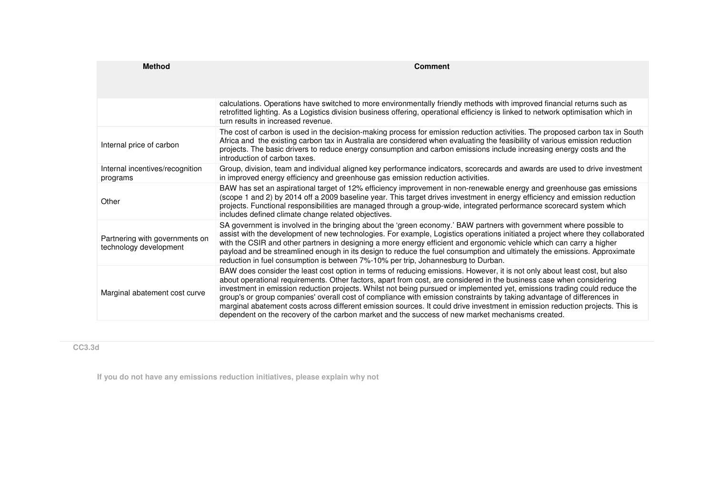| <b>Method</b>                                            | <b>Comment</b>                                                                                                                                                                                                                                                                                                                                                                                                                                                                                                                                                                                                                                                                                                                                  |  |  |  |  |  |
|----------------------------------------------------------|-------------------------------------------------------------------------------------------------------------------------------------------------------------------------------------------------------------------------------------------------------------------------------------------------------------------------------------------------------------------------------------------------------------------------------------------------------------------------------------------------------------------------------------------------------------------------------------------------------------------------------------------------------------------------------------------------------------------------------------------------|--|--|--|--|--|
|                                                          |                                                                                                                                                                                                                                                                                                                                                                                                                                                                                                                                                                                                                                                                                                                                                 |  |  |  |  |  |
|                                                          | calculations. Operations have switched to more environmentally friendly methods with improved financial returns such as<br>retrofitted lighting. As a Logistics division business offering, operational efficiency is linked to network optimisation which in<br>turn results in increased revenue.                                                                                                                                                                                                                                                                                                                                                                                                                                             |  |  |  |  |  |
| Internal price of carbon                                 | The cost of carbon is used in the decision-making process for emission reduction activities. The proposed carbon tax in South<br>Africa and the existing carbon tax in Australia are considered when evaluating the feasibility of various emission reduction<br>projects. The basic drivers to reduce energy consumption and carbon emissions include increasing energy costs and the<br>introduction of carbon taxes.                                                                                                                                                                                                                                                                                                                         |  |  |  |  |  |
| Internal incentives/recognition<br>programs              | Group, division, team and individual aligned key performance indicators, scorecards and awards are used to drive investment<br>in improved energy efficiency and greenhouse gas emission reduction activities.                                                                                                                                                                                                                                                                                                                                                                                                                                                                                                                                  |  |  |  |  |  |
| Other                                                    | BAW has set an aspirational target of 12% efficiency improvement in non-renewable energy and greenhouse gas emissions<br>(scope 1 and 2) by 2014 off a 2009 baseline year. This target drives investment in energy efficiency and emission reduction<br>projects. Functional responsibilities are managed through a group-wide, integrated performance scorecard system which<br>includes defined climate change related objectives.                                                                                                                                                                                                                                                                                                            |  |  |  |  |  |
| Partnering with governments on<br>technology development | SA government is involved in the bringing about the 'green economy.' BAW partners with government where possible to<br>assist with the development of new technologies. For example, Logistics operations initiated a project where they collaborated<br>with the CSIR and other partners in designing a more energy efficient and ergonomic vehicle which can carry a higher<br>payload and be streamlined enough in its design to reduce the fuel consumption and ultimately the emissions. Approximate<br>reduction in fuel consumption is between 7%-10% per trip, Johannesburg to Durban.                                                                                                                                                  |  |  |  |  |  |
| Marginal abatement cost curve                            | BAW does consider the least cost option in terms of reducing emissions. However, it is not only about least cost, but also<br>about operational requirements. Other factors, apart from cost, are considered in the business case when considering<br>investment in emission reduction projects. Whilst not being pursued or implemented yet, emissions trading could reduce the<br>group's or group companies' overall cost of compliance with emission constraints by taking advantage of differences in<br>marginal abatement costs across different emission sources. It could drive investment in emission reduction projects. This is<br>dependent on the recovery of the carbon market and the success of new market mechanisms created. |  |  |  |  |  |

**CC3.3d**

**If you do not have any emissions reduction initiatives, please explain why not**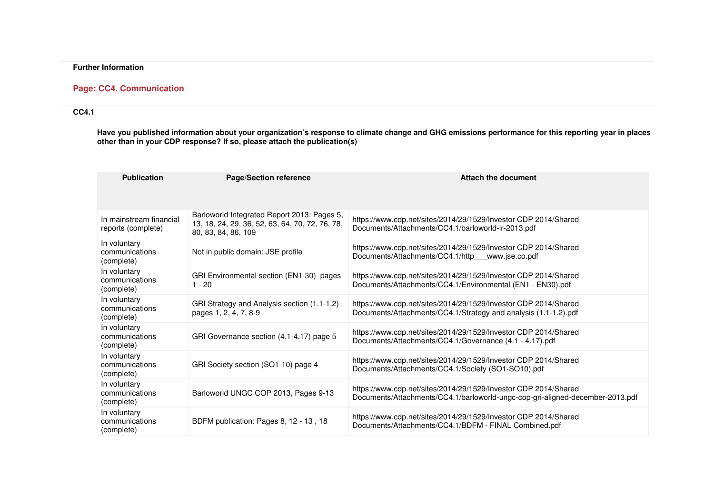# **Further Information**

# **Page: CC4. Communication**

# **CC4.1**

Have you published information about your organization's response to climate change and GHG emissions performance for this reporting year in places<br>other than in your CDP response? If so, please attach the publication(s)

| <b>Publication</b>                            | <b>Page/Section reference</b>                                                                                         | <b>Attach the document</b>                                                                                                                       |
|-----------------------------------------------|-----------------------------------------------------------------------------------------------------------------------|--------------------------------------------------------------------------------------------------------------------------------------------------|
| In mainstream financial<br>reports (complete) | Barloworld Integrated Report 2013: Pages 5,<br>13, 18, 24, 29, 36, 52, 63, 64, 70, 72, 76, 78,<br>80, 83, 84, 86, 109 | https://www.cdp.net/sites/2014/29/1529/Investor CDP 2014/Shared<br>Documents/Attachments/CC4.1/barloworld-ir-2013.pdf                            |
| In voluntary<br>communications<br>(complete)  | Not in public domain: JSE profile                                                                                     | https://www.cdp.net/sites/2014/29/1529/Investor CDP 2014/Shared<br>Documents/Attachments/CC4.1/http www.jse.co.pdf                               |
| In voluntary<br>communications<br>(complete)  | GRI Environmental section (EN1-30) pages<br>$1 - 20$                                                                  | https://www.cdp.net/sites/2014/29/1529/Investor CDP 2014/Shared<br>Documents/Attachments/CC4.1/Environmental (EN1 - EN30).pdf                    |
| In voluntary<br>communications<br>(complete)  | GRI Strategy and Analysis section (1.1-1.2)<br>pages 1, 2, 4, 7, 8-9                                                  | https://www.cdp.net/sites/2014/29/1529/Investor CDP 2014/Shared<br>Documents/Attachments/CC4.1/Strategy and analysis (1.1-1.2).pdf               |
| In voluntary<br>communications<br>(complete)  | GRI Governance section (4.1-4.17) page 5                                                                              | https://www.cdp.net/sites/2014/29/1529/Investor CDP 2014/Shared<br>Documents/Attachments/CC4.1/Governance (4.1 - 4.17).pdf                       |
| In voluntary<br>communications<br>(complete)  | GRI Society section (SO1-10) page 4                                                                                   | https://www.cdp.net/sites/2014/29/1529/Investor CDP 2014/Shared<br>Documents/Attachments/CC4.1/Society (SO1-SO10).pdf                            |
| In voluntary<br>communications<br>(complete)  | Barloworld UNGC COP 2013, Pages 9-13                                                                                  | https://www.cdp.net/sites/2014/29/1529/Investor CDP 2014/Shared<br>Documents/Attachments/CC4.1/barloworld-ungc-cop-gri-aligned-december-2013.pdf |
| In voluntary<br>communications<br>(complete)  | BDFM publication: Pages 8, 12 - 13, 18                                                                                | https://www.cdp.net/sites/2014/29/1529/Investor CDP 2014/Shared<br>Documents/Attachments/CC4.1/BDFM - FINAL Combined.pdf                         |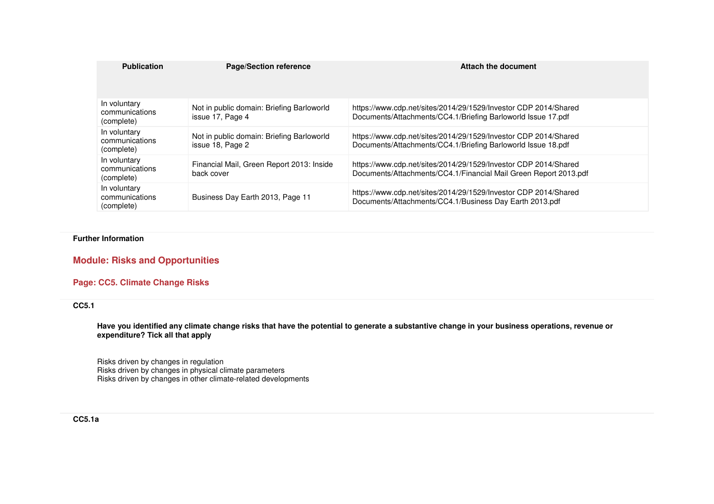| <b>Publication</b>                           | <b>Page/Section reference</b>                                 | Attach the document                                                                                                                 |
|----------------------------------------------|---------------------------------------------------------------|-------------------------------------------------------------------------------------------------------------------------------------|
| In voluntary<br>communications<br>(complete) | Not in public domain: Briefing Barloworld<br>issue 17, Page 4 | https://www.cdp.net/sites/2014/29/1529/Investor CDP 2014/Shared<br>Documents/Attachments/CC4.1/Briefing Barloworld Issue 17.pdf     |
| In voluntary<br>communications<br>(complete) | Not in public domain: Briefing Barloworld<br>issue 18, Page 2 | https://www.cdp.net/sites/2014/29/1529/Investor CDP 2014/Shared<br>Documents/Attachments/CC4.1/Briefing Barloworld Issue 18.pdf     |
| In voluntary<br>communications<br>(complete) | Financial Mail, Green Report 2013: Inside<br>back cover       | https://www.cdp.net/sites/2014/29/1529/Investor CDP 2014/Shared<br>Documents/Attachments/CC4.1/Financial Mail Green Report 2013.pdf |
| In voluntary<br>communications<br>(complete) | Business Day Earth 2013, Page 11                              | https://www.cdp.net/sites/2014/29/1529/Investor CDP 2014/Shared<br>Documents/Attachments/CC4.1/Business Day Earth 2013.pdf          |

#### **Further Information**

**Module: Risks and Opportunities** 

**Page: CC5. Climate Change Risks** 

# **CC5.1**

**Have you identified any climate change risks that have the potential to generate a substantive change in your business operations, revenue or expenditure? Tick all that apply**

Risks driven by changes in regulation Risks driven by changes in physical climate parameters Risks driven by changes in other climate-related developments

## **CC5.1a**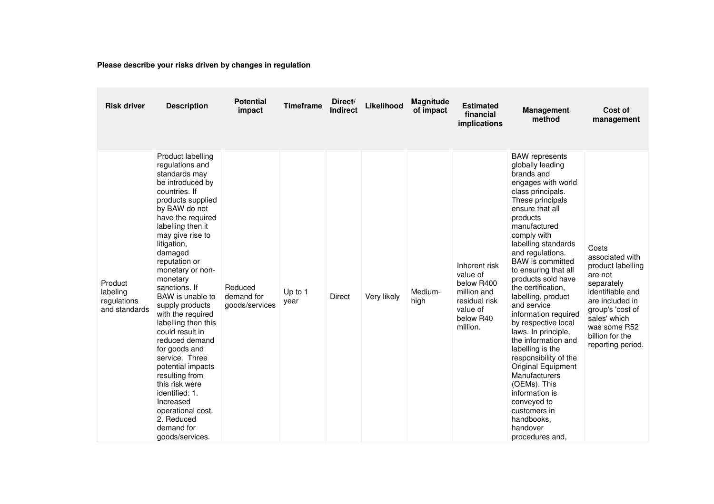**Please describe your risks driven by changes in regulation**

| <b>Risk driver</b>                                  | <b>Description</b>                                                                                                                                                                                                                                                                                                                                                                                                                                                                                                                                                                                                | <b>Potential</b><br>impact              | <b>Timeframe</b> | Direct/<br><b>Indirect</b> | Likelihood  | Magnitude<br>of impact | <b>Estimated</b><br>financial<br>implications                                                                | <b>Management</b><br>method                                                                                                                                                                                                                                                                                                                                                                                                                                                                                                                                                                                                                                 | Cost of<br>management                                                                                                                                                                                     |
|-----------------------------------------------------|-------------------------------------------------------------------------------------------------------------------------------------------------------------------------------------------------------------------------------------------------------------------------------------------------------------------------------------------------------------------------------------------------------------------------------------------------------------------------------------------------------------------------------------------------------------------------------------------------------------------|-----------------------------------------|------------------|----------------------------|-------------|------------------------|--------------------------------------------------------------------------------------------------------------|-------------------------------------------------------------------------------------------------------------------------------------------------------------------------------------------------------------------------------------------------------------------------------------------------------------------------------------------------------------------------------------------------------------------------------------------------------------------------------------------------------------------------------------------------------------------------------------------------------------------------------------------------------------|-----------------------------------------------------------------------------------------------------------------------------------------------------------------------------------------------------------|
| Product<br>labeling<br>regulations<br>and standards | Product labelling<br>regulations and<br>standards may<br>be introduced by<br>countries. If<br>products supplied<br>by BAW do not<br>have the required<br>labelling then it<br>may give rise to<br>litigation,<br>damaged<br>reputation or<br>monetary or non-<br>monetary<br>sanctions. If<br>BAW is unable to<br>supply products<br>with the required<br>labelling then this<br>could result in<br>reduced demand<br>for goods and<br>service. Three<br>potential impacts<br>resulting from<br>this risk were<br>identified: 1.<br>Increased<br>operational cost.<br>2. Reduced<br>demand for<br>goods/services. | Reduced<br>demand for<br>goods/services | Up to 1<br>year  | <b>Direct</b>              | Very likely | Medium-<br>high        | Inherent risk<br>value of<br>below R400<br>million and<br>residual risk<br>value of<br>below R40<br>million. | <b>BAW</b> represents<br>globally leading<br>brands and<br>engages with world<br>class principals.<br>These principals<br>ensure that all<br>products<br>manufactured<br>comply with<br>labelling standards<br>and regulations.<br>BAW is committed<br>to ensuring that all<br>products sold have<br>the certification.<br>labelling, product<br>and service<br>information required<br>by respective local<br>laws. In principle,<br>the information and<br>labelling is the<br>responsibility of the<br>Original Equipment<br>Manufacturers<br>(OEMs). This<br>information is<br>conveyed to<br>customers in<br>handbooks,<br>handover<br>procedures and, | Costs<br>associated with<br>product labelling<br>are not<br>separately<br>identifiable and<br>are included in<br>group's 'cost of<br>sales' which<br>was some R52<br>billion for the<br>reporting period. |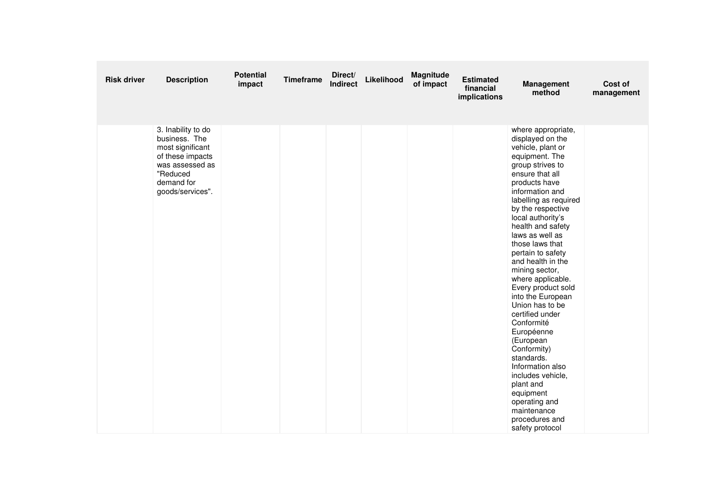| <b>Risk driver</b> | <b>Description</b>                                                                                                                           | <b>Potential</b><br>impact | <b>Timeframe</b> | Direct/<br><b>Indirect</b> | Likelihood | Magnitude<br>of impact | <b>Estimated</b><br>financial<br>implications | <b>Management</b><br>method                                                                                                                                                                                                                                                                                                                                                                                                                                                                                                                                                                                                                                            | Cost of<br>management |
|--------------------|----------------------------------------------------------------------------------------------------------------------------------------------|----------------------------|------------------|----------------------------|------------|------------------------|-----------------------------------------------|------------------------------------------------------------------------------------------------------------------------------------------------------------------------------------------------------------------------------------------------------------------------------------------------------------------------------------------------------------------------------------------------------------------------------------------------------------------------------------------------------------------------------------------------------------------------------------------------------------------------------------------------------------------------|-----------------------|
|                    | 3. Inability to do<br>business. The<br>most significant<br>of these impacts<br>was assessed as<br>"Reduced<br>demand for<br>goods/services". |                            |                  |                            |            |                        |                                               | where appropriate,<br>displayed on the<br>vehicle, plant or<br>equipment. The<br>group strives to<br>ensure that all<br>products have<br>information and<br>labelling as required<br>by the respective<br>local authority's<br>health and safety<br>laws as well as<br>those laws that<br>pertain to safety<br>and health in the<br>mining sector,<br>where applicable.<br>Every product sold<br>into the European<br>Union has to be<br>certified under<br>Conformité<br>Européenne<br>(European<br>Conformity)<br>standards.<br>Information also<br>includes vehicle,<br>plant and<br>equipment<br>operating and<br>maintenance<br>procedures and<br>safety protocol |                       |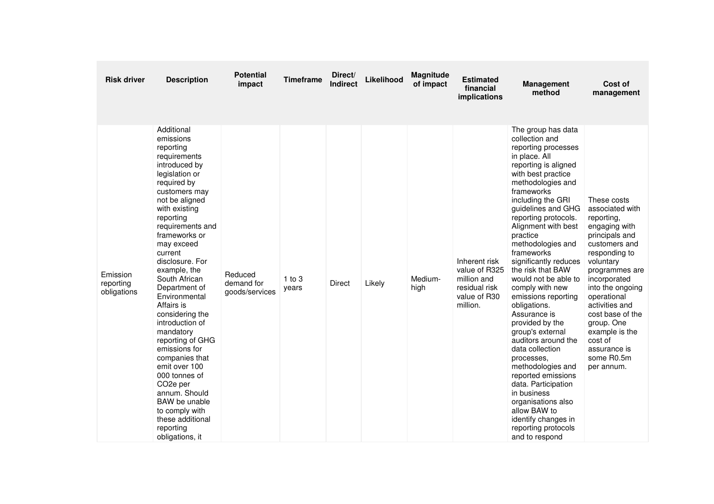| <b>Risk driver</b>                   | <b>Description</b>                                                                                                                                                                                                                                                                                                                                                                                                                                                                                                                                                                                                     | <b>Potential</b><br>impact              | <b>Timeframe</b>    | Direct/<br><b>Indirect</b> | Likelihood | Magnitude<br>of impact | <b>Estimated</b><br>financial<br>implications                                              | <b>Management</b><br>method                                                                                                                                                                                                                                                                                                                                                                                                                                                                                                                                                                                                                                                                                                                  | Cost of<br>management                                                                                                                                                                                                                                                                                                            |
|--------------------------------------|------------------------------------------------------------------------------------------------------------------------------------------------------------------------------------------------------------------------------------------------------------------------------------------------------------------------------------------------------------------------------------------------------------------------------------------------------------------------------------------------------------------------------------------------------------------------------------------------------------------------|-----------------------------------------|---------------------|----------------------------|------------|------------------------|--------------------------------------------------------------------------------------------|----------------------------------------------------------------------------------------------------------------------------------------------------------------------------------------------------------------------------------------------------------------------------------------------------------------------------------------------------------------------------------------------------------------------------------------------------------------------------------------------------------------------------------------------------------------------------------------------------------------------------------------------------------------------------------------------------------------------------------------------|----------------------------------------------------------------------------------------------------------------------------------------------------------------------------------------------------------------------------------------------------------------------------------------------------------------------------------|
| Emission<br>reporting<br>obligations | Additional<br>emissions<br>reporting<br>requirements<br>introduced by<br>legislation or<br>required by<br>customers may<br>not be aligned<br>with existing<br>reporting<br>requirements and<br>frameworks or<br>may exceed<br>current<br>disclosure. For<br>example, the<br>South African<br>Department of<br>Environmental<br>Affairs is<br>considering the<br>introduction of<br>mandatory<br>reporting of GHG<br>emissions for<br>companies that<br>emit over 100<br>000 tonnes of<br>CO <sub>2</sub> e per<br>annum. Should<br>BAW be unable<br>to comply with<br>these additional<br>reporting<br>obligations, it | Reduced<br>demand for<br>goods/services | $1$ to $3$<br>years | <b>Direct</b>              | Likely     | Medium-<br>high        | Inherent risk<br>value of R325<br>million and<br>residual risk<br>value of R30<br>million. | The group has data<br>collection and<br>reporting processes<br>in place. All<br>reporting is aligned<br>with best practice<br>methodologies and<br>frameworks<br>including the GRI<br>guidelines and GHG<br>reporting protocols.<br>Alignment with best<br>practice<br>methodologies and<br>frameworks<br>significantly reduces<br>the risk that BAW<br>would not be able to<br>comply with new<br>emissions reporting<br>obligations.<br>Assurance is<br>provided by the<br>group's external<br>auditors around the<br>data collection<br>processes,<br>methodologies and<br>reported emissions<br>data. Participation<br>in business<br>organisations also<br>allow BAW to<br>identify changes in<br>reporting protocols<br>and to respond | These costs<br>associated with<br>reporting,<br>engaging with<br>principals and<br>customers and<br>responding to<br>voluntary<br>programmes are<br>incorporated<br>into the ongoing<br>operational<br>activities and<br>cost base of the<br>group. One<br>example is the<br>cost of<br>assurance is<br>some R0.5m<br>per annum. |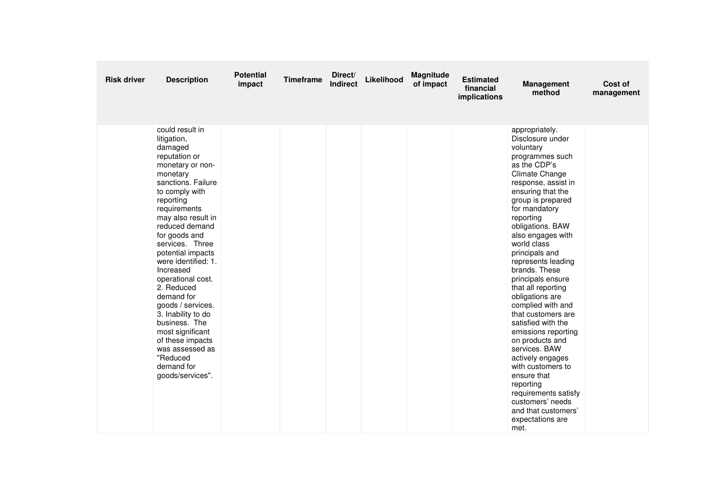| <b>Risk driver</b> | <b>Description</b>                                                                                                                                                                                                                                                                                                                                                                                                                                                                                                         | <b>Potential</b><br>impact | <b>Timeframe</b> | Direct/<br>Indirect | Likelihood | Magnitude<br>of impact | <b>Estimated</b><br>financial<br>implications | Management<br>method                                                                                                                                                                                                                                                                                                                                                                                                                                                                                                                                                                                                                                                               | Cost of<br>management |
|--------------------|----------------------------------------------------------------------------------------------------------------------------------------------------------------------------------------------------------------------------------------------------------------------------------------------------------------------------------------------------------------------------------------------------------------------------------------------------------------------------------------------------------------------------|----------------------------|------------------|---------------------|------------|------------------------|-----------------------------------------------|------------------------------------------------------------------------------------------------------------------------------------------------------------------------------------------------------------------------------------------------------------------------------------------------------------------------------------------------------------------------------------------------------------------------------------------------------------------------------------------------------------------------------------------------------------------------------------------------------------------------------------------------------------------------------------|-----------------------|
|                    | could result in<br>litigation,<br>damaged<br>reputation or<br>monetary or non-<br>monetary<br>sanctions. Failure<br>to comply with<br>reporting<br>requirements<br>may also result in<br>reduced demand<br>for goods and<br>services. Three<br>potential impacts<br>were identified: 1.<br>Increased<br>operational cost.<br>2. Reduced<br>demand for<br>goods / services.<br>3. Inability to do<br>business. The<br>most significant<br>of these impacts<br>was assessed as<br>"Reduced<br>demand for<br>goods/services". |                            |                  |                     |            |                        |                                               | appropriately.<br>Disclosure under<br>voluntary<br>programmes such<br>as the CDP's<br>Climate Change<br>response, assist in<br>ensuring that the<br>group is prepared<br>for mandatory<br>reporting<br>obligations. BAW<br>also engages with<br>world class<br>principals and<br>represents leading<br>brands. These<br>principals ensure<br>that all reporting<br>obligations are<br>complied with and<br>that customers are<br>satisfied with the<br>emissions reporting<br>on products and<br>services. BAW<br>actively engages<br>with customers to<br>ensure that<br>reporting<br>requirements satisfy<br>customers' needs<br>and that customers'<br>expectations are<br>met. |                       |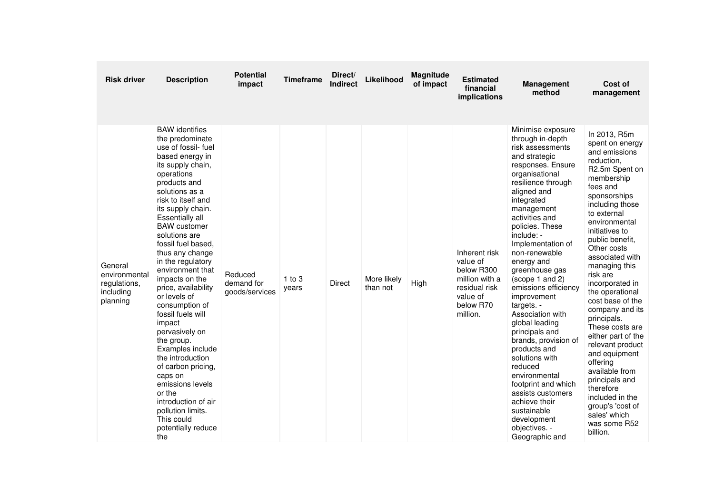| <b>Risk driver</b>                                                | <b>Description</b>                                                                                                                                                                                                                                                                                                                                                                                                                                                                                                                                                                                                                                                                      | <b>Potential</b><br>impact              | <b>Timeframe</b>    | Direct/<br><b>Indirect</b> | Likelihood              | <b>Magnitude</b><br>of impact | <b>Estimated</b><br>financial<br>implications                                                                   | <b>Management</b><br>method                                                                                                                                                                                                                                                                                                                                                                                                                                                                                                                                                                                                                                     | Cost of<br>management                                                                                                                                                                                                                                                                                                                                                                                                                                                                                                                                                                                                    |
|-------------------------------------------------------------------|-----------------------------------------------------------------------------------------------------------------------------------------------------------------------------------------------------------------------------------------------------------------------------------------------------------------------------------------------------------------------------------------------------------------------------------------------------------------------------------------------------------------------------------------------------------------------------------------------------------------------------------------------------------------------------------------|-----------------------------------------|---------------------|----------------------------|-------------------------|-------------------------------|-----------------------------------------------------------------------------------------------------------------|-----------------------------------------------------------------------------------------------------------------------------------------------------------------------------------------------------------------------------------------------------------------------------------------------------------------------------------------------------------------------------------------------------------------------------------------------------------------------------------------------------------------------------------------------------------------------------------------------------------------------------------------------------------------|--------------------------------------------------------------------------------------------------------------------------------------------------------------------------------------------------------------------------------------------------------------------------------------------------------------------------------------------------------------------------------------------------------------------------------------------------------------------------------------------------------------------------------------------------------------------------------------------------------------------------|
| General<br>environmental<br>regulations,<br>including<br>planning | <b>BAW</b> identifies<br>the predominate<br>use of fossil- fuel<br>based energy in<br>its supply chain,<br>operations<br>products and<br>solutions as a<br>risk to itself and<br>its supply chain.<br>Essentially all<br><b>BAW</b> customer<br>solutions are<br>fossil fuel based,<br>thus any change<br>in the regulatory<br>environment that<br>impacts on the<br>price, availability<br>or levels of<br>consumption of<br>fossil fuels will<br>impact<br>pervasively on<br>the group.<br>Examples include<br>the introduction<br>of carbon pricing,<br>caps on<br>emissions levels<br>or the<br>introduction of air<br>pollution limits.<br>This could<br>potentially reduce<br>the | Reduced<br>demand for<br>goods/services | $1$ to $3$<br>years | <b>Direct</b>              | More likely<br>than not | High                          | Inherent risk<br>value of<br>below R300<br>million with a<br>residual risk<br>value of<br>below R70<br>million. | Minimise exposure<br>through in-depth<br>risk assessments<br>and strategic<br>responses. Ensure<br>organisational<br>resilience through<br>aligned and<br>integrated<br>management<br>activities and<br>policies. These<br>include: -<br>Implementation of<br>non-renewable<br>energy and<br>greenhouse gas<br>(scope 1 and 2)<br>emissions efficiency<br>improvement<br>targets. -<br>Association with<br>global leading<br>principals and<br>brands, provision of<br>products and<br>solutions with<br>reduced<br>environmental<br>footprint and which<br>assists customers<br>achieve their<br>sustainable<br>development<br>objectives. -<br>Geographic and | In 2013, R5m<br>spent on energy<br>and emissions<br>reduction,<br>R <sub>2.5</sub> m Spent on<br>membership<br>fees and<br>sponsorships<br>including those<br>to external<br>environmental<br>initiatives to<br>public benefit,<br>Other costs<br>associated with<br>managing this<br>risk are<br>incorporated in<br>the operational<br>cost base of the<br>company and its<br>principals.<br>These costs are<br>either part of the<br>relevant product<br>and equipment<br>offering<br>available from<br>principals and<br>therefore<br>included in the<br>group's 'cost of<br>sales' which<br>was some R52<br>billion. |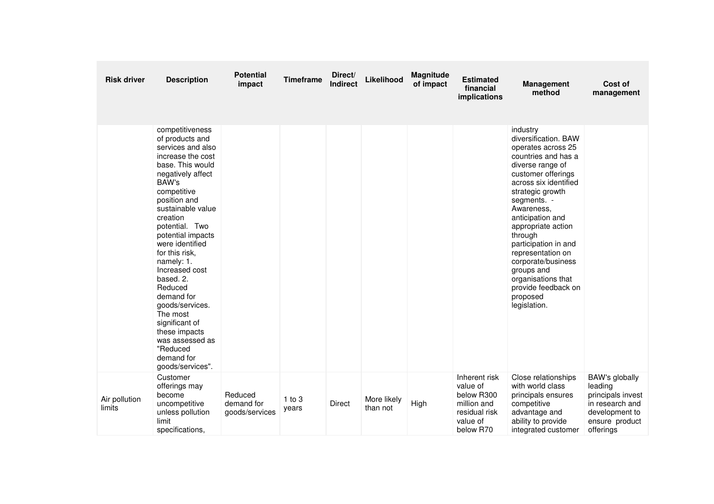| <b>Risk driver</b>      | <b>Description</b>                                                                                                                                                                                                                                                                                                                                                                                                                                                                  | <b>Potential</b><br>impact              | <b>Timeframe</b>    | Direct/<br><b>Indirect</b> | Likelihood              | Magnitude<br>of impact | <b>Estimated</b><br>financial<br>implications                                                    | <b>Management</b><br>method                                                                                                                                                                                                                                                                                                                                                                                      | Cost of<br>management                                                                                              |
|-------------------------|-------------------------------------------------------------------------------------------------------------------------------------------------------------------------------------------------------------------------------------------------------------------------------------------------------------------------------------------------------------------------------------------------------------------------------------------------------------------------------------|-----------------------------------------|---------------------|----------------------------|-------------------------|------------------------|--------------------------------------------------------------------------------------------------|------------------------------------------------------------------------------------------------------------------------------------------------------------------------------------------------------------------------------------------------------------------------------------------------------------------------------------------------------------------------------------------------------------------|--------------------------------------------------------------------------------------------------------------------|
|                         | competitiveness<br>of products and<br>services and also<br>increase the cost<br>base. This would<br>negatively affect<br>BAW's<br>competitive<br>position and<br>sustainable value<br>creation<br>potential. Two<br>potential impacts<br>were identified<br>for this risk,<br>namely: 1.<br>Increased cost<br>based, 2.<br>Reduced<br>demand for<br>goods/services.<br>The most<br>significant of<br>these impacts<br>was assessed as<br>"Reduced<br>demand for<br>goods/services". |                                         |                     |                            |                         |                        |                                                                                                  | industry<br>diversification. BAW<br>operates across 25<br>countries and has a<br>diverse range of<br>customer offerings<br>across six identified<br>strategic growth<br>segments. -<br>Awareness,<br>anticipation and<br>appropriate action<br>through<br>participation in and<br>representation on<br>corporate/business<br>groups and<br>organisations that<br>provide feedback on<br>proposed<br>legislation. |                                                                                                                    |
| Air pollution<br>limits | Customer<br>offerings may<br>become<br>uncompetitive<br>unless pollution<br>limit<br>specifications,                                                                                                                                                                                                                                                                                                                                                                                | Reduced<br>demand for<br>goods/services | $1$ to $3$<br>years | <b>Direct</b>              | More likely<br>than not | High                   | Inherent risk<br>value of<br>below R300<br>million and<br>residual risk<br>value of<br>below R70 | Close relationships<br>with world class<br>principals ensures<br>competitive<br>advantage and<br>ability to provide<br>integrated customer                                                                                                                                                                                                                                                                       | BAW's globally<br>leading<br>principals invest<br>in research and<br>development to<br>ensure product<br>offerings |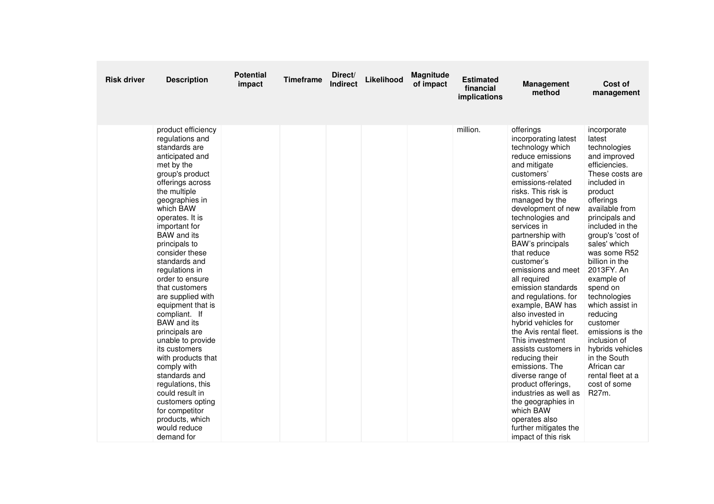| <b>Risk driver</b> | <b>Description</b>                                                                                                                                                                                                                                                                                                                                                                                                                                                                                                                                                                                                                                                               | <b>Potential</b><br>impact | <b>Timeframe</b> | Direct/<br><b>Indirect</b> | Likelihood | Magnitude<br>of impact | <b>Estimated</b><br>financial<br>implications | <b>Management</b><br>method                                                                                                                                                                                                                                                                                                                                                                                                                                                                                                                                                                                                                                                                                                                   | Cost of<br>management                                                                                                                                                                                                                                                                                                                                                                                                                                                                                 |
|--------------------|----------------------------------------------------------------------------------------------------------------------------------------------------------------------------------------------------------------------------------------------------------------------------------------------------------------------------------------------------------------------------------------------------------------------------------------------------------------------------------------------------------------------------------------------------------------------------------------------------------------------------------------------------------------------------------|----------------------------|------------------|----------------------------|------------|------------------------|-----------------------------------------------|-----------------------------------------------------------------------------------------------------------------------------------------------------------------------------------------------------------------------------------------------------------------------------------------------------------------------------------------------------------------------------------------------------------------------------------------------------------------------------------------------------------------------------------------------------------------------------------------------------------------------------------------------------------------------------------------------------------------------------------------------|-------------------------------------------------------------------------------------------------------------------------------------------------------------------------------------------------------------------------------------------------------------------------------------------------------------------------------------------------------------------------------------------------------------------------------------------------------------------------------------------------------|
|                    | product efficiency<br>regulations and<br>standards are<br>anticipated and<br>met by the<br>group's product<br>offerings across<br>the multiple<br>geographies in<br>which BAW<br>operates. It is<br>important for<br><b>BAW</b> and its<br>principals to<br>consider these<br>standards and<br>regulations in<br>order to ensure<br>that customers<br>are supplied with<br>equipment that is<br>compliant. If<br><b>BAW</b> and its<br>principals are<br>unable to provide<br>its customers<br>with products that<br>comply with<br>standards and<br>regulations, this<br>could result in<br>customers opting<br>for competitor<br>products, which<br>would reduce<br>demand for |                            |                  |                            |            |                        | million.                                      | offerings<br>incorporating latest<br>technology which<br>reduce emissions<br>and mitigate<br>customers'<br>emissions-related<br>risks. This risk is<br>managed by the<br>development of new<br>technologies and<br>services in<br>partnership with<br><b>BAW's principals</b><br>that reduce<br>customer's<br>emissions and meet<br>all required<br>emission standards<br>and regulations. for<br>example, BAW has<br>also invested in<br>hybrid vehicles for<br>the Avis rental fleet.<br>This investment<br>assists customers in<br>reducing their<br>emissions. The<br>diverse range of<br>product offerings,<br>industries as well as<br>the geographies in<br>which BAW<br>operates also<br>further mitigates the<br>impact of this risk | incorporate<br>latest<br>technologies<br>and improved<br>efficiencies.<br>These costs are<br>included in<br>product<br>offerings<br>available from<br>principals and<br>included in the<br>group's 'cost of<br>sales' which<br>was some R52<br>billion in the<br>2013FY. An<br>example of<br>spend on<br>technologies<br>which assist in<br>reducing<br>customer<br>emissions is the<br>inclusion of<br>hybrids vehicles<br>in the South<br>African car<br>rental fleet at a<br>cost of some<br>R27m. |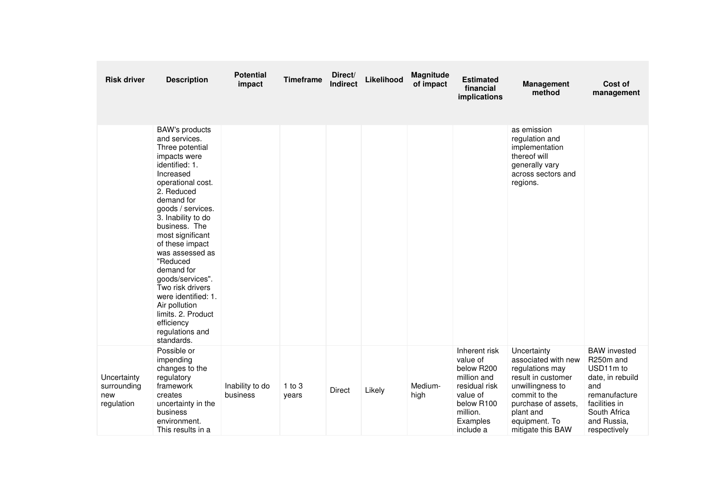| <b>Risk driver</b>                              | <b>Description</b>                                                                                                                                                                                                                                                                                                                                                                                                                                             | <b>Potential</b><br>impact  | <b>Timeframe</b>    | Direct/<br><b>Indirect</b> | Likelihood | <b>Magnitude</b><br>of impact | <b>Estimated</b><br>financial<br>implications                                                                                          | <b>Management</b><br>method                                                                                                                                                                | Cost of<br>management                                                                                                                                     |
|-------------------------------------------------|----------------------------------------------------------------------------------------------------------------------------------------------------------------------------------------------------------------------------------------------------------------------------------------------------------------------------------------------------------------------------------------------------------------------------------------------------------------|-----------------------------|---------------------|----------------------------|------------|-------------------------------|----------------------------------------------------------------------------------------------------------------------------------------|--------------------------------------------------------------------------------------------------------------------------------------------------------------------------------------------|-----------------------------------------------------------------------------------------------------------------------------------------------------------|
|                                                 | <b>BAW's products</b><br>and services.<br>Three potential<br>impacts were<br>identified: 1.<br>Increased<br>operational cost.<br>2. Reduced<br>demand for<br>goods / services.<br>3. Inability to do<br>business. The<br>most significant<br>of these impact<br>was assessed as<br>"Reduced<br>demand for<br>goods/services".<br>Two risk drivers<br>were identified: 1.<br>Air pollution<br>limits. 2. Product<br>efficiency<br>regulations and<br>standards. |                             |                     |                            |            |                               |                                                                                                                                        | as emission<br>regulation and<br>implementation<br>thereof will<br>generally vary<br>across sectors and<br>regions.                                                                        |                                                                                                                                                           |
| Uncertainty<br>surrounding<br>new<br>regulation | Possible or<br>impending<br>changes to the<br>regulatory<br>framework<br>creates<br>uncertainty in the<br>business<br>environment.<br>This results in a                                                                                                                                                                                                                                                                                                        | Inability to do<br>business | $1$ to $3$<br>years | <b>Direct</b>              | Likely     | Medium-<br>high               | Inherent risk<br>value of<br>below R200<br>million and<br>residual risk<br>value of<br>below R100<br>million.<br>Examples<br>include a | Uncertainty<br>associated with new<br>regulations may<br>result in customer<br>unwillingness to<br>commit to the<br>purchase of assets,<br>plant and<br>equipment. To<br>mitigate this BAW | <b>BAW</b> invested<br>R250m and<br>USD11m to<br>date, in rebuild<br>and<br>remanufacture<br>facilities in<br>South Africa<br>and Russia.<br>respectively |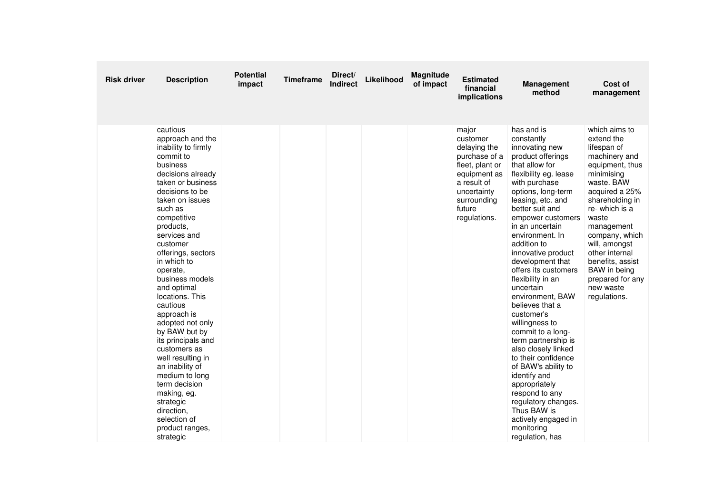| <b>Risk driver</b> | <b>Description</b>                                                                                                                                                                                                                                                                                                                                                                                                                                                                                                                                                                                               | <b>Potential</b><br>impact | <b>Timeframe</b> | Direct/<br><b>Indirect</b> | Likelihood | Magnitude<br>of impact | <b>Estimated</b><br>financial<br>implications                                                                                                                | <b>Management</b><br>method                                                                                                                                                                                                                                                                                                                                                                                                                                                                                                                                                                                                                                                                                      | Cost of<br>management                                                                                                                                                                                                                                                                                                                     |
|--------------------|------------------------------------------------------------------------------------------------------------------------------------------------------------------------------------------------------------------------------------------------------------------------------------------------------------------------------------------------------------------------------------------------------------------------------------------------------------------------------------------------------------------------------------------------------------------------------------------------------------------|----------------------------|------------------|----------------------------|------------|------------------------|--------------------------------------------------------------------------------------------------------------------------------------------------------------|------------------------------------------------------------------------------------------------------------------------------------------------------------------------------------------------------------------------------------------------------------------------------------------------------------------------------------------------------------------------------------------------------------------------------------------------------------------------------------------------------------------------------------------------------------------------------------------------------------------------------------------------------------------------------------------------------------------|-------------------------------------------------------------------------------------------------------------------------------------------------------------------------------------------------------------------------------------------------------------------------------------------------------------------------------------------|
|                    | cautious<br>approach and the<br>inability to firmly<br>commit to<br>business<br>decisions already<br>taken or business<br>decisions to be<br>taken on issues<br>such as<br>competitive<br>products,<br>services and<br>customer<br>offerings, sectors<br>in which to<br>operate.<br>business models<br>and optimal<br>locations. This<br>cautious<br>approach is<br>adopted not only<br>by BAW but by<br>its principals and<br>customers as<br>well resulting in<br>an inability of<br>medium to long<br>term decision<br>making, eg.<br>strategic<br>direction,<br>selection of<br>product ranges,<br>strategic |                            |                  |                            |            |                        | major<br>customer<br>delaying the<br>purchase of a<br>fleet, plant or<br>equipment as<br>a result of<br>uncertainty<br>surrounding<br>future<br>regulations. | has and is<br>constantly<br>innovating new<br>product offerings<br>that allow for<br>flexibility eg. lease<br>with purchase<br>options, long-term<br>leasing, etc. and<br>better suit and<br>empower customers<br>in an uncertain<br>environment. In<br>addition to<br>innovative product<br>development that<br>offers its customers<br>flexibility in an<br>uncertain<br>environment, BAW<br>believes that a<br>customer's<br>willingness to<br>commit to a long-<br>term partnership is<br>also closely linked<br>to their confidence<br>of BAW's ability to<br>identify and<br>appropriately<br>respond to any<br>regulatory changes.<br>Thus BAW is<br>actively engaged in<br>monitoring<br>regulation, has | which aims to<br>extend the<br>lifespan of<br>machinery and<br>equipment, thus<br>minimising<br>waste. BAW<br>acquired a 25%<br>shareholding in<br>re- which is a<br>waste<br>management<br>company, which<br>will, amongst<br>other internal<br>benefits, assist<br><b>BAW</b> in being<br>prepared for any<br>new waste<br>regulations. |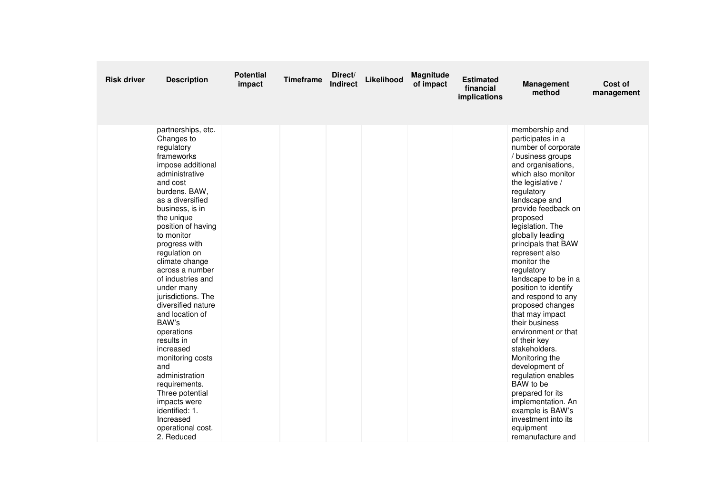| <b>Risk driver</b> | <b>Description</b>                                                                                                                                                                                                                                                                                                                                                                                                                                                                                                                                                                                                      | <b>Potential</b><br>impact | <b>Timeframe</b> | Direct/<br><b>Indirect</b> | Likelihood | Magnitude<br>of impact | <b>Estimated</b><br>financial<br>implications | <b>Management</b><br>method                                                                                                                                                                                                                                                                                                                                                                                                                                                                                                                                                                                                                                                                                           | Cost of<br>management |
|--------------------|-------------------------------------------------------------------------------------------------------------------------------------------------------------------------------------------------------------------------------------------------------------------------------------------------------------------------------------------------------------------------------------------------------------------------------------------------------------------------------------------------------------------------------------------------------------------------------------------------------------------------|----------------------------|------------------|----------------------------|------------|------------------------|-----------------------------------------------|-----------------------------------------------------------------------------------------------------------------------------------------------------------------------------------------------------------------------------------------------------------------------------------------------------------------------------------------------------------------------------------------------------------------------------------------------------------------------------------------------------------------------------------------------------------------------------------------------------------------------------------------------------------------------------------------------------------------------|-----------------------|
|                    | partnerships, etc.<br>Changes to<br>regulatory<br>frameworks<br>impose additional<br>administrative<br>and cost<br>burdens. BAW,<br>as a diversified<br>business, is in<br>the unique<br>position of having<br>to monitor<br>progress with<br>regulation on<br>climate change<br>across a number<br>of industries and<br>under many<br>jurisdictions. The<br>diversified nature<br>and location of<br>BAW's<br>operations<br>results in<br>increased<br>monitoring costs<br>and<br>administration<br>requirements.<br>Three potential<br>impacts were<br>identified: 1.<br>Increased<br>operational cost.<br>2. Reduced |                            |                  |                            |            |                        |                                               | membership and<br>participates in a<br>number of corporate<br>/ business groups<br>and organisations,<br>which also monitor<br>the legislative /<br>regulatory<br>landscape and<br>provide feedback on<br>proposed<br>legislation. The<br>globally leading<br>principals that BAW<br>represent also<br>monitor the<br>regulatory<br>landscape to be in a<br>position to identify<br>and respond to any<br>proposed changes<br>that may impact<br>their business<br>environment or that<br>of their key<br>stakeholders.<br>Monitoring the<br>development of<br>regulation enables<br>BAW to be<br>prepared for its<br>implementation. An<br>example is BAW's<br>investment into its<br>equipment<br>remanufacture and |                       |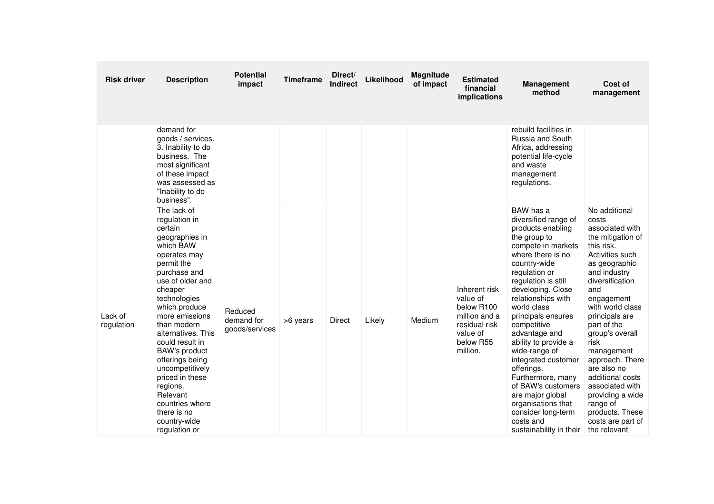| <b>Risk driver</b>    | <b>Description</b>                                                                                                                                                                                                                                                                                                                                                                                                                         | <b>Potential</b><br>impact              | <b>Timeframe</b> | Direct/<br><b>Indirect</b> | Likelihood | <b>Magnitude</b><br>of impact | <b>Estimated</b><br>financial<br>implications                                                                  | <b>Management</b><br>method                                                                                                                                                                                                                                                                                                                                                                                                                                                                                                | Cost of<br>management                                                                                                                                                                                                                                                                                                                                                                                                                   |
|-----------------------|--------------------------------------------------------------------------------------------------------------------------------------------------------------------------------------------------------------------------------------------------------------------------------------------------------------------------------------------------------------------------------------------------------------------------------------------|-----------------------------------------|------------------|----------------------------|------------|-------------------------------|----------------------------------------------------------------------------------------------------------------|----------------------------------------------------------------------------------------------------------------------------------------------------------------------------------------------------------------------------------------------------------------------------------------------------------------------------------------------------------------------------------------------------------------------------------------------------------------------------------------------------------------------------|-----------------------------------------------------------------------------------------------------------------------------------------------------------------------------------------------------------------------------------------------------------------------------------------------------------------------------------------------------------------------------------------------------------------------------------------|
|                       | demand for<br>goods / services.<br>3. Inability to do<br>business. The<br>most significant<br>of these impact<br>was assessed as<br>"Inability to do<br>business".                                                                                                                                                                                                                                                                         |                                         |                  |                            |            |                               |                                                                                                                | rebuild facilities in<br>Russia and South<br>Africa, addressing<br>potential life-cycle<br>and waste<br>management<br>regulations.                                                                                                                                                                                                                                                                                                                                                                                         |                                                                                                                                                                                                                                                                                                                                                                                                                                         |
| Lack of<br>regulation | The lack of<br>regulation in<br>certain<br>geographies in<br>which BAW<br>operates may<br>permit the<br>purchase and<br>use of older and<br>cheaper<br>technologies<br>which produce<br>more emissions<br>than modern<br>alternatives. This<br>could result in<br><b>BAW's product</b><br>offerings being<br>uncompetitively<br>priced in these<br>regions.<br>Relevant<br>countries where<br>there is no<br>country-wide<br>regulation or | Reduced<br>demand for<br>goods/services | >6 years         | Direct                     | Likely     | Medium                        | Inherent risk<br>value of<br>below R100<br>million and a<br>residual risk<br>value of<br>below R55<br>million. | BAW has a<br>diversified range of<br>products enabling<br>the group to<br>compete in markets<br>where there is no<br>country-wide<br>regulation or<br>regulation is still<br>developing. Close<br>relationships with<br>world class<br>principals ensures<br>competitive<br>advantage and<br>ability to provide a<br>wide-range of<br>integrated customer<br>offerings.<br>Furthermore, many<br>of BAW's customers<br>are major global<br>organisations that<br>consider long-term<br>costs and<br>sustainability in their | No additional<br>costs<br>associated with<br>the mitigation of<br>this risk.<br>Activities such<br>as geographic<br>and industry<br>diversification<br>and<br>engagement<br>with world class<br>principals are<br>part of the<br>group's overall<br>risk<br>management<br>approach. There<br>are also no<br>additional costs<br>associated with<br>providing a wide<br>range of<br>products. These<br>costs are part of<br>the relevant |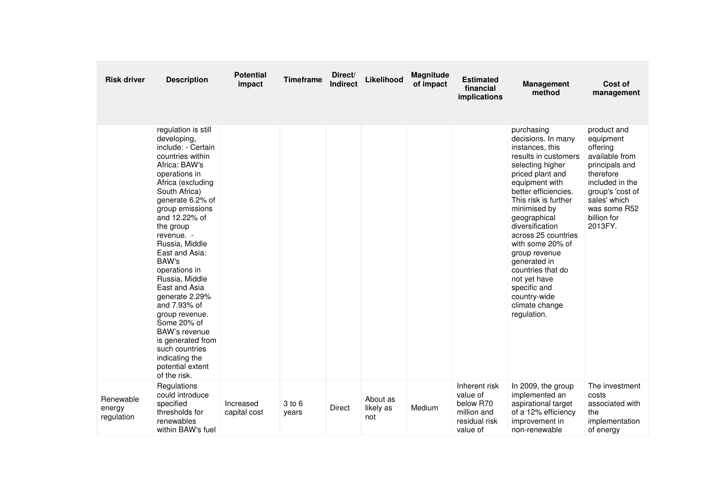| <b>Risk driver</b>                | <b>Description</b>                                                                                                                                                                                                                                                                                                                                                                                                                                                                                                        | <b>Potential</b><br>impact | <b>Timeframe</b> | Direct/<br>Indirect | Likelihood                   | <b>Magnitude</b><br>of impact | <b>Estimated</b><br>financial<br>implications                                      | <b>Management</b><br>method                                                                                                                                                                                                                                                                                                                                                                                                | Cost of<br>management                                                                                                                                                                  |
|-----------------------------------|---------------------------------------------------------------------------------------------------------------------------------------------------------------------------------------------------------------------------------------------------------------------------------------------------------------------------------------------------------------------------------------------------------------------------------------------------------------------------------------------------------------------------|----------------------------|------------------|---------------------|------------------------------|-------------------------------|------------------------------------------------------------------------------------|----------------------------------------------------------------------------------------------------------------------------------------------------------------------------------------------------------------------------------------------------------------------------------------------------------------------------------------------------------------------------------------------------------------------------|----------------------------------------------------------------------------------------------------------------------------------------------------------------------------------------|
|                                   | regulation is still<br>developing,<br>include: - Certain<br>countries within<br>Africa: BAW's<br>operations in<br>Africa (excluding<br>South Africa)<br>generate 6.2% of<br>group emissions<br>and 12.22% of<br>the group<br>revenue. -<br>Russia, Middle<br>East and Asia:<br>BAW's<br>operations in<br>Russia, Middle<br>East and Asia<br>generate 2.29%<br>and 7.93% of<br>group revenue.<br>Some 20% of<br>BAW's revenue<br>is generated from<br>such countries<br>indicating the<br>potential extent<br>of the risk. |                            |                  |                     |                              |                               |                                                                                    | purchasing<br>decisions. In many<br>instances, this<br>results in customers<br>selecting higher<br>priced plant and<br>equipment with<br>better efficiencies.<br>This risk is further<br>minimised by<br>geographical<br>diversification<br>across 25 countries<br>with some 20% of<br>group revenue<br>generated in<br>countries that do<br>not yet have<br>specific and<br>country-wide<br>climate change<br>regulation. | product and<br>equipment<br>offering<br>available from<br>principals and<br>therefore<br>included in the<br>group's 'cost of<br>sales' which<br>was some R52<br>billion for<br>2013FY. |
| Renewable<br>energy<br>regulation | Regulations<br>could introduce<br>specified<br>thresholds for<br>renewables<br>within BAW's fuel                                                                                                                                                                                                                                                                                                                                                                                                                          | Increased<br>capital cost  | 3 to 6<br>years  | <b>Direct</b>       | About as<br>likely as<br>not | Medium                        | Inherent risk<br>value of<br>below R70<br>million and<br>residual risk<br>value of | In 2009, the group<br>implemented an<br>aspirational target<br>of a 12% efficiency<br>improvement in<br>non-renewable                                                                                                                                                                                                                                                                                                      | The investment<br>costs<br>associated with<br>the<br>implementation<br>of energy                                                                                                       |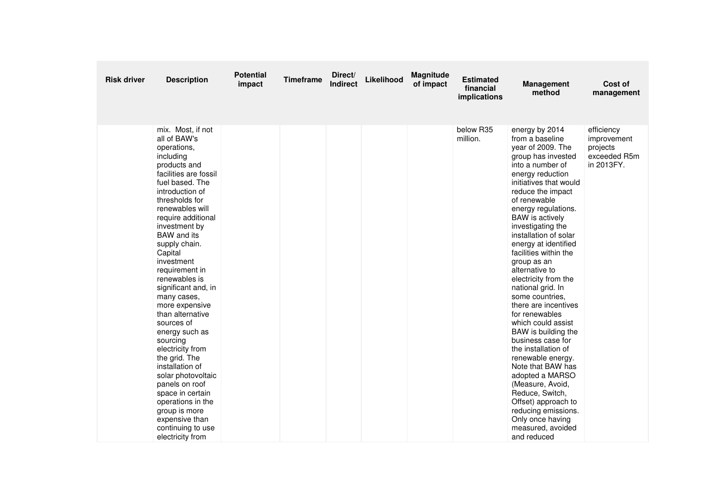| <b>Risk driver</b> | <b>Description</b>                                                                                                                                                                                                                                                                                                                                                                                                                                                                                                                                                                                                                                                       | <b>Potential</b><br>impact | <b>Timeframe</b> | Direct/<br><b>Indirect</b> | Likelihood | Magnitude<br>of impact | <b>Estimated</b><br>financial<br>implications | <b>Management</b><br>method                                                                                                                                                                                                                                                                                                                                                                                                                                                                                                                                                                                                                                                                                                                                                       | Cost of<br>management                                               |
|--------------------|--------------------------------------------------------------------------------------------------------------------------------------------------------------------------------------------------------------------------------------------------------------------------------------------------------------------------------------------------------------------------------------------------------------------------------------------------------------------------------------------------------------------------------------------------------------------------------------------------------------------------------------------------------------------------|----------------------------|------------------|----------------------------|------------|------------------------|-----------------------------------------------|-----------------------------------------------------------------------------------------------------------------------------------------------------------------------------------------------------------------------------------------------------------------------------------------------------------------------------------------------------------------------------------------------------------------------------------------------------------------------------------------------------------------------------------------------------------------------------------------------------------------------------------------------------------------------------------------------------------------------------------------------------------------------------------|---------------------------------------------------------------------|
|                    | mix. Most, if not<br>all of BAW's<br>operations,<br>including<br>products and<br>facilities are fossil<br>fuel based. The<br>introduction of<br>thresholds for<br>renewables will<br>require additional<br>investment by<br><b>BAW</b> and its<br>supply chain.<br>Capital<br>investment<br>requirement in<br>renewables is<br>significant and, in<br>many cases,<br>more expensive<br>than alternative<br>sources of<br>energy such as<br>sourcing<br>electricity from<br>the grid. The<br>installation of<br>solar photovoltaic<br>panels on roof<br>space in certain<br>operations in the<br>group is more<br>expensive than<br>continuing to use<br>electricity from |                            |                  |                            |            |                        | below R35<br>million.                         | energy by 2014<br>from a baseline<br>year of 2009. The<br>group has invested<br>into a number of<br>energy reduction<br>initiatives that would<br>reduce the impact<br>of renewable<br>energy regulations.<br><b>BAW</b> is actively<br>investigating the<br>installation of solar<br>energy at identified<br>facilities within the<br>group as an<br>alternative to<br>electricity from the<br>national grid. In<br>some countries.<br>there are incentives<br>for renewables<br>which could assist<br>BAW is building the<br>business case for<br>the installation of<br>renewable energy.<br>Note that BAW has<br>adopted a MARSO<br>(Measure, Avoid,<br>Reduce, Switch,<br>Offset) approach to<br>reducing emissions.<br>Only once having<br>measured, avoided<br>and reduced | efficiency<br>improvement<br>projects<br>exceeded R5m<br>in 2013FY. |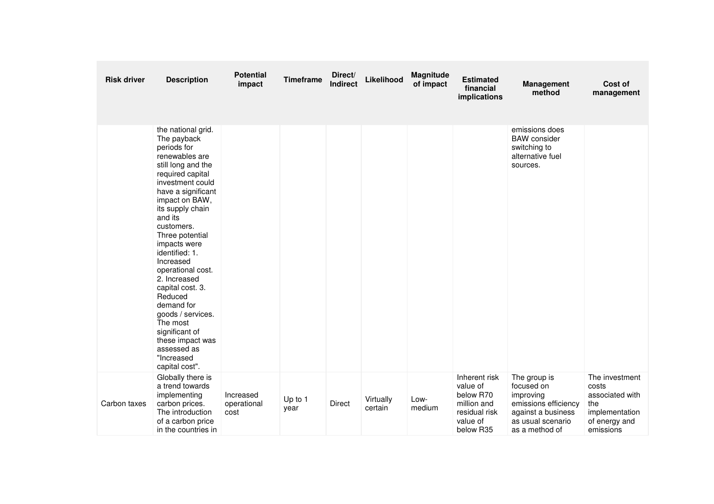| <b>Risk driver</b> | <b>Description</b>                                                                                                                                                                                                                                                                                                                                                                                                                                                                              | <b>Potential</b><br>impact       | <b>Timeframe</b> | Direct/<br><b>Indirect</b> | Likelihood           | Magnitude<br>of impact | <b>Estimated</b><br>financial<br>implications                                                   | <b>Management</b><br>method                                                                                                  | Cost of<br>management                                                                             |
|--------------------|-------------------------------------------------------------------------------------------------------------------------------------------------------------------------------------------------------------------------------------------------------------------------------------------------------------------------------------------------------------------------------------------------------------------------------------------------------------------------------------------------|----------------------------------|------------------|----------------------------|----------------------|------------------------|-------------------------------------------------------------------------------------------------|------------------------------------------------------------------------------------------------------------------------------|---------------------------------------------------------------------------------------------------|
|                    | the national grid.<br>The payback<br>periods for<br>renewables are<br>still long and the<br>required capital<br>investment could<br>have a significant<br>impact on BAW,<br>its supply chain<br>and its<br>customers.<br>Three potential<br>impacts were<br>identified: 1.<br>Increased<br>operational cost.<br>2. Increased<br>capital cost. 3.<br>Reduced<br>demand for<br>goods / services.<br>The most<br>significant of<br>these impact was<br>assessed as<br>"Increased<br>capital cost". |                                  |                  |                            |                      |                        |                                                                                                 | emissions does<br><b>BAW</b> consider<br>switching to<br>alternative fuel<br>sources.                                        |                                                                                                   |
| Carbon taxes       | Globally there is<br>a trend towards<br>implementing<br>carbon prices.<br>The introduction<br>of a carbon price<br>in the countries in                                                                                                                                                                                                                                                                                                                                                          | Increased<br>operational<br>cost | Up to 1<br>year  | <b>Direct</b>              | Virtually<br>certain | Low-<br>medium         | Inherent risk<br>value of<br>below R70<br>million and<br>residual risk<br>value of<br>below R35 | The group is<br>focused on<br>improving<br>emissions efficiency<br>against a business<br>as usual scenario<br>as a method of | The investment<br>costs<br>associated with<br>the<br>implementation<br>of energy and<br>emissions |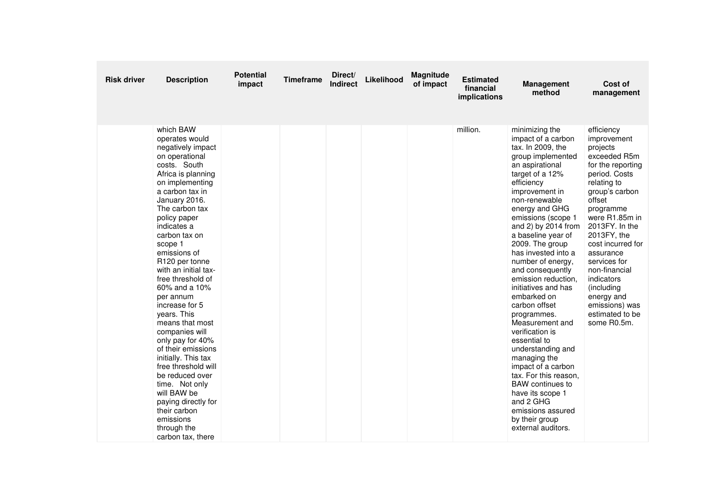| <b>Risk driver</b> | <b>Description</b>                                                                                                                                                                                                                                                                                                                                                                                                                                                                                                                                                                                                                                                  | <b>Potential</b><br>impact | <b>Timeframe</b> | Direct/<br><b>Indirect</b> | Likelihood | Magnitude<br>of impact | <b>Estimated</b><br>financial<br>implications | <b>Management</b><br>method                                                                                                                                                                                                                                                                                                                                                                                                                                                                                                                                                                                                                                                                                   | Cost of<br>management                                                                                                                                                                                                                                                                                                                                                   |
|--------------------|---------------------------------------------------------------------------------------------------------------------------------------------------------------------------------------------------------------------------------------------------------------------------------------------------------------------------------------------------------------------------------------------------------------------------------------------------------------------------------------------------------------------------------------------------------------------------------------------------------------------------------------------------------------------|----------------------------|------------------|----------------------------|------------|------------------------|-----------------------------------------------|---------------------------------------------------------------------------------------------------------------------------------------------------------------------------------------------------------------------------------------------------------------------------------------------------------------------------------------------------------------------------------------------------------------------------------------------------------------------------------------------------------------------------------------------------------------------------------------------------------------------------------------------------------------------------------------------------------------|-------------------------------------------------------------------------------------------------------------------------------------------------------------------------------------------------------------------------------------------------------------------------------------------------------------------------------------------------------------------------|
|                    | which BAW<br>operates would<br>negatively impact<br>on operational<br>costs. South<br>Africa is planning<br>on implementing<br>a carbon tax in<br>January 2016.<br>The carbon tax<br>policy paper<br>indicates a<br>carbon tax on<br>scope 1<br>emissions of<br>R120 per tonne<br>with an initial tax-<br>free threshold of<br>60% and a 10%<br>per annum<br>increase for 5<br>years. This<br>means that most<br>companies will<br>only pay for 40%<br>of their emissions<br>initially. This tax<br>free threshold will<br>be reduced over<br>time. Not only<br>will BAW be<br>paying directly for<br>their carbon<br>emissions<br>through the<br>carbon tax, there |                            |                  |                            |            |                        | million.                                      | minimizing the<br>impact of a carbon<br>tax. In 2009, the<br>group implemented<br>an aspirational<br>target of a 12%<br>efficiency<br>improvement in<br>non-renewable<br>energy and GHG<br>emissions (scope 1<br>and 2) by 2014 from<br>a baseline year of<br>2009. The group<br>has invested into a<br>number of energy,<br>and consequently<br>emission reduction,<br>initiatives and has<br>embarked on<br>carbon offset<br>programmes.<br>Measurement and<br>verification is<br>essential to<br>understanding and<br>managing the<br>impact of a carbon<br>tax. For this reason.<br><b>BAW</b> continues to<br>have its scope 1<br>and 2 GHG<br>emissions assured<br>by their group<br>external auditors. | efficiency<br>improvement<br>projects<br>exceeded R5m<br>for the reporting<br>period. Costs<br>relating to<br>group's carbon<br>offset<br>programme<br>were R1.85m in<br>2013FY. In the<br>2013FY, the<br>cost incurred for<br>assurance<br>services for<br>non-financial<br>indicators<br>(including<br>energy and<br>emissions) was<br>estimated to be<br>some R0.5m. |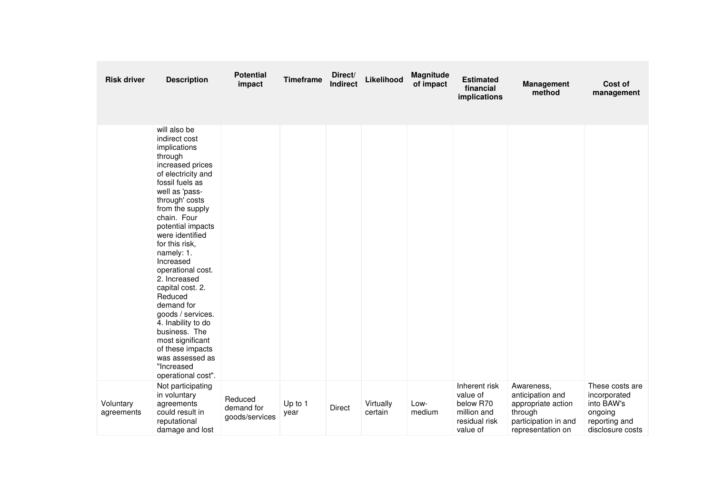| <b>Risk driver</b>      | <b>Description</b>                                                                                                                                                                                                                                                                                                                                                                                                                                                                                                            | <b>Potential</b><br>impact              | <b>Timeframe</b> | Direct/<br><b>Indirect</b> | Likelihood           | Magnitude<br>of impact | <b>Estimated</b><br>financial<br>implications                                      | <b>Management</b><br>method                                                                                  | Cost of<br>management                                                                         |
|-------------------------|-------------------------------------------------------------------------------------------------------------------------------------------------------------------------------------------------------------------------------------------------------------------------------------------------------------------------------------------------------------------------------------------------------------------------------------------------------------------------------------------------------------------------------|-----------------------------------------|------------------|----------------------------|----------------------|------------------------|------------------------------------------------------------------------------------|--------------------------------------------------------------------------------------------------------------|-----------------------------------------------------------------------------------------------|
|                         | will also be<br>indirect cost<br>implications<br>through<br>increased prices<br>of electricity and<br>fossil fuels as<br>well as 'pass-<br>through' costs<br>from the supply<br>chain. Four<br>potential impacts<br>were identified<br>for this risk,<br>namely: 1.<br>Increased<br>operational cost.<br>2. Increased<br>capital cost. 2.<br>Reduced<br>demand for<br>goods / services.<br>4. Inability to do<br>business. The<br>most significant<br>of these impacts<br>was assessed as<br>"Increased<br>operational cost". |                                         |                  |                            |                      |                        |                                                                                    |                                                                                                              |                                                                                               |
| Voluntary<br>agreements | Not participating<br>in voluntary<br>agreements<br>could result in<br>reputational<br>damage and lost                                                                                                                                                                                                                                                                                                                                                                                                                         | Reduced<br>demand for<br>goods/services | Up to 1<br>year  | Direct                     | Virtually<br>certain | Low-<br>medium         | Inherent risk<br>value of<br>below R70<br>million and<br>residual risk<br>value of | Awareness,<br>anticipation and<br>appropriate action<br>through<br>participation in and<br>representation on | These costs are<br>incorporated<br>into BAW's<br>ongoing<br>reporting and<br>disclosure costs |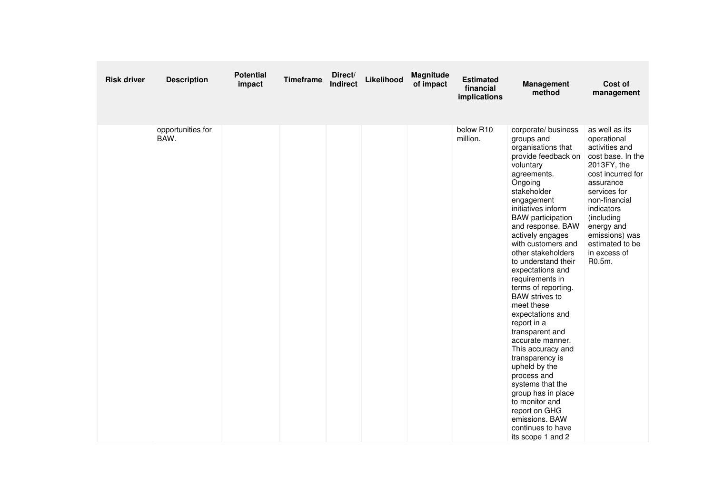| <b>Risk driver</b> | <b>Description</b>        | <b>Potential</b><br>impact | <b>Timeframe</b> | Direct/<br>Indirect | Likelihood | Magnitude<br>of impact | <b>Estimated</b><br>financial<br>implications | <b>Management</b><br>method                                                                                                                                                                                                                                                                                                                                                                                                                                                                                                                                                                                                                                                                                      | Cost of<br>management                                                                                                                                                                                                                                           |
|--------------------|---------------------------|----------------------------|------------------|---------------------|------------|------------------------|-----------------------------------------------|------------------------------------------------------------------------------------------------------------------------------------------------------------------------------------------------------------------------------------------------------------------------------------------------------------------------------------------------------------------------------------------------------------------------------------------------------------------------------------------------------------------------------------------------------------------------------------------------------------------------------------------------------------------------------------------------------------------|-----------------------------------------------------------------------------------------------------------------------------------------------------------------------------------------------------------------------------------------------------------------|
|                    | opportunities for<br>BAW. |                            |                  |                     |            |                        | below R10<br>million.                         | corporate/ business<br>groups and<br>organisations that<br>provide feedback on<br>voluntary<br>agreements.<br>Ongoing<br>stakeholder<br>engagement<br>initiatives inform<br><b>BAW</b> participation<br>and response. BAW<br>actively engages<br>with customers and<br>other stakeholders<br>to understand their<br>expectations and<br>requirements in<br>terms of reporting.<br><b>BAW</b> strives to<br>meet these<br>expectations and<br>report in a<br>transparent and<br>accurate manner.<br>This accuracy and<br>transparency is<br>upheld by the<br>process and<br>systems that the<br>group has in place<br>to monitor and<br>report on GHG<br>emissions. BAW<br>continues to have<br>its scope 1 and 2 | as well as its<br>operational<br>activities and<br>cost base. In the<br>2013FY, the<br>cost incurred for<br>assurance<br>services for<br>non-financial<br>indicators<br>(including<br>energy and<br>emissions) was<br>estimated to be<br>in excess of<br>R0.5m. |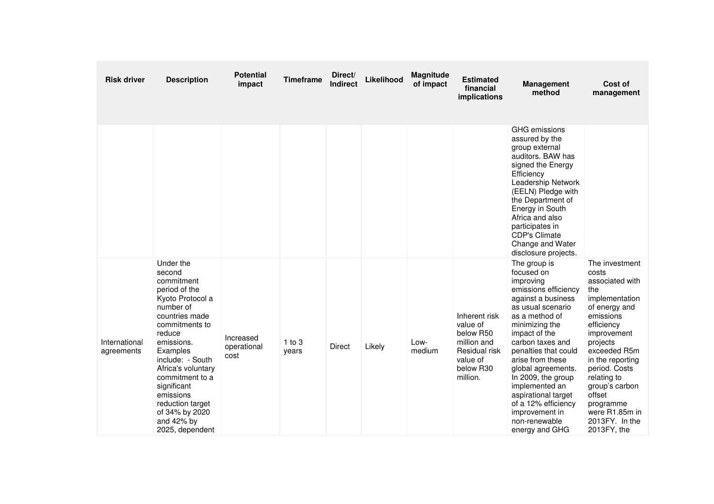| <b>Risk driver</b>          | <b>Description</b>                                                                                                                                                                                                                                                                                                          | <b>Potential</b><br>impact       | <b>Timeframe</b>    | Direct/<br><b>Indirect</b> | Likelihood | <b>Magnitude</b><br>of impact | <b>Estimated</b><br>financial<br>implications                                                               | <b>Management</b><br>method                                                                                                                                                                                                                                                                                                                                                                      | Cost of<br>management                                                                                                                                                                                                                                                                                      |
|-----------------------------|-----------------------------------------------------------------------------------------------------------------------------------------------------------------------------------------------------------------------------------------------------------------------------------------------------------------------------|----------------------------------|---------------------|----------------------------|------------|-------------------------------|-------------------------------------------------------------------------------------------------------------|--------------------------------------------------------------------------------------------------------------------------------------------------------------------------------------------------------------------------------------------------------------------------------------------------------------------------------------------------------------------------------------------------|------------------------------------------------------------------------------------------------------------------------------------------------------------------------------------------------------------------------------------------------------------------------------------------------------------|
|                             |                                                                                                                                                                                                                                                                                                                             |                                  |                     |                            |            |                               |                                                                                                             | GHG emissions<br>assured by the<br>group external<br>auditors. BAW has<br>signed the Energy<br>Efficiency<br>Leadership Network<br>(EELN) Pledge with<br>the Department of<br>Energy in South<br>Africa and also<br>participates in<br><b>CDP's Climate</b><br>Change and Water<br>disclosure projects.                                                                                          |                                                                                                                                                                                                                                                                                                            |
| International<br>agreements | Under the<br>second<br>commitment<br>period of the<br>Kyoto Protocol a<br>number of<br>countries made<br>commitments to<br>reduce<br>emissions.<br>Examples<br>include: - South<br>Africa's voluntary<br>commitment to a<br>significant<br>emissions<br>reduction target<br>of 34% by 2020<br>and 42% by<br>2025, dependent | Increased<br>operational<br>cost | $1$ to $3$<br>years | <b>Direct</b>              | Likely     | Low-<br>medium                | Inherent risk<br>value of<br>below R50<br>million and<br>Residual risk<br>value of<br>below R30<br>million. | The group is<br>focused on<br>improving<br>emissions efficiency<br>against a business<br>as usual scenario<br>as a method of<br>minimizing the<br>impact of the<br>carbon taxes and<br>penalties that could<br>arise from these<br>global agreements.<br>In 2009, the group<br>implemented an<br>aspirational target<br>of a 12% efficiency<br>improvement in<br>non-renewable<br>energy and GHG | The investment<br>costs<br>associated with<br>the<br>implementation<br>of energy and<br>emissions<br>efficiency<br>improvement<br>projects<br>exceeded R5m<br>in the reporting<br>period. Costs<br>relating to<br>group's carbon<br>offset<br>programme<br>were R1.85m in<br>2013FY. In the<br>2013FY, the |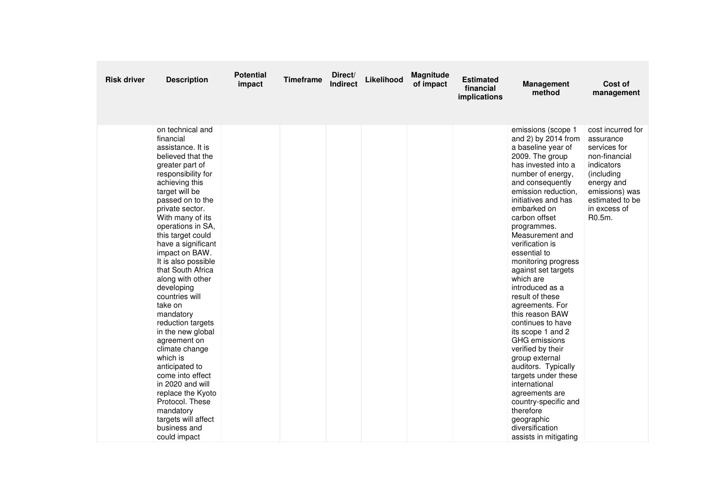| <b>Risk driver</b> | <b>Description</b>                                                                                                                                                                                                                                                                                                                                                                                                                                                                                                                                                                                                                                                                      | <b>Potential</b><br>impact | <b>Timeframe</b> | Direct/<br><b>Indirect</b> | Likelihood | Magnitude<br>of impact | <b>Estimated</b><br>financial<br>implications | <b>Management</b><br>method                                                                                                                                                                                                                                                                                                                                                                                                                                                                                                                                                                                                                                                                                                           | Cost of<br>management                                                                                                                                                    |
|--------------------|-----------------------------------------------------------------------------------------------------------------------------------------------------------------------------------------------------------------------------------------------------------------------------------------------------------------------------------------------------------------------------------------------------------------------------------------------------------------------------------------------------------------------------------------------------------------------------------------------------------------------------------------------------------------------------------------|----------------------------|------------------|----------------------------|------------|------------------------|-----------------------------------------------|---------------------------------------------------------------------------------------------------------------------------------------------------------------------------------------------------------------------------------------------------------------------------------------------------------------------------------------------------------------------------------------------------------------------------------------------------------------------------------------------------------------------------------------------------------------------------------------------------------------------------------------------------------------------------------------------------------------------------------------|--------------------------------------------------------------------------------------------------------------------------------------------------------------------------|
|                    | on technical and<br>financial<br>assistance. It is<br>believed that the<br>greater part of<br>responsibility for<br>achieving this<br>target will be<br>passed on to the<br>private sector.<br>With many of its<br>operations in SA,<br>this target could<br>have a significant<br>impact on BAW.<br>It is also possible<br>that South Africa<br>along with other<br>developing<br>countries will<br>take on<br>mandatory<br>reduction targets<br>in the new global<br>agreement on<br>climate change<br>which is<br>anticipated to<br>come into effect<br>in 2020 and will<br>replace the Kyoto<br>Protocol. These<br>mandatory<br>targets will affect<br>business and<br>could impact |                            |                  |                            |            |                        |                                               | emissions (scope 1<br>and 2) by 2014 from<br>a baseline year of<br>2009. The group<br>has invested into a<br>number of energy,<br>and consequently<br>emission reduction,<br>initiatives and has<br>embarked on<br>carbon offset<br>programmes.<br>Measurement and<br>verification is<br>essential to<br>monitoring progress<br>against set targets<br>which are<br>introduced as a<br>result of these<br>agreements. For<br>this reason BAW<br>continues to have<br>its scope 1 and 2<br><b>GHG</b> emissions<br>verified by their<br>group external<br>auditors. Typically<br>targets under these<br>international<br>agreements are<br>country-specific and<br>therefore<br>geographic<br>diversification<br>assists in mitigating | cost incurred for<br>assurance<br>services for<br>non-financial<br>indicators<br>(including<br>energy and<br>emissions) was<br>estimated to be<br>in excess of<br>R0.5m. |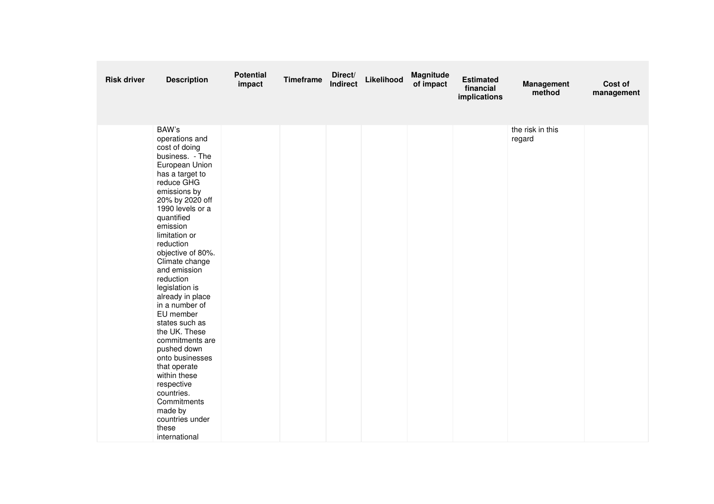| <b>Risk driver</b> | <b>Description</b>                                                                                                                                                                                                                                                                                                                                                                                                                                                                                                                                                                                | <b>Potential</b><br>impact | <b>Timeframe</b> | Direct/<br>Indirect | Likelihood | Magnitude<br>of impact | <b>Estimated</b><br>financial<br>implications | <b>Management</b><br>method | Cost of<br>management |
|--------------------|---------------------------------------------------------------------------------------------------------------------------------------------------------------------------------------------------------------------------------------------------------------------------------------------------------------------------------------------------------------------------------------------------------------------------------------------------------------------------------------------------------------------------------------------------------------------------------------------------|----------------------------|------------------|---------------------|------------|------------------------|-----------------------------------------------|-----------------------------|-----------------------|
|                    | BAW's<br>operations and<br>cost of doing<br>business. - The<br>European Union<br>has a target to<br>reduce GHG<br>emissions by<br>20% by 2020 off<br>1990 levels or a<br>quantified<br>emission<br>limitation or<br>reduction<br>objective of 80%.<br>Climate change<br>and emission<br>reduction<br>legislation is<br>already in place<br>in a number of<br>EU member<br>states such as<br>the UK. These<br>commitments are<br>pushed down<br>onto businesses<br>that operate<br>within these<br>respective<br>countries.<br>Commitments<br>made by<br>countries under<br>these<br>international |                            |                  |                     |            |                        |                                               | the risk in this<br>regard  |                       |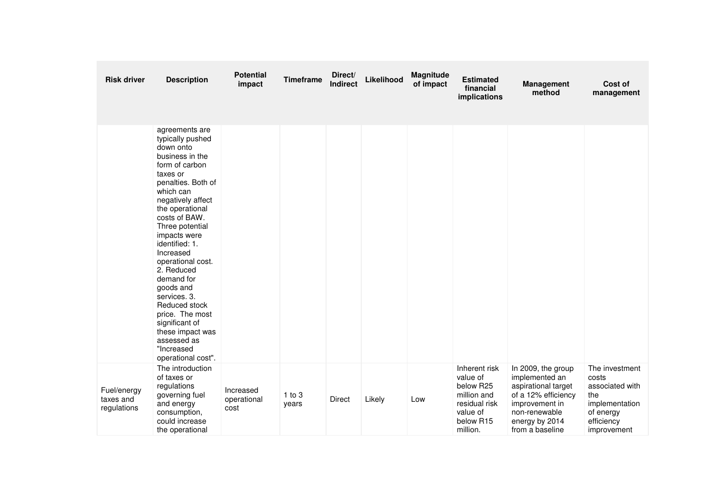| <b>Risk driver</b>                      | <b>Description</b>                                                                                                                                                                                                                                                                                                                                                                                                                                                        | <b>Potential</b><br>impact       | <b>Timeframe</b>    | Direct/<br><b>Indirect</b> | Likelihood | Magnitude<br>of impact | <b>Estimated</b><br>financial<br>implications                                                               | <b>Management</b><br>method                                                                                                                                | Cost of<br>management                                                                                         |
|-----------------------------------------|---------------------------------------------------------------------------------------------------------------------------------------------------------------------------------------------------------------------------------------------------------------------------------------------------------------------------------------------------------------------------------------------------------------------------------------------------------------------------|----------------------------------|---------------------|----------------------------|------------|------------------------|-------------------------------------------------------------------------------------------------------------|------------------------------------------------------------------------------------------------------------------------------------------------------------|---------------------------------------------------------------------------------------------------------------|
|                                         | agreements are<br>typically pushed<br>down onto<br>business in the<br>form of carbon<br>taxes or<br>penalties. Both of<br>which can<br>negatively affect<br>the operational<br>costs of BAW.<br>Three potential<br>impacts were<br>identified: 1.<br>Increased<br>operational cost.<br>2. Reduced<br>demand for<br>goods and<br>services. 3.<br>Reduced stock<br>price. The most<br>significant of<br>these impact was<br>assessed as<br>"Increased<br>operational cost". |                                  |                     |                            |            |                        |                                                                                                             |                                                                                                                                                            |                                                                                                               |
| Fuel/energy<br>taxes and<br>regulations | The introduction<br>of taxes or<br>regulations<br>governing fuel<br>and energy<br>consumption,<br>could increase<br>the operational                                                                                                                                                                                                                                                                                                                                       | Increased<br>operational<br>cost | $1$ to $3$<br>years | Direct                     | Likely     | Low                    | Inherent risk<br>value of<br>below R25<br>million and<br>residual risk<br>value of<br>below R15<br>million. | In 2009, the group<br>implemented an<br>aspirational target<br>of a 12% efficiency<br>improvement in<br>non-renewable<br>energy by 2014<br>from a baseline | The investment<br>costs<br>associated with<br>the<br>implementation<br>of energy<br>efficiency<br>improvement |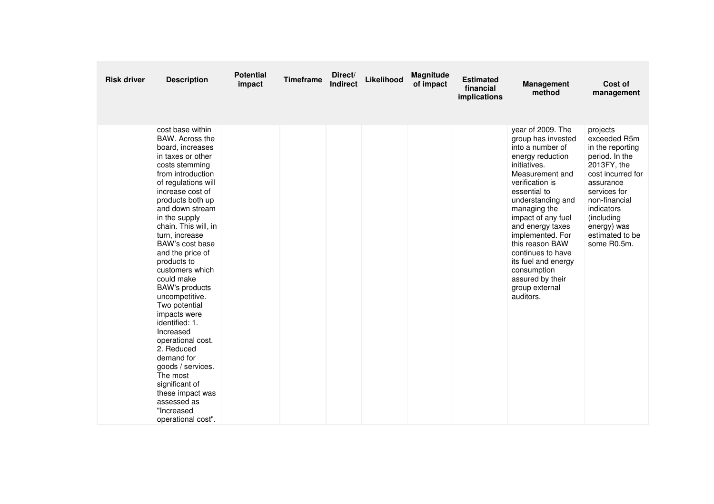| <b>Risk driver</b> | <b>Description</b>                                                                                                                                                                                                                                                                                                                                                                                                                                                                                                                                                                                                                            | <b>Potential</b><br>impact | <b>Timeframe</b> | Direct/<br><b>Indirect</b> | Likelihood | Magnitude<br>of impact | <b>Estimated</b><br>financial<br>implications | <b>Management</b><br>method                                                                                                                                                                                                                                                                                                                                                               | Cost of<br>management                                                                                                                                                                                                         |
|--------------------|-----------------------------------------------------------------------------------------------------------------------------------------------------------------------------------------------------------------------------------------------------------------------------------------------------------------------------------------------------------------------------------------------------------------------------------------------------------------------------------------------------------------------------------------------------------------------------------------------------------------------------------------------|----------------------------|------------------|----------------------------|------------|------------------------|-----------------------------------------------|-------------------------------------------------------------------------------------------------------------------------------------------------------------------------------------------------------------------------------------------------------------------------------------------------------------------------------------------------------------------------------------------|-------------------------------------------------------------------------------------------------------------------------------------------------------------------------------------------------------------------------------|
|                    | cost base within<br>BAW. Across the<br>board, increases<br>in taxes or other<br>costs stemming<br>from introduction<br>of regulations will<br>increase cost of<br>products both up<br>and down stream<br>in the supply<br>chain. This will, in<br>turn, increase<br>BAW's cost base<br>and the price of<br>products to<br>customers which<br>could make<br><b>BAW's products</b><br>uncompetitive.<br>Two potential<br>impacts were<br>identified: 1.<br>Increased<br>operational cost.<br>2. Reduced<br>demand for<br>goods / services.<br>The most<br>significant of<br>these impact was<br>assessed as<br>"Increased<br>operational cost". |                            |                  |                            |            |                        |                                               | year of 2009. The<br>group has invested<br>into a number of<br>energy reduction<br>initiatives.<br>Measurement and<br>verification is<br>essential to<br>understanding and<br>managing the<br>impact of any fuel<br>and energy taxes<br>implemented. For<br>this reason BAW<br>continues to have<br>its fuel and energy<br>consumption<br>assured by their<br>group external<br>auditors. | projects<br>exceeded R5m<br>in the reporting<br>period. In the<br>2013FY, the<br>cost incurred for<br>assurance<br>services for<br>non-financial<br>indicators<br>(including<br>energy) was<br>estimated to be<br>some R0.5m. |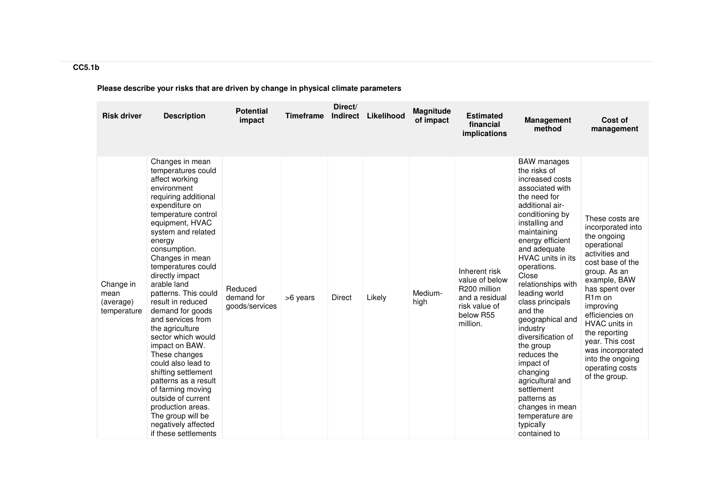| <b>Risk driver</b>                            | <b>Description</b>                                                                                                                                                                                                                                                                                                                                                                                                                                                                                                                                                                                                                                               | <b>Potential</b><br>impact              | <b>Timeframe</b> | Direct/<br><b>Indirect</b> | Likelihood | <b>Magnitude</b><br>of impact | <b>Estimated</b><br>financial<br><i>implications</i>                                                        | <b>Management</b><br>method                                                                                                                                                                                                                                                                                                                                                                                                                                                                                                                           | Cost of<br>management                                                                                                                                                                                                                                                                                                                                     |
|-----------------------------------------------|------------------------------------------------------------------------------------------------------------------------------------------------------------------------------------------------------------------------------------------------------------------------------------------------------------------------------------------------------------------------------------------------------------------------------------------------------------------------------------------------------------------------------------------------------------------------------------------------------------------------------------------------------------------|-----------------------------------------|------------------|----------------------------|------------|-------------------------------|-------------------------------------------------------------------------------------------------------------|-------------------------------------------------------------------------------------------------------------------------------------------------------------------------------------------------------------------------------------------------------------------------------------------------------------------------------------------------------------------------------------------------------------------------------------------------------------------------------------------------------------------------------------------------------|-----------------------------------------------------------------------------------------------------------------------------------------------------------------------------------------------------------------------------------------------------------------------------------------------------------------------------------------------------------|
| Change in<br>mean<br>(average)<br>temperature | Changes in mean<br>temperatures could<br>affect working<br>environment<br>requiring additional<br>expenditure on<br>temperature control<br>equipment, HVAC<br>system and related<br>energy<br>consumption.<br>Changes in mean<br>temperatures could<br>directly impact<br>arable land<br>patterns. This could<br>result in reduced<br>demand for goods<br>and services from<br>the agriculture<br>sector which would<br>impact on BAW.<br>These changes<br>could also lead to<br>shifting settlement<br>patterns as a result<br>of farming moving<br>outside of current<br>production areas.<br>The group will be<br>negatively affected<br>if these settlements | Reduced<br>demand for<br>goods/services | >6 years         | Direct                     | Likely     | Medium-<br>high               | Inherent risk<br>value of below<br>R200 million<br>and a residual<br>risk value of<br>below R55<br>million. | <b>BAW</b> manages<br>the risks of<br>increased costs<br>associated with<br>the need for<br>additional air-<br>conditioning by<br>installing and<br>maintaining<br>energy efficient<br>and adequate<br>HVAC units in its<br>operations.<br>Close<br>relationships with<br>leading world<br>class principals<br>and the<br>geographical and<br>industry<br>diversification of<br>the group<br>reduces the<br>impact of<br>changing<br>agricultural and<br>settlement<br>patterns as<br>changes in mean<br>temperature are<br>typically<br>contained to | These costs are<br>incorporated into<br>the ongoing<br>operational<br>activities and<br>cost base of the<br>group. As an<br>example, BAW<br>has spent over<br>R <sub>1</sub> m on<br>improving<br>efficiencies on<br><b>HVAC</b> units in<br>the reporting<br>year. This cost<br>was incorporated<br>into the ongoing<br>operating costs<br>of the group. |

## **CC5.1b**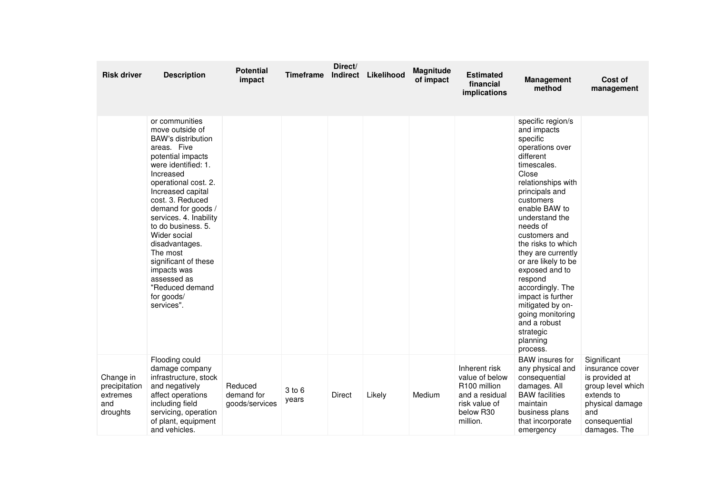| <b>Risk driver</b>                                        | <b>Description</b>                                                                                                                                                                                                                                                                                                                                                                                                               | <b>Potential</b><br>impact              | <b>Timeframe</b> | Direct/<br>Indirect | Likelihood | Magnitude<br>of impact | <b>Estimated</b><br>financial<br>implications                                                               | <b>Management</b><br>method                                                                                                                                                                                                                                                                                                                                                                                                                                     | Cost of<br>management                                                                                                                          |
|-----------------------------------------------------------|----------------------------------------------------------------------------------------------------------------------------------------------------------------------------------------------------------------------------------------------------------------------------------------------------------------------------------------------------------------------------------------------------------------------------------|-----------------------------------------|------------------|---------------------|------------|------------------------|-------------------------------------------------------------------------------------------------------------|-----------------------------------------------------------------------------------------------------------------------------------------------------------------------------------------------------------------------------------------------------------------------------------------------------------------------------------------------------------------------------------------------------------------------------------------------------------------|------------------------------------------------------------------------------------------------------------------------------------------------|
|                                                           | or communities<br>move outside of<br><b>BAW's distribution</b><br>areas. Five<br>potential impacts<br>were identified: 1.<br>Increased<br>operational cost. 2.<br>Increased capital<br>cost. 3. Reduced<br>demand for goods /<br>services. 4. Inability<br>to do business, 5.<br>Wider social<br>disadvantages.<br>The most<br>significant of these<br>impacts was<br>assessed as<br>"Reduced demand<br>for goods/<br>services". |                                         |                  |                     |            |                        |                                                                                                             | specific region/s<br>and impacts<br>specific<br>operations over<br>different<br>timescales.<br>Close<br>relationships with<br>principals and<br>customers<br>enable BAW to<br>understand the<br>needs of<br>customers and<br>the risks to which<br>they are currently<br>or are likely to be<br>exposed and to<br>respond<br>accordingly. The<br>impact is further<br>mitigated by on-<br>going monitoring<br>and a robust<br>strategic<br>planning<br>process. |                                                                                                                                                |
| Change in<br>precipitation<br>extremes<br>and<br>droughts | Flooding could<br>damage company<br>infrastructure, stock<br>and negatively<br>affect operations<br>including field<br>servicing, operation<br>of plant, equipment<br>and vehicles.                                                                                                                                                                                                                                              | Reduced<br>demand for<br>goods/services | 3 to 6<br>years  | <b>Direct</b>       | Likely     | Medium                 | Inherent risk<br>value of below<br>R100 million<br>and a residual<br>risk value of<br>below R30<br>million. | <b>BAW</b> insures for<br>any physical and<br>consequential<br>damages. All<br><b>BAW</b> facilities<br>maintain<br>business plans<br>that incorporate<br>emergency                                                                                                                                                                                                                                                                                             | Significant<br>insurance cover<br>is provided at<br>group level which<br>extends to<br>physical damage<br>and<br>consequential<br>damages. The |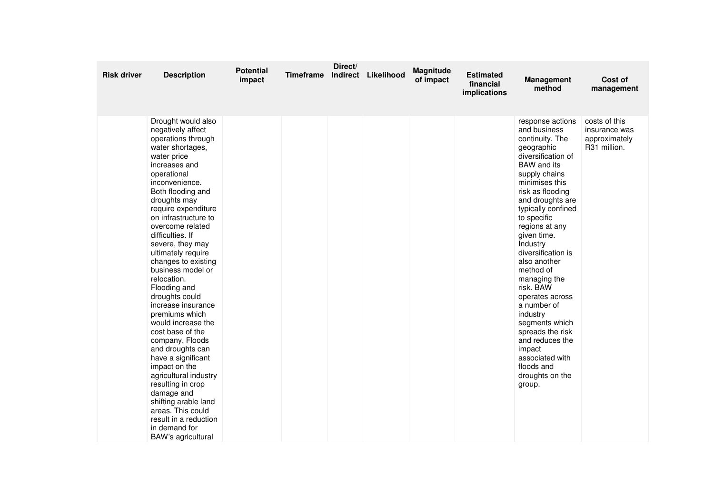| <b>Risk driver</b> | <b>Description</b>                                                                                                                                                                                                                                                                                                                                                                                                                                                                                                                                                                                                                                                                                                                                             | <b>Potential</b><br>impact | <b>Timeframe</b> | Direct/ | Indirect Likelihood | Magnitude<br>of impact | <b>Estimated</b><br>financial<br>implications | <b>Management</b><br>method                                                                                                                                                                                                                                                                                                                                                                                                                                                                                                        | Cost of<br>management                                           |
|--------------------|----------------------------------------------------------------------------------------------------------------------------------------------------------------------------------------------------------------------------------------------------------------------------------------------------------------------------------------------------------------------------------------------------------------------------------------------------------------------------------------------------------------------------------------------------------------------------------------------------------------------------------------------------------------------------------------------------------------------------------------------------------------|----------------------------|------------------|---------|---------------------|------------------------|-----------------------------------------------|------------------------------------------------------------------------------------------------------------------------------------------------------------------------------------------------------------------------------------------------------------------------------------------------------------------------------------------------------------------------------------------------------------------------------------------------------------------------------------------------------------------------------------|-----------------------------------------------------------------|
|                    | Drought would also<br>negatively affect<br>operations through<br>water shortages,<br>water price<br>increases and<br>operational<br>inconvenience.<br>Both flooding and<br>droughts may<br>require expenditure<br>on infrastructure to<br>overcome related<br>difficulties. If<br>severe, they may<br>ultimately require<br>changes to existing<br>business model or<br>relocation.<br>Flooding and<br>droughts could<br>increase insurance<br>premiums which<br>would increase the<br>cost base of the<br>company. Floods<br>and droughts can<br>have a significant<br>impact on the<br>agricultural industry<br>resulting in crop<br>damage and<br>shifting arable land<br>areas. This could<br>result in a reduction<br>in demand for<br>BAW's agricultural |                            |                  |         |                     |                        |                                               | response actions<br>and business<br>continuity. The<br>geographic<br>diversification of<br>BAW and its<br>supply chains<br>minimises this<br>risk as flooding<br>and droughts are<br>typically confined<br>to specific<br>regions at any<br>given time.<br>Industry<br>diversification is<br>also another<br>method of<br>managing the<br>risk. BAW<br>operates across<br>a number of<br>industry<br>segments which<br>spreads the risk<br>and reduces the<br>impact<br>associated with<br>floods and<br>droughts on the<br>group. | costs of this<br>insurance was<br>approximately<br>R31 million. |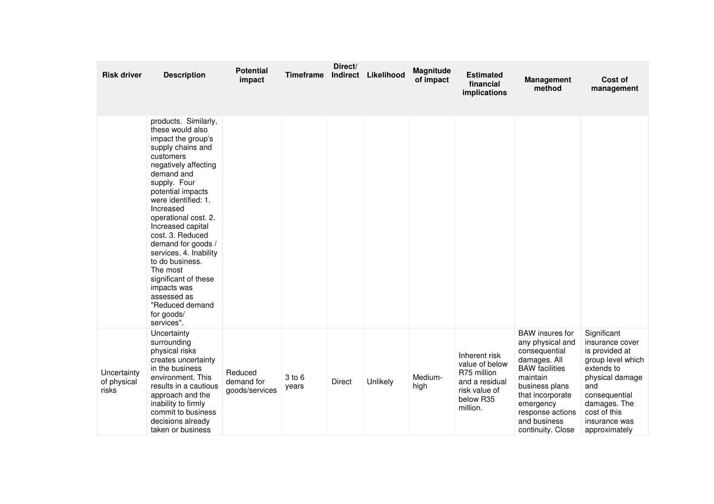| <b>Risk driver</b>                  | <b>Description</b>                                                                                                                                                                                                                                                                                                                                                                                                                                                   | <b>Potential</b><br>impact              | <b>Timeframe</b> | Direct/ | Indirect Likelihood | Magnitude<br>of impact | <b>Estimated</b><br>financial<br>implications                                                              | <b>Management</b><br>method                                                                                                                                                                                                  | Cost of<br>management                                                                                                                                                                            |
|-------------------------------------|----------------------------------------------------------------------------------------------------------------------------------------------------------------------------------------------------------------------------------------------------------------------------------------------------------------------------------------------------------------------------------------------------------------------------------------------------------------------|-----------------------------------------|------------------|---------|---------------------|------------------------|------------------------------------------------------------------------------------------------------------|------------------------------------------------------------------------------------------------------------------------------------------------------------------------------------------------------------------------------|--------------------------------------------------------------------------------------------------------------------------------------------------------------------------------------------------|
|                                     | products. Similarly,<br>these would also<br>impact the group's<br>supply chains and<br>customers<br>negatively affecting<br>demand and<br>supply. Four<br>potential impacts<br>were identified: 1.<br>Increased<br>operational cost. 2.<br>Increased capital<br>cost. 3. Reduced<br>demand for goods /<br>services. 4. Inability<br>to do business.<br>The most<br>significant of these<br>impacts was<br>assessed as<br>"Reduced demand<br>for goods/<br>services". |                                         |                  |         |                     |                        |                                                                                                            |                                                                                                                                                                                                                              |                                                                                                                                                                                                  |
| Uncertainty<br>of physical<br>risks | Uncertainty<br>surrounding<br>physical risks<br>creates uncertainty<br>in the business<br>environment. This<br>results in a cautious<br>approach and the<br>inability to firmly<br>commit to business<br>decisions already<br>taken or business                                                                                                                                                                                                                      | Reduced<br>demand for<br>goods/services | 3 to 6<br>years  | Direct  | Unlikely            | Medium-<br>high        | Inherent risk<br>value of below<br>R75 million<br>and a residual<br>risk value of<br>below R35<br>million. | <b>BAW</b> insures for<br>any physical and<br>consequential<br>damages. All<br><b>BAW</b> facilities<br>maintain<br>business plans<br>that incorporate<br>emergency<br>response actions<br>and business<br>continuity. Close | Significant<br>insurance cover<br>is provided at<br>group level which<br>extends to<br>physical damage<br>and<br>consequential<br>damages. The<br>cost of this<br>insurance was<br>approximately |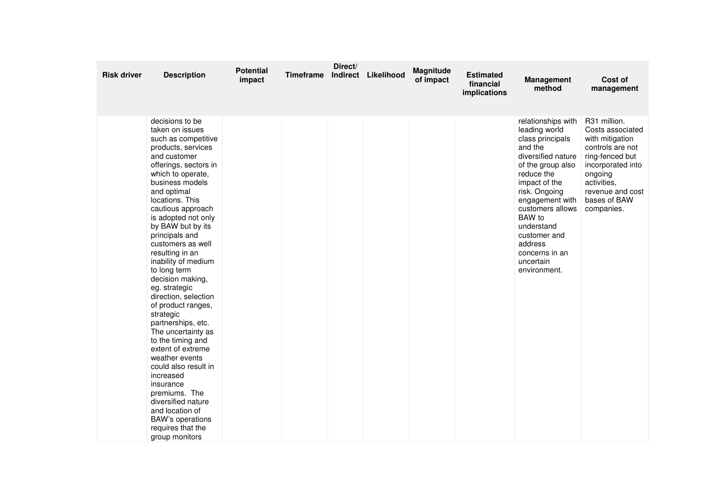| <b>Risk driver</b> | <b>Description</b>                                                                                                                                                                                                                                                                                                                                                                                                                                                                                                                                                                                                                                                                                                                                         | <b>Potential</b><br>impact | <b>Timeframe</b> | Direct/ | Indirect Likelihood | Magnitude<br>of impact | <b>Estimated</b><br>financial<br>implications | Management<br>method                                                                                                                                                                                                                                                                                   | Cost of<br>management                                                                                                                                                                       |
|--------------------|------------------------------------------------------------------------------------------------------------------------------------------------------------------------------------------------------------------------------------------------------------------------------------------------------------------------------------------------------------------------------------------------------------------------------------------------------------------------------------------------------------------------------------------------------------------------------------------------------------------------------------------------------------------------------------------------------------------------------------------------------------|----------------------------|------------------|---------|---------------------|------------------------|-----------------------------------------------|--------------------------------------------------------------------------------------------------------------------------------------------------------------------------------------------------------------------------------------------------------------------------------------------------------|---------------------------------------------------------------------------------------------------------------------------------------------------------------------------------------------|
|                    | decisions to be<br>taken on issues<br>such as competitive<br>products, services<br>and customer<br>offerings, sectors in<br>which to operate,<br>business models<br>and optimal<br>locations. This<br>cautious approach<br>is adopted not only<br>by BAW but by its<br>principals and<br>customers as well<br>resulting in an<br>inability of medium<br>to long term<br>decision making,<br>eg. strategic<br>direction, selection<br>of product ranges,<br>strategic<br>partnerships, etc.<br>The uncertainty as<br>to the timing and<br>extent of extreme<br>weather events<br>could also result in<br>increased<br>insurance<br>premiums. The<br>diversified nature<br>and location of<br><b>BAW's operations</b><br>requires that the<br>group monitors |                            |                  |         |                     |                        |                                               | relationships with<br>leading world<br>class principals<br>and the<br>diversified nature<br>of the group also<br>reduce the<br>impact of the<br>risk. Ongoing<br>engagement with<br>customers allows<br>BAW to<br>understand<br>customer and<br>address<br>concerns in an<br>uncertain<br>environment. | R31 million.<br>Costs associated<br>with mitigation<br>controls are not<br>ring-fenced but<br>incorporated into<br>ongoing<br>activities,<br>revenue and cost<br>bases of BAW<br>companies. |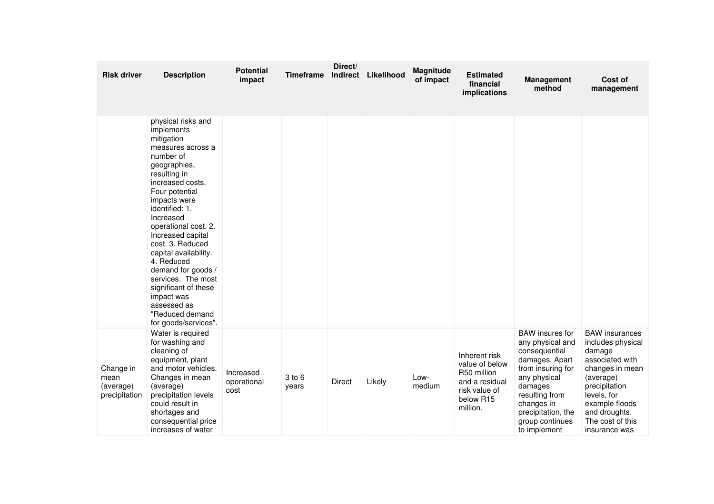| <b>Risk driver</b>                              | <b>Description</b>                                                                                                                                                                                                                                                                                                                                                                                                                                        | <b>Potential</b><br>impact       | <b>Timeframe</b> | Direct/<br>Indirect | Likelihood | Magnitude<br>of impact | <b>Estimated</b><br>financial<br>implications                                                                          | <b>Management</b><br>method                                                                                                                                                                                            | Cost of<br>management                                                                                                                                                                                           |
|-------------------------------------------------|-----------------------------------------------------------------------------------------------------------------------------------------------------------------------------------------------------------------------------------------------------------------------------------------------------------------------------------------------------------------------------------------------------------------------------------------------------------|----------------------------------|------------------|---------------------|------------|------------------------|------------------------------------------------------------------------------------------------------------------------|------------------------------------------------------------------------------------------------------------------------------------------------------------------------------------------------------------------------|-----------------------------------------------------------------------------------------------------------------------------------------------------------------------------------------------------------------|
|                                                 | physical risks and<br>implements<br>mitigation<br>measures across a<br>number of<br>geographies,<br>resulting in<br>increased costs.<br>Four potential<br>impacts were<br>identified: 1.<br>Increased<br>operational cost. 2.<br>Increased capital<br>cost. 3. Reduced<br>capital availability.<br>4. Reduced<br>demand for goods /<br>services. The most<br>significant of these<br>impact was<br>assessed as<br>"Reduced demand<br>for goods/services". |                                  |                  |                     |            |                        |                                                                                                                        |                                                                                                                                                                                                                        |                                                                                                                                                                                                                 |
| Change in<br>mean<br>(average)<br>precipitation | Water is required<br>for washing and<br>cleaning of<br>equipment, plant<br>and motor vehicles.<br>Changes in mean<br>(average)<br>precipitation levels<br>could result in<br>shortages and<br>consequential price<br>increases of water                                                                                                                                                                                                                   | Increased<br>operational<br>cost | 3 to 6<br>years  | Direct              | Likely     | Low-<br>medium         | Inherent risk<br>value of below<br>R50 million<br>and a residual<br>risk value of<br>below R <sub>15</sub><br>million. | <b>BAW</b> insures for<br>any physical and<br>consequential<br>damages. Apart<br>from insuring for<br>any physical<br>damages<br>resulting from<br>changes in<br>precipitation, the<br>group continues<br>to implement | <b>BAW</b> insurances<br>includes physical<br>damage<br>associated with<br>changes in mean<br>(average)<br>precipitation<br>levels, for<br>example floods<br>and droughts.<br>The cost of this<br>insurance was |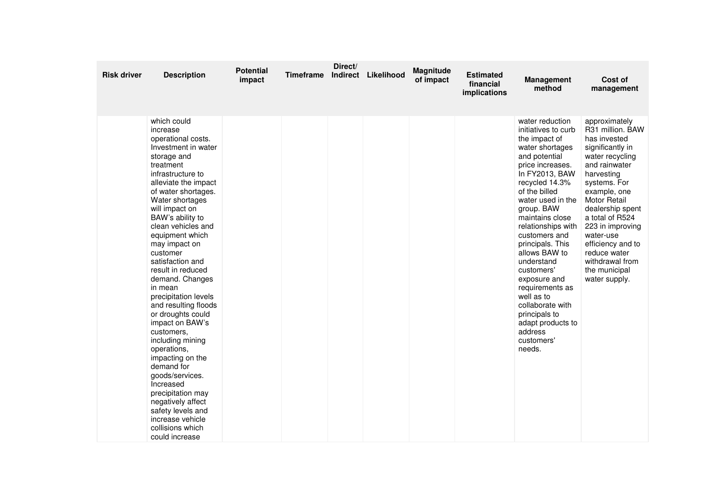| <b>Risk driver</b> | <b>Description</b>                                                                                                                                                                                                                                                                                                                                                                                                                                                                                                                                                                                                                                                                                             | <b>Potential</b><br>impact | <b>Timeframe</b> | Direct/ | Indirect Likelihood | Magnitude<br>of impact | <b>Estimated</b><br>financial<br>implications | Management<br>method                                                                                                                                                                                                                                                                                                                                                                                                                                                             | Cost of<br>management                                                                                                                                                                                                                                                                                                                            |
|--------------------|----------------------------------------------------------------------------------------------------------------------------------------------------------------------------------------------------------------------------------------------------------------------------------------------------------------------------------------------------------------------------------------------------------------------------------------------------------------------------------------------------------------------------------------------------------------------------------------------------------------------------------------------------------------------------------------------------------------|----------------------------|------------------|---------|---------------------|------------------------|-----------------------------------------------|----------------------------------------------------------------------------------------------------------------------------------------------------------------------------------------------------------------------------------------------------------------------------------------------------------------------------------------------------------------------------------------------------------------------------------------------------------------------------------|--------------------------------------------------------------------------------------------------------------------------------------------------------------------------------------------------------------------------------------------------------------------------------------------------------------------------------------------------|
|                    | which could<br>increase<br>operational costs.<br>Investment in water<br>storage and<br>treatment<br>infrastructure to<br>alleviate the impact<br>of water shortages.<br>Water shortages<br>will impact on<br>BAW's ability to<br>clean vehicles and<br>equipment which<br>may impact on<br>customer<br>satisfaction and<br>result in reduced<br>demand. Changes<br>in mean<br>precipitation levels<br>and resulting floods<br>or droughts could<br>impact on BAW's<br>customers.<br>including mining<br>operations,<br>impacting on the<br>demand for<br>goods/services.<br>Increased<br>precipitation may<br>negatively affect<br>safety levels and<br>increase vehicle<br>collisions which<br>could increase |                            |                  |         |                     |                        |                                               | water reduction<br>initiatives to curb<br>the impact of<br>water shortages<br>and potential<br>price increases.<br>In FY2013, BAW<br>recycled 14.3%<br>of the billed<br>water used in the<br>group. BAW<br>maintains close<br>relationships with<br>customers and<br>principals. This<br>allows BAW to<br>understand<br>customers'<br>exposure and<br>requirements as<br>well as to<br>collaborate with<br>principals to<br>adapt products to<br>address<br>customers'<br>needs. | approximately<br>R31 million. BAW<br>has invested<br>significantly in<br>water recycling<br>and rainwater<br>harvesting<br>systems. For<br>example, one<br><b>Motor Retail</b><br>dealership spent<br>a total of R524<br>223 in improving<br>water-use<br>efficiency and to<br>reduce water<br>withdrawal from<br>the municipal<br>water supply. |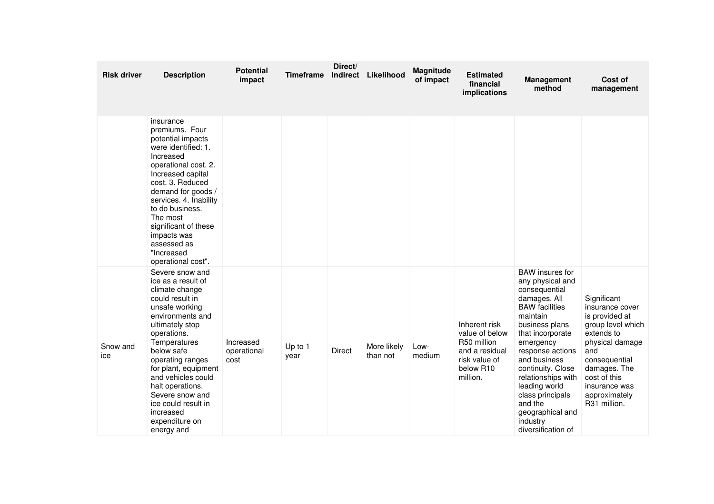| <b>Risk driver</b> | <b>Description</b>                                                                                                                                                                                                                                                                                                                                            | <b>Potential</b><br>impact       | <b>Timeframe</b> | Direct/<br>Indirect | Likelihood              | Magnitude<br>of impact | <b>Estimated</b><br>financial<br>implications                                                              | <b>Management</b><br>method                                                                                                                                                                                                                                                                                                                              | Cost of<br>management                                                                                                                                                                                            |
|--------------------|---------------------------------------------------------------------------------------------------------------------------------------------------------------------------------------------------------------------------------------------------------------------------------------------------------------------------------------------------------------|----------------------------------|------------------|---------------------|-------------------------|------------------------|------------------------------------------------------------------------------------------------------------|----------------------------------------------------------------------------------------------------------------------------------------------------------------------------------------------------------------------------------------------------------------------------------------------------------------------------------------------------------|------------------------------------------------------------------------------------------------------------------------------------------------------------------------------------------------------------------|
|                    | insurance<br>premiums. Four<br>potential impacts<br>were identified: 1.<br>Increased<br>operational cost. 2.<br>Increased capital<br>cost. 3. Reduced<br>demand for goods /<br>services. 4. Inability<br>to do business.<br>The most<br>significant of these<br>impacts was<br>assessed as<br>"Increased<br>operational cost".                                |                                  |                  |                     |                         |                        |                                                                                                            |                                                                                                                                                                                                                                                                                                                                                          |                                                                                                                                                                                                                  |
| Snow and<br>ice    | Severe snow and<br>ice as a result of<br>climate change<br>could result in<br>unsafe working<br>environments and<br>ultimately stop<br>operations.<br>Temperatures<br>below safe<br>operating ranges<br>for plant, equipment<br>and vehicles could<br>halt operations.<br>Severe snow and<br>ice could result in<br>increased<br>expenditure on<br>energy and | Increased<br>operational<br>cost | Up to 1<br>year  | Direct              | More likely<br>than not | Low-<br>medium         | Inherent risk<br>value of below<br>R50 million<br>and a residual<br>risk value of<br>below R10<br>million. | <b>BAW</b> insures for<br>any physical and<br>consequential<br>damages. All<br><b>BAW</b> facilities<br>maintain<br>business plans<br>that incorporate<br>emergency<br>response actions<br>and business<br>continuity. Close<br>relationships with<br>leading world<br>class principals<br>and the<br>geographical and<br>industry<br>diversification of | Significant<br>insurance cover<br>is provided at<br>group level which<br>extends to<br>physical damage<br>and<br>consequential<br>damages. The<br>cost of this<br>insurance was<br>approximately<br>R31 million. |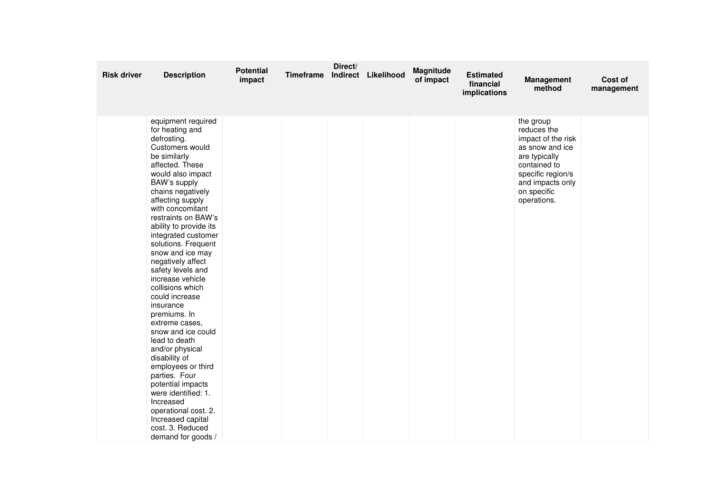| <b>Risk driver</b> | <b>Description</b>                                                                                                                                                                                                                                                                                                                                                                                                                                                                                                                                                                                                                                                                                                                                   | <b>Potential</b><br>impact | Timeframe | Direct/ | Indirect Likelihood | Magnitude<br>of impact | <b>Estimated</b><br>financial<br>implications | Management<br>method                                                                                                                                                      | Cost of<br>management |
|--------------------|------------------------------------------------------------------------------------------------------------------------------------------------------------------------------------------------------------------------------------------------------------------------------------------------------------------------------------------------------------------------------------------------------------------------------------------------------------------------------------------------------------------------------------------------------------------------------------------------------------------------------------------------------------------------------------------------------------------------------------------------------|----------------------------|-----------|---------|---------------------|------------------------|-----------------------------------------------|---------------------------------------------------------------------------------------------------------------------------------------------------------------------------|-----------------------|
|                    | equipment required<br>for heating and<br>defrosting.<br>Customers would<br>be similarly<br>affected. These<br>would also impact<br>BAW's supply<br>chains negatively<br>affecting supply<br>with concomitant<br>restraints on BAW's<br>ability to provide its<br>integrated customer<br>solutions. Frequent<br>snow and ice may<br>negatively affect<br>safety levels and<br>increase vehicle<br>collisions which<br>could increase<br>insurance<br>premiums. In<br>extreme cases,<br>snow and ice could<br>lead to death<br>and/or physical<br>disability of<br>employees or third<br>parties. Four<br>potential impacts<br>were identified: 1.<br>Increased<br>operational cost. 2.<br>Increased capital<br>cost. 3. Reduced<br>demand for goods / |                            |           |         |                     |                        |                                               | the group<br>reduces the<br>impact of the risk<br>as snow and ice<br>are typically<br>contained to<br>specific region/s<br>and impacts only<br>on specific<br>operations. |                       |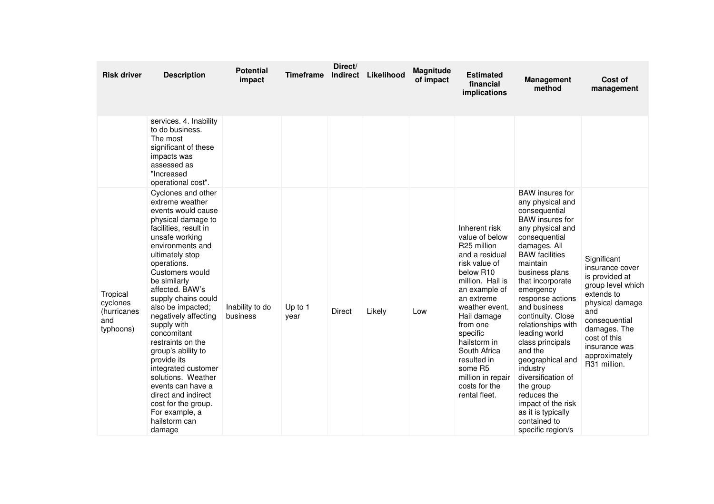| <b>Risk driver</b>                                      | <b>Description</b>                                                                                                                                                                                                                                                                                                                                                                                                                                                                                                                                                | <b>Potential</b><br>impact  | <b>Timeframe</b> | Direct/<br><b>Indirect</b> | Likelihood | <b>Magnitude</b><br>of impact | <b>Estimated</b><br>financial<br>implications                                                                                                                                                                                                                                                                                           | <b>Management</b><br>method                                                                                                                                                                                                                                                                                                                                                                                                                                                                                                          | Cost of<br>management                                                                                                                                                                                                        |
|---------------------------------------------------------|-------------------------------------------------------------------------------------------------------------------------------------------------------------------------------------------------------------------------------------------------------------------------------------------------------------------------------------------------------------------------------------------------------------------------------------------------------------------------------------------------------------------------------------------------------------------|-----------------------------|------------------|----------------------------|------------|-------------------------------|-----------------------------------------------------------------------------------------------------------------------------------------------------------------------------------------------------------------------------------------------------------------------------------------------------------------------------------------|--------------------------------------------------------------------------------------------------------------------------------------------------------------------------------------------------------------------------------------------------------------------------------------------------------------------------------------------------------------------------------------------------------------------------------------------------------------------------------------------------------------------------------------|------------------------------------------------------------------------------------------------------------------------------------------------------------------------------------------------------------------------------|
|                                                         | services. 4. Inability<br>to do business.<br>The most<br>significant of these<br>impacts was<br>assessed as<br>"Increased<br>operational cost".                                                                                                                                                                                                                                                                                                                                                                                                                   |                             |                  |                            |            |                               |                                                                                                                                                                                                                                                                                                                                         |                                                                                                                                                                                                                                                                                                                                                                                                                                                                                                                                      |                                                                                                                                                                                                                              |
| Tropical<br>cyclones<br>(hurricanes<br>and<br>typhoons) | Cyclones and other<br>extreme weather<br>events would cause<br>physical damage to<br>facilities, result in<br>unsafe working<br>environments and<br>ultimately stop<br>operations.<br>Customers would<br>be similarly<br>affected. BAW's<br>supply chains could<br>also be impacted;<br>negatively affecting<br>supply with<br>concomitant<br>restraints on the<br>group's ability to<br>provide its<br>integrated customer<br>solutions. Weather<br>events can have a<br>direct and indirect<br>cost for the group.<br>For example, a<br>hailstorm can<br>damage | Inability to do<br>business | Up to 1<br>year  | <b>Direct</b>              | Likely     | Low                           | Inherent risk<br>value of below<br>R25 million<br>and a residual<br>risk value of<br>below R <sub>10</sub><br>million. Hail is<br>an example of<br>an extreme<br>weather event.<br>Hail damage<br>from one<br>specific<br>hailstorm in<br>South Africa<br>resulted in<br>some R5<br>million in repair<br>costs for the<br>rental fleet. | <b>BAW</b> insures for<br>any physical and<br>consequential<br><b>BAW</b> insures for<br>any physical and<br>consequential<br>damages. All<br><b>BAW</b> facilities<br>maintain<br>business plans<br>that incorporate<br>emergency<br>response actions<br>and business<br>continuity. Close<br>relationships with<br>leading world<br>class principals<br>and the<br>geographical and<br>industry<br>diversification of<br>the group<br>reduces the<br>impact of the risk<br>as it is typically<br>contained to<br>specific region/s | Significant<br>insurance cover<br>is provided at<br>group level which<br>extends to<br>physical damage<br>and<br>consequential<br>damages. The<br>cost of this<br>insurance was<br>approximately<br>R <sub>31</sub> million. |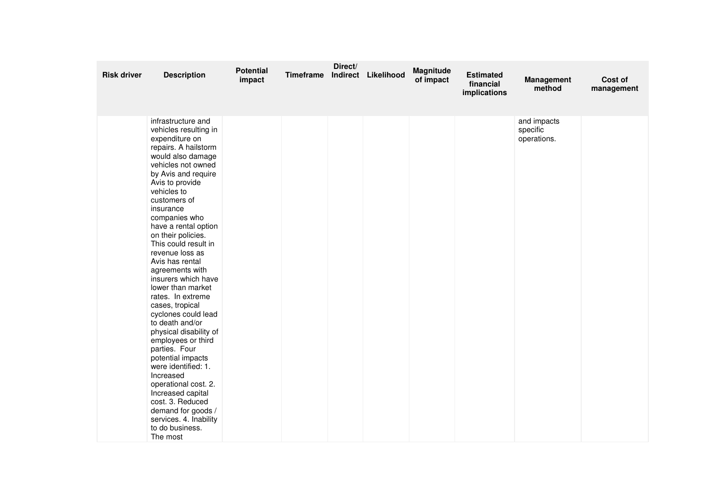| <b>Risk driver</b> | <b>Description</b>                                                                                                                                                                                                                                                                                                                                                                                                                                                                                                                                                                                                                                                                                                                                                             | <b>Potential</b><br>impact | Timeframe | Direct/ | Indirect Likelihood | Magnitude<br>of impact | <b>Estimated</b><br>financial<br>implications | <b>Management</b><br>method            | Cost of<br>management |
|--------------------|--------------------------------------------------------------------------------------------------------------------------------------------------------------------------------------------------------------------------------------------------------------------------------------------------------------------------------------------------------------------------------------------------------------------------------------------------------------------------------------------------------------------------------------------------------------------------------------------------------------------------------------------------------------------------------------------------------------------------------------------------------------------------------|----------------------------|-----------|---------|---------------------|------------------------|-----------------------------------------------|----------------------------------------|-----------------------|
|                    | infrastructure and<br>vehicles resulting in<br>expenditure on<br>repairs. A hailstorm<br>would also damage<br>vehicles not owned<br>by Avis and require<br>Avis to provide<br>vehicles to<br>customers of<br>insurance<br>companies who<br>have a rental option<br>on their policies.<br>This could result in<br>revenue loss as<br>Avis has rental<br>agreements with<br>insurers which have<br>lower than market<br>rates. In extreme<br>cases, tropical<br>cyclones could lead<br>to death and/or<br>physical disability of<br>employees or third<br>parties. Four<br>potential impacts<br>were identified: 1.<br>Increased<br>operational cost. 2.<br>Increased capital<br>cost. 3. Reduced<br>demand for goods /<br>services. 4. Inability<br>to do business.<br>The most |                            |           |         |                     |                        |                                               | and impacts<br>specific<br>operations. |                       |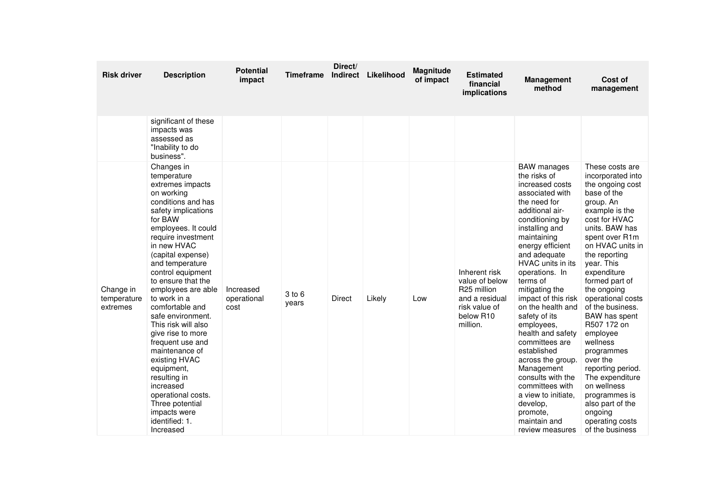| <b>Risk driver</b>                   | <b>Description</b>                                                                                                                                                                                                                                                                                                                                                                                                                                                                                                                                                                     | <b>Potential</b><br>impact       | Timeframe       | Direct/<br>Indirect | Likelihood | <b>Magnitude</b><br>of impact | <b>Estimated</b><br>financial<br>implications                                                              | <b>Management</b><br>method                                                                                                                                                                                                                                                                                                                                                                                                                                                                                                                                            | Cost of<br>management                                                                                                                                                                                                                                                                                                                                                                                                                                                                                                                  |
|--------------------------------------|----------------------------------------------------------------------------------------------------------------------------------------------------------------------------------------------------------------------------------------------------------------------------------------------------------------------------------------------------------------------------------------------------------------------------------------------------------------------------------------------------------------------------------------------------------------------------------------|----------------------------------|-----------------|---------------------|------------|-------------------------------|------------------------------------------------------------------------------------------------------------|------------------------------------------------------------------------------------------------------------------------------------------------------------------------------------------------------------------------------------------------------------------------------------------------------------------------------------------------------------------------------------------------------------------------------------------------------------------------------------------------------------------------------------------------------------------------|----------------------------------------------------------------------------------------------------------------------------------------------------------------------------------------------------------------------------------------------------------------------------------------------------------------------------------------------------------------------------------------------------------------------------------------------------------------------------------------------------------------------------------------|
|                                      | significant of these<br>impacts was<br>assessed as<br>"Inability to do<br>business".                                                                                                                                                                                                                                                                                                                                                                                                                                                                                                   |                                  |                 |                     |            |                               |                                                                                                            |                                                                                                                                                                                                                                                                                                                                                                                                                                                                                                                                                                        |                                                                                                                                                                                                                                                                                                                                                                                                                                                                                                                                        |
| Change in<br>temperature<br>extremes | Changes in<br>temperature<br>extremes impacts<br>on working<br>conditions and has<br>safety implications<br>for BAW<br>employees. It could<br>require investment<br>in new HVAC<br>(capital expense)<br>and temperature<br>control equipment<br>to ensure that the<br>employees are able<br>to work in a<br>comfortable and<br>safe environment.<br>This risk will also<br>give rise to more<br>frequent use and<br>maintenance of<br>existing HVAC<br>equipment,<br>resulting in<br>increased<br>operational costs.<br>Three potential<br>impacts were<br>identified: 1.<br>Increased | Increased<br>operational<br>cost | 3 to 6<br>years | <b>Direct</b>       | Likely     | Low                           | Inherent risk<br>value of below<br>R25 million<br>and a residual<br>risk value of<br>below R10<br>million. | <b>BAW</b> manages<br>the risks of<br>increased costs<br>associated with<br>the need for<br>additional air-<br>conditioning by<br>installing and<br>maintaining<br>energy efficient<br>and adequate<br>HVAC units in its<br>operations. In<br>terms of<br>mitigating the<br>impact of this risk<br>on the health and<br>safety of its<br>employees,<br>health and safety<br>committees are<br>established<br>across the group.<br>Management<br>consults with the<br>committees with<br>a view to initiate.<br>develop,<br>promote.<br>maintain and<br>review measures | These costs are<br>incorporated into<br>the ongoing cost<br>base of the<br>group. An<br>example is the<br>cost for HVAC<br>units. BAW has<br>spent over R1m<br>on HVAC units in<br>the reporting<br>year. This<br>expenditure<br>formed part of<br>the ongoing<br>operational costs<br>of the business.<br>BAW has spent<br>R507 172 on<br>employee<br>wellness<br>programmes<br>over the<br>reporting period.<br>The expenditure<br>on wellness<br>programmes is<br>also part of the<br>ongoing<br>operating costs<br>of the business |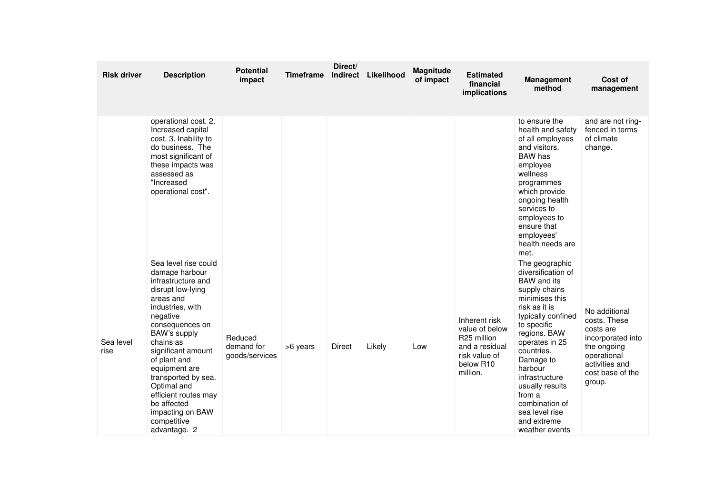| <b>Risk driver</b> | <b>Description</b>                                                                                                                                                                                                                                                                                                                                                    | <b>Potential</b><br>impact              | <b>Timeframe</b> | Direct/<br><b>Indirect</b> | Likelihood | Magnitude<br>of impact | <b>Estimated</b><br>financial<br><i>implications</i>                                                                   | <b>Management</b><br>method                                                                                                                                                                                                                                                                                                                     | Cost of<br>management                                                                                                                         |
|--------------------|-----------------------------------------------------------------------------------------------------------------------------------------------------------------------------------------------------------------------------------------------------------------------------------------------------------------------------------------------------------------------|-----------------------------------------|------------------|----------------------------|------------|------------------------|------------------------------------------------------------------------------------------------------------------------|-------------------------------------------------------------------------------------------------------------------------------------------------------------------------------------------------------------------------------------------------------------------------------------------------------------------------------------------------|-----------------------------------------------------------------------------------------------------------------------------------------------|
|                    | operational cost. 2.<br>Increased capital<br>cost. 3. Inability to<br>do business. The<br>most significant of<br>these impacts was<br>assessed as<br>"Increased<br>operational cost".                                                                                                                                                                                 |                                         |                  |                            |            |                        |                                                                                                                        | to ensure the<br>health and safety<br>of all employees<br>and visitors.<br>BAW has<br>employee<br>wellness<br>programmes<br>which provide<br>ongoing health<br>services to<br>employees to<br>ensure that<br>employees'<br>health needs are<br>met.                                                                                             | and are not ring-<br>fenced in terms<br>of climate<br>change.                                                                                 |
| Sea level<br>rise  | Sea level rise could<br>damage harbour<br>infrastructure and<br>disrupt low-lying<br>areas and<br>industries, with<br>negative<br>consequences on<br>BAW's supply<br>chains as<br>significant amount<br>of plant and<br>equipment are<br>transported by sea.<br>Optimal and<br>efficient routes may<br>be affected<br>impacting on BAW<br>competitive<br>advantage. 2 | Reduced<br>demand for<br>goods/services | >6 years         | Direct                     | Likely     | Low                    | Inherent risk<br>value of below<br>R <sub>25</sub> million<br>and a residual<br>risk value of<br>below R10<br>million. | The geographic<br>diversification of<br><b>BAW</b> and its<br>supply chains<br>minimises this<br>risk as it is<br>typically confined<br>to specific<br>regions. BAW<br>operates in 25<br>countries.<br>Damage to<br>harbour<br>infrastructure<br>usually results<br>from a<br>combination of<br>sea level rise<br>and extreme<br>weather events | No additional<br>costs. These<br>costs are<br>incorporated into<br>the ongoing<br>operational<br>activities and<br>cost base of the<br>group. |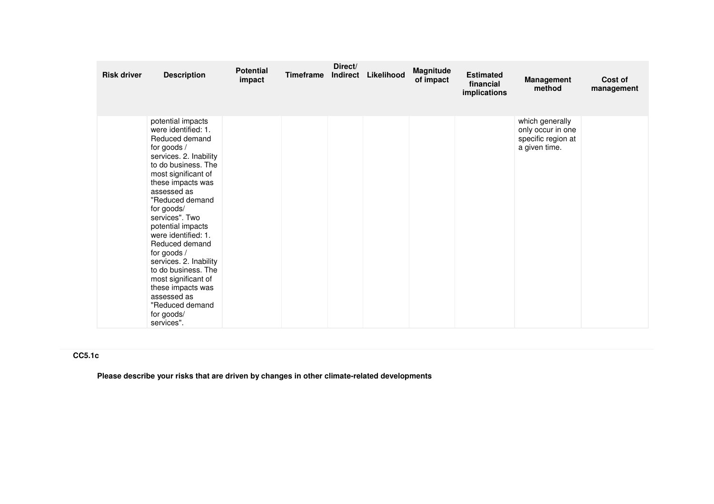| <b>Risk driver</b> | <b>Description</b>                                                                                                                                                                                                                                                                                                                                                                                                                                                               | <b>Potential</b><br>impact | <b>Timeframe</b> | Direct/<br>Indirect | Likelihood | Magnitude<br>of impact | <b>Estimated</b><br>financial<br>implications | <b>Management</b><br>method                                                 | Cost of<br>management |
|--------------------|----------------------------------------------------------------------------------------------------------------------------------------------------------------------------------------------------------------------------------------------------------------------------------------------------------------------------------------------------------------------------------------------------------------------------------------------------------------------------------|----------------------------|------------------|---------------------|------------|------------------------|-----------------------------------------------|-----------------------------------------------------------------------------|-----------------------|
|                    | potential impacts<br>were identified: 1.<br>Reduced demand<br>for goods /<br>services. 2. Inability<br>to do business. The<br>most significant of<br>these impacts was<br>assessed as<br>"Reduced demand<br>for goods/<br>services". Two<br>potential impacts<br>were identified: 1.<br>Reduced demand<br>for goods /<br>services. 2. Inability<br>to do business. The<br>most significant of<br>these impacts was<br>assessed as<br>"Reduced demand<br>for goods/<br>services". |                            |                  |                     |            |                        |                                               | which generally<br>only occur in one<br>specific region at<br>a given time. |                       |

## **CC5.1c**

**Please describe your risks that are driven by changes in other climate-related developments**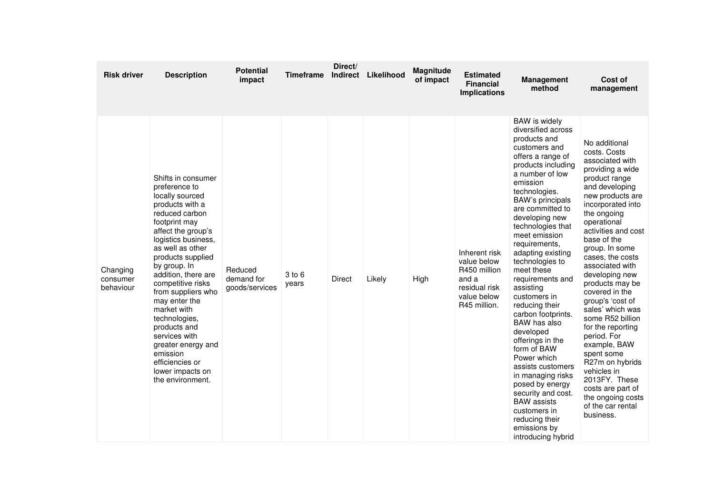| <b>Risk driver</b>                | <b>Description</b>                                                                                                                                                                                                                                                                                                                                                                                                                                                  | Potential<br>impact                     | <b>Timeframe</b> | Direct/<br>Indirect | Likelihood | Magnitude<br>of impact | <b>Estimated</b><br><b>Financial</b><br><b>Implications</b>                                           | <b>Management</b><br>method                                                                                                                                                                                                                                                                                                                                                                                                                                                                                                                                                                                                                                                                            | Cost of<br>management                                                                                                                                                                                                                                                                                                                                                                                                                                                                                                                                                                             |
|-----------------------------------|---------------------------------------------------------------------------------------------------------------------------------------------------------------------------------------------------------------------------------------------------------------------------------------------------------------------------------------------------------------------------------------------------------------------------------------------------------------------|-----------------------------------------|------------------|---------------------|------------|------------------------|-------------------------------------------------------------------------------------------------------|--------------------------------------------------------------------------------------------------------------------------------------------------------------------------------------------------------------------------------------------------------------------------------------------------------------------------------------------------------------------------------------------------------------------------------------------------------------------------------------------------------------------------------------------------------------------------------------------------------------------------------------------------------------------------------------------------------|---------------------------------------------------------------------------------------------------------------------------------------------------------------------------------------------------------------------------------------------------------------------------------------------------------------------------------------------------------------------------------------------------------------------------------------------------------------------------------------------------------------------------------------------------------------------------------------------------|
| Changing<br>consumer<br>behaviour | Shifts in consumer<br>preference to<br>locally sourced<br>products with a<br>reduced carbon<br>footprint may<br>affect the group's<br>logistics business,<br>as well as other<br>products supplied<br>by group. In<br>addition, there are<br>competitive risks<br>from suppliers who<br>may enter the<br>market with<br>technologies,<br>products and<br>services with<br>greater energy and<br>emission<br>efficiencies or<br>lower impacts on<br>the environment. | Reduced<br>demand for<br>goods/services | 3 to 6<br>years  | <b>Direct</b>       | Likely     | High                   | Inherent risk<br>value below<br>R450 million<br>and a<br>residual risk<br>value below<br>R45 million. | <b>BAW</b> is widely<br>diversified across<br>products and<br>customers and<br>offers a range of<br>products including<br>a number of low<br>emission<br>technologies.<br>BAW's principals<br>are committed to<br>developing new<br>technologies that<br>meet emission<br>requirements,<br>adapting existing<br>technologies to<br>meet these<br>requirements and<br>assisting<br>customers in<br>reducing their<br>carbon footprints.<br>BAW has also<br>developed<br>offerings in the<br>form of BAW<br>Power which<br>assists customers<br>in managing risks<br>posed by energy<br>security and cost.<br><b>BAW</b> assists<br>customers in<br>reducing their<br>emissions by<br>introducing hybrid | No additional<br>costs. Costs<br>associated with<br>providing a wide<br>product range<br>and developing<br>new products are<br>incorporated into<br>the ongoing<br>operational<br>activities and cost<br>base of the<br>group. In some<br>cases, the costs<br>associated with<br>developing new<br>products may be<br>covered in the<br>group's 'cost of<br>sales' which was<br>some R52 billion<br>for the reporting<br>period. For<br>example, BAW<br>spent some<br>R27m on hybrids<br>vehicles in<br>2013FY. These<br>costs are part of<br>the ongoing costs<br>of the car rental<br>business. |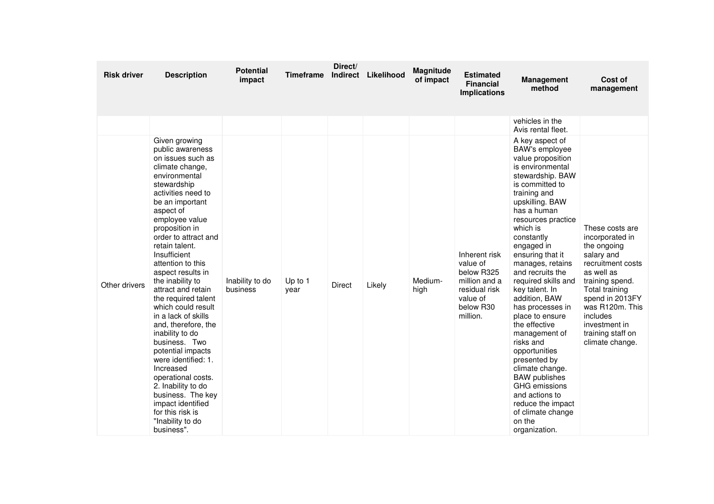| <b>Risk driver</b> | <b>Description</b>                                                                                                                                                                                                                                                                                                                                                                                                                                                                                                                                                                                                                                                                    | <b>Potential</b><br>impact  | <b>Timeframe</b> | Direct/<br>Indirect | Likelihood | Magnitude<br>of impact | <b>Estimated</b><br><b>Financial</b><br><b>Implications</b>                                                    | <b>Management</b><br>method                                                                                                                                                                                                                                                                                                                                                                                                                                                                                                                                                                                                              | Cost of<br>management                                                                                                                                                                                                                              |
|--------------------|---------------------------------------------------------------------------------------------------------------------------------------------------------------------------------------------------------------------------------------------------------------------------------------------------------------------------------------------------------------------------------------------------------------------------------------------------------------------------------------------------------------------------------------------------------------------------------------------------------------------------------------------------------------------------------------|-----------------------------|------------------|---------------------|------------|------------------------|----------------------------------------------------------------------------------------------------------------|------------------------------------------------------------------------------------------------------------------------------------------------------------------------------------------------------------------------------------------------------------------------------------------------------------------------------------------------------------------------------------------------------------------------------------------------------------------------------------------------------------------------------------------------------------------------------------------------------------------------------------------|----------------------------------------------------------------------------------------------------------------------------------------------------------------------------------------------------------------------------------------------------|
|                    |                                                                                                                                                                                                                                                                                                                                                                                                                                                                                                                                                                                                                                                                                       |                             |                  |                     |            |                        |                                                                                                                | vehicles in the<br>Avis rental fleet.                                                                                                                                                                                                                                                                                                                                                                                                                                                                                                                                                                                                    |                                                                                                                                                                                                                                                    |
| Other drivers      | Given growing<br>public awareness<br>on issues such as<br>climate change.<br>environmental<br>stewardship<br>activities need to<br>be an important<br>aspect of<br>employee value<br>proposition in<br>order to attract and<br>retain talent.<br>Insufficient<br>attention to this<br>aspect results in<br>the inability to<br>attract and retain<br>the required talent<br>which could result<br>in a lack of skills<br>and, therefore, the<br>inability to do<br>business. Two<br>potential impacts<br>were identified: 1.<br>Increased<br>operational costs.<br>2. Inability to do<br>business. The key<br>impact identified<br>for this risk is<br>"Inability to do<br>business". | Inability to do<br>business | Up to 1<br>year  | Direct              | Likely     | Medium-<br>high        | Inherent risk<br>value of<br>below R325<br>million and a<br>residual risk<br>value of<br>below R30<br>million. | A key aspect of<br><b>BAW's employee</b><br>value proposition<br>is environmental<br>stewardship. BAW<br>is committed to<br>training and<br>upskilling. BAW<br>has a human<br>resources practice<br>which is<br>constantly<br>engaged in<br>ensuring that it<br>manages, retains<br>and recruits the<br>required skills and<br>key talent. In<br>addition, BAW<br>has processes in<br>place to ensure<br>the effective<br>management of<br>risks and<br>opportunities<br>presented by<br>climate change.<br><b>BAW</b> publishes<br>GHG emissions<br>and actions to<br>reduce the impact<br>of climate change<br>on the<br>organization. | These costs are<br>incorporated in<br>the ongoing<br>salary and<br>recruitment costs<br>as well as<br>training spend.<br>Total training<br>spend in 2013FY<br>was R120m. This<br>includes<br>investment in<br>training staff on<br>climate change. |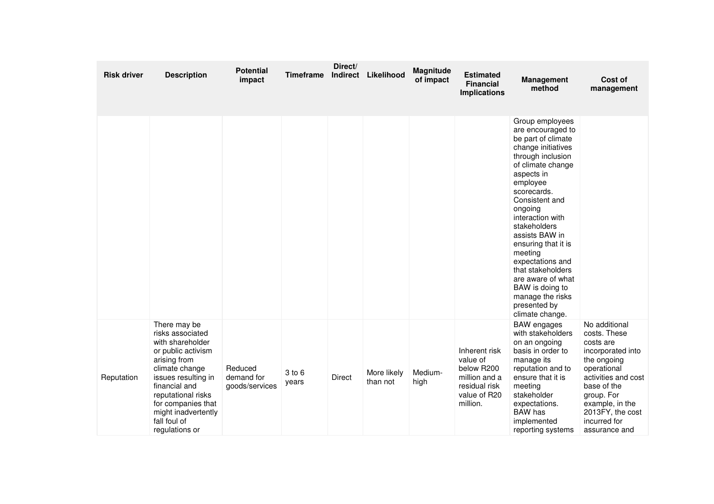| <b>Risk driver</b> | <b>Description</b>                                                                                                                                                                                                                                        | <b>Potential</b><br>impact              | <b>Timeframe</b> | Direct/<br>Indirect | Likelihood              | Magnitude<br>of impact | <b>Estimated</b><br><b>Financial</b><br><b>Implications</b>                                           | <b>Management</b><br>method                                                                                                                                                                                                                                                                                                                                                                                                      | Cost of<br>management                                                                                                                                                                                                     |
|--------------------|-----------------------------------------------------------------------------------------------------------------------------------------------------------------------------------------------------------------------------------------------------------|-----------------------------------------|------------------|---------------------|-------------------------|------------------------|-------------------------------------------------------------------------------------------------------|----------------------------------------------------------------------------------------------------------------------------------------------------------------------------------------------------------------------------------------------------------------------------------------------------------------------------------------------------------------------------------------------------------------------------------|---------------------------------------------------------------------------------------------------------------------------------------------------------------------------------------------------------------------------|
|                    |                                                                                                                                                                                                                                                           |                                         |                  |                     |                         |                        |                                                                                                       | Group employees<br>are encouraged to<br>be part of climate<br>change initiatives<br>through inclusion<br>of climate change<br>aspects in<br>employee<br>scorecards.<br>Consistent and<br>ongoing<br>interaction with<br>stakeholders<br>assists BAW in<br>ensuring that it is<br>meeting<br>expectations and<br>that stakeholders<br>are aware of what<br>BAW is doing to<br>manage the risks<br>presented by<br>climate change. |                                                                                                                                                                                                                           |
| Reputation         | There may be<br>risks associated<br>with shareholder<br>or public activism<br>arising from<br>climate change<br>issues resulting in<br>financial and<br>reputational risks<br>for companies that<br>might inadvertently<br>fall foul of<br>regulations or | Reduced<br>demand for<br>goods/services | 3 to 6<br>years  | <b>Direct</b>       | More likely<br>than not | Medium-<br>high        | Inherent risk<br>value of<br>below R200<br>million and a<br>residual risk<br>value of R20<br>million. | <b>BAW</b> engages<br>with stakeholders<br>on an ongoing<br>basis in order to<br>manage its<br>reputation and to<br>ensure that it is<br>meeting<br>stakeholder<br>expectations.<br><b>BAW</b> has<br>implemented<br>reporting systems                                                                                                                                                                                           | No additional<br>costs. These<br>costs are<br>incorporated into<br>the ongoing<br>operational<br>activities and cost<br>base of the<br>group. For<br>example, in the<br>2013FY, the cost<br>incurred for<br>assurance and |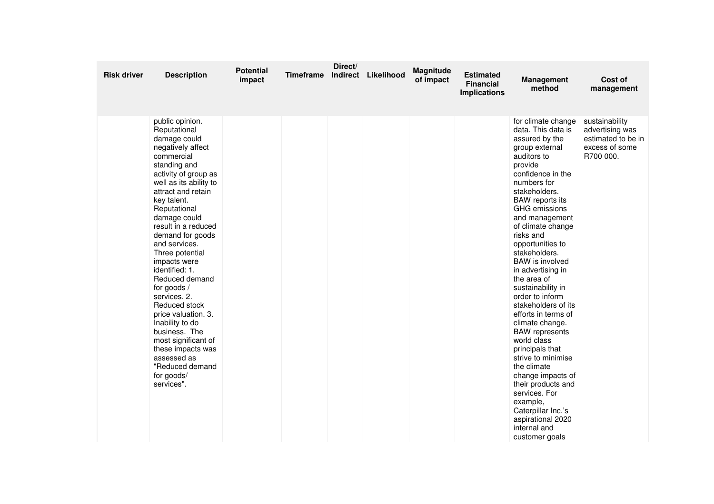| <b>Risk driver</b> | <b>Description</b>                                                                                                                                                                                                                                                                                                                                                                                                                                                                                                                                                                | <b>Potential</b><br>impact | <b>Timeframe</b> | Direct/ | Indirect Likelihood | <b>Magnitude</b><br>of impact | <b>Estimated</b><br><b>Financial</b><br><b>Implications</b> | <b>Management</b><br>method                                                                                                                                                                                                                                                                                                                                                                                                                                                                                                                                                                                                                                                                                                        | Cost of<br>management                                                                  |
|--------------------|-----------------------------------------------------------------------------------------------------------------------------------------------------------------------------------------------------------------------------------------------------------------------------------------------------------------------------------------------------------------------------------------------------------------------------------------------------------------------------------------------------------------------------------------------------------------------------------|----------------------------|------------------|---------|---------------------|-------------------------------|-------------------------------------------------------------|------------------------------------------------------------------------------------------------------------------------------------------------------------------------------------------------------------------------------------------------------------------------------------------------------------------------------------------------------------------------------------------------------------------------------------------------------------------------------------------------------------------------------------------------------------------------------------------------------------------------------------------------------------------------------------------------------------------------------------|----------------------------------------------------------------------------------------|
|                    | public opinion.<br>Reputational<br>damage could<br>negatively affect<br>commercial<br>standing and<br>activity of group as<br>well as its ability to<br>attract and retain<br>key talent.<br>Reputational<br>damage could<br>result in a reduced<br>demand for goods<br>and services.<br>Three potential<br>impacts were<br>identified: 1.<br>Reduced demand<br>for goods /<br>services. 2.<br>Reduced stock<br>price valuation. 3.<br>Inability to do<br>business. The<br>most significant of<br>these impacts was<br>assessed as<br>"Reduced demand<br>for goods/<br>services". |                            |                  |         |                     |                               |                                                             | for climate change<br>data. This data is<br>assured by the<br>group external<br>auditors to<br>provide<br>confidence in the<br>numbers for<br>stakeholders.<br><b>BAW</b> reports its<br><b>GHG</b> emissions<br>and management<br>of climate change<br>risks and<br>opportunities to<br>stakeholders.<br><b>BAW</b> is involved<br>in advertising in<br>the area of<br>sustainability in<br>order to inform<br>stakeholders of its<br>efforts in terms of<br>climate change.<br><b>BAW</b> represents<br>world class<br>principals that<br>strive to minimise<br>the climate<br>change impacts of<br>their products and<br>services. For<br>example,<br>Caterpillar Inc.'s<br>aspirational 2020<br>internal and<br>customer goals | sustainability<br>advertising was<br>estimated to be in<br>excess of some<br>R700 000. |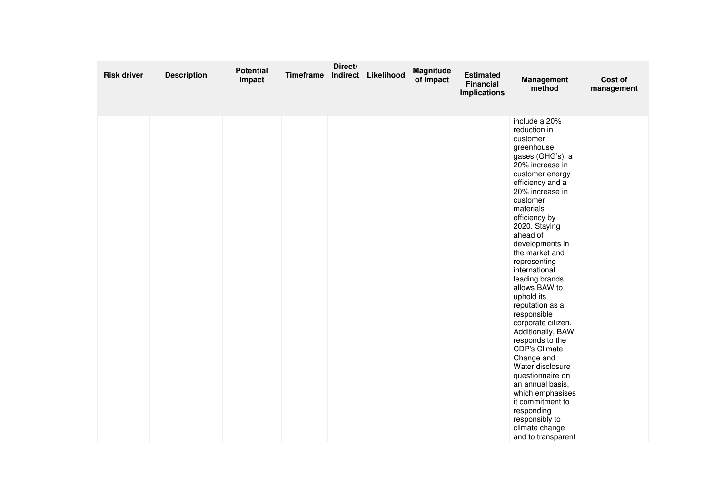| <b>Risk driver</b> | <b>Description</b> | <b>Potential</b><br>impact | Timeframe | Direct/ | Indirect Likelihood | Magnitude<br>of impact | <b>Estimated</b><br><b>Financial</b><br><b>Implications</b> | Management<br>method                                                                                                                                                                                                                                                                                                                                                                                                                                                                                                                                                                                                                                                     | Cost of<br>management |
|--------------------|--------------------|----------------------------|-----------|---------|---------------------|------------------------|-------------------------------------------------------------|--------------------------------------------------------------------------------------------------------------------------------------------------------------------------------------------------------------------------------------------------------------------------------------------------------------------------------------------------------------------------------------------------------------------------------------------------------------------------------------------------------------------------------------------------------------------------------------------------------------------------------------------------------------------------|-----------------------|
|                    |                    |                            |           |         |                     |                        |                                                             | include a 20%<br>reduction in<br>customer<br>greenhouse<br>gases (GHG's), a<br>20% increase in<br>customer energy<br>efficiency and a<br>20% increase in<br>customer<br>materials<br>efficiency by<br>2020. Staying<br>ahead of<br>developments in<br>the market and<br>representing<br>international<br>leading brands<br>allows BAW to<br>uphold its<br>reputation as a<br>responsible<br>corporate citizen.<br>Additionally, BAW<br>responds to the<br><b>CDP's Climate</b><br>Change and<br>Water disclosure<br>questionnaire on<br>an annual basis,<br>which emphasises<br>it commitment to<br>responding<br>responsibly to<br>climate change<br>and to transparent |                       |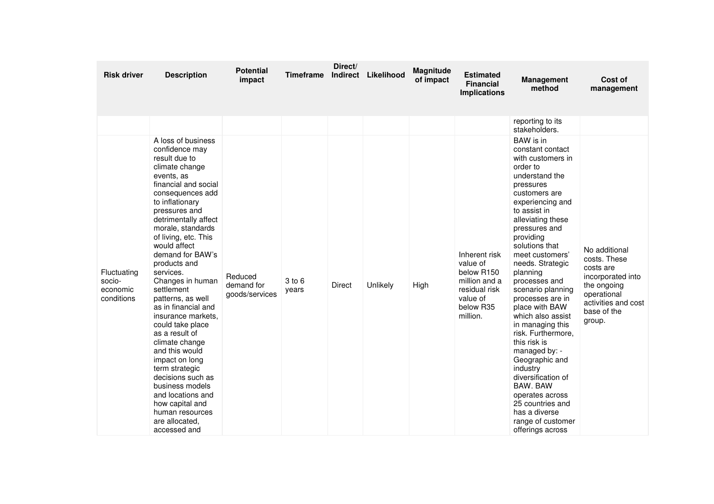| <b>Risk driver</b>                              | <b>Description</b>                                                                                                                                                                                                                                                                                                                                                                                                                                                                                                                                                                                                                                                 | <b>Potential</b><br>impact              | Timeframe       | Direct/<br>Indirect | Likelihood | Magnitude<br>of impact | <b>Estimated</b><br><b>Financial</b><br><b>Implications</b>                                                    | <b>Management</b><br>method                                                                                                                                                                                                                                                                                                                                                                                                                                                                                                                                                                                             | Cost of<br>management                                                                                                                         |
|-------------------------------------------------|--------------------------------------------------------------------------------------------------------------------------------------------------------------------------------------------------------------------------------------------------------------------------------------------------------------------------------------------------------------------------------------------------------------------------------------------------------------------------------------------------------------------------------------------------------------------------------------------------------------------------------------------------------------------|-----------------------------------------|-----------------|---------------------|------------|------------------------|----------------------------------------------------------------------------------------------------------------|-------------------------------------------------------------------------------------------------------------------------------------------------------------------------------------------------------------------------------------------------------------------------------------------------------------------------------------------------------------------------------------------------------------------------------------------------------------------------------------------------------------------------------------------------------------------------------------------------------------------------|-----------------------------------------------------------------------------------------------------------------------------------------------|
|                                                 |                                                                                                                                                                                                                                                                                                                                                                                                                                                                                                                                                                                                                                                                    |                                         |                 |                     |            |                        |                                                                                                                | reporting to its<br>stakeholders.                                                                                                                                                                                                                                                                                                                                                                                                                                                                                                                                                                                       |                                                                                                                                               |
| Fluctuating<br>socio-<br>economic<br>conditions | A loss of business<br>confidence may<br>result due to<br>climate change<br>events, as<br>financial and social<br>consequences add<br>to inflationary<br>pressures and<br>detrimentally affect<br>morale, standards<br>of living, etc. This<br>would affect<br>demand for BAW's<br>products and<br>services.<br>Changes in human<br>settlement<br>patterns, as well<br>as in financial and<br>insurance markets,<br>could take place<br>as a result of<br>climate change<br>and this would<br>impact on long<br>term strategic<br>decisions such as<br>business models<br>and locations and<br>how capital and<br>human resources<br>are allocated.<br>accessed and | Reduced<br>demand for<br>goods/services | 3 to 6<br>years | <b>Direct</b>       | Unlikely   | High                   | Inherent risk<br>value of<br>below R150<br>million and a<br>residual risk<br>value of<br>below R35<br>million. | BAW is in<br>constant contact<br>with customers in<br>order to<br>understand the<br>pressures<br>customers are<br>experiencing and<br>to assist in<br>alleviating these<br>pressures and<br>providing<br>solutions that<br>meet customers'<br>needs. Strategic<br>planning<br>processes and<br>scenario planning<br>processes are in<br>place with BAW<br>which also assist<br>in managing this<br>risk. Furthermore,<br>this risk is<br>managed by: -<br>Geographic and<br>industry<br>diversification of<br>BAW. BAW<br>operates across<br>25 countries and<br>has a diverse<br>range of customer<br>offerings across | No additional<br>costs. These<br>costs are<br>incorporated into<br>the ongoing<br>operational<br>activities and cost<br>base of the<br>group. |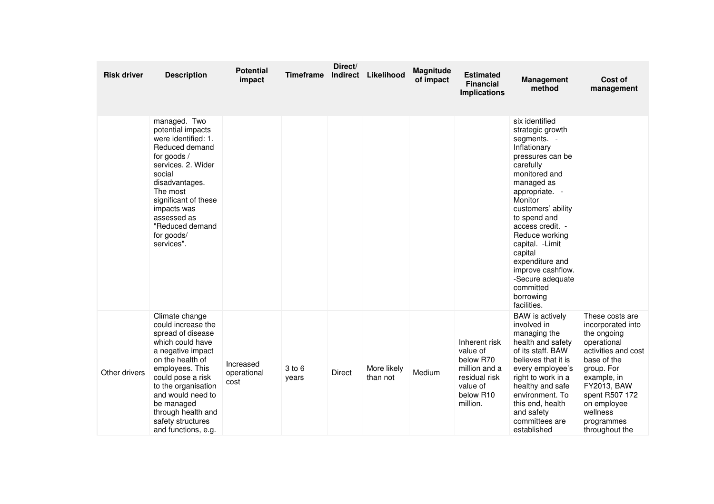| <b>Risk driver</b> | <b>Description</b>                                                                                                                                                                                                                                                                         | <b>Potential</b><br>impact       | <b>Timeframe</b> | Direct/<br>Indirect | Likelihood              | Magnitude<br>of impact | <b>Estimated</b><br><b>Financial</b><br><b>Implications</b>                                                   | <b>Management</b><br>method                                                                                                                                                                                                                                                                                                                                                    | Cost of<br>management                                                                                                                                                                                                             |
|--------------------|--------------------------------------------------------------------------------------------------------------------------------------------------------------------------------------------------------------------------------------------------------------------------------------------|----------------------------------|------------------|---------------------|-------------------------|------------------------|---------------------------------------------------------------------------------------------------------------|--------------------------------------------------------------------------------------------------------------------------------------------------------------------------------------------------------------------------------------------------------------------------------------------------------------------------------------------------------------------------------|-----------------------------------------------------------------------------------------------------------------------------------------------------------------------------------------------------------------------------------|
|                    | managed. Two<br>potential impacts<br>were identified: 1.<br>Reduced demand<br>for goods /<br>services. 2. Wider<br>social<br>disadvantages.<br>The most<br>significant of these<br>impacts was<br>assessed as<br>"Reduced demand<br>for goods/<br>services".                               |                                  |                  |                     |                         |                        |                                                                                                               | six identified<br>strategic growth<br>segments. -<br>Inflationary<br>pressures can be<br>carefully<br>monitored and<br>managed as<br>appropriate. -<br>Monitor<br>customers' ability<br>to spend and<br>access credit. -<br>Reduce working<br>capital. - Limit<br>capital<br>expenditure and<br>improve cashflow.<br>-Secure adequate<br>committed<br>borrowing<br>facilities. |                                                                                                                                                                                                                                   |
| Other drivers      | Climate change<br>could increase the<br>spread of disease<br>which could have<br>a negative impact<br>on the health of<br>employees. This<br>could pose a risk<br>to the organisation<br>and would need to<br>be managed<br>through health and<br>safety structures<br>and functions, e.g. | Increased<br>operational<br>cost | 3 to 6<br>years  | <b>Direct</b>       | More likely<br>than not | Medium                 | Inherent risk<br>value of<br>below R70<br>million and a<br>residual risk<br>value of<br>below R10<br>million. | <b>BAW</b> is actively<br>involved in<br>managing the<br>health and safety<br>of its staff. BAW<br>believes that it is<br>every employee's<br>right to work in a<br>healthy and safe<br>environment. To<br>this end, health<br>and safety<br>committees are<br>established                                                                                                     | These costs are<br>incorporated into<br>the ongoing<br>operational<br>activities and cost<br>base of the<br>group. For<br>example, in<br>FY2013, BAW<br>spent R507 172<br>on employee<br>wellness<br>programmes<br>throughout the |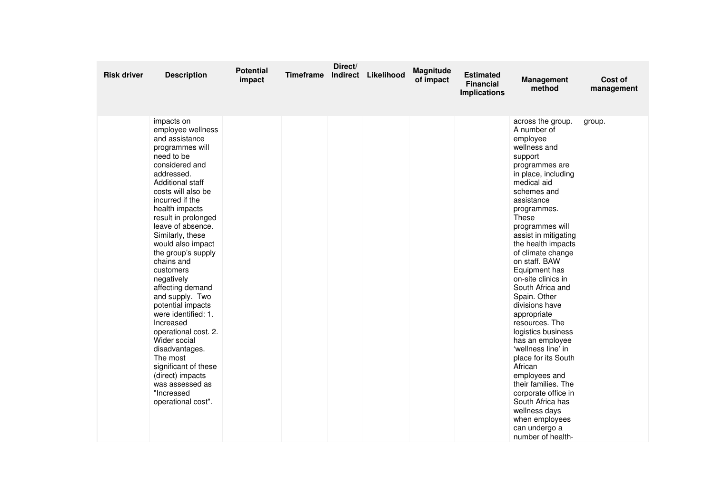| <b>Risk driver</b> | <b>Description</b>                                                                                                                                                                                                                                                                                                                                                                                                                                                                                                                                                                                                                    | <b>Potential</b><br>impact | Timeframe | Direct/ | Indirect Likelihood | Magnitude<br>of impact | <b>Estimated</b><br><b>Financial</b><br><b>Implications</b> | <b>Management</b><br>method                                                                                                                                                                                                                                                                                                                                                                                                                                                                                                                                                                                                                                                            | Cost of<br>management |
|--------------------|---------------------------------------------------------------------------------------------------------------------------------------------------------------------------------------------------------------------------------------------------------------------------------------------------------------------------------------------------------------------------------------------------------------------------------------------------------------------------------------------------------------------------------------------------------------------------------------------------------------------------------------|----------------------------|-----------|---------|---------------------|------------------------|-------------------------------------------------------------|----------------------------------------------------------------------------------------------------------------------------------------------------------------------------------------------------------------------------------------------------------------------------------------------------------------------------------------------------------------------------------------------------------------------------------------------------------------------------------------------------------------------------------------------------------------------------------------------------------------------------------------------------------------------------------------|-----------------------|
|                    | impacts on<br>employee wellness<br>and assistance<br>programmes will<br>need to be<br>considered and<br>addressed.<br><b>Additional staff</b><br>costs will also be<br>incurred if the<br>health impacts<br>result in prolonged<br>leave of absence.<br>Similarly, these<br>would also impact<br>the group's supply<br>chains and<br>customers<br>negatively<br>affecting demand<br>and supply. Two<br>potential impacts<br>were identified: 1.<br>Increased<br>operational cost. 2.<br>Wider social<br>disadvantages.<br>The most<br>significant of these<br>(direct) impacts<br>was assessed as<br>"Increased<br>operational cost". |                            |           |         |                     |                        |                                                             | across the group.<br>A number of<br>employee<br>wellness and<br>support<br>programmes are<br>in place, including<br>medical aid<br>schemes and<br>assistance<br>programmes.<br>These<br>programmes will<br>assist in mitigating<br>the health impacts<br>of climate change<br>on staff. BAW<br>Equipment has<br>on-site clinics in<br>South Africa and<br>Spain. Other<br>divisions have<br>appropriate<br>resources. The<br>logistics business<br>has an employee<br>'wellness line' in<br>place for its South<br>African<br>employees and<br>their families. The<br>corporate office in<br>South Africa has<br>wellness days<br>when employees<br>can undergo a<br>number of health- | group.                |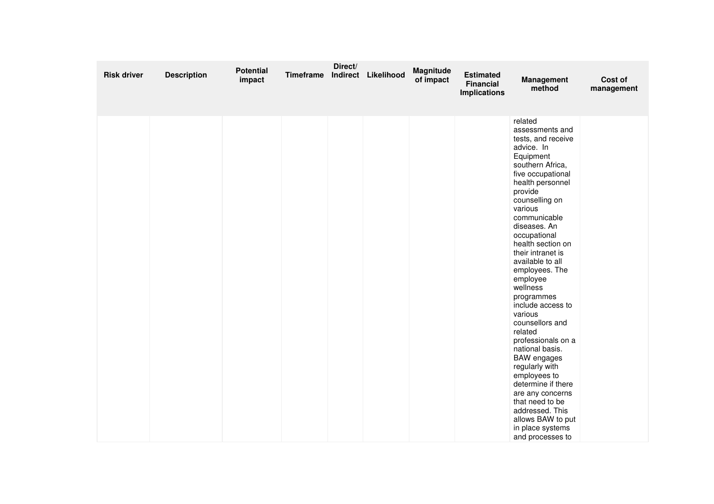| <b>Risk driver</b> | <b>Description</b> | <b>Potential</b><br>impact | Timeframe | Direct/ | Indirect Likelihood | Magnitude<br>of impact | <b>Estimated</b><br><b>Financial</b><br><b>Implications</b> | Management<br>method                                                                                                                                                                                                                                                                                                                                                                                                                                                                                                                                                                                                                                               | Cost of<br>management |
|--------------------|--------------------|----------------------------|-----------|---------|---------------------|------------------------|-------------------------------------------------------------|--------------------------------------------------------------------------------------------------------------------------------------------------------------------------------------------------------------------------------------------------------------------------------------------------------------------------------------------------------------------------------------------------------------------------------------------------------------------------------------------------------------------------------------------------------------------------------------------------------------------------------------------------------------------|-----------------------|
|                    |                    |                            |           |         |                     |                        |                                                             | related<br>assessments and<br>tests, and receive<br>advice. In<br>Equipment<br>southern Africa,<br>five occupational<br>health personnel<br>provide<br>counselling on<br>various<br>communicable<br>diseases. An<br>occupational<br>health section on<br>their intranet is<br>available to all<br>employees. The<br>employee<br>wellness<br>programmes<br>include access to<br>various<br>counsellors and<br>related<br>professionals on a<br>national basis.<br><b>BAW</b> engages<br>regularly with<br>employees to<br>determine if there<br>are any concerns<br>that need to be<br>addressed. This<br>allows BAW to put<br>in place systems<br>and processes to |                       |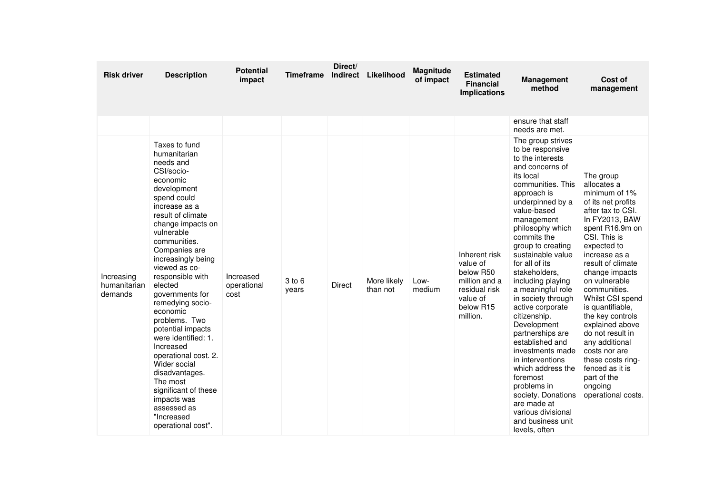| <b>Risk driver</b>                    | <b>Description</b>                                                                                                                                                                                                                                                                                                                                                                                                                                                                                                                                                              | <b>Potential</b><br>impact       | <b>Timeframe</b> | Direct/<br>Indirect | Likelihood              | Magnitude<br>of impact | <b>Estimated</b><br><b>Financial</b><br><b>Implications</b>                                                   | <b>Management</b><br>method                                                                                                                                                                                                                                                                                                                                                                                                                                                                                                                                                                                                                       | Cost of<br>management                                                                                                                                                                                                                                                                                                                                                                                                                                                           |
|---------------------------------------|---------------------------------------------------------------------------------------------------------------------------------------------------------------------------------------------------------------------------------------------------------------------------------------------------------------------------------------------------------------------------------------------------------------------------------------------------------------------------------------------------------------------------------------------------------------------------------|----------------------------------|------------------|---------------------|-------------------------|------------------------|---------------------------------------------------------------------------------------------------------------|---------------------------------------------------------------------------------------------------------------------------------------------------------------------------------------------------------------------------------------------------------------------------------------------------------------------------------------------------------------------------------------------------------------------------------------------------------------------------------------------------------------------------------------------------------------------------------------------------------------------------------------------------|---------------------------------------------------------------------------------------------------------------------------------------------------------------------------------------------------------------------------------------------------------------------------------------------------------------------------------------------------------------------------------------------------------------------------------------------------------------------------------|
|                                       |                                                                                                                                                                                                                                                                                                                                                                                                                                                                                                                                                                                 |                                  |                  |                     |                         |                        |                                                                                                               | ensure that staff<br>needs are met.                                                                                                                                                                                                                                                                                                                                                                                                                                                                                                                                                                                                               |                                                                                                                                                                                                                                                                                                                                                                                                                                                                                 |
| Increasing<br>humanitarian<br>demands | Taxes to fund<br>humanitarian<br>needs and<br>CSI/socio-<br>economic<br>development<br>spend could<br>increase as a<br>result of climate<br>change impacts on<br>vulnerable<br>communities.<br>Companies are<br>increasingly being<br>viewed as co-<br>responsible with<br>elected<br>governments for<br>remedying socio-<br>economic<br>problems. Two<br>potential impacts<br>were identified: 1.<br>Increased<br>operational cost. 2.<br>Wider social<br>disadvantages.<br>The most<br>significant of these<br>impacts was<br>assessed as<br>"Increased<br>operational cost". | Increased<br>operational<br>cost | 3 to 6<br>years  | <b>Direct</b>       | More likely<br>than not | Low-<br>medium         | Inherent risk<br>value of<br>below R50<br>million and a<br>residual risk<br>value of<br>below R15<br>million. | The group strives<br>to be responsive<br>to the interests<br>and concerns of<br>its local<br>communities. This<br>approach is<br>underpinned by a<br>value-based<br>management<br>philosophy which<br>commits the<br>group to creating<br>sustainable value<br>for all of its<br>stakeholders,<br>including playing<br>a meaningful role<br>in society through<br>active corporate<br>citizenship.<br>Development<br>partnerships are<br>established and<br>investments made<br>in interventions<br>which address the<br>foremost<br>problems in<br>society. Donations<br>are made at<br>various divisional<br>and business unit<br>levels, often | The group<br>allocates a<br>minimum of 1%<br>of its net profits<br>after tax to CSI.<br>In FY2013, BAW<br>spent R16.9m on<br>CSI. This is<br>expected to<br>increase as a<br>result of climate<br>change impacts<br>on vulnerable<br>communities.<br>Whilst CSI spend<br>is quantifiable,<br>the key controls<br>explained above<br>do not result in<br>any additional<br>costs nor are<br>these costs ring-<br>fenced as it is<br>part of the<br>ongoing<br>operational costs. |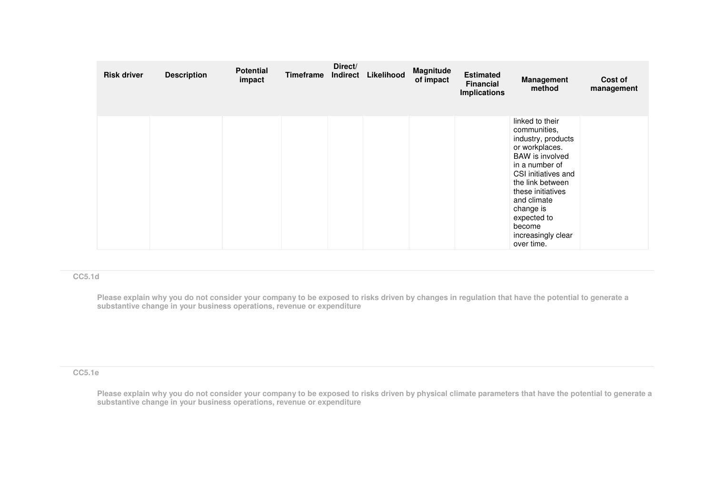| <b>Risk driver</b> | <b>Description</b> | <b>Potential</b><br>impact | Timeframe | Direct/<br>Indirect | Likelihood | Magnitude<br>of impact | <b>Estimated</b><br><b>Financial</b><br><b>Implications</b> | <b>Management</b><br>method                                                                                                                                                                                                                                                  | Cost of<br>management |
|--------------------|--------------------|----------------------------|-----------|---------------------|------------|------------------------|-------------------------------------------------------------|------------------------------------------------------------------------------------------------------------------------------------------------------------------------------------------------------------------------------------------------------------------------------|-----------------------|
|                    |                    |                            |           |                     |            |                        |                                                             | linked to their<br>communities,<br>industry, products<br>or workplaces.<br><b>BAW</b> is involved<br>in a number of<br>CSI initiatives and<br>the link between<br>these initiatives<br>and climate<br>change is<br>expected to<br>become<br>increasingly clear<br>over time. |                       |

### **CC5.1d**

Please explain why you do not consider your company to be exposed to risks driven by changes in regulation that have the potential to generate a<br>substantive change in your business operations, revenue or expenditure

## **CC5.1e**

**Please explain why you do not consider your company to be exposed to risks driven by physical climate parameters that have the potential to generate a substantive change in your business operations, revenue or expenditure**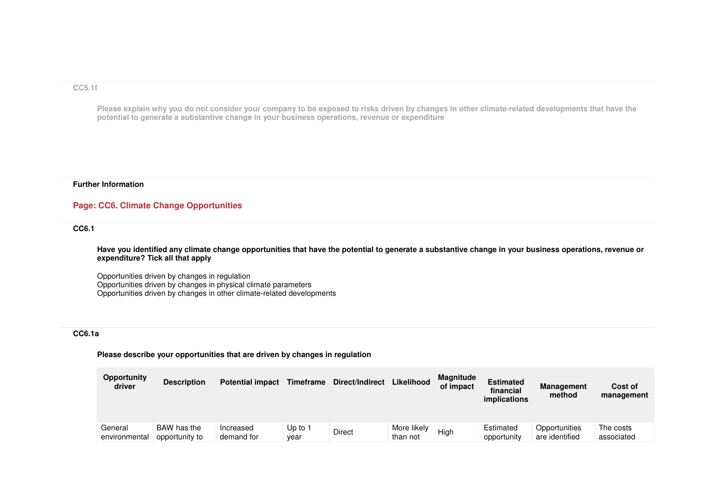### **CC5.1f**

Please explain why you do not consider your company to be exposed to risks driven by changes in other climate-related developments that have the<br>potential to generate a substantive change in your business operations, reven

### **Further Information**

## **Page: CC6. Climate Change Opportunities**

### **CC6.1**

**Have you identified any climate change opportunities that have the potential to generate a substantive change in your business operations, revenue or expenditure? Tick all that apply**

Opportunities driven by changes in regulation Opportunities driven by changes in physical climate parameters Opportunities driven by changes in other climate-related developments

## **CC6.1a**

### **Please describe your opportunities that are driven by changes in regulation**

| <b>Opportunity</b><br>driver | <b>Description</b>            | <b>Potential impact</b> | <b>Timeframe</b> | Direct/Indirect | Likelihood              | <b>Magnitude</b><br>of impact | <b>Estimated</b><br>financial<br>implications | <b>Management</b><br>method     | Cost of<br>management   |
|------------------------------|-------------------------------|-------------------------|------------------|-----------------|-------------------------|-------------------------------|-----------------------------------------------|---------------------------------|-------------------------|
| General<br>environmental     | BAW has the<br>opportunity to | Increased<br>demand for | Up to 1<br>vear  | Direct          | More likely<br>than not | Hiah                          | Estimated<br>opportunity                      | Opportunities<br>are identified | The costs<br>associated |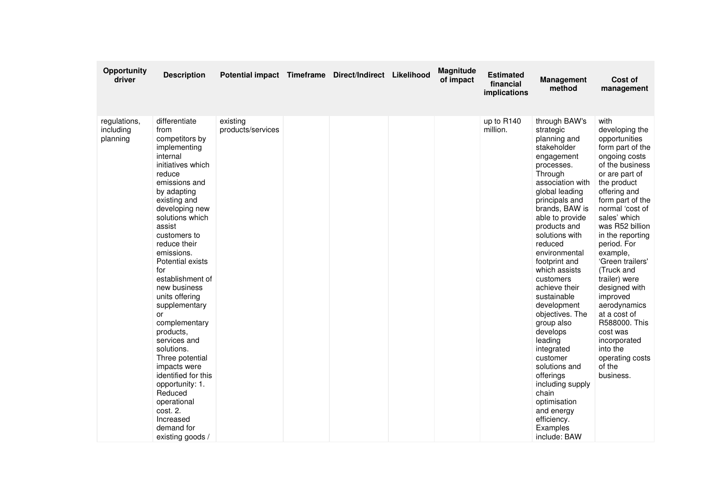| Opportunity<br>driver                 | <b>Description</b>                                                                                                                                                                                                                                                                                                                                                                                                                                                                                                                                                                    | Potential impact Timeframe Direct/Indirect Likelihood |  | <b>Magnitude</b><br>of impact | <b>Estimated</b><br>financial<br>implications | <b>Management</b><br>method                                                                                                                                                                                                                                                                                                                                                                                                                                                                                                                                                     | Cost of<br>management                                                                                                                                                                                                                                                                                                                                                                                                                                                                        |
|---------------------------------------|---------------------------------------------------------------------------------------------------------------------------------------------------------------------------------------------------------------------------------------------------------------------------------------------------------------------------------------------------------------------------------------------------------------------------------------------------------------------------------------------------------------------------------------------------------------------------------------|-------------------------------------------------------|--|-------------------------------|-----------------------------------------------|---------------------------------------------------------------------------------------------------------------------------------------------------------------------------------------------------------------------------------------------------------------------------------------------------------------------------------------------------------------------------------------------------------------------------------------------------------------------------------------------------------------------------------------------------------------------------------|----------------------------------------------------------------------------------------------------------------------------------------------------------------------------------------------------------------------------------------------------------------------------------------------------------------------------------------------------------------------------------------------------------------------------------------------------------------------------------------------|
| regulations,<br>including<br>planning | differentiate<br>from<br>competitors by<br>implementing<br>internal<br>initiatives which<br>reduce<br>emissions and<br>by adapting<br>existing and<br>developing new<br>solutions which<br>assist<br>customers to<br>reduce their<br>emissions.<br>Potential exists<br>for<br>establishment of<br>new business<br>units offering<br>supplementary<br>or<br>complementary<br>products,<br>services and<br>solutions.<br>Three potential<br>impacts were<br>identified for this<br>opportunity: 1.<br>Reduced<br>operational<br>cost. 2.<br>Increased<br>demand for<br>existing goods / | existing<br>products/services                         |  |                               | up to R140<br>million.                        | through BAW's<br>strategic<br>planning and<br>stakeholder<br>engagement<br>processes.<br>Through<br>association with<br>global leading<br>principals and<br>brands, BAW is<br>able to provide<br>products and<br>solutions with<br>reduced<br>environmental<br>footprint and<br>which assists<br>customers<br>achieve their<br>sustainable<br>development<br>objectives. The<br>group also<br>develops<br>leading<br>integrated<br>customer<br>solutions and<br>offerings<br>including supply<br>chain<br>optimisation<br>and energy<br>efficiency.<br>Examples<br>include: BAW | with<br>developing the<br>opportunities<br>form part of the<br>ongoing costs<br>of the business<br>or are part of<br>the product<br>offering and<br>form part of the<br>normal 'cost of<br>sales' which<br>was R52 billion<br>in the reporting<br>period. For<br>example.<br>'Green trailers'<br>(Truck and<br>trailer) were<br>designed with<br>improved<br>aerodynamics<br>at a cost of<br>R588000. This<br>cost was<br>incorporated<br>into the<br>operating costs<br>of the<br>business. |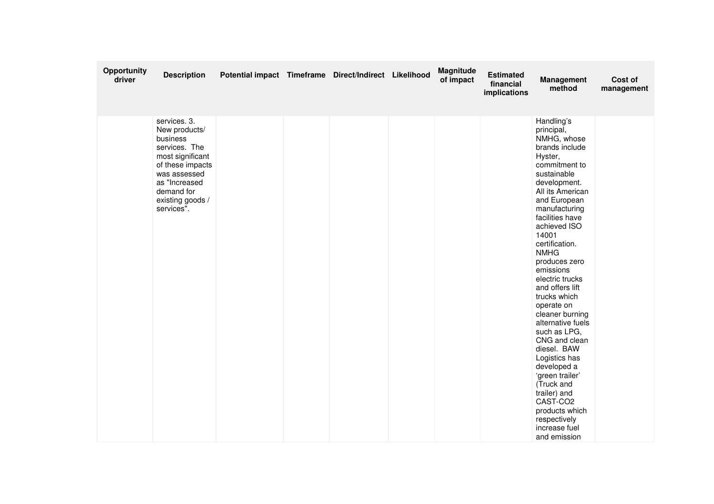| Opportunity<br>driver | <b>Description</b>                                                                                                                                                                  | Potential impact Timeframe Direct/Indirect Likelihood |  | <b>Magnitude</b><br>of impact | <b>Estimated</b><br>financial<br>implications | <b>Management</b><br>method                                                                                                                                                                                                                                                                                                                                                                                                                                                                                                                                                                                                  | Cost of<br>management |
|-----------------------|-------------------------------------------------------------------------------------------------------------------------------------------------------------------------------------|-------------------------------------------------------|--|-------------------------------|-----------------------------------------------|------------------------------------------------------------------------------------------------------------------------------------------------------------------------------------------------------------------------------------------------------------------------------------------------------------------------------------------------------------------------------------------------------------------------------------------------------------------------------------------------------------------------------------------------------------------------------------------------------------------------------|-----------------------|
|                       | services. 3.<br>New products/<br>business<br>services. The<br>most significant<br>of these impacts<br>was assessed<br>as "Increased<br>demand for<br>existing goods /<br>services". |                                                       |  |                               |                                               | Handling's<br>principal,<br>NMHG, whose<br>brands include<br>Hyster,<br>commitment to<br>sustainable<br>development.<br>All its American<br>and European<br>manufacturing<br>facilities have<br>achieved ISO<br>14001<br>certification.<br><b>NMHG</b><br>produces zero<br>emissions<br>electric trucks<br>and offers lift<br>trucks which<br>operate on<br>cleaner burning<br>alternative fuels<br>such as LPG,<br>CNG and clean<br>diesel. BAW<br>Logistics has<br>developed a<br>'green trailer'<br>(Truck and<br>trailer) and<br>CAST-CO <sub>2</sub><br>products which<br>respectively<br>increase fuel<br>and emission |                       |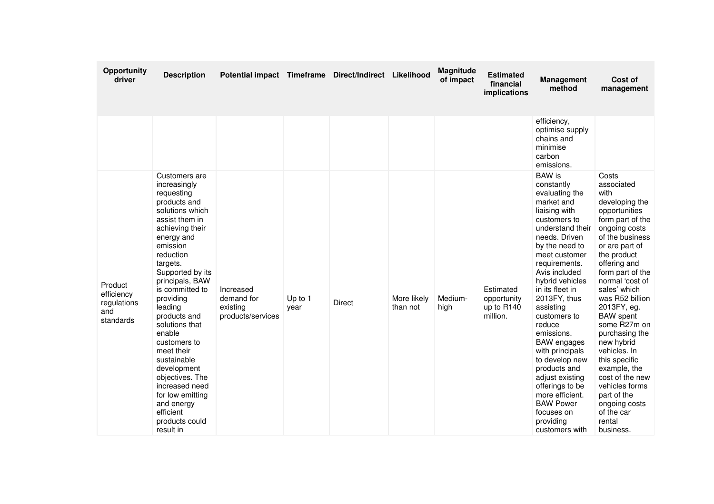| Opportunity<br>driver                                    | <b>Description</b>                                                                                                                                                                                                                                                                                                                                                                                                                                                                  | Potential impact Timeframe Direct/Indirect Likelihood    |                   |               |                         | Magnitude<br>of impact | <b>Estimated</b><br>financial<br>implications      | <b>Management</b><br>method                                                                                                                                                                                                                                                                                                                                                                                                                                                                                            | Cost of<br>management                                                                                                                                                                                                                                                                                                                                                                                                                                                                           |
|----------------------------------------------------------|-------------------------------------------------------------------------------------------------------------------------------------------------------------------------------------------------------------------------------------------------------------------------------------------------------------------------------------------------------------------------------------------------------------------------------------------------------------------------------------|----------------------------------------------------------|-------------------|---------------|-------------------------|------------------------|----------------------------------------------------|------------------------------------------------------------------------------------------------------------------------------------------------------------------------------------------------------------------------------------------------------------------------------------------------------------------------------------------------------------------------------------------------------------------------------------------------------------------------------------------------------------------------|-------------------------------------------------------------------------------------------------------------------------------------------------------------------------------------------------------------------------------------------------------------------------------------------------------------------------------------------------------------------------------------------------------------------------------------------------------------------------------------------------|
|                                                          |                                                                                                                                                                                                                                                                                                                                                                                                                                                                                     |                                                          |                   |               |                         |                        |                                                    | efficiency,<br>optimise supply<br>chains and<br>minimise<br>carbon<br>emissions.                                                                                                                                                                                                                                                                                                                                                                                                                                       |                                                                                                                                                                                                                                                                                                                                                                                                                                                                                                 |
| Product<br>efficiency<br>regulations<br>and<br>standards | Customers are<br>increasingly<br>requesting<br>products and<br>solutions which<br>assist them in<br>achieving their<br>energy and<br>emission<br>reduction<br>targets.<br>Supported by its<br>principals, BAW<br>is committed to<br>providing<br>leading<br>products and<br>solutions that<br>enable<br>customers to<br>meet their<br>sustainable<br>development<br>objectives. The<br>increased need<br>for low emitting<br>and energy<br>efficient<br>products could<br>result in | Increased<br>demand for<br>existing<br>products/services | Up to $1$<br>year | <b>Direct</b> | More likely<br>than not | Medium-<br>high        | Estimated<br>opportunity<br>up to R140<br>million. | <b>BAW</b> is<br>constantly<br>evaluating the<br>market and<br>liaising with<br>customers to<br>understand their<br>needs. Driven<br>by the need to<br>meet customer<br>requirements.<br>Avis included<br>hybrid vehicles<br>in its fleet in<br>2013FY, thus<br>assisting<br>customers to<br>reduce<br>emissions.<br><b>BAW</b> engages<br>with principals<br>to develop new<br>products and<br>adjust existing<br>offerings to be<br>more efficient.<br><b>BAW Power</b><br>focuses on<br>providing<br>customers with | Costs<br>associated<br>with<br>developing the<br>opportunities<br>form part of the<br>ongoing costs<br>of the business<br>or are part of<br>the product<br>offering and<br>form part of the<br>normal 'cost of<br>sales' which<br>was R52 billion<br>2013FY, eg.<br><b>BAW</b> spent<br>some R27m on<br>purchasing the<br>new hybrid<br>vehicles, In<br>this specific<br>example, the<br>cost of the new<br>vehicles forms<br>part of the<br>ongoing costs<br>of the car<br>rental<br>business. |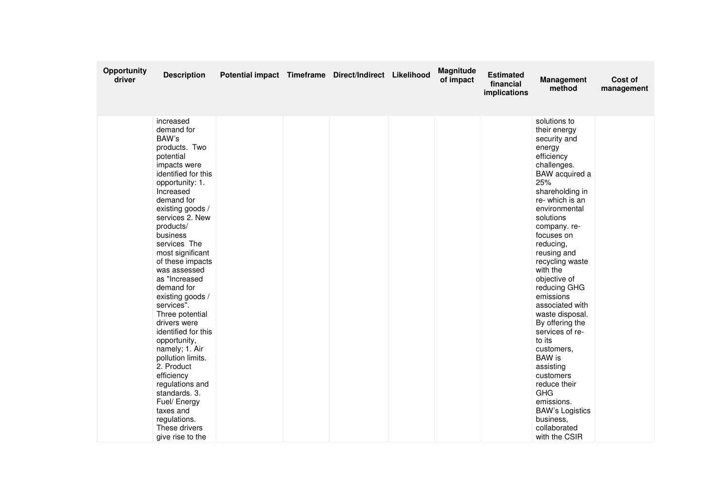| Opportunity<br>driver | <b>Description</b>                                                                                                                                                                                                                                                                                                                                                                                                                                                                                                                                                                                                              | Potential impact Timeframe Direct/Indirect Likelihood |  | Magnitude<br>of impact | <b>Estimated</b><br>financial<br>implications | <b>Management</b><br>method                                                                                                                                                                                                                                                                                                                                                                                                                                                                                                                                                             | Cost of<br>management |
|-----------------------|---------------------------------------------------------------------------------------------------------------------------------------------------------------------------------------------------------------------------------------------------------------------------------------------------------------------------------------------------------------------------------------------------------------------------------------------------------------------------------------------------------------------------------------------------------------------------------------------------------------------------------|-------------------------------------------------------|--|------------------------|-----------------------------------------------|-----------------------------------------------------------------------------------------------------------------------------------------------------------------------------------------------------------------------------------------------------------------------------------------------------------------------------------------------------------------------------------------------------------------------------------------------------------------------------------------------------------------------------------------------------------------------------------------|-----------------------|
|                       | increased<br>demand for<br>BAW's<br>products. Two<br>potential<br>impacts were<br>identified for this<br>opportunity: 1.<br>Increased<br>demand for<br>existing goods /<br>services 2. New<br>products/<br>business<br>services The<br>most significant<br>of these impacts<br>was assessed<br>as "Increased<br>demand for<br>existing goods /<br>services".<br>Three potential<br>drivers were<br>identified for this<br>opportunity,<br>namely; 1. Air<br>pollution limits.<br>2. Product<br>efficiency<br>regulations and<br>standards. 3.<br>Fuel/ Energy<br>taxes and<br>regulations.<br>These drivers<br>give rise to the |                                                       |  |                        |                                               | solutions to<br>their energy<br>security and<br>energy<br>efficiency<br>challenges.<br>BAW acquired a<br>25%<br>shareholding in<br>re-which is an<br>environmental<br>solutions<br>company.re-<br>focuses on<br>reducing,<br>reusing and<br>recycling waste<br>with the<br>objective of<br>reducing GHG<br>emissions<br>associated with<br>waste disposal.<br>By offering the<br>services of re-<br>to its<br>customers.<br><b>BAW</b> is<br>assisting<br>customers<br>reduce their<br><b>GHG</b><br>emissions.<br><b>BAW's Logistics</b><br>business,<br>collaborated<br>with the CSIR |                       |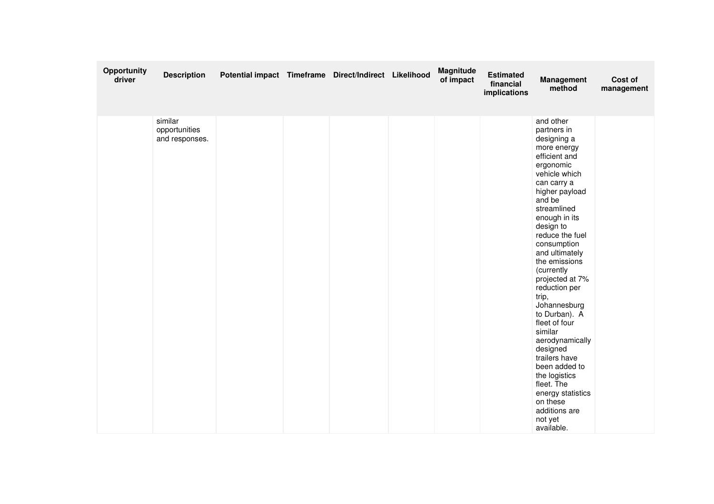| Opportunity<br>driver | <b>Description</b>                         | Potential impact Timeframe Direct/Indirect Likelihood |  | Magnitude<br>of impact | <b>Estimated</b><br>financial<br>implications | <b>Management</b><br>method                                                                                                                                                                                                                                                                                                                                                                                                                                                                                                                                           | Cost of<br>management |
|-----------------------|--------------------------------------------|-------------------------------------------------------|--|------------------------|-----------------------------------------------|-----------------------------------------------------------------------------------------------------------------------------------------------------------------------------------------------------------------------------------------------------------------------------------------------------------------------------------------------------------------------------------------------------------------------------------------------------------------------------------------------------------------------------------------------------------------------|-----------------------|
|                       | similar<br>opportunities<br>and responses. |                                                       |  |                        |                                               | and other<br>partners in<br>designing a<br>more energy<br>efficient and<br>ergonomic<br>vehicle which<br>can carry a<br>higher payload<br>and be<br>streamlined<br>enough in its<br>design to<br>reduce the fuel<br>consumption<br>and ultimately<br>the emissions<br>(currently<br>projected at 7%<br>reduction per<br>trip,<br>Johannesburg<br>to Durban). A<br>fleet of four<br>similar<br>aerodynamically<br>designed<br>trailers have<br>been added to<br>the logistics<br>fleet. The<br>energy statistics<br>on these<br>additions are<br>not yet<br>available. |                       |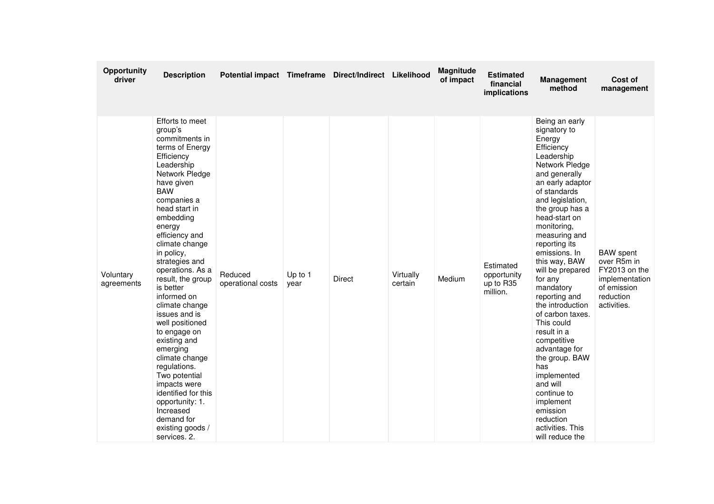| Opportunity<br>driver   | <b>Description</b>                                                                                                                                                                                                                                                                                                                                                                                                                                                                                                                                                                                                      | Potential impact Timeframe Direct/Indirect Likelihood |                 |               |                      | Magnitude<br>of impact | <b>Estimated</b><br>financial<br>implications     | <b>Management</b><br>method                                                                                                                                                                                                                                                                                                                                                                                                                                                                                                                                                                              | Cost of<br>management                                                                                         |
|-------------------------|-------------------------------------------------------------------------------------------------------------------------------------------------------------------------------------------------------------------------------------------------------------------------------------------------------------------------------------------------------------------------------------------------------------------------------------------------------------------------------------------------------------------------------------------------------------------------------------------------------------------------|-------------------------------------------------------|-----------------|---------------|----------------------|------------------------|---------------------------------------------------|----------------------------------------------------------------------------------------------------------------------------------------------------------------------------------------------------------------------------------------------------------------------------------------------------------------------------------------------------------------------------------------------------------------------------------------------------------------------------------------------------------------------------------------------------------------------------------------------------------|---------------------------------------------------------------------------------------------------------------|
| Voluntary<br>agreements | Efforts to meet<br>group's<br>commitments in<br>terms of Energy<br>Efficiency<br>Leadership<br>Network Pledge<br>have given<br><b>BAW</b><br>companies a<br>head start in<br>embedding<br>energy<br>efficiency and<br>climate change<br>in policy,<br>strategies and<br>operations. As a<br>result, the group<br>is better<br>informed on<br>climate change<br>issues and is<br>well positioned<br>to engage on<br>existing and<br>emerging<br>climate change<br>regulations.<br>Two potential<br>impacts were<br>identified for this<br>opportunity: 1.<br>Increased<br>demand for<br>existing goods /<br>services. 2. | Reduced<br>operational costs                          | Up to 1<br>year | <b>Direct</b> | Virtually<br>certain | Medium                 | Estimated<br>opportunity<br>up to R35<br>million. | Being an early<br>signatory to<br>Energy<br>Efficiency<br>Leadership<br>Network Pledge<br>and generally<br>an early adaptor<br>of standards<br>and legislation,<br>the group has a<br>head-start on<br>monitoring,<br>measuring and<br>reporting its<br>emissions. In<br>this way, BAW<br>will be prepared<br>for any<br>mandatory<br>reporting and<br>the introduction<br>of carbon taxes.<br>This could<br>result in a<br>competitive<br>advantage for<br>the group. BAW<br>has<br>implemented<br>and will<br>continue to<br>implement<br>emission<br>reduction<br>activities. This<br>will reduce the | <b>BAW</b> spent<br>over R5m in<br>FY2013 on the<br>implementation<br>of emission<br>reduction<br>activities. |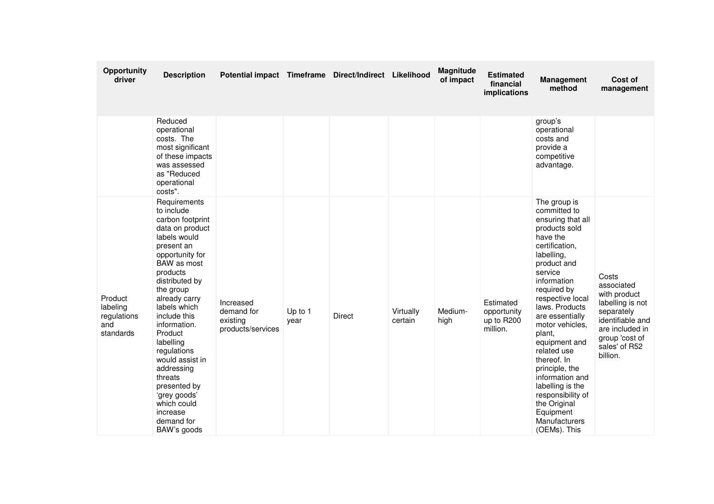| Opportunity<br>driver                                  | <b>Description</b>                                                                                                                                                                                                                                                                                                                                                                                                       | Potential impact Timeframe Direct/Indirect Likelihood    |                   |               |                      | <b>Magnitude</b><br>of impact | <b>Estimated</b><br>financial<br>implications      | <b>Management</b><br>method                                                                                                                                                                                                                                                                                                                                                                                                                             | Cost of<br>management                                                                                                                                       |
|--------------------------------------------------------|--------------------------------------------------------------------------------------------------------------------------------------------------------------------------------------------------------------------------------------------------------------------------------------------------------------------------------------------------------------------------------------------------------------------------|----------------------------------------------------------|-------------------|---------------|----------------------|-------------------------------|----------------------------------------------------|---------------------------------------------------------------------------------------------------------------------------------------------------------------------------------------------------------------------------------------------------------------------------------------------------------------------------------------------------------------------------------------------------------------------------------------------------------|-------------------------------------------------------------------------------------------------------------------------------------------------------------|
|                                                        | Reduced<br>operational<br>costs. The<br>most significant<br>of these impacts<br>was assessed<br>as "Reduced<br>operational<br>costs".                                                                                                                                                                                                                                                                                    |                                                          |                   |               |                      |                               |                                                    | group's<br>operational<br>costs and<br>provide a<br>competitive<br>advantage.                                                                                                                                                                                                                                                                                                                                                                           |                                                                                                                                                             |
| Product<br>labeling<br>regulations<br>and<br>standards | Requirements<br>to include<br>carbon footprint<br>data on product<br>labels would<br>present an<br>opportunity for<br>BAW as most<br>products<br>distributed by<br>the group<br>already carry<br>labels which<br>include this<br>information.<br>Product<br>labelling<br>regulations<br>would assist in<br>addressing<br>threats<br>presented by<br>'grey goods'<br>which could<br>increase<br>demand for<br>BAW's goods | Increased<br>demand for<br>existing<br>products/services | Up to $1$<br>year | <b>Direct</b> | Virtually<br>certain | Medium-<br>high               | Estimated<br>opportunity<br>up to R200<br>million. | The group is<br>committed to<br>ensuring that all<br>products sold<br>have the<br>certification,<br>labelling,<br>product and<br>service<br>information<br>required by<br>respective local<br>laws. Products<br>are essentially<br>motor vehicles,<br>plant,<br>equipment and<br>related use<br>thereof. In<br>principle, the<br>information and<br>labelling is the<br>responsibility of<br>the Original<br>Equipment<br>Manufacturers<br>(OEMs). This | Costs<br>associated<br>with product<br>labelling is not<br>separately<br>identifiable and<br>are included in<br>group 'cost of<br>sales' of R52<br>billion. |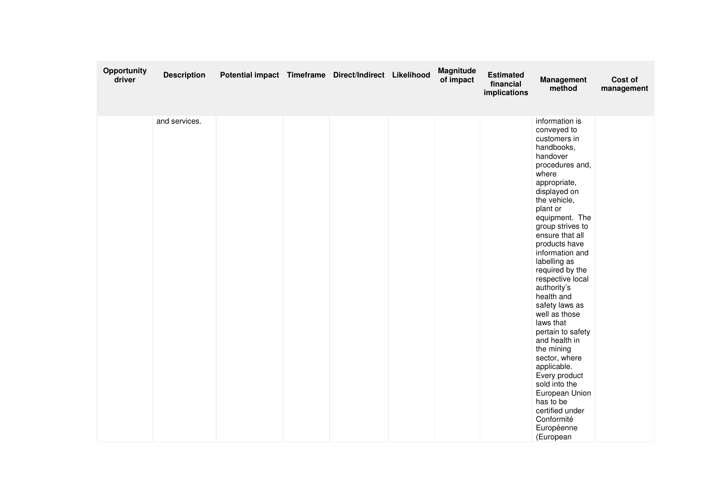| Opportunity<br>driver | <b>Description</b> | Potential impact Timeframe Direct/Indirect Likelihood |  | Magnitude<br>of impact | <b>Estimated</b><br>financial<br>implications | <b>Management</b><br>method                                                                                                                                                                                                                                                                                                                                                                                                                                                                                                                                                                                       | Cost of<br>management |
|-----------------------|--------------------|-------------------------------------------------------|--|------------------------|-----------------------------------------------|-------------------------------------------------------------------------------------------------------------------------------------------------------------------------------------------------------------------------------------------------------------------------------------------------------------------------------------------------------------------------------------------------------------------------------------------------------------------------------------------------------------------------------------------------------------------------------------------------------------------|-----------------------|
|                       | and services.      |                                                       |  |                        |                                               | information is<br>conveyed to<br>customers in<br>handbooks,<br>handover<br>procedures and,<br>where<br>appropriate,<br>displayed on<br>the vehicle,<br>plant or<br>equipment. The<br>group strives to<br>ensure that all<br>products have<br>information and<br>labelling as<br>required by the<br>respective local<br>authority's<br>health and<br>safety laws as<br>well as those<br>laws that<br>pertain to safety<br>and health in<br>the mining<br>sector, where<br>applicable.<br>Every product<br>sold into the<br>European Union<br>has to be<br>certified under<br>Conformité<br>Européenne<br>(European |                       |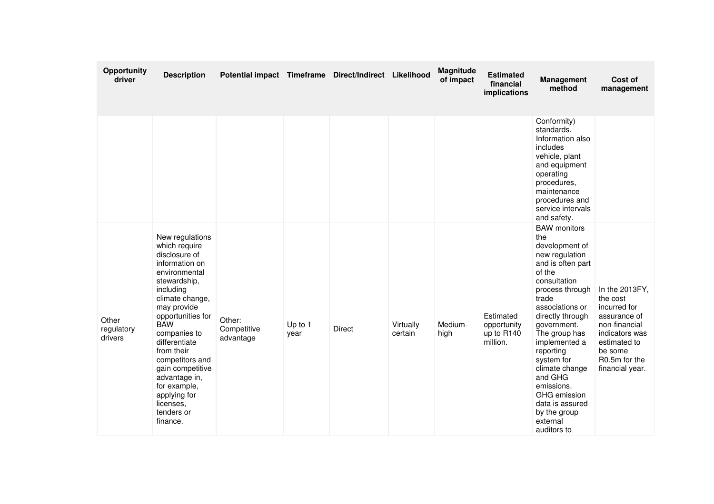| Opportunity<br>driver          | <b>Description</b>                                                                                                                                                                                                                                                                                                                                                   | Potential impact Timeframe Direct/Indirect Likelihood |                   |               |                      | Magnitude<br>of impact | <b>Estimated</b><br>financial<br>implications      | <b>Management</b><br>method                                                                                                                                                                                                                                                                                                                                                                  | Cost of<br>management                                                                                                                                                     |
|--------------------------------|----------------------------------------------------------------------------------------------------------------------------------------------------------------------------------------------------------------------------------------------------------------------------------------------------------------------------------------------------------------------|-------------------------------------------------------|-------------------|---------------|----------------------|------------------------|----------------------------------------------------|----------------------------------------------------------------------------------------------------------------------------------------------------------------------------------------------------------------------------------------------------------------------------------------------------------------------------------------------------------------------------------------------|---------------------------------------------------------------------------------------------------------------------------------------------------------------------------|
|                                |                                                                                                                                                                                                                                                                                                                                                                      |                                                       |                   |               |                      |                        |                                                    | Conformity)<br>standards.<br>Information also<br>includes<br>vehicle, plant<br>and equipment<br>operating<br>procedures,<br>maintenance<br>procedures and<br>service intervals<br>and safety.                                                                                                                                                                                                |                                                                                                                                                                           |
| Other<br>regulatory<br>drivers | New regulations<br>which require<br>disclosure of<br>information on<br>environmental<br>stewardship,<br>including<br>climate change,<br>may provide<br>opportunities for<br><b>BAW</b><br>companies to<br>differentiate<br>from their<br>competitors and<br>gain competitive<br>advantage in,<br>for example,<br>applying for<br>licenses.<br>tenders or<br>finance. | Other:<br>Competitive<br>advantage                    | Up to $1$<br>year | <b>Direct</b> | Virtually<br>certain | Medium-<br>high        | Estimated<br>opportunity<br>up to R140<br>million. | <b>BAW</b> monitors<br>the<br>development of<br>new regulation<br>and is often part<br>of the<br>consultation<br>process through<br>trade<br>associations or<br>directly through<br>government.<br>The group has<br>implemented a<br>reporting<br>system for<br>climate change<br>and GHG<br>emissions.<br><b>GHG</b> emission<br>data is assured<br>by the group<br>external<br>auditors to | In the 2013FY,<br>the cost<br>incurred for<br>assurance of<br>non-financial<br>indicators was<br>estimated to<br>be some<br>R <sub>0</sub> .5m for the<br>financial year. |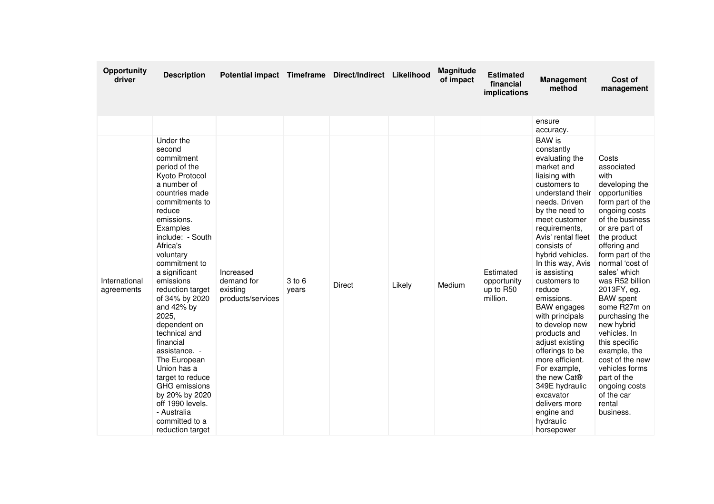| Opportunity<br>driver       | <b>Description</b>                                                                                                                                                                                                                                                                                                                                                                                                                                                                                                                                 | Potential impact Timeframe Direct/Indirect Likelihood    |                 |               |        | Magnitude<br>of impact | <b>Estimated</b><br>financial<br>implications     | <b>Management</b><br>method                                                                                                                                                                                                                                                                                                                                                                                                                                                                                                                                                                          | Cost of<br>management                                                                                                                                                                                                                                                                                                                                                                                                                                                                           |
|-----------------------------|----------------------------------------------------------------------------------------------------------------------------------------------------------------------------------------------------------------------------------------------------------------------------------------------------------------------------------------------------------------------------------------------------------------------------------------------------------------------------------------------------------------------------------------------------|----------------------------------------------------------|-----------------|---------------|--------|------------------------|---------------------------------------------------|------------------------------------------------------------------------------------------------------------------------------------------------------------------------------------------------------------------------------------------------------------------------------------------------------------------------------------------------------------------------------------------------------------------------------------------------------------------------------------------------------------------------------------------------------------------------------------------------------|-------------------------------------------------------------------------------------------------------------------------------------------------------------------------------------------------------------------------------------------------------------------------------------------------------------------------------------------------------------------------------------------------------------------------------------------------------------------------------------------------|
|                             |                                                                                                                                                                                                                                                                                                                                                                                                                                                                                                                                                    |                                                          |                 |               |        |                        |                                                   | ensure<br>accuracy.                                                                                                                                                                                                                                                                                                                                                                                                                                                                                                                                                                                  |                                                                                                                                                                                                                                                                                                                                                                                                                                                                                                 |
| International<br>agreements | Under the<br>second<br>commitment<br>period of the<br>Kyoto Protocol<br>a number of<br>countries made<br>commitments to<br>reduce<br>emissions.<br>Examples<br>include: - South<br>Africa's<br>voluntary<br>commitment to<br>a significant<br>emissions<br>reduction target<br>of 34% by 2020<br>and 42% by<br>2025,<br>dependent on<br>technical and<br>financial<br>assistance. -<br>The European<br>Union has a<br>target to reduce<br>GHG emissions<br>by 20% by 2020<br>off 1990 levels.<br>- Australia<br>committed to a<br>reduction target | Increased<br>demand for<br>existing<br>products/services | 3 to 6<br>years | <b>Direct</b> | Likely | Medium                 | Estimated<br>opportunity<br>up to R50<br>million. | <b>BAW</b> is<br>constantly<br>evaluating the<br>market and<br>liaising with<br>customers to<br>understand their<br>needs. Driven<br>by the need to<br>meet customer<br>requirements,<br>Avis' rental fleet<br>consists of<br>hybrid vehicles.<br>In this way, Avis<br>is assisting<br>customers to<br>reduce<br>emissions.<br><b>BAW</b> engages<br>with principals<br>to develop new<br>products and<br>adjust existing<br>offerings to be<br>more efficient.<br>For example,<br>the new Cat <sup>®</sup><br>349E hydraulic<br>excavator<br>delivers more<br>engine and<br>hydraulic<br>horsepower | Costs<br>associated<br>with<br>developing the<br>opportunities<br>form part of the<br>ongoing costs<br>of the business<br>or are part of<br>the product<br>offering and<br>form part of the<br>normal 'cost of<br>sales' which<br>was R52 billion<br>2013FY, eg.<br><b>BAW</b> spent<br>some R27m on<br>purchasing the<br>new hybrid<br>vehicles. In<br>this specific<br>example, the<br>cost of the new<br>vehicles forms<br>part of the<br>ongoing costs<br>of the car<br>rental<br>business. |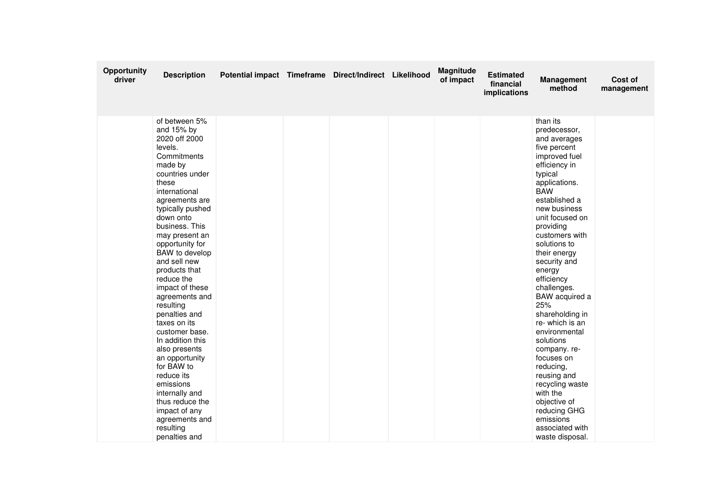| Opportunity<br>driver | <b>Description</b>                                                                                                                                                                                                                                                                                                                                                                                                                                                                                                                                                                                                   | Potential impact Timeframe Direct/Indirect Likelihood |  | <b>Magnitude</b><br>of impact | <b>Estimated</b><br>financial<br>implications | <b>Management</b><br>method                                                                                                                                                                                                                                                                                                                                                                                                                                                                                                                                                           | Cost of<br>management |
|-----------------------|----------------------------------------------------------------------------------------------------------------------------------------------------------------------------------------------------------------------------------------------------------------------------------------------------------------------------------------------------------------------------------------------------------------------------------------------------------------------------------------------------------------------------------------------------------------------------------------------------------------------|-------------------------------------------------------|--|-------------------------------|-----------------------------------------------|---------------------------------------------------------------------------------------------------------------------------------------------------------------------------------------------------------------------------------------------------------------------------------------------------------------------------------------------------------------------------------------------------------------------------------------------------------------------------------------------------------------------------------------------------------------------------------------|-----------------------|
|                       | of between 5%<br>and 15% by<br>2020 off 2000<br>levels.<br>Commitments<br>made by<br>countries under<br>these<br>international<br>agreements are<br>typically pushed<br>down onto<br>business. This<br>may present an<br>opportunity for<br>BAW to develop<br>and sell new<br>products that<br>reduce the<br>impact of these<br>agreements and<br>resulting<br>penalties and<br>taxes on its<br>customer base.<br>In addition this<br>also presents<br>an opportunity<br>for BAW to<br>reduce its<br>emissions<br>internally and<br>thus reduce the<br>impact of any<br>agreements and<br>resulting<br>penalties and |                                                       |  |                               |                                               | than its<br>predecessor.<br>and averages<br>five percent<br>improved fuel<br>efficiency in<br>typical<br>applications.<br><b>BAW</b><br>established a<br>new business<br>unit focused on<br>providing<br>customers with<br>solutions to<br>their energy<br>security and<br>energy<br>efficiency<br>challenges.<br>BAW acquired a<br>25%<br>shareholding in<br>re-which is an<br>environmental<br>solutions<br>company.re-<br>focuses on<br>reducing,<br>reusing and<br>recycling waste<br>with the<br>objective of<br>reducing GHG<br>emissions<br>associated with<br>waste disposal. |                       |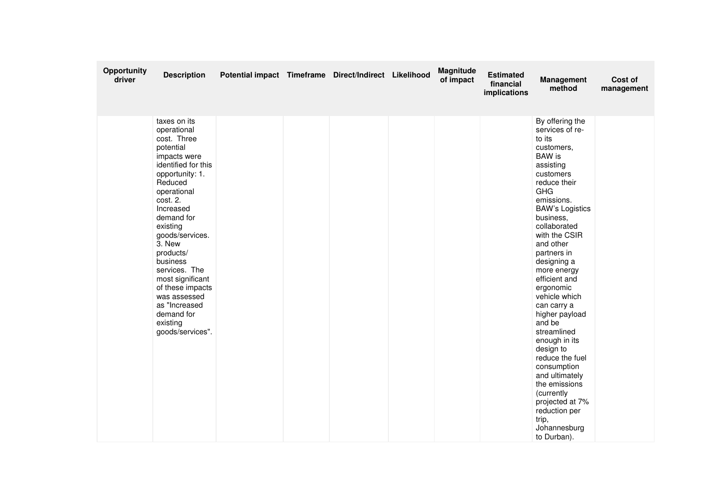| Opportunity<br>driver | <b>Description</b>                                                                                                                                                                                                                                                                                                                                                                           | Potential impact Timeframe Direct/Indirect Likelihood |  | <b>Magnitude</b><br>of impact | <b>Estimated</b><br>financial<br>implications | Management<br>method                                                                                                                                                                                                                                                                                                                                                                                                                                                                                                                                                                      | Cost of<br>management |
|-----------------------|----------------------------------------------------------------------------------------------------------------------------------------------------------------------------------------------------------------------------------------------------------------------------------------------------------------------------------------------------------------------------------------------|-------------------------------------------------------|--|-------------------------------|-----------------------------------------------|-------------------------------------------------------------------------------------------------------------------------------------------------------------------------------------------------------------------------------------------------------------------------------------------------------------------------------------------------------------------------------------------------------------------------------------------------------------------------------------------------------------------------------------------------------------------------------------------|-----------------------|
|                       | taxes on its<br>operational<br>cost. Three<br>potential<br>impacts were<br>identified for this<br>opportunity: 1.<br>Reduced<br>operational<br>cost. 2.<br>Increased<br>demand for<br>existing<br>goods/services.<br>3. New<br>products/<br>business<br>services. The<br>most significant<br>of these impacts<br>was assessed<br>as "Increased<br>demand for<br>existing<br>goods/services". |                                                       |  |                               |                                               | By offering the<br>services of re-<br>to its<br>customers,<br><b>BAW</b> is<br>assisting<br>customers<br>reduce their<br><b>GHG</b><br>emissions.<br><b>BAW's Logistics</b><br>business,<br>collaborated<br>with the CSIR<br>and other<br>partners in<br>designing a<br>more energy<br>efficient and<br>ergonomic<br>vehicle which<br>can carry a<br>higher payload<br>and be<br>streamlined<br>enough in its<br>design to<br>reduce the fuel<br>consumption<br>and ultimately<br>the emissions<br>(currently<br>projected at 7%<br>reduction per<br>trip,<br>Johannesburg<br>to Durban). |                       |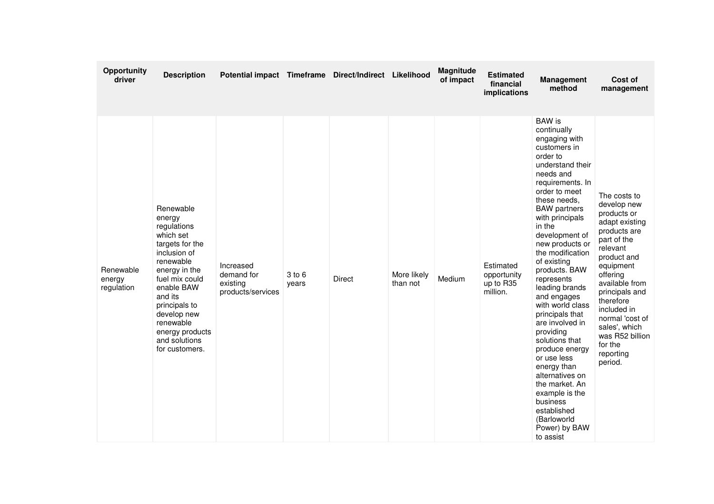| <b>Opportunity</b><br>driver      | <b>Description</b>                                                                                                                                                                                                                                             | Potential impact Timeframe Direct/Indirect Likelihood    |                 |               |                         | <b>Magnitude</b><br>of impact | <b>Estimated</b><br>financial<br>implications     | <b>Management</b><br>method                                                                                                                                                                                                                                                                                                                                                                                                                                                                                                                                                                                                         | Cost of<br>management                                                                                                                                                                                                                                                                                     |
|-----------------------------------|----------------------------------------------------------------------------------------------------------------------------------------------------------------------------------------------------------------------------------------------------------------|----------------------------------------------------------|-----------------|---------------|-------------------------|-------------------------------|---------------------------------------------------|-------------------------------------------------------------------------------------------------------------------------------------------------------------------------------------------------------------------------------------------------------------------------------------------------------------------------------------------------------------------------------------------------------------------------------------------------------------------------------------------------------------------------------------------------------------------------------------------------------------------------------------|-----------------------------------------------------------------------------------------------------------------------------------------------------------------------------------------------------------------------------------------------------------------------------------------------------------|
| Renewable<br>energy<br>regulation | Renewable<br>energy<br>regulations<br>which set<br>targets for the<br>inclusion of<br>renewable<br>energy in the<br>fuel mix could<br>enable BAW<br>and its<br>principals to<br>develop new<br>renewable<br>energy products<br>and solutions<br>for customers. | Increased<br>demand for<br>existina<br>products/services | 3 to 6<br>years | <b>Direct</b> | More likely<br>than not | Medium                        | Estimated<br>opportunity<br>up to R35<br>million. | <b>BAW</b> is<br>continually<br>engaging with<br>customers in<br>order to<br>understand their<br>needs and<br>requirements. In<br>order to meet<br>these needs,<br><b>BAW</b> partners<br>with principals<br>in the<br>development of<br>new products or<br>the modification<br>of existing<br>products. BAW<br>represents<br>leading brands<br>and engages<br>with world class<br>principals that<br>are involved in<br>providing<br>solutions that<br>produce energy<br>or use less<br>energy than<br>alternatives on<br>the market. An<br>example is the<br>business<br>established<br>(Barloworld<br>Power) by BAW<br>to assist | The costs to<br>develop new<br>products or<br>adapt existing<br>products are<br>part of the<br>relevant<br>product and<br>equipment<br>offering<br>available from<br>principals and<br>therefore<br>included in<br>normal 'cost of<br>sales', which<br>was R52 billion<br>for the<br>reporting<br>period. |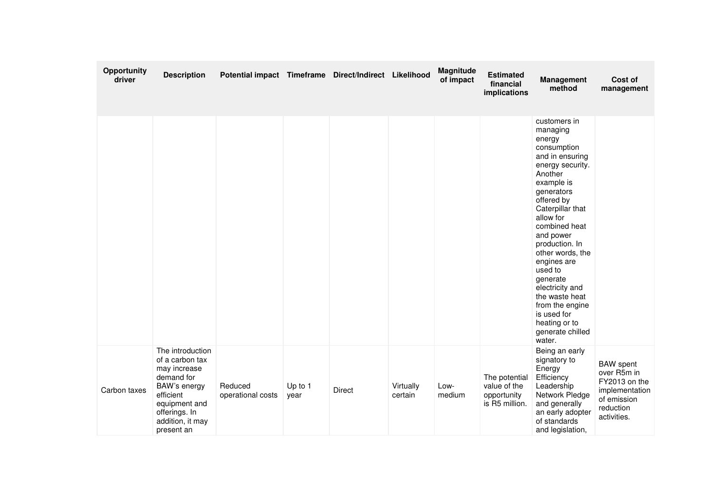| Opportunity<br>driver | <b>Description</b>                                                                                                                                                 | Potential impact Timeframe Direct/Indirect Likelihood |                 |               |                      | Magnitude<br>of impact | <b>Estimated</b><br>financial<br>implications                  | <b>Management</b><br>method                                                                                                                                                                                                                                                                                                                                                                                    | Cost of<br>management                                                                                         |
|-----------------------|--------------------------------------------------------------------------------------------------------------------------------------------------------------------|-------------------------------------------------------|-----------------|---------------|----------------------|------------------------|----------------------------------------------------------------|----------------------------------------------------------------------------------------------------------------------------------------------------------------------------------------------------------------------------------------------------------------------------------------------------------------------------------------------------------------------------------------------------------------|---------------------------------------------------------------------------------------------------------------|
|                       |                                                                                                                                                                    |                                                       |                 |               |                      |                        |                                                                | customers in<br>managing<br>energy<br>consumption<br>and in ensuring<br>energy security.<br>Another<br>example is<br>generators<br>offered by<br>Caterpillar that<br>allow for<br>combined heat<br>and power<br>production. In<br>other words, the<br>engines are<br>used to<br>generate<br>electricity and<br>the waste heat<br>from the engine<br>is used for<br>heating or to<br>generate chilled<br>water. |                                                                                                               |
| Carbon taxes          | The introduction<br>of a carbon tax<br>may increase<br>demand for<br>BAW's energy<br>efficient<br>equipment and<br>offerings. In<br>addition, it may<br>present an | Reduced<br>operational costs                          | Up to 1<br>year | <b>Direct</b> | Virtually<br>certain | Low-<br>medium         | The potential<br>value of the<br>opportunity<br>is R5 million. | Being an early<br>signatory to<br>Energy<br>Efficiency<br>Leadership<br>Network Pledge<br>and generally<br>an early adopter<br>of standards<br>and legislation,                                                                                                                                                                                                                                                | <b>BAW</b> spent<br>over R5m in<br>FY2013 on the<br>implementation<br>of emission<br>reduction<br>activities. |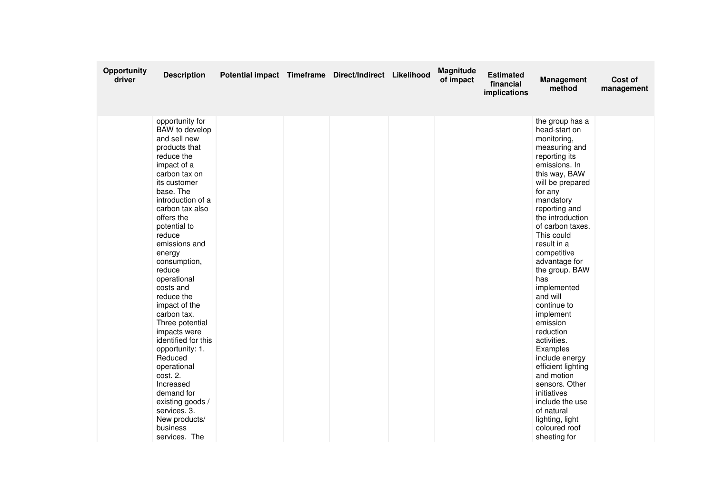| Opportunity<br>driver | <b>Description</b>                                                                                                                                                                                                                                                                                                                                                                                                                                                                                                                                                                           | Potential impact Timeframe Direct/Indirect Likelihood |  | <b>Magnitude</b><br>of impact | <b>Estimated</b><br>financial<br>implications | <b>Management</b><br>method                                                                                                                                                                                                                                                                                                                                                                                                                                                                                                                                                                           | Cost of<br>management |
|-----------------------|----------------------------------------------------------------------------------------------------------------------------------------------------------------------------------------------------------------------------------------------------------------------------------------------------------------------------------------------------------------------------------------------------------------------------------------------------------------------------------------------------------------------------------------------------------------------------------------------|-------------------------------------------------------|--|-------------------------------|-----------------------------------------------|-------------------------------------------------------------------------------------------------------------------------------------------------------------------------------------------------------------------------------------------------------------------------------------------------------------------------------------------------------------------------------------------------------------------------------------------------------------------------------------------------------------------------------------------------------------------------------------------------------|-----------------------|
|                       | opportunity for<br>BAW to develop<br>and sell new<br>products that<br>reduce the<br>impact of a<br>carbon tax on<br>its customer<br>base. The<br>introduction of a<br>carbon tax also<br>offers the<br>potential to<br>reduce<br>emissions and<br>energy<br>consumption,<br>reduce<br>operational<br>costs and<br>reduce the<br>impact of the<br>carbon tax.<br>Three potential<br>impacts were<br>identified for this<br>opportunity: 1.<br>Reduced<br>operational<br>cost. 2.<br>Increased<br>demand for<br>existing goods /<br>services. 3.<br>New products/<br>business<br>services. The |                                                       |  |                               |                                               | the group has a<br>head-start on<br>monitoring,<br>measuring and<br>reporting its<br>emissions. In<br>this way, BAW<br>will be prepared<br>for any<br>mandatory<br>reporting and<br>the introduction<br>of carbon taxes.<br>This could<br>result in a<br>competitive<br>advantage for<br>the group. BAW<br>has<br>implemented<br>and will<br>continue to<br>implement<br>emission<br>reduction<br>activities.<br>Examples<br>include energy<br>efficient lighting<br>and motion<br>sensors. Other<br>initiatives<br>include the use<br>of natural<br>lighting, light<br>coloured roof<br>sheeting for |                       |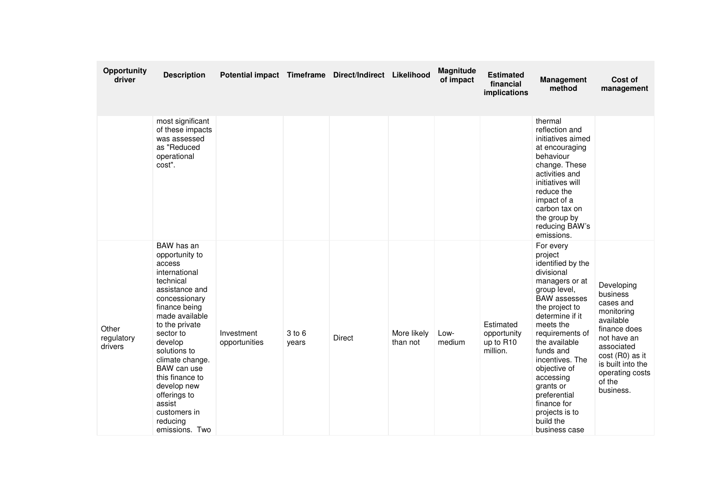| Opportunity<br>driver          | <b>Description</b>                                                                                                                                                                                                                                                                                                                               | Potential impact Timeframe Direct/Indirect Likelihood |                 |               |                         | Magnitude<br>of impact | <b>Estimated</b><br>financial<br>implications     | <b>Management</b><br>method                                                                                                                                                                                                                                                                                                                                     | Cost of<br>management                                                                                                                                                                         |
|--------------------------------|--------------------------------------------------------------------------------------------------------------------------------------------------------------------------------------------------------------------------------------------------------------------------------------------------------------------------------------------------|-------------------------------------------------------|-----------------|---------------|-------------------------|------------------------|---------------------------------------------------|-----------------------------------------------------------------------------------------------------------------------------------------------------------------------------------------------------------------------------------------------------------------------------------------------------------------------------------------------------------------|-----------------------------------------------------------------------------------------------------------------------------------------------------------------------------------------------|
|                                | most significant<br>of these impacts<br>was assessed<br>as "Reduced<br>operational<br>cost".                                                                                                                                                                                                                                                     |                                                       |                 |               |                         |                        |                                                   | thermal<br>reflection and<br>initiatives aimed<br>at encouraging<br>behaviour<br>change. These<br>activities and<br>initiatives will<br>reduce the<br>impact of a<br>carbon tax on<br>the group by<br>reducing BAW's<br>emissions.                                                                                                                              |                                                                                                                                                                                               |
| Other<br>regulatory<br>drivers | BAW has an<br>opportunity to<br>access<br>international<br>technical<br>assistance and<br>concessionary<br>finance being<br>made available<br>to the private<br>sector to<br>develop<br>solutions to<br>climate change.<br>BAW can use<br>this finance to<br>develop new<br>offerings to<br>assist<br>customers in<br>reducing<br>emissions. Two | Investment<br>opportunities                           | 3 to 6<br>years | <b>Direct</b> | More likely<br>than not | Low-<br>medium         | Estimated<br>opportunity<br>up to R10<br>million. | For every<br>project<br>identified by the<br>divisional<br>managers or at<br>group level,<br><b>BAW</b> assesses<br>the project to<br>determine if it<br>meets the<br>requirements of<br>the available<br>funds and<br>incentives. The<br>objective of<br>accessing<br>grants or<br>preferential<br>finance for<br>projects is to<br>build the<br>business case | Developing<br>business<br>cases and<br>monitoring<br>available<br>finance does<br>not have an<br>associated<br>cost (R0) as it<br>is built into the<br>operating costs<br>of the<br>business. |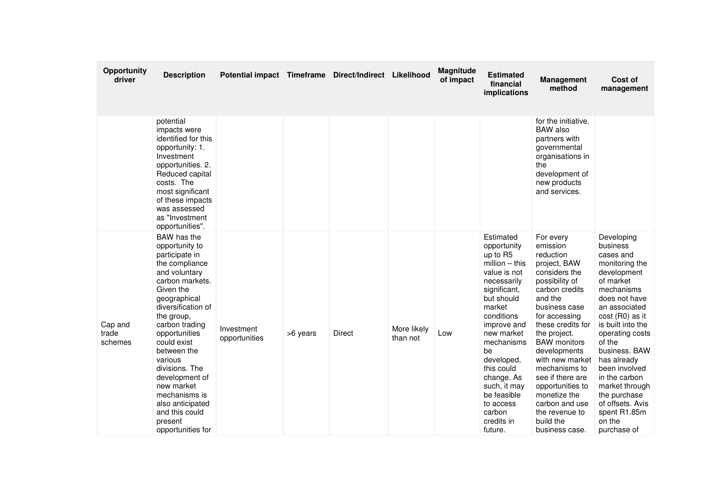| Opportunity<br>driver       | <b>Description</b>                                                                                                                                                                                                                                                                                                                                                                          | Potential impact Timeframe Direct/Indirect Likelihood |          |        |                         | Magnitude<br>of impact | <b>Estimated</b><br>financial<br>implications                                                                                                                                                                                                                                                                           | <b>Management</b><br>method                                                                                                                                                                                                                                                                                                                                                                     | Cost of<br>management                                                                                                                                                                                                                                                                                                                                                   |
|-----------------------------|---------------------------------------------------------------------------------------------------------------------------------------------------------------------------------------------------------------------------------------------------------------------------------------------------------------------------------------------------------------------------------------------|-------------------------------------------------------|----------|--------|-------------------------|------------------------|-------------------------------------------------------------------------------------------------------------------------------------------------------------------------------------------------------------------------------------------------------------------------------------------------------------------------|-------------------------------------------------------------------------------------------------------------------------------------------------------------------------------------------------------------------------------------------------------------------------------------------------------------------------------------------------------------------------------------------------|-------------------------------------------------------------------------------------------------------------------------------------------------------------------------------------------------------------------------------------------------------------------------------------------------------------------------------------------------------------------------|
|                             | potential<br>impacts were<br>identified for this<br>opportunity: 1.<br>Investment<br>opportunities. 2.<br>Reduced capital<br>costs. The<br>most significant<br>of these impacts<br>was assessed<br>as "Investment<br>opportunities".                                                                                                                                                        |                                                       |          |        |                         |                        |                                                                                                                                                                                                                                                                                                                         | for the initiative.<br><b>BAW</b> also<br>partners with<br>governmental<br>organisations in<br>the<br>development of<br>new products<br>and services.                                                                                                                                                                                                                                           |                                                                                                                                                                                                                                                                                                                                                                         |
| Cap and<br>trade<br>schemes | BAW has the<br>opportunity to<br>participate in<br>the compliance<br>and voluntary<br>carbon markets.<br>Given the<br>geographical<br>diversification of<br>the group,<br>carbon trading<br>opportunities<br>could exist<br>between the<br>various<br>divisions. The<br>development of<br>new market<br>mechanisms is<br>also anticipated<br>and this could<br>present<br>opportunities for | Investment<br>opportunities                           | >6 years | Direct | More likely<br>than not | Low                    | Estimated<br>opportunity<br>up to R5<br>$million - this$<br>value is not<br>necessarily<br>significant,<br>but should<br>market<br>conditions<br>improve and<br>new market<br>mechanisms<br>be<br>developed,<br>this could<br>change. As<br>such, it may<br>be feasible<br>to access<br>carbon<br>credits in<br>future. | For every<br>emission<br>reduction<br>project, BAW<br>considers the<br>possibility of<br>carbon credits<br>and the<br>business case<br>for accessing<br>these credits for<br>the project.<br><b>BAW</b> monitors<br>developments<br>with new market<br>mechanisms to<br>see if there are<br>opportunities to<br>monetize the<br>carbon and use<br>the revenue to<br>build the<br>business case. | Developing<br>business<br>cases and<br>monitoring the<br>development<br>of market<br>mechanisms<br>does not have<br>an associated<br>cost (R0) as it<br>is built into the<br>operating costs<br>of the<br>business. BAW<br>has already<br>been involved<br>in the carbon<br>market through<br>the purchase<br>of offsets. Avis<br>spent R1.85m<br>on the<br>purchase of |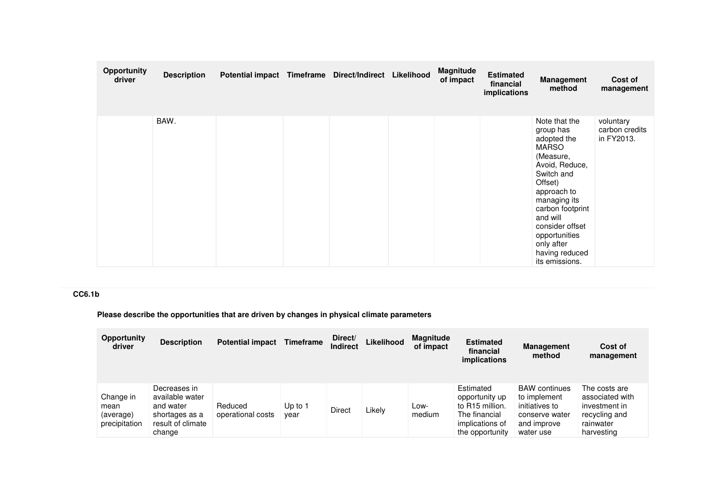| Opportunity<br>driver | <b>Description</b> | Potential impact Timeframe | Direct/Indirect | Likelihood | Magnitude<br>of impact | <b>Estimated</b><br>financial<br>implications | <b>Management</b><br>method                                                                                                                                                                                                                                            | Cost of<br>management                     |
|-----------------------|--------------------|----------------------------|-----------------|------------|------------------------|-----------------------------------------------|------------------------------------------------------------------------------------------------------------------------------------------------------------------------------------------------------------------------------------------------------------------------|-------------------------------------------|
|                       | BAW.               |                            |                 |            |                        |                                               | Note that the<br>group has<br>adopted the<br><b>MARSO</b><br>(Measure,<br>Avoid, Reduce,<br>Switch and<br>Offset)<br>approach to<br>managing its<br>carbon footprint<br>and will<br>consider offset<br>opportunities<br>only after<br>having reduced<br>its emissions. | voluntary<br>carbon credits<br>in FY2013. |

## **CC6.1b**

**Please describe the opportunities that are driven by changes in physical climate parameters**

| <b>Opportunity</b><br>driver                    | <b>Description</b>                                                                            | <b>Potential impact</b>      | Timeframe       | Direct/<br><b>Indirect</b> | Likelihood | <b>Magnitude</b><br>of impact | <b>Estimated</b><br>financial<br><i>implications</i>                                                              | <b>Management</b><br>method                                                                          | Cost of<br>management                                                                         |
|-------------------------------------------------|-----------------------------------------------------------------------------------------------|------------------------------|-----------------|----------------------------|------------|-------------------------------|-------------------------------------------------------------------------------------------------------------------|------------------------------------------------------------------------------------------------------|-----------------------------------------------------------------------------------------------|
| Change in<br>mean<br>(average)<br>precipitation | Decreases in<br>available water<br>and water<br>shortages as a<br>result of climate<br>change | Reduced<br>operational costs | Up to 1<br>year | <b>Direct</b>              | Likely     | Low-<br>medium                | Estimated<br>opportunity up<br>to R <sub>15</sub> million.<br>The financial<br>implications of<br>the opportunity | <b>BAW</b> continues<br>to implement<br>initiatives to<br>conserve water<br>and improve<br>water use | The costs are<br>associated with<br>investment in<br>recycling and<br>rainwater<br>harvesting |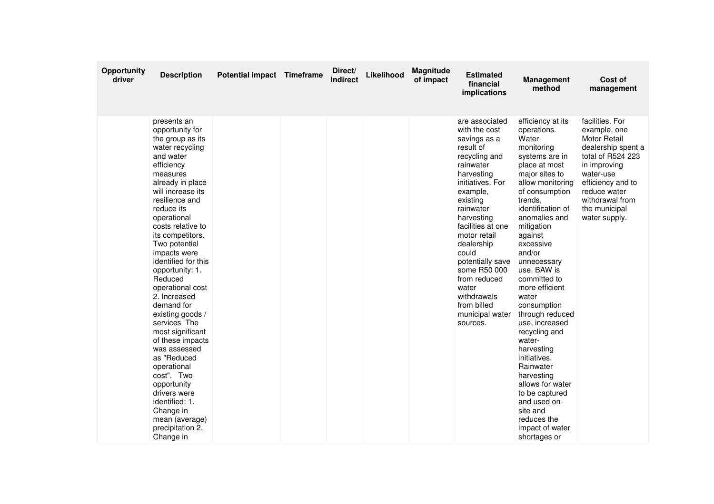| <b>Opportunity</b><br>driver | <b>Description</b>                                                                                                                                                                                                                                                                                                                                                                                                                                                                                                                                                                                                                             | <b>Potential impact Timeframe</b> | Direct/<br><b>Indirect</b> | Likelihood | Magnitude<br>of impact | <b>Estimated</b><br>financial<br>implications                                                                                                                                                                                                                                                                                                                         | <b>Management</b><br>method                                                                                                                                                                                                                                                                                                                                                                                                                                                                                                                                                              | Cost of<br>management                                                                                                                                                                                                    |
|------------------------------|------------------------------------------------------------------------------------------------------------------------------------------------------------------------------------------------------------------------------------------------------------------------------------------------------------------------------------------------------------------------------------------------------------------------------------------------------------------------------------------------------------------------------------------------------------------------------------------------------------------------------------------------|-----------------------------------|----------------------------|------------|------------------------|-----------------------------------------------------------------------------------------------------------------------------------------------------------------------------------------------------------------------------------------------------------------------------------------------------------------------------------------------------------------------|------------------------------------------------------------------------------------------------------------------------------------------------------------------------------------------------------------------------------------------------------------------------------------------------------------------------------------------------------------------------------------------------------------------------------------------------------------------------------------------------------------------------------------------------------------------------------------------|--------------------------------------------------------------------------------------------------------------------------------------------------------------------------------------------------------------------------|
|                              | presents an<br>opportunity for<br>the group as its<br>water recycling<br>and water<br>efficiency<br>measures<br>already in place<br>will increase its<br>resilience and<br>reduce its<br>operational<br>costs relative to<br>its competitors.<br>Two potential<br>impacts were<br>identified for this<br>opportunity: 1.<br>Reduced<br>operational cost<br>2. Increased<br>demand for<br>existing goods /<br>services The<br>most significant<br>of these impacts<br>was assessed<br>as "Reduced<br>operational<br>cost". Two<br>opportunity<br>drivers were<br>identified: 1.<br>Change in<br>mean (average)<br>precipitation 2.<br>Change in |                                   |                            |            |                        | are associated<br>with the cost<br>savings as a<br>result of<br>recycling and<br>rainwater<br>harvesting<br>initiatives. For<br>example,<br>existing<br>rainwater<br>harvesting<br>facilities at one<br>motor retail<br>dealership<br>could<br>potentially save<br>some R50 000<br>from reduced<br>water<br>withdrawals<br>from billed<br>municipal water<br>sources. | efficiency at its<br>operations.<br>Water<br>monitoring<br>systems are in<br>place at most<br>major sites to<br>allow monitoring<br>of consumption<br>trends,<br>identification of<br>anomalies and<br>mitigation<br>against<br>excessive<br>and/or<br>unnecessary<br>use. BAW is<br>committed to<br>more efficient<br>water<br>consumption<br>through reduced<br>use, increased<br>recycling and<br>water-<br>harvesting<br>initiatives.<br>Rainwater<br>harvesting<br>allows for water<br>to be captured<br>and used on-<br>site and<br>reduces the<br>impact of water<br>shortages or | facilities. For<br>example, one<br><b>Motor Retail</b><br>dealership spent a<br>total of R524 223<br>in improving<br>water-use<br>efficiency and to<br>reduce water<br>withdrawal from<br>the municipal<br>water supply. |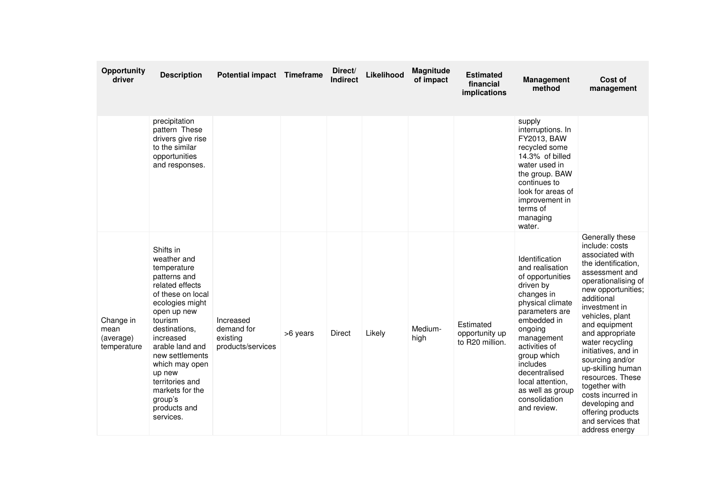| Opportunity<br>driver                         | <b>Description</b>                                                                                                                                                                                                                                                                                                         | <b>Potential impact Timeframe</b>                        |          | Direct/<br><b>Indirect</b> | Likelihood | Magnitude<br>of impact | <b>Estimated</b><br>financial<br><i>implications</i> | <b>Management</b><br>method                                                                                                                                                                                                                                                                         | Cost of<br>management                                                                                                                                                                                                                                                                                                                                                                                                                                      |
|-----------------------------------------------|----------------------------------------------------------------------------------------------------------------------------------------------------------------------------------------------------------------------------------------------------------------------------------------------------------------------------|----------------------------------------------------------|----------|----------------------------|------------|------------------------|------------------------------------------------------|-----------------------------------------------------------------------------------------------------------------------------------------------------------------------------------------------------------------------------------------------------------------------------------------------------|------------------------------------------------------------------------------------------------------------------------------------------------------------------------------------------------------------------------------------------------------------------------------------------------------------------------------------------------------------------------------------------------------------------------------------------------------------|
|                                               | precipitation<br>pattern These<br>drivers give rise<br>to the similar<br>opportunities<br>and responses.                                                                                                                                                                                                                   |                                                          |          |                            |            |                        |                                                      | supply<br>interruptions. In<br>FY2013, BAW<br>recycled some<br>14.3% of billed<br>water used in<br>the group. BAW<br>continues to<br>look for areas of<br>improvement in<br>terms of<br>managing<br>water.                                                                                          |                                                                                                                                                                                                                                                                                                                                                                                                                                                            |
| Change in<br>mean<br>(average)<br>temperature | Shifts in<br>weather and<br>temperature<br>patterns and<br>related effects<br>of these on local<br>ecologies might<br>open up new<br>tourism<br>destinations,<br>increased<br>arable land and<br>new settlements<br>which may open<br>up new<br>territories and<br>markets for the<br>group's<br>products and<br>services. | Increased<br>demand for<br>existing<br>products/services | >6 years | <b>Direct</b>              | Likely     | Medium-<br>high        | Estimated<br>opportunity up<br>to R20 million.       | Identification<br>and realisation<br>of opportunities<br>driven by<br>changes in<br>physical climate<br>parameters are<br>embedded in<br>ongoing<br>management<br>activities of<br>group which<br>includes<br>decentralised<br>local attention,<br>as well as group<br>consolidation<br>and review. | Generally these<br>include: costs<br>associated with<br>the identification,<br>assessment and<br>operationalising of<br>new opportunities;<br>additional<br>investment in<br>vehicles, plant<br>and equipment<br>and appropriate<br>water recycling<br>initiatives, and in<br>sourcing and/or<br>up-skilling human<br>resources. These<br>together with<br>costs incurred in<br>developing and<br>offering products<br>and services that<br>address energy |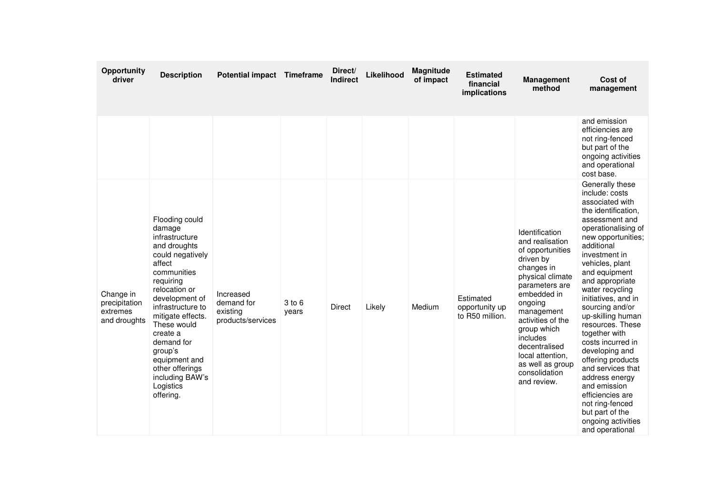| Opportunity<br>driver                                  | <b>Description</b>                                                                                                                                                                                                                                                                                                                     | Potential impact Timeframe                               |                 | Direct/<br><b>Indirect</b> | Likelihood | Magnitude<br>of impact | <b>Estimated</b><br>financial<br>implications  | <b>Management</b><br>method                                                                                                                                                                                                                                                                             | Cost of<br>management                                                                                                                                                                                                                                                                                                                                                                                                                                                                                                                                                         |
|--------------------------------------------------------|----------------------------------------------------------------------------------------------------------------------------------------------------------------------------------------------------------------------------------------------------------------------------------------------------------------------------------------|----------------------------------------------------------|-----------------|----------------------------|------------|------------------------|------------------------------------------------|---------------------------------------------------------------------------------------------------------------------------------------------------------------------------------------------------------------------------------------------------------------------------------------------------------|-------------------------------------------------------------------------------------------------------------------------------------------------------------------------------------------------------------------------------------------------------------------------------------------------------------------------------------------------------------------------------------------------------------------------------------------------------------------------------------------------------------------------------------------------------------------------------|
|                                                        |                                                                                                                                                                                                                                                                                                                                        |                                                          |                 |                            |            |                        |                                                |                                                                                                                                                                                                                                                                                                         | and emission<br>efficiencies are<br>not ring-fenced<br>but part of the<br>ongoing activities<br>and operational<br>cost base.                                                                                                                                                                                                                                                                                                                                                                                                                                                 |
| Change in<br>precipitation<br>extremes<br>and droughts | Flooding could<br>damage<br>infrastructure<br>and droughts<br>could negatively<br>affect<br>communities<br>requiring<br>relocation or<br>development of<br>infrastructure to<br>mitigate effects.<br>These would<br>create a<br>demand for<br>group's<br>equipment and<br>other offerings<br>including BAW's<br>Logistics<br>offering. | Increased<br>demand for<br>existing<br>products/services | 3 to 6<br>years | Direct                     | Likely     | Medium                 | Estimated<br>opportunity up<br>to R50 million. | Identification<br>and realisation<br>of opportunities<br>driven by<br>changes in<br>physical climate<br>parameters are<br>embedded in<br>ongoing<br>management<br>activities of the<br>group which<br>includes<br>decentralised<br>local attention.<br>as well as group<br>consolidation<br>and review. | Generally these<br>include: costs<br>associated with<br>the identification,<br>assessment and<br>operationalising of<br>new opportunities;<br>additional<br>investment in<br>vehicles, plant<br>and equipment<br>and appropriate<br>water recycling<br>initiatives, and in<br>sourcing and/or<br>up-skilling human<br>resources. These<br>together with<br>costs incurred in<br>developing and<br>offering products<br>and services that<br>address energy<br>and emission<br>efficiencies are<br>not ring-fenced<br>but part of the<br>ongoing activities<br>and operational |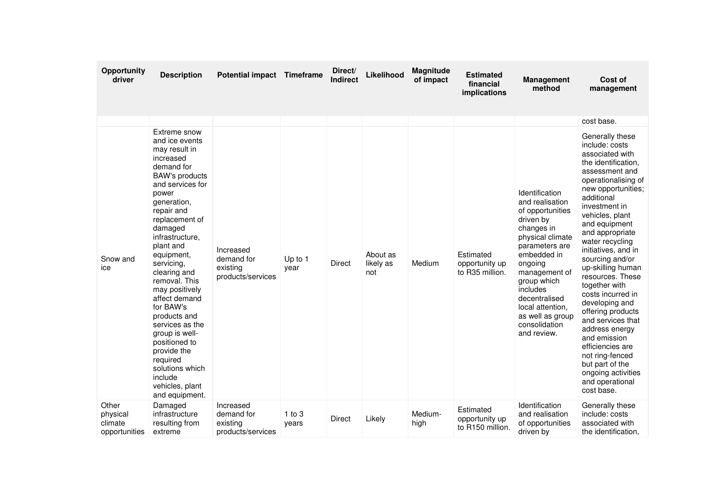| Opportunity<br>driver                         | <b>Description</b>                                                                                                                                                                                                                                                                                                                                                                                                                                                                                          | Potential impact Timeframe                               |                     | Direct/<br><b>Indirect</b> | Likelihood                   | Magnitude<br>of impact | <b>Estimated</b><br>financial<br>implications   | <b>Management</b><br>method                                                                                                                                                                                                                                                           | Cost of<br>management                                                                                                                                                                                                                                                                                                                                                                                                                                                                                                                                                                       |
|-----------------------------------------------|-------------------------------------------------------------------------------------------------------------------------------------------------------------------------------------------------------------------------------------------------------------------------------------------------------------------------------------------------------------------------------------------------------------------------------------------------------------------------------------------------------------|----------------------------------------------------------|---------------------|----------------------------|------------------------------|------------------------|-------------------------------------------------|---------------------------------------------------------------------------------------------------------------------------------------------------------------------------------------------------------------------------------------------------------------------------------------|---------------------------------------------------------------------------------------------------------------------------------------------------------------------------------------------------------------------------------------------------------------------------------------------------------------------------------------------------------------------------------------------------------------------------------------------------------------------------------------------------------------------------------------------------------------------------------------------|
|                                               |                                                                                                                                                                                                                                                                                                                                                                                                                                                                                                             |                                                          |                     |                            |                              |                        |                                                 |                                                                                                                                                                                                                                                                                       | cost base.                                                                                                                                                                                                                                                                                                                                                                                                                                                                                                                                                                                  |
| Snow and<br>ice                               | Extreme snow<br>and ice events<br>may result in<br>increased<br>demand for<br><b>BAW's products</b><br>and services for<br>power<br>generation,<br>repair and<br>replacement of<br>damaged<br>infrastructure,<br>plant and<br>equipment,<br>servicing,<br>clearing and<br>removal. This<br>may positively<br>affect demand<br>for BAW's<br>products and<br>services as the<br>group is well-<br>positioned to<br>provide the<br>required<br>solutions which<br>include<br>vehicles, plant<br>and equipment. | Increased<br>demand for<br>existing<br>products/services | Up to 1<br>year     | Direct                     | About as<br>likely as<br>not | Medium                 | Estimated<br>opportunity up<br>to R35 million.  | Identification<br>and realisation<br>of opportunities<br>driven by<br>changes in<br>physical climate<br>parameters are<br>embedded in<br>ongoing<br>management of<br>group which<br>includes<br>decentralised<br>local attention.<br>as well as group<br>consolidation<br>and review. | Generally these<br>include: costs<br>associated with<br>the identification,<br>assessment and<br>operationalising of<br>new opportunities;<br>additional<br>investment in<br>vehicles, plant<br>and equipment<br>and appropriate<br>water recycling<br>initiatives, and in<br>sourcing and/or<br>up-skilling human<br>resources. These<br>together with<br>costs incurred in<br>developing and<br>offering products<br>and services that<br>address energy<br>and emission<br>efficiencies are<br>not ring-fenced<br>but part of the<br>ongoing activities<br>and operational<br>cost base. |
| Other<br>physical<br>climate<br>opportunities | Damaged<br>infrastructure<br>resulting from<br>extreme                                                                                                                                                                                                                                                                                                                                                                                                                                                      | Increased<br>demand for<br>existing<br>products/services | $1$ to $3$<br>years | Direct                     | Likely                       | Medium-<br>high        | Estimated<br>opportunity up<br>to R150 million. | Identification<br>and realisation<br>of opportunities<br>driven by                                                                                                                                                                                                                    | Generally these<br>include: costs<br>associated with<br>the identification,                                                                                                                                                                                                                                                                                                                                                                                                                                                                                                                 |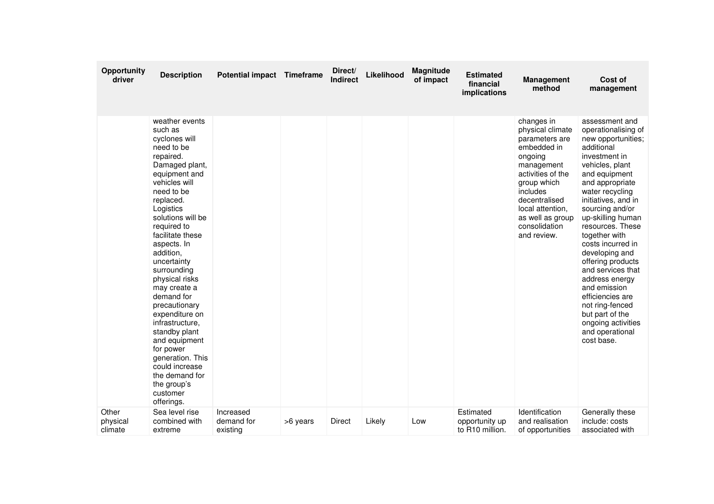| <b>Opportunity</b><br>driver | <b>Description</b>                                                                                                                                                                                                                                                                                                                                                                                                                                                                                                                        | <b>Potential impact Timeframe</b>   |          | Direct/<br><b>Indirect</b> | Likelihood | Magnitude<br>of impact | <b>Estimated</b><br>financial<br>implications              | <b>Management</b><br>method                                                                                                                                                                                                       | Cost of<br>management                                                                                                                                                                                                                                                                                                                                                                                                                                                                                        |
|------------------------------|-------------------------------------------------------------------------------------------------------------------------------------------------------------------------------------------------------------------------------------------------------------------------------------------------------------------------------------------------------------------------------------------------------------------------------------------------------------------------------------------------------------------------------------------|-------------------------------------|----------|----------------------------|------------|------------------------|------------------------------------------------------------|-----------------------------------------------------------------------------------------------------------------------------------------------------------------------------------------------------------------------------------|--------------------------------------------------------------------------------------------------------------------------------------------------------------------------------------------------------------------------------------------------------------------------------------------------------------------------------------------------------------------------------------------------------------------------------------------------------------------------------------------------------------|
|                              | weather events<br>such as<br>cyclones will<br>need to be<br>repaired.<br>Damaged plant,<br>equipment and<br>vehicles will<br>need to be<br>replaced.<br>Logistics<br>solutions will be<br>required to<br>facilitate these<br>aspects. In<br>addition,<br>uncertainty<br>surrounding<br>physical risks<br>may create a<br>demand for<br>precautionary<br>expenditure on<br>infrastructure,<br>standby plant<br>and equipment<br>for power<br>generation. This<br>could increase<br>the demand for<br>the group's<br>customer<br>offerings. |                                     |          |                            |            |                        |                                                            | changes in<br>physical climate<br>parameters are<br>embedded in<br>ongoing<br>management<br>activities of the<br>group which<br>includes<br>decentralised<br>local attention,<br>as well as group<br>consolidation<br>and review. | assessment and<br>operationalising of<br>new opportunities;<br>additional<br>investment in<br>vehicles, plant<br>and equipment<br>and appropriate<br>water recycling<br>initiatives, and in<br>sourcing and/or<br>up-skilling human<br>resources. These<br>together with<br>costs incurred in<br>developing and<br>offering products<br>and services that<br>address energy<br>and emission<br>efficiencies are<br>not ring-fenced<br>but part of the<br>ongoing activities<br>and operational<br>cost base. |
| Other<br>physical<br>climate | Sea level rise<br>combined with<br>extreme                                                                                                                                                                                                                                                                                                                                                                                                                                                                                                | Increased<br>demand for<br>existing | >6 years | Direct                     | Likely     | Low                    | Estimated<br>opportunity up<br>to R <sub>10</sub> million. | Identification<br>and realisation<br>of opportunities                                                                                                                                                                             | Generally these<br>include: costs<br>associated with                                                                                                                                                                                                                                                                                                                                                                                                                                                         |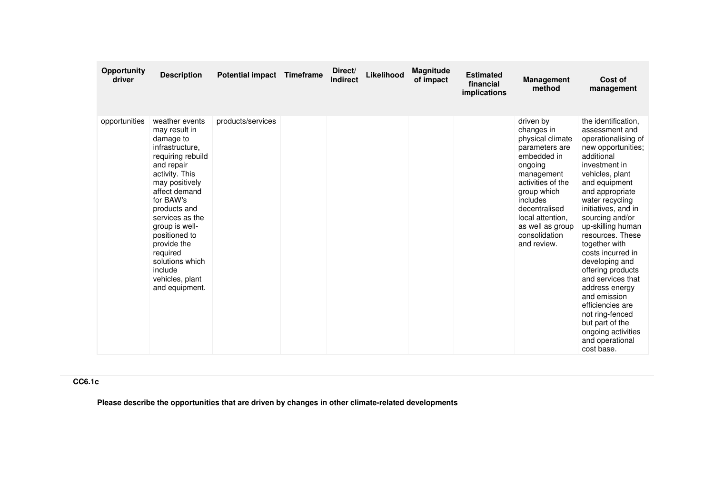| <b>Opportunity</b><br>driver | <b>Description</b>                                                                                                                                                                                                                                                                                                                       | <b>Potential impact</b> | <b>Timeframe</b> | Direct/<br><b>Indirect</b> | Likelihood | Magnitude<br>of impact | <b>Estimated</b><br>financial<br>implications | <b>Management</b><br>method                                                                                                                                                                                                                    | Cost of<br>management                                                                                                                                                                                                                                                                                                                                                                                                                                                                                                               |
|------------------------------|------------------------------------------------------------------------------------------------------------------------------------------------------------------------------------------------------------------------------------------------------------------------------------------------------------------------------------------|-------------------------|------------------|----------------------------|------------|------------------------|-----------------------------------------------|------------------------------------------------------------------------------------------------------------------------------------------------------------------------------------------------------------------------------------------------|-------------------------------------------------------------------------------------------------------------------------------------------------------------------------------------------------------------------------------------------------------------------------------------------------------------------------------------------------------------------------------------------------------------------------------------------------------------------------------------------------------------------------------------|
| opportunities                | weather events<br>may result in<br>damage to<br>infrastructure.<br>requiring rebuild<br>and repair<br>activity. This<br>may positively<br>affect demand<br>for BAW's<br>products and<br>services as the<br>group is well-<br>positioned to<br>provide the<br>required<br>solutions which<br>include<br>vehicles, plant<br>and equipment. | products/services       |                  |                            |            |                        |                                               | driven by<br>changes in<br>physical climate<br>parameters are<br>embedded in<br>ongoing<br>management<br>activities of the<br>group which<br>includes<br>decentralised<br>local attention,<br>as well as group<br>consolidation<br>and review. | the identification.<br>assessment and<br>operationalising of<br>new opportunities;<br>additional<br>investment in<br>vehicles, plant<br>and equipment<br>and appropriate<br>water recycling<br>initiatives, and in<br>sourcing and/or<br>up-skilling human<br>resources. These<br>together with<br>costs incurred in<br>developing and<br>offering products<br>and services that<br>address energy<br>and emission<br>efficiencies are<br>not ring-fenced<br>but part of the<br>ongoing activities<br>and operational<br>cost base. |

## **CC6.1c**

**Please describe the opportunities that are driven by changes in other climate-related developments**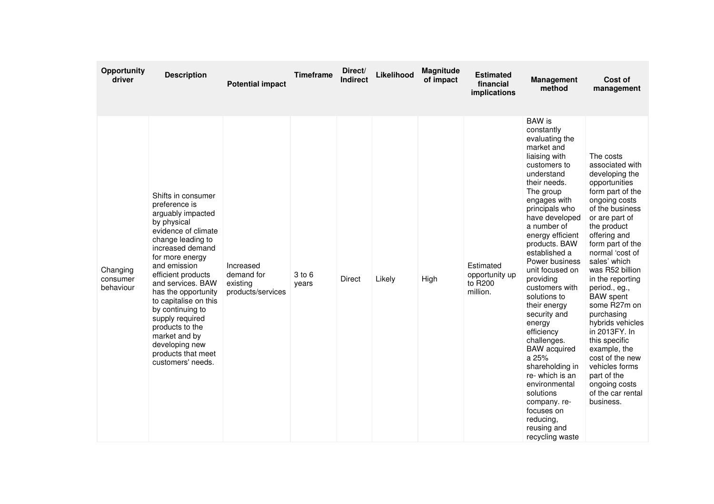| Opportunity<br>driver             | <b>Description</b>                                                                                                                                                                                                                                                                                                                                                                                            | <b>Potential impact</b>                                  | <b>Timeframe</b> | Direct/<br><b>Indirect</b> | Likelihood | <b>Magnitude</b><br>of impact | <b>Estimated</b><br>financial<br>implications      | <b>Management</b><br>method                                                                                                                                                                                                                                                                                                                                                                                                                                                                                                                                                                                | Cost of<br>management                                                                                                                                                                                                                                                                                                                                                                                                                                                                                                  |
|-----------------------------------|---------------------------------------------------------------------------------------------------------------------------------------------------------------------------------------------------------------------------------------------------------------------------------------------------------------------------------------------------------------------------------------------------------------|----------------------------------------------------------|------------------|----------------------------|------------|-------------------------------|----------------------------------------------------|------------------------------------------------------------------------------------------------------------------------------------------------------------------------------------------------------------------------------------------------------------------------------------------------------------------------------------------------------------------------------------------------------------------------------------------------------------------------------------------------------------------------------------------------------------------------------------------------------------|------------------------------------------------------------------------------------------------------------------------------------------------------------------------------------------------------------------------------------------------------------------------------------------------------------------------------------------------------------------------------------------------------------------------------------------------------------------------------------------------------------------------|
| Changing<br>consumer<br>behaviour | Shifts in consumer<br>preference is<br>arguably impacted<br>by physical<br>evidence of climate<br>change leading to<br>increased demand<br>for more energy<br>and emission<br>efficient products<br>and services. BAW<br>has the opportunity<br>to capitalise on this<br>by continuing to<br>supply required<br>products to the<br>market and by<br>developing new<br>products that meet<br>customers' needs. | Increased<br>demand for<br>existing<br>products/services | 3 to 6<br>years  | <b>Direct</b>              | Likely     | High                          | Estimated<br>opportunity up<br>to R200<br>million. | <b>BAW</b> is<br>constantly<br>evaluating the<br>market and<br>liaising with<br>customers to<br>understand<br>their needs.<br>The group<br>engages with<br>principals who<br>have developed<br>a number of<br>energy efficient<br>products. BAW<br>established a<br>Power business<br>unit focused on<br>providing<br>customers with<br>solutions to<br>their energy<br>security and<br>energy<br>efficiency<br>challenges.<br><b>BAW</b> acquired<br>a 25%<br>shareholding in<br>re-which is an<br>environmental<br>solutions<br>company.re-<br>focuses on<br>reducing,<br>reusing and<br>recycling waste | The costs<br>associated with<br>developing the<br>opportunities<br>form part of the<br>ongoing costs<br>of the business<br>or are part of<br>the product<br>offering and<br>form part of the<br>normal 'cost of<br>sales' which<br>was R52 billion<br>in the reporting<br>period., eg.,<br><b>BAW</b> spent<br>some R27m on<br>purchasing<br>hybrids vehicles<br>in 2013FY. In<br>this specific<br>example, the<br>cost of the new<br>vehicles forms<br>part of the<br>ongoing costs<br>of the car rental<br>business. |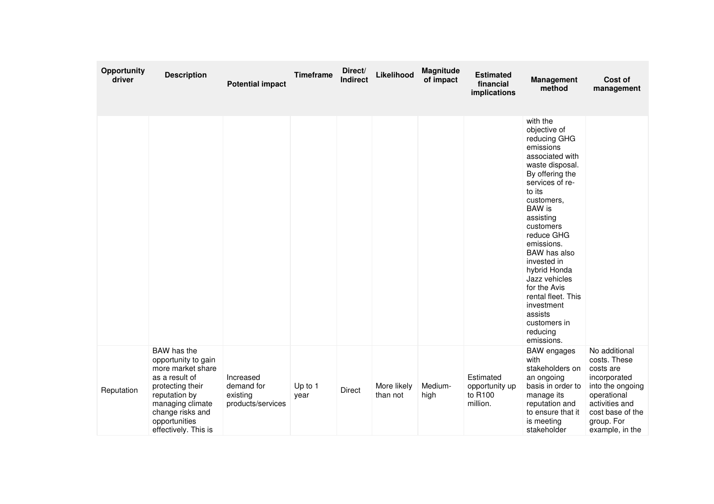| Opportunity<br>driver | <b>Description</b>                                                                                                                                                                              | <b>Potential impact</b>                                  | <b>Timeframe</b> | Direct/<br><b>Indirect</b> | Likelihood              | Magnitude<br>of impact | <b>Estimated</b><br>financial<br>implications      | <b>Management</b><br>method                                                                                                                                                                                                                                                                                                                                                                        | Cost of<br>management                                                                                                                                                |
|-----------------------|-------------------------------------------------------------------------------------------------------------------------------------------------------------------------------------------------|----------------------------------------------------------|------------------|----------------------------|-------------------------|------------------------|----------------------------------------------------|----------------------------------------------------------------------------------------------------------------------------------------------------------------------------------------------------------------------------------------------------------------------------------------------------------------------------------------------------------------------------------------------------|----------------------------------------------------------------------------------------------------------------------------------------------------------------------|
|                       |                                                                                                                                                                                                 |                                                          |                  |                            |                         |                        |                                                    | with the<br>objective of<br>reducing GHG<br>emissions<br>associated with<br>waste disposal.<br>By offering the<br>services of re-<br>to its<br>customers,<br>BAW is<br>assisting<br>customers<br>reduce GHG<br>emissions.<br>BAW has also<br>invested in<br>hybrid Honda<br>Jazz vehicles<br>for the Avis<br>rental fleet. This<br>investment<br>assists<br>customers in<br>reducing<br>emissions. |                                                                                                                                                                      |
| Reputation            | BAW has the<br>opportunity to gain<br>more market share<br>as a result of<br>protecting their<br>reputation by<br>managing climate<br>change risks and<br>opportunities<br>effectively. This is | Increased<br>demand for<br>existing<br>products/services | Up to 1<br>year  | Direct                     | More likely<br>than not | Medium-<br>high        | Estimated<br>opportunity up<br>to R100<br>million. | <b>BAW</b> engages<br>with<br>stakeholders on<br>an ongoing<br>basis in order to<br>manage its<br>reputation and<br>to ensure that it<br>is meeting<br>stakeholder                                                                                                                                                                                                                                 | No additional<br>costs. These<br>costs are<br>incorporated<br>into the ongoing<br>operational<br>activities and<br>cost base of the<br>group. For<br>example, in the |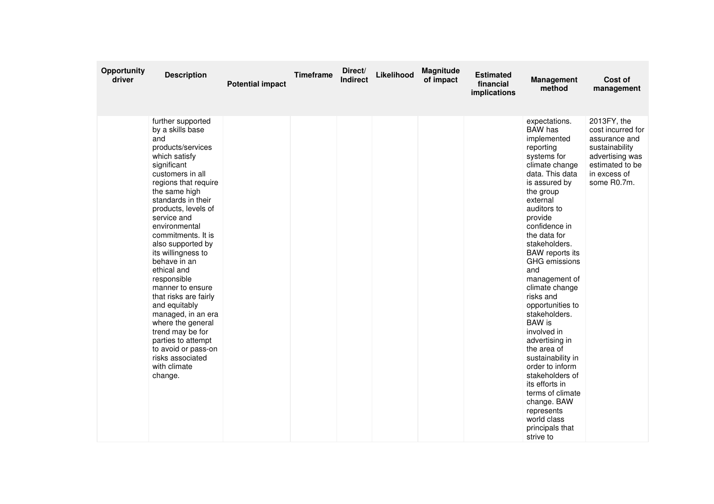| Opportunity<br>driver | <b>Description</b>                                                                                                                                                                                                                                                                                                                                                                                                                                                                                                                                                                  | <b>Potential impact</b> | <b>Timeframe</b> | Direct/<br><b>Indirect</b> | Likelihood | Magnitude<br>of impact | <b>Estimated</b><br>financial<br>implications | <b>Management</b><br>method                                                                                                                                                                                                                                                                                                                                                                                                                                                                                                                                                                                         | Cost of<br>management                                                                                                                    |
|-----------------------|-------------------------------------------------------------------------------------------------------------------------------------------------------------------------------------------------------------------------------------------------------------------------------------------------------------------------------------------------------------------------------------------------------------------------------------------------------------------------------------------------------------------------------------------------------------------------------------|-------------------------|------------------|----------------------------|------------|------------------------|-----------------------------------------------|---------------------------------------------------------------------------------------------------------------------------------------------------------------------------------------------------------------------------------------------------------------------------------------------------------------------------------------------------------------------------------------------------------------------------------------------------------------------------------------------------------------------------------------------------------------------------------------------------------------------|------------------------------------------------------------------------------------------------------------------------------------------|
|                       | further supported<br>by a skills base<br>and<br>products/services<br>which satisfy<br>significant<br>customers in all<br>regions that require<br>the same high<br>standards in their<br>products, levels of<br>service and<br>environmental<br>commitments. It is<br>also supported by<br>its willingness to<br>behave in an<br>ethical and<br>responsible<br>manner to ensure<br>that risks are fairly<br>and equitably<br>managed, in an era<br>where the general<br>trend may be for<br>parties to attempt<br>to avoid or pass-on<br>risks associated<br>with climate<br>change. |                         |                  |                            |            |                        |                                               | expectations.<br>BAW has<br>implemented<br>reporting<br>systems for<br>climate change<br>data. This data<br>is assured by<br>the group<br>external<br>auditors to<br>provide<br>confidence in<br>the data for<br>stakeholders.<br><b>BAW</b> reports its<br>GHG emissions<br>and<br>management of<br>climate change<br>risks and<br>opportunities to<br>stakeholders.<br><b>BAW</b> is<br>involved in<br>advertising in<br>the area of<br>sustainability in<br>order to inform<br>stakeholders of<br>its efforts in<br>terms of climate<br>change. BAW<br>represents<br>world class<br>principals that<br>strive to | 2013FY, the<br>cost incurred for<br>assurance and<br>sustainability<br>advertising was<br>estimated to be<br>in excess of<br>some R0.7m. |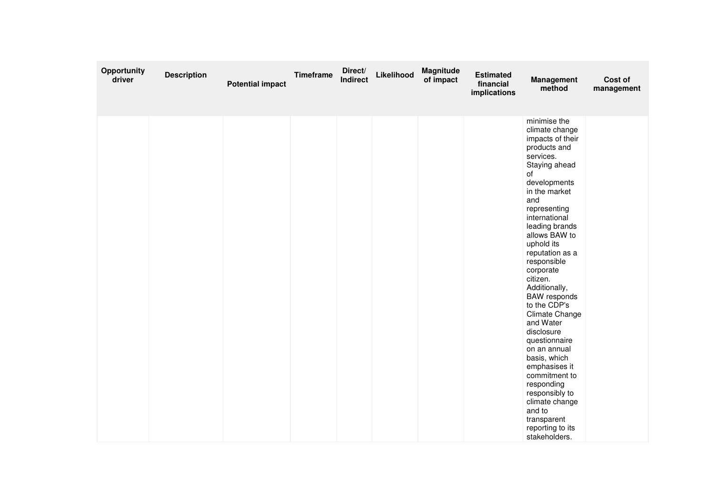| Opportunity<br>driver | <b>Description</b> | <b>Potential impact</b> | <b>Timeframe</b> | Direct/<br><b>Indirect</b> | Likelihood | <b>Magnitude</b><br>of impact | <b>Estimated</b><br>financial<br>implications | <b>Management</b><br>method                                                                                                                                                                                                                                                                                                                                                                                                                                                                                                                                                                         | Cost of<br>management |
|-----------------------|--------------------|-------------------------|------------------|----------------------------|------------|-------------------------------|-----------------------------------------------|-----------------------------------------------------------------------------------------------------------------------------------------------------------------------------------------------------------------------------------------------------------------------------------------------------------------------------------------------------------------------------------------------------------------------------------------------------------------------------------------------------------------------------------------------------------------------------------------------------|-----------------------|
|                       |                    |                         |                  |                            |            |                               |                                               | minimise the<br>climate change<br>impacts of their<br>products and<br>services.<br>Staying ahead<br>of<br>developments<br>in the market<br>and<br>representing<br>international<br>leading brands<br>allows BAW to<br>uphold its<br>reputation as a<br>responsible<br>corporate<br>citizen.<br>Additionally,<br><b>BAW</b> responds<br>to the CDP's<br>Climate Change<br>and Water<br>disclosure<br>questionnaire<br>on an annual<br>basis, which<br>emphasises it<br>commitment to<br>responding<br>responsibly to<br>climate change<br>and to<br>transparent<br>reporting to its<br>stakeholders. |                       |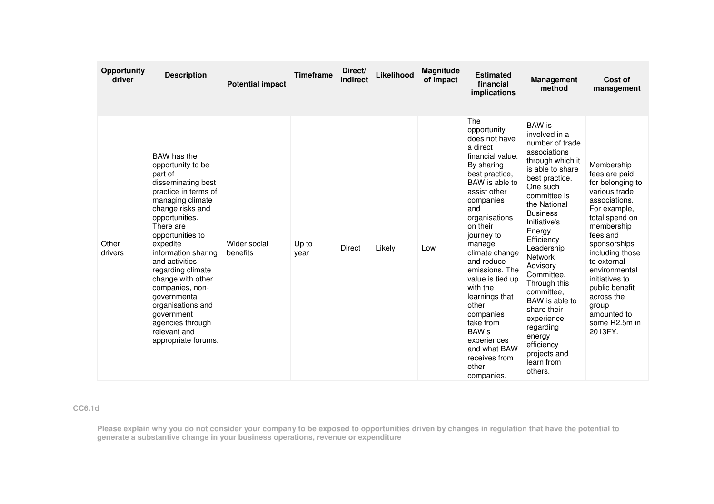| Opportunity<br>driver | <b>Description</b>                                                                                                                                                                                                                                                                                                                                                                                                   | <b>Potential impact</b>  | <b>Timeframe</b> | Direct/<br><b>Indirect</b> | Likelihood | <b>Magnitude</b><br>of impact | <b>Estimated</b><br>financial<br>implications                                                                                                                                                                                                                                                                                                                                                                                         | <b>Management</b><br>method                                                                                                                                                                                                                                                                                                                                                                                                                             | Cost of<br>management                                                                                                                                                                                                                                                                                                  |
|-----------------------|----------------------------------------------------------------------------------------------------------------------------------------------------------------------------------------------------------------------------------------------------------------------------------------------------------------------------------------------------------------------------------------------------------------------|--------------------------|------------------|----------------------------|------------|-------------------------------|---------------------------------------------------------------------------------------------------------------------------------------------------------------------------------------------------------------------------------------------------------------------------------------------------------------------------------------------------------------------------------------------------------------------------------------|---------------------------------------------------------------------------------------------------------------------------------------------------------------------------------------------------------------------------------------------------------------------------------------------------------------------------------------------------------------------------------------------------------------------------------------------------------|------------------------------------------------------------------------------------------------------------------------------------------------------------------------------------------------------------------------------------------------------------------------------------------------------------------------|
| Other<br>drivers      | BAW has the<br>opportunity to be<br>part of<br>disseminating best<br>practice in terms of<br>managing climate<br>change risks and<br>opportunities.<br>There are<br>opportunities to<br>expedite<br>information sharing<br>and activities<br>regarding climate<br>change with other<br>companies, non-<br>governmental<br>organisations and<br>government<br>agencies through<br>relevant and<br>appropriate forums. | Wider social<br>benefits | Up to 1<br>year  | <b>Direct</b>              | Likely     | Low                           | The<br>opportunity<br>does not have<br>a direct<br>financial value.<br>By sharing<br>best practice,<br>BAW is able to<br>assist other<br>companies<br>and<br>organisations<br>on their<br>journey to<br>manage<br>climate change<br>and reduce<br>emissions. The<br>value is tied up<br>with the<br>learnings that<br>other<br>companies<br>take from<br>BAW's<br>experiences<br>and what BAW<br>receives from<br>other<br>companies. | <b>BAW</b> is<br>involved in a<br>number of trade<br>associations<br>through which it<br>is able to share<br>best practice.<br>One such<br>committee is<br>the National<br><b>Business</b><br>Initiative's<br>Energy<br>Efficiency<br>Leadership<br><b>Network</b><br>Advisory<br>Committee.<br>Through this<br>committee.<br>BAW is able to<br>share their<br>experience<br>regarding<br>energy<br>efficiency<br>projects and<br>learn from<br>others. | Membership<br>fees are paid<br>for belonging to<br>various trade<br>associations.<br>For example,<br>total spend on<br>membership<br>fees and<br>sponsorships<br>including those<br>to external<br>environmental<br>initiatives to<br>public benefit<br>across the<br>group<br>amounted to<br>some R2.5m in<br>2013FY. |

**CC6.1d**

Please explain why you do not consider your company to be exposed to opportunities driven by changes in regulation that have the potential to<br>generate a substantive change in your business operations, revenue or expenditur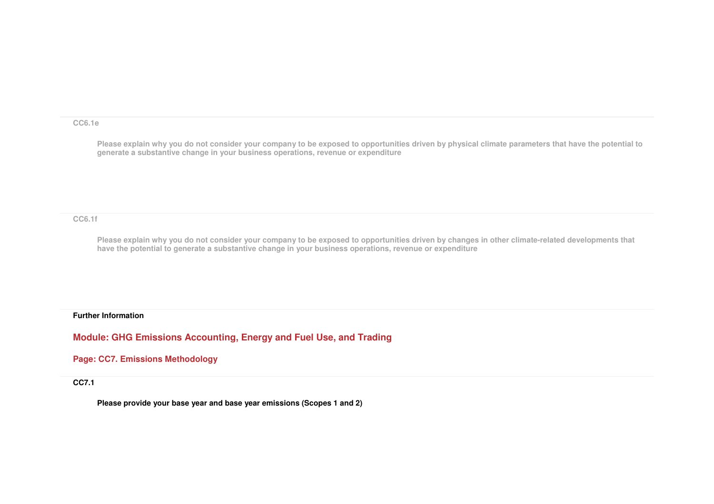#### **CC6.1e**

**Please explain why you do not consider your company to be exposed to opportunities driven by physical climate parameters that have the potential to generate a substantive change in your business operations, revenue or expenditure**

#### **CC6.1f**

**Please explain why you do not consider your company to be exposed to opportunities driven by changes in other climate-related developments that have the potential to generate a substantive change in your business operations, revenue or expenditure**

### **Further Information**

**Module: GHG Emissions Accounting, Energy and Fuel Use, and Trading** 

**Page: CC7. Emissions Methodology** 

**CC7.1** 

**Please provide your base year and base year emissions (Scopes 1 and 2)**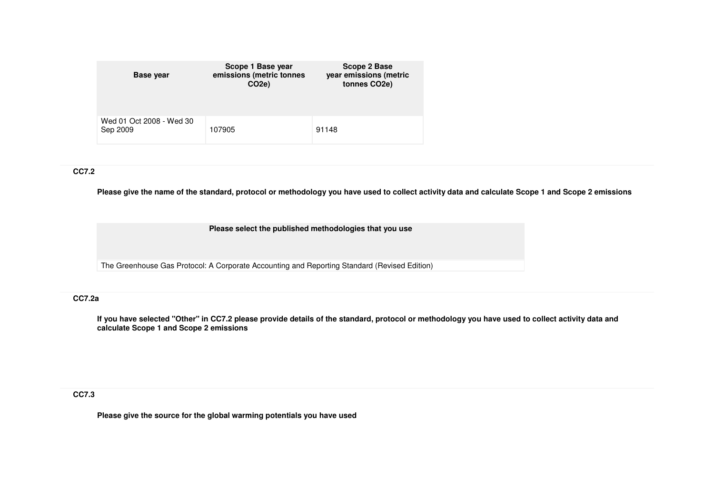| <b>Base year</b>                     | Scope 1 Base year<br>emissions (metric tonnes<br>CO <sub>2e</sub> ) | Scope 2 Base<br>year emissions (metric<br>tonnes CO <sub>2e</sub> ) |
|--------------------------------------|---------------------------------------------------------------------|---------------------------------------------------------------------|
| Wed 01 Oct 2008 - Wed 30<br>Sep 2009 | 107905                                                              | 91148                                                               |

## **CC7.2**

**Please give the name of the standard, protocol or methodology you have used to collect activity data and calculate Scope 1 and Scope 2 emissions** 

**Please select the published methodologies that you use**

The Greenhouse Gas Protocol: A Corporate Accounting and Reporting Standard (Revised Edition)

## **CC7.2a**

**If you have selected "Other" in CC7.2 please provide details of the standard, protocol or methodology you have used to collect activity data and calculate Scope 1 and Scope 2 emissions**

## **CC7.3**

**Please give the source for the global warming potentials you have used**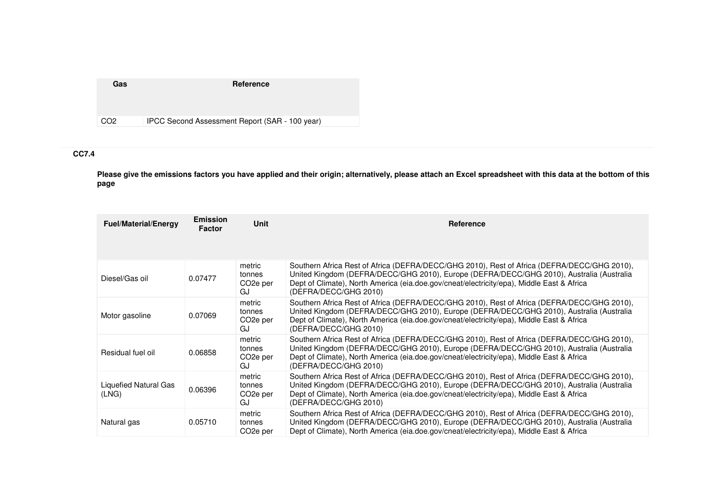| Gas             | Reference                                      |
|-----------------|------------------------------------------------|
|                 |                                                |
| CO <sub>2</sub> | IPCC Second Assessment Report (SAR - 100 year) |

# **CC7.4**

**Please give the emissions factors you have applied and their origin; alternatively, please attach an Excel spreadsheet with this data at the bottom of this page**

| <b>Fuel/Material/Energy</b>    | <b>Emission</b><br><b>Factor</b> | Unit                                            | Reference                                                                                                                                                                                                                                                                                                     |
|--------------------------------|----------------------------------|-------------------------------------------------|---------------------------------------------------------------------------------------------------------------------------------------------------------------------------------------------------------------------------------------------------------------------------------------------------------------|
| Diesel/Gas oil                 | 0.07477                          | metric<br>tonnes<br>CO <sub>2</sub> e per<br>GJ | Southern Africa Rest of Africa (DEFRA/DECC/GHG 2010), Rest of Africa (DEFRA/DECC/GHG 2010),<br>United Kingdom (DEFRA/DECC/GHG 2010), Europe (DEFRA/DECC/GHG 2010), Australia (Australia<br>Dept of Climate), North America (eia.doe.gov/cneat/electricity/epa), Middle East & Africa<br>(DEFRA/DECC/GHG 2010) |
| Motor gasoline                 | 0.07069                          | metric<br>tonnes<br>CO <sub>2</sub> e per<br>GJ | Southern Africa Rest of Africa (DEFRA/DECC/GHG 2010), Rest of Africa (DEFRA/DECC/GHG 2010),<br>United Kingdom (DEFRA/DECC/GHG 2010), Europe (DEFRA/DECC/GHG 2010), Australia (Australia<br>Dept of Climate), North America (eia.doe.gov/cneat/electricity/epa), Middle East & Africa<br>(DEFRA/DECC/GHG 2010) |
| Residual fuel oil              | 0.06858                          | metric<br>tonnes<br>CO <sub>2</sub> e per<br>GJ | Southern Africa Rest of Africa (DEFRA/DECC/GHG 2010), Rest of Africa (DEFRA/DECC/GHG 2010),<br>United Kingdom (DEFRA/DECC/GHG 2010), Europe (DEFRA/DECC/GHG 2010), Australia (Australia<br>Dept of Climate), North America (eia.doe.gov/cneat/electricity/epa), Middle East & Africa<br>(DEFRA/DECC/GHG 2010) |
| Liquefied Natural Gas<br>(LNG) | 0.06396                          | metric<br>tonnes<br>CO <sub>2</sub> e per<br>GJ | Southern Africa Rest of Africa (DEFRA/DECC/GHG 2010), Rest of Africa (DEFRA/DECC/GHG 2010),<br>United Kingdom (DEFRA/DECC/GHG 2010), Europe (DEFRA/DECC/GHG 2010), Australia (Australia<br>Dept of Climate), North America (eia.doe.gov/cneat/electricity/epa), Middle East & Africa<br>(DEFRA/DECC/GHG 2010) |
| Natural gas                    | 0.05710                          | metric<br>tonnes<br>CO <sub>2</sub> e per       | Southern Africa Rest of Africa (DEFRA/DECC/GHG 2010), Rest of Africa (DEFRA/DECC/GHG 2010),<br>United Kingdom (DEFRA/DECC/GHG 2010), Europe (DEFRA/DECC/GHG 2010), Australia (Australia<br>Dept of Climate), North America (eia.doe.gov/cneat/electricity/epa), Middle East & Africa                          |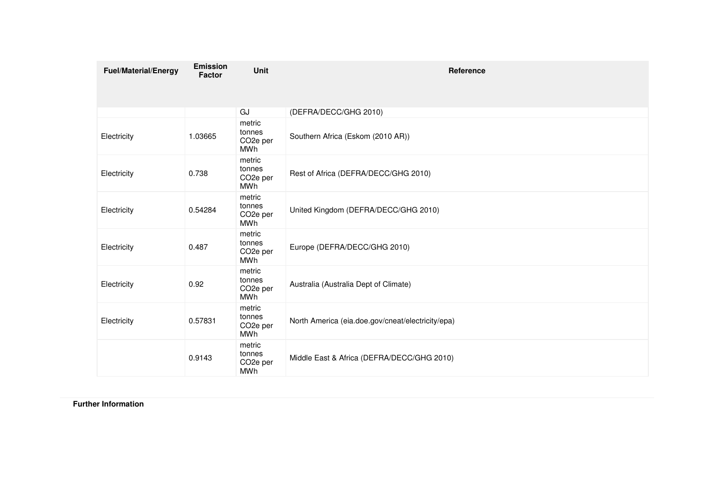| <b>Fuel/Material/Energy</b> | <b>Emission</b><br><b>Factor</b> | Unit                                                    | Reference                                         |
|-----------------------------|----------------------------------|---------------------------------------------------------|---------------------------------------------------|
|                             |                                  |                                                         |                                                   |
|                             |                                  | GJ                                                      | (DEFRA/DECC/GHG 2010)                             |
| Electricity                 | 1.03665                          | metric<br>tonnes<br>CO <sub>2</sub> e per<br>MWh        | Southern Africa (Eskom (2010 AR))                 |
| Electricity                 | 0.738                            | metric<br>tonnes<br>CO <sub>2</sub> e per<br><b>MWh</b> | Rest of Africa (DEFRA/DECC/GHG 2010)              |
| Electricity                 | 0.54284                          | metric<br>tonnes<br>CO <sub>2</sub> e per<br>MWh        | United Kingdom (DEFRA/DECC/GHG 2010)              |
| Electricity                 | 0.487                            | metric<br>tonnes<br>CO <sub>2</sub> e per<br>MWh        | Europe (DEFRA/DECC/GHG 2010)                      |
| Electricity                 | 0.92                             | metric<br>tonnes<br>CO <sub>2</sub> e per<br>MWh        | Australia (Australia Dept of Climate)             |
| Electricity                 | 0.57831                          | metric<br>tonnes<br>CO <sub>2</sub> e per<br><b>MWh</b> | North America (eia.doe.gov/cneat/electricity/epa) |
|                             | 0.9143                           | metric<br>tonnes<br>CO <sub>2</sub> e per<br>MWh        | Middle East & Africa (DEFRA/DECC/GHG 2010)        |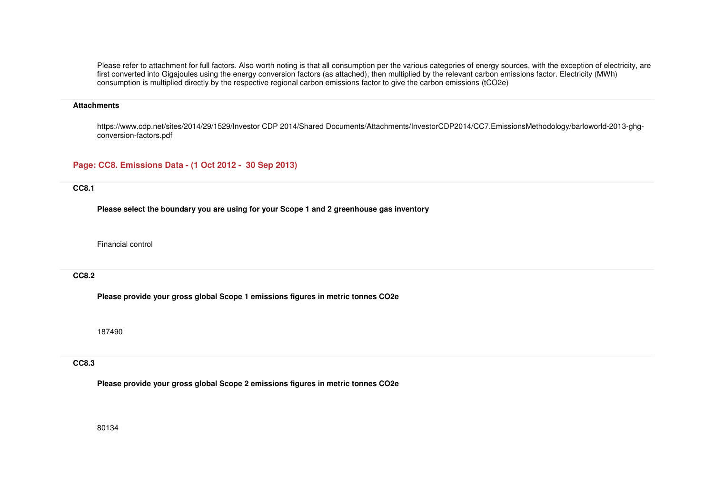Please refer to attachment for full factors. Also worth noting is that all consumption per the various categories of energy sources, with the exception of electricity, are first converted into Gigajoules using the energy conversion factors (as attached), then multiplied by the relevant carbon emissions factor. Electricity (MWh) consumption is multiplied directly by the respective regional carbon emissions factor to give the carbon emissions (tCO2e)

#### **Attachments**

https://www.cdp.net/sites/2014/29/1529/Investor CDP 2014/Shared Documents/Attachments/InvestorCDP2014/CC7.EmissionsMethodology/barloworld-2013-ghgconversion-factors.pdf

### **Page: CC8. Emissions Data - (1 Oct 2012 - 30 Sep 2013)**

### **CC8.1**

**Please select the boundary you are using for your Scope 1 and 2 greenhouse gas inventory**

Financial control

#### **CC8.2**

**Please provide your gross global Scope 1 emissions figures in metric tonnes CO2e**

187490

### **CC8.3**

**Please provide your gross global Scope 2 emissions figures in metric tonnes CO2e**

80134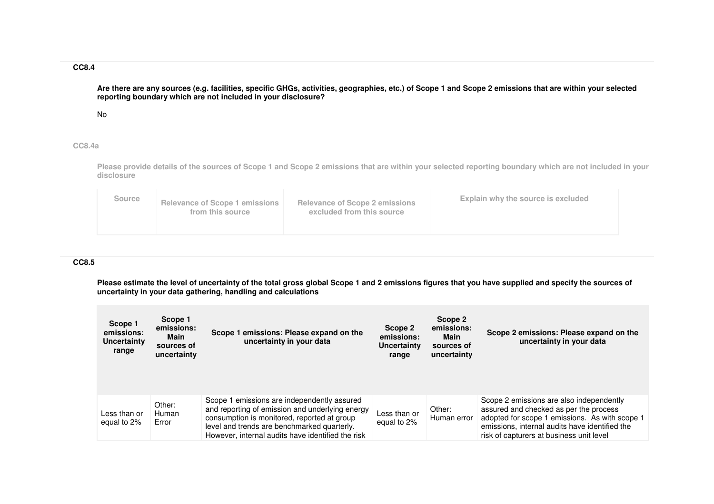### **CC8.4**

**Are there are any sources (e.g. facilities, specific GHGs, activities, geographies, etc.) of Scope 1 and Scope 2 emissions that are within your selected reporting boundary which are not included in your disclosure?**

No

#### **CC8.4a**

**Please provide details of the sources of Scope 1 and Scope 2 emissions that are within your selected reporting boundary which are not included in your disclosure** 

### **CC8.5**

Please estimate the level of uncertainty of the total gross global Scope 1 and 2 emissions figures that you have supplied and specify the sources of<br>uncertainty in your data gathering, handling and calculations

| Scope 1<br>emissions:<br><b>Uncertainty</b><br>range | Scope 1<br>emissions:<br>Main<br>sources of<br>uncertainty | Scope 1 emissions: Please expand on the<br>uncertainty in your data                                                                                                                                                                               | Scope 2<br>emissions:<br>Uncertainty<br>range | Scope 2<br>emissions:<br>Main<br>sources of<br>uncertainty | Scope 2 emissions: Please expand on the<br>uncertainty in your data                                                                                                                                                                |
|------------------------------------------------------|------------------------------------------------------------|---------------------------------------------------------------------------------------------------------------------------------------------------------------------------------------------------------------------------------------------------|-----------------------------------------------|------------------------------------------------------------|------------------------------------------------------------------------------------------------------------------------------------------------------------------------------------------------------------------------------------|
| Less than or<br>equal to 2%                          | Other:<br>Human<br>Error                                   | Scope 1 emissions are independently assured<br>and reporting of emission and underlying energy<br>consumption is monitored, reported at group<br>level and trends are benchmarked quarterly.<br>However, internal audits have identified the risk | Less than or<br>equal to 2%                   | Other:<br>Human error                                      | Scope 2 emissions are also independently<br>assured and checked as per the process<br>adopted for scope 1 emissions. As with scope 1<br>emissions, internal audits have identified the<br>risk of capturers at business unit level |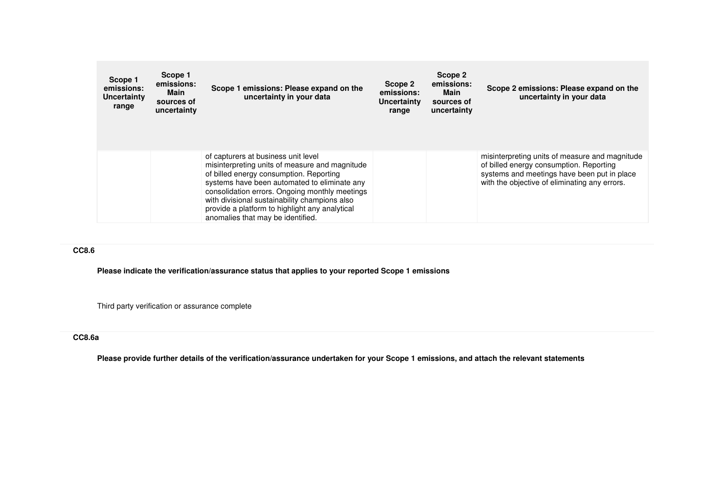| Scope 1<br>emissions:<br>Uncertainty<br>range | Scope 1<br>emissions:<br>Main<br>sources of<br>uncertainty | Scope 1 emissions: Please expand on the<br>uncertainty in your data                                                                                                                                                                                                                                                                                                        | Scope 2<br>emissions:<br>Uncertainty<br>range | Scope 2<br>emissions:<br>Main<br>sources of<br>uncertainty | Scope 2 emissions: Please expand on the<br>uncertainty in your data                                                                                                                       |
|-----------------------------------------------|------------------------------------------------------------|----------------------------------------------------------------------------------------------------------------------------------------------------------------------------------------------------------------------------------------------------------------------------------------------------------------------------------------------------------------------------|-----------------------------------------------|------------------------------------------------------------|-------------------------------------------------------------------------------------------------------------------------------------------------------------------------------------------|
|                                               |                                                            | of capturers at business unit level<br>misinterpreting units of measure and magnitude<br>of billed energy consumption. Reporting<br>systems have been automated to eliminate any<br>consolidation errors. Ongoing monthly meetings<br>with divisional sustainability champions also<br>provide a platform to highlight any analytical<br>anomalies that may be identified. |                                               |                                                            | misinterpreting units of measure and magnitude<br>of billed energy consumption. Reporting<br>systems and meetings have been put in place<br>with the objective of eliminating any errors. |

#### **CC8.6**

**Please indicate the verification/assurance status that applies to your reported Scope 1 emissions**

Third party verification or assurance complete

#### **CC8.6a**

**Please provide further details of the verification/assurance undertaken for your Scope 1 emissions, and attach the relevant statements**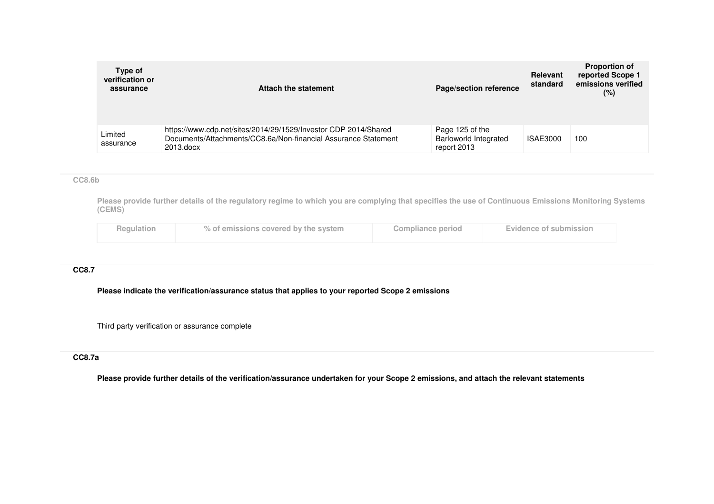| Type of<br>verification or<br>assurance | Attach the statement                                                                                                                           | Page/section reference                                         | <b>Relevant</b><br>standard | <b>Proportion of</b><br>reported Scope 1<br>emissions verified<br>$(\%)$ |
|-----------------------------------------|------------------------------------------------------------------------------------------------------------------------------------------------|----------------------------------------------------------------|-----------------------------|--------------------------------------------------------------------------|
| Limited<br>assurance                    | https://www.cdp.net/sites/2014/29/1529/Investor CDP 2014/Shared<br>Documents/Attachments/CC8.6a/Non-financial Assurance Statement<br>2013.docx | Page 125 of the<br><b>Barloworld Integrated</b><br>report 2013 | ISAE3000                    | 100                                                                      |

### **CC8.6b**

**Please provide further details of the regulatory regime to which you are complying that specifies the use of Continuous Emissions Monitoring Systems (CEMS)**

|  | Regulation | % of emissions covered by the system | Compliance period | Evidence of submission |
|--|------------|--------------------------------------|-------------------|------------------------|
|--|------------|--------------------------------------|-------------------|------------------------|

#### **CC8.7**

**Please indicate the verification/assurance status that applies to your reported Scope 2 emissions**

Third party verification or assurance complete

### **CC8.7a**

**Please provide further details of the verification/assurance undertaken for your Scope 2 emissions, and attach the relevant statements**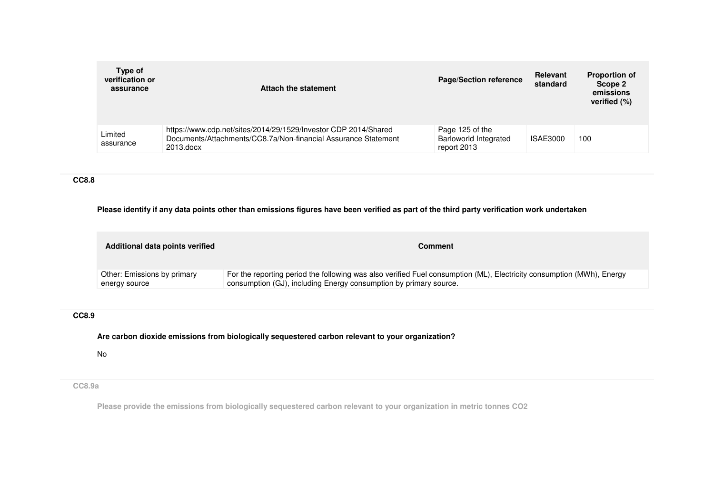| Type of<br>verification or<br>assurance | Attach the statement                                                                                                                           | <b>Page/Section reference</b>                                  | Relevant<br>standard | <b>Proportion of</b><br>Scope 2<br>emissions<br>verified (%) |
|-----------------------------------------|------------------------------------------------------------------------------------------------------------------------------------------------|----------------------------------------------------------------|----------------------|--------------------------------------------------------------|
| Limited<br>assurance                    | https://www.cdp.net/sites/2014/29/1529/Investor CDP 2014/Shared<br>Documents/Attachments/CC8.7a/Non-financial Assurance Statement<br>2013.docx | Page 125 of the<br><b>Barloworld Integrated</b><br>report 2013 | ISAE3000             | 100                                                          |

### **CC8.8**

### **Please identify if any data points other than emissions figures have been verified as part of the third party verification work undertaken**

| Additional data points verified | Comment                                                                                                               |
|---------------------------------|-----------------------------------------------------------------------------------------------------------------------|
| Other: Emissions by primary     | For the reporting period the following was also verified Fuel consumption (ML), Electricity consumption (MWh), Energy |
| energy source                   | consumption (GJ), including Energy consumption by primary source.                                                     |

# **CC8.9**

**Are carbon dioxide emissions from biologically sequestered carbon relevant to your organization?**

No

## **CC8.9a**

**Please provide the emissions from biologically sequestered carbon relevant to your organization in metric tonnes CO2**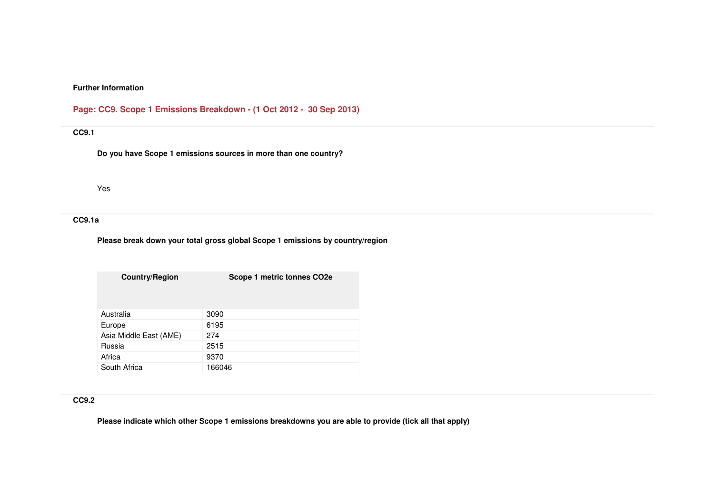### **Page: CC9. Scope 1 Emissions Breakdown - (1 Oct 2012 - 30 Sep 2013)**

# **CC9.1**

**Do you have Scope 1 emissions sources in more than one country?**

Yes

## **CC9.1a**

### **Please break down your total gross global Scope 1 emissions by country/region**

| <b>Country/Region</b>  | Scope 1 metric tonnes CO2e |
|------------------------|----------------------------|
| Australia              | 3090                       |
| Europe                 | 6195                       |
| Asia Middle East (AME) | 274                        |
| Russia                 | 2515                       |
| Africa                 | 9370                       |
| South Africa           | 166046                     |

# **CC9.2**

**Please indicate which other Scope 1 emissions breakdowns you are able to provide (tick all that apply)**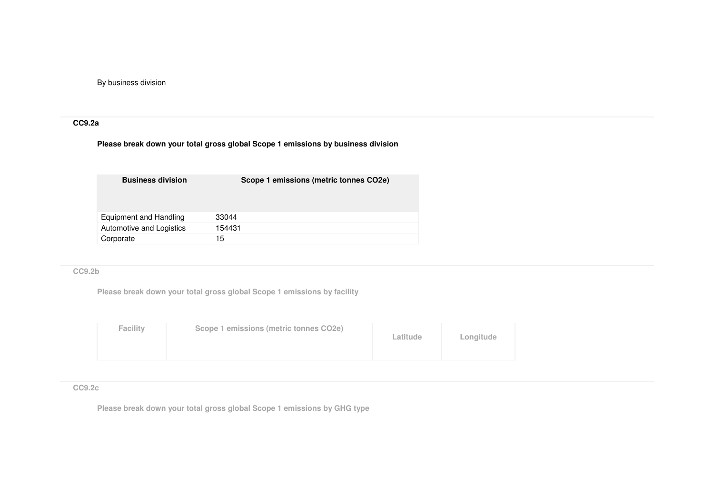By business division

## **CC9.2a**

## **Please break down your total gross global Scope 1 emissions by business division**

| <b>Business division</b> | Scope 1 emissions (metric tonnes CO2e) |
|--------------------------|----------------------------------------|
| Equipment and Handling   | 33044                                  |
| Automotive and Logistics | 154431                                 |
| Corporate                | 15                                     |

### **CC9.2b**

**Please break down your total gross global Scope 1 emissions by facility**

| <b>Facility</b> | Scope 1 emissions (metric tonnes CO2e) | Latitude | Longitude |
|-----------------|----------------------------------------|----------|-----------|
|                 |                                        |          |           |

#### **CC9.2c**

**Please break down your total gross global Scope 1 emissions by GHG type**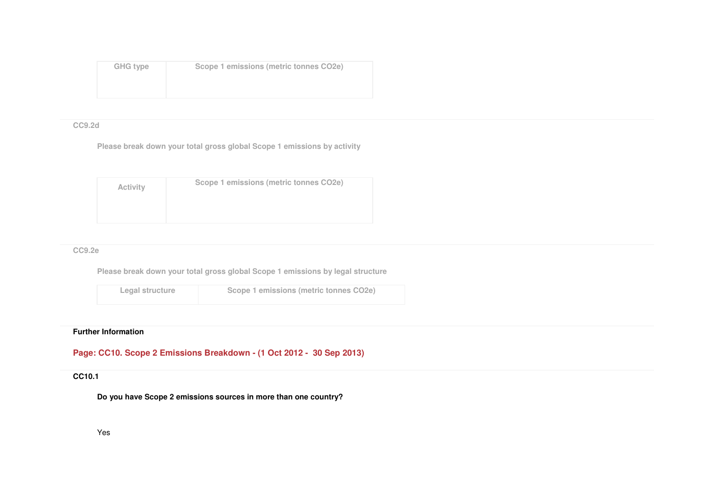| <b>GHG type</b> | Scope 1 emissions (metric tonnes CO2e) |
|-----------------|----------------------------------------|
|                 |                                        |
|                 |                                        |

#### **CC9.2d**

**Please break down your total gross global Scope 1 emissions by activity**

| <b>Activity</b> | Scope 1 emissions (metric tonnes CO2e) |
|-----------------|----------------------------------------|
|                 |                                        |
|                 |                                        |
|                 |                                        |
|                 |                                        |

### **CC9.2e**

**Please break down your total gross global Scope 1 emissions by legal structure**

**Legal structureScope 1 emissions (metric tonnes CO2e)**

# **Further Information**

**Page: CC10. Scope 2 Emissions Breakdown - (1 Oct 2012 - 30 Sep 2013)** 

# **CC10.1**

**Do you have Scope 2 emissions sources in more than one country?**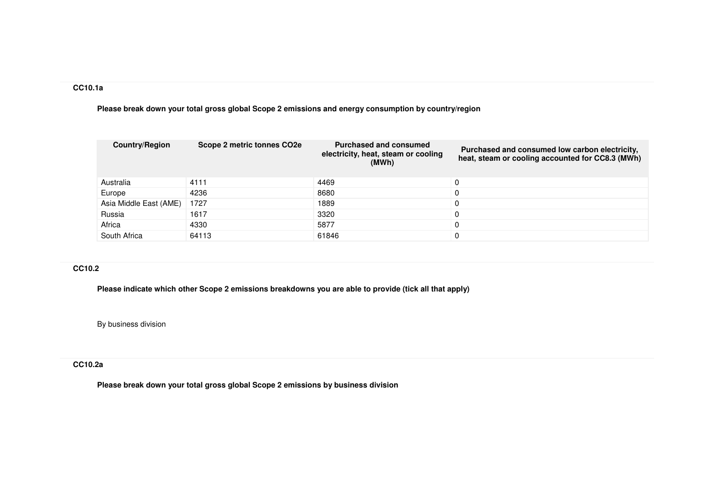## **CC10.1a**

**Please break down your total gross global Scope 2 emissions and energy consumption by country/region**

| <b>Country/Region</b>  | Scope 2 metric tonnes CO2e | <b>Purchased and consumed</b><br>electricity, heat, steam or cooling<br>(MWh) | Purchased and consumed low carbon electricity,<br>heat, steam or cooling accounted for CC8.3 (MWh) |
|------------------------|----------------------------|-------------------------------------------------------------------------------|----------------------------------------------------------------------------------------------------|
| Australia              | 4111                       | 4469                                                                          | 0                                                                                                  |
| Europe                 | 4236                       | 8680                                                                          | 0                                                                                                  |
| Asia Middle East (AME) | 1727                       | 1889                                                                          | 0                                                                                                  |
| Russia                 | 1617                       | 3320                                                                          | 0                                                                                                  |
| Africa                 | 4330                       | 5877                                                                          | 0                                                                                                  |
| South Africa           | 64113                      | 61846                                                                         | 0                                                                                                  |

# **CC10.2**

**Please indicate which other Scope 2 emissions breakdowns you are able to provide (tick all that apply)**

By business division

#### **CC10.2a**

**Please break down your total gross global Scope 2 emissions by business division**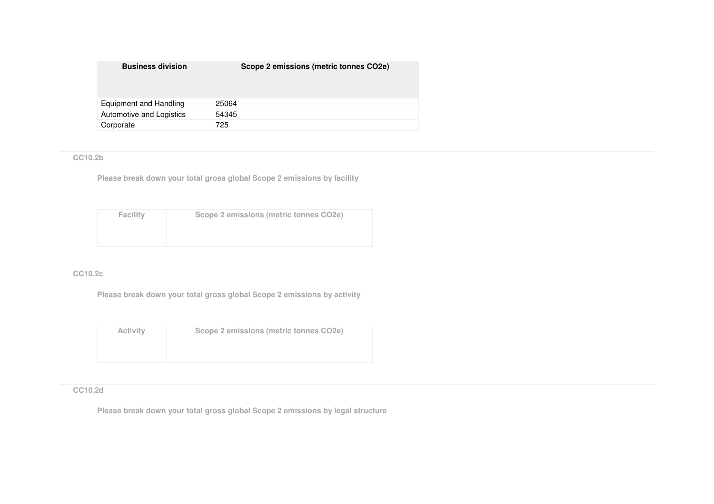| <b>Business division</b> | Scope 2 emissions (metric tonnes CO2e) |
|--------------------------|----------------------------------------|
|                          |                                        |
| Equipment and Handling   | 25064                                  |
| Automotive and Logistics | 54345                                  |
| Corporate                | 725                                    |

# **CC10.2b**

**Please break down your total gross global Scope 2 emissions by facility**

| Facility | Scope 2 emissions (metric tonnes CO2e) |
|----------|----------------------------------------|
|          |                                        |
|          |                                        |

## **CC10.2c**

**Please break down your total gross global Scope 2 emissions by activity**

| <b>Activity</b> | Scope 2 emissions (metric tonnes CO2e) |
|-----------------|----------------------------------------|
|                 |                                        |
|                 |                                        |

## **CC10.2d**

**Please break down your total gross global Scope 2 emissions by legal structure**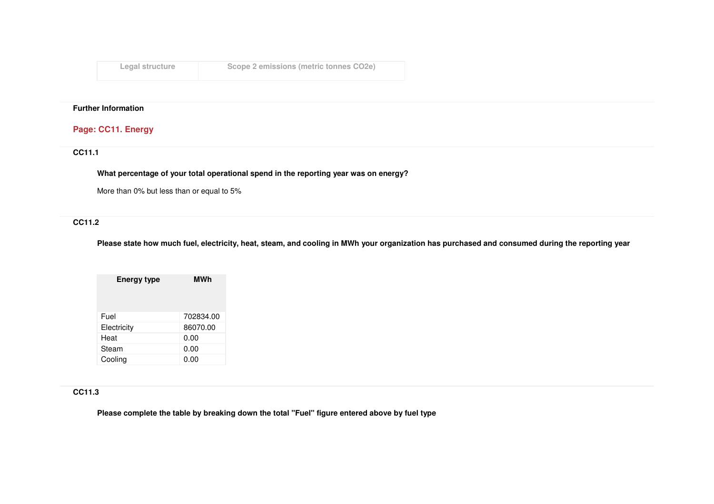| Legal structure | Scope 2 emissions (metric tonnes CO2e) |
|-----------------|----------------------------------------|
|-----------------|----------------------------------------|

# **Page: CC11. Energy**

**CC11.1** 

**What percentage of your total operational spend in the reporting year was on energy?**

More than 0% but less than or equal to 5%

# **CC11.2**

**Please state how much fuel, electricity, heat, steam, and cooling in MWh your organization has purchased and consumed during the reporting year**

| <b>MWh</b> |  |  |
|------------|--|--|
| 702834.00  |  |  |
| 86070.00   |  |  |
| 0.00       |  |  |
| 0.00       |  |  |
| 0.00       |  |  |
|            |  |  |

# **CC11.3**

**Please complete the table by breaking down the total "Fuel" figure entered above by fuel type**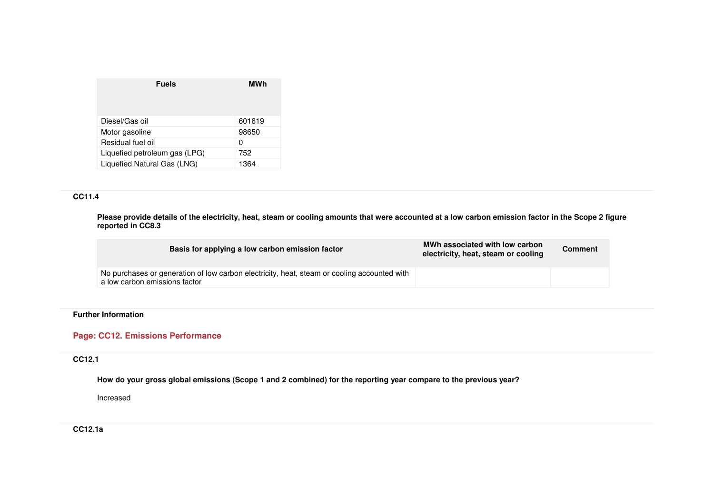| <b>Fuels</b>                  | MWh    |
|-------------------------------|--------|
| Diesel/Gas oil                | 601619 |
| Motor gasoline                | 98650  |
| Residual fuel oil             | 0      |
| Liquefied petroleum gas (LPG) | 752    |
| Liquefied Natural Gas (LNG)   | 1364   |

## **CC11.4**

**Please provide details of the electricity, heat, steam or cooling amounts that were accounted at a low carbon emission factor in the Scope 2 figure reported in CC8.3**

| Basis for applying a low carbon emission factor                                                                              | MWh associated with low carbon<br>electricity, heat, steam or cooling | <b>Comment</b> |
|------------------------------------------------------------------------------------------------------------------------------|-----------------------------------------------------------------------|----------------|
| No purchases or generation of low carbon electricity, heat, steam or cooling accounted with<br>a low carbon emissions factor |                                                                       |                |

### **Further Information**

### **Page: CC12. Emissions Performance**

# **CC12.1**

**How do your gross global emissions (Scope 1 and 2 combined) for the reporting year compare to the previous year?**

Increased

**CC12.1a**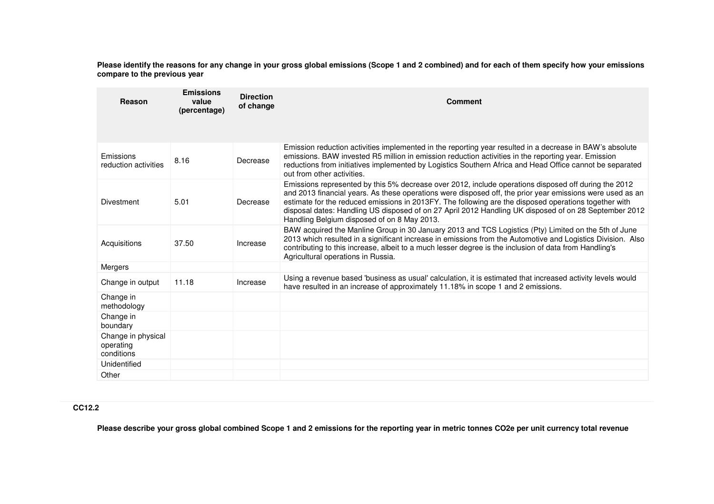**Please identify the reasons for any change in your gross global emissions (Scope 1 and 2 combined) and for each of them specify how your emissions compare to the previous year**

| Reason                                        | <b>Emissions</b><br>value<br>(percentage) | <b>Direction</b><br>of change | <b>Comment</b>                                                                                                                                                                                                                                                                                                                                                      |  |
|-----------------------------------------------|-------------------------------------------|-------------------------------|---------------------------------------------------------------------------------------------------------------------------------------------------------------------------------------------------------------------------------------------------------------------------------------------------------------------------------------------------------------------|--|
|                                               |                                           |                               | Emission reduction activities implemented in the reporting year resulted in a decrease in BAW's absolute                                                                                                                                                                                                                                                            |  |
| Emissions<br>reduction activities             | 8.16                                      | Decrease                      | emissions. BAW invested R5 million in emission reduction activities in the reporting year. Emission<br>reductions from initiatives implemented by Logistics Southern Africa and Head Office cannot be separated<br>out from other activities.                                                                                                                       |  |
|                                               |                                           |                               | Emissions represented by this 5% decrease over 2012, include operations disposed off during the 2012<br>and 2013 financial years. As these operations were disposed off, the prior year emissions were used as an                                                                                                                                                   |  |
| Divestment                                    | 5.01                                      | Decrease                      | estimate for the reduced emissions in 2013FY. The following are the disposed operations together with<br>disposal dates: Handling US disposed of on 27 April 2012 Handling UK disposed of on 28 September 2012<br>Handling Belgium disposed of on 8 May 2013.                                                                                                       |  |
| Acquisitions                                  | 37.50                                     | Increase                      | BAW acquired the Manline Group in 30 January 2013 and TCS Logistics (Pty) Limited on the 5th of June<br>2013 which resulted in a significant increase in emissions from the Automotive and Logistics Division. Also<br>contributing to this increase, albeit to a much lesser degree is the inclusion of data from Handling's<br>Agricultural operations in Russia. |  |
| Mergers                                       |                                           |                               |                                                                                                                                                                                                                                                                                                                                                                     |  |
| Change in output                              | 11.18                                     | Increase                      | Using a revenue based 'business as usual' calculation, it is estimated that increased activity levels would<br>have resulted in an increase of approximately 11.18% in scope 1 and 2 emissions.                                                                                                                                                                     |  |
| Change in<br>methodology                      |                                           |                               |                                                                                                                                                                                                                                                                                                                                                                     |  |
| Change in<br>boundary                         |                                           |                               |                                                                                                                                                                                                                                                                                                                                                                     |  |
| Change in physical<br>operating<br>conditions |                                           |                               |                                                                                                                                                                                                                                                                                                                                                                     |  |
| Unidentified                                  |                                           |                               |                                                                                                                                                                                                                                                                                                                                                                     |  |
| Other                                         |                                           |                               |                                                                                                                                                                                                                                                                                                                                                                     |  |

# **CC12.2**

**Please describe your gross global combined Scope 1 and 2 emissions for the reporting year in metric tonnes CO2e per unit currency total revenue**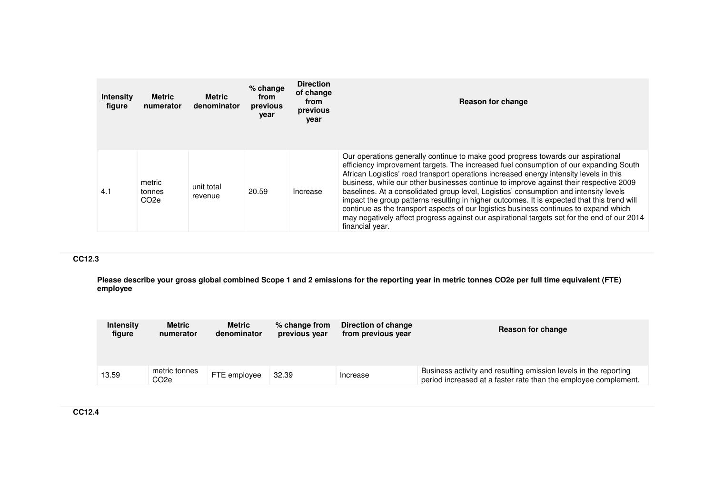| <b>Intensity</b><br>figure | <b>Metric</b><br>numerator           | <b>Metric</b><br>denominator | $%$ change<br>from<br>previous<br>year | <b>Direction</b><br>of change<br>from<br>previous<br>year | <b>Reason for change</b>                                                                                                                                                                                                                                                                                                                                                                                                                                                                                                                                                                                                                                                                                                                                         |
|----------------------------|--------------------------------------|------------------------------|----------------------------------------|-----------------------------------------------------------|------------------------------------------------------------------------------------------------------------------------------------------------------------------------------------------------------------------------------------------------------------------------------------------------------------------------------------------------------------------------------------------------------------------------------------------------------------------------------------------------------------------------------------------------------------------------------------------------------------------------------------------------------------------------------------------------------------------------------------------------------------------|
| 4.1                        | metric<br>tonnes<br>CO <sub>2e</sub> | unit total<br>revenue        | 20.59                                  | Increase                                                  | Our operations generally continue to make good progress towards our aspirational<br>efficiency improvement targets. The increased fuel consumption of our expanding South<br>African Logistics' road transport operations increased energy intensity levels in this<br>business, while our other businesses continue to improve against their respective 2009<br>baselines. At a consolidated group level, Logistics' consumption and intensity levels<br>impact the group patterns resulting in higher outcomes. It is expected that this trend will<br>continue as the transport aspects of our logistics business continues to expand which<br>may negatively affect progress against our aspirational targets set for the end of our 2014<br>financial year. |

## **CC12.3**

**Please describe your gross global combined Scope 1 and 2 emissions for the reporting year in metric tonnes CO2e per full time equivalent (FTE) employee**

| <b>Intensity</b> | <b>Metric</b>         | Metric       | % change from | Direction of change | Reason for change                                                                                                                   |
|------------------|-----------------------|--------------|---------------|---------------------|-------------------------------------------------------------------------------------------------------------------------------------|
| figure           | numerator             | denominator  | previous year | from previous year  |                                                                                                                                     |
| 13.59            | metric tonnes<br>CO2e | FTE employee | 32.39         | Increase            | Business activity and resulting emission levels in the reporting<br>period increased at a faster rate than the employee complement. |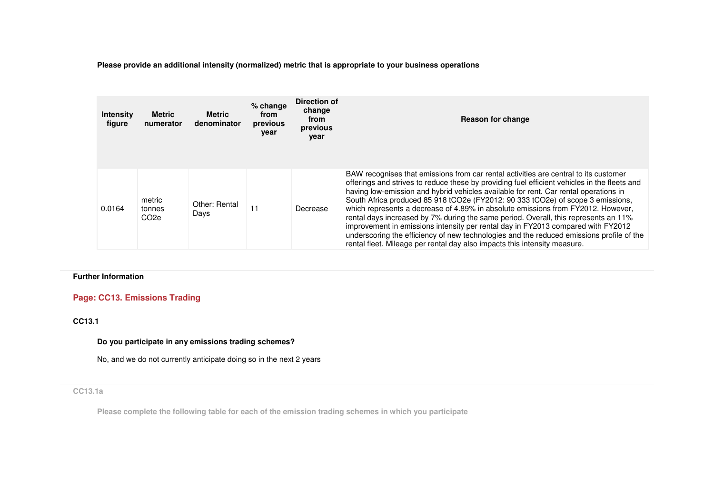**Please provide an additional intensity (normalized) metric that is appropriate to your business operations**

| <b>Intensity</b><br>figure | <b>Metric</b><br>numerator           | <b>Metric</b><br>denominator | $%$ change<br>from<br>previous<br>year | Direction of<br>change<br>from<br>previous<br>vear | Reason for change                                                                                                                                                                                                                                                                                                                                                                                                                                                                                                                                                                                                                                                                                                                                                                                       |
|----------------------------|--------------------------------------|------------------------------|----------------------------------------|----------------------------------------------------|---------------------------------------------------------------------------------------------------------------------------------------------------------------------------------------------------------------------------------------------------------------------------------------------------------------------------------------------------------------------------------------------------------------------------------------------------------------------------------------------------------------------------------------------------------------------------------------------------------------------------------------------------------------------------------------------------------------------------------------------------------------------------------------------------------|
| 0.0164                     | metric<br>tonnes<br>CO <sub>2e</sub> | Other: Rental<br>Days        | 11                                     | Decrease                                           | BAW recognises that emissions from car rental activities are central to its customer<br>offerings and strives to reduce these by providing fuel efficient vehicles in the fleets and<br>having low-emission and hybrid vehicles available for rent. Car rental operations in<br>South Africa produced 85 918 tCO2e (FY2012: 90 333 tCO2e) of scope 3 emissions.<br>which represents a decrease of 4.89% in absolute emissions from FY2012. However,<br>rental days increased by 7% during the same period. Overall, this represents an 11%<br>improvement in emissions intensity per rental day in FY2013 compared with FY2012<br>underscoring the efficiency of new technologies and the reduced emissions profile of the<br>rental fleet. Mileage per rental day also impacts this intensity measure. |

### **Further Information**

# **Page: CC13. Emissions Trading**

**CC13.1** 

### **Do you participate in any emissions trading schemes?**

No, and we do not currently anticipate doing so in the next 2 years

### **CC13.1a**

**Please complete the following table for each of the emission trading schemes in which you participate**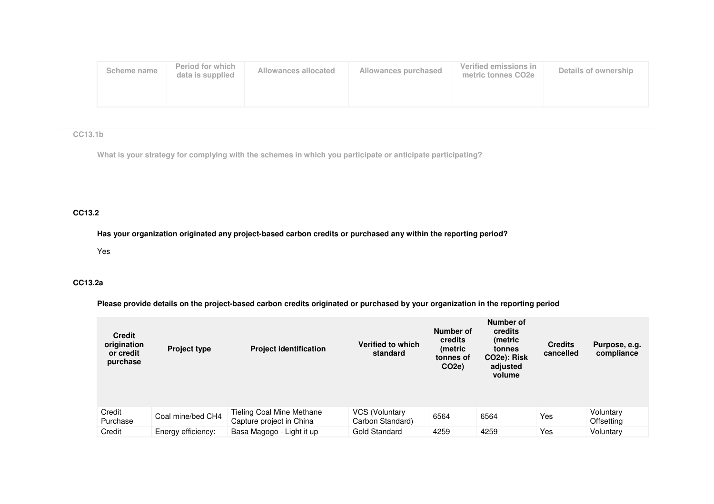| Scheme name | Period for which<br>data is supplied | Allowances allocated | Allowances purchased | Verified emissions in<br>metric tonnes CO2e | Details of ownership |
|-------------|--------------------------------------|----------------------|----------------------|---------------------------------------------|----------------------|
|             |                                      |                      |                      |                                             |                      |

# **CC13.1b**

**What is your strategy for complying with the schemes in which you participate or anticipate participating?**

# **CC13.2**

**Has your organization originated any project-based carbon credits or purchased any within the reporting period?**

Yes

# **CC13.2a**

## **Please provide details on the project-based carbon credits originated or purchased by your organization in the reporting period**

| <b>Credit</b><br>origination<br>or credit<br>purchase | <b>Project type</b> | <b>Project identification</b>                         | Verified to which<br>standard      | Number of<br>credits<br>(metric<br>tonnes of<br>CO <sub>2e</sub> ) | Number of<br>credits<br>(metric<br>tonnes<br>CO <sub>2</sub> e): Risk<br>adjusted<br>volume | <b>Credits</b><br>cancelled | Purpose, e.g.<br>compliance |
|-------------------------------------------------------|---------------------|-------------------------------------------------------|------------------------------------|--------------------------------------------------------------------|---------------------------------------------------------------------------------------------|-----------------------------|-----------------------------|
| Credit<br>Purchase                                    | Coal mine/bed CH4   | Tieling Coal Mine Methane<br>Capture project in China | VCS (Voluntary<br>Carbon Standard) | 6564                                                               | 6564                                                                                        | Yes                         | Voluntary<br>Offsetting     |
| Credit                                                | Energy efficiency:  | Basa Magogo - Light it up                             | Gold Standard                      | 4259                                                               | 4259                                                                                        | Yes                         | Voluntary                   |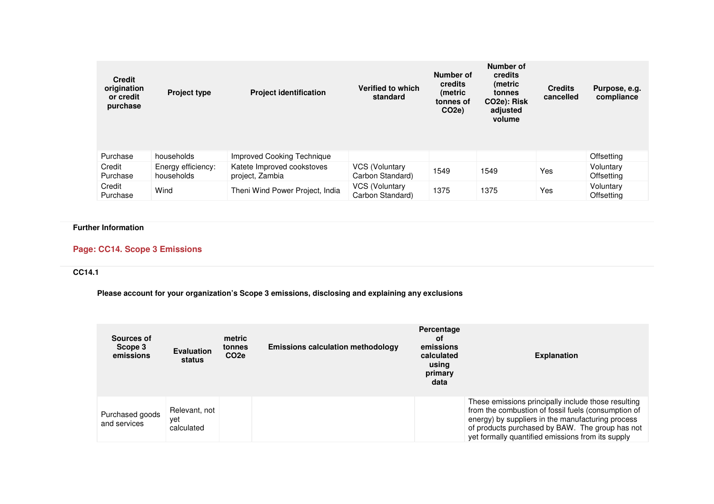| <b>Credit</b><br>origination<br>or credit<br>purchase | <b>Project type</b>              | <b>Project identification</b>                 | Verified to which<br>standard             | Number of<br>credits<br>(metric<br>tonnes of<br>CO <sub>2e</sub> ) | Number of<br>credits<br>(metric)<br>tonnes<br>CO <sub>2</sub> e): Risk<br>adjusted<br>volume | <b>Credits</b><br>cancelled | Purpose, e.g.<br>compliance    |
|-------------------------------------------------------|----------------------------------|-----------------------------------------------|-------------------------------------------|--------------------------------------------------------------------|----------------------------------------------------------------------------------------------|-----------------------------|--------------------------------|
| Purchase                                              | households                       | Improved Cooking Technique                    |                                           |                                                                    |                                                                                              |                             | <b>Offsetting</b>              |
| Credit<br>Purchase                                    | Energy efficiency:<br>households | Katete Improved cookstoves<br>project, Zambia | VCS (Voluntary<br>Carbon Standard)        | 1549                                                               | 1549                                                                                         | Yes                         | Voluntary<br><b>Offsetting</b> |
| Credit<br>Purchase                                    | Wind                             | Theni Wind Power Project, India               | <b>VCS (Voluntary</b><br>Carbon Standard) | 1375                                                               | 1375                                                                                         | <b>Yes</b>                  | Voluntary<br><b>Offsetting</b> |

# **Page: CC14. Scope 3 Emissions**

### **CC14.1**

**Please account for your organization's Scope 3 emissions, disclosing and explaining any exclusions**

| Sources of<br>Scope 3<br>emissions | <b>Evaluation</b><br>status        | metric<br>tonnes<br>CO <sub>2e</sub> | <b>Emissions calculation methodology</b> | Percentage<br>οf<br>emissions<br>calculated<br>using<br>primary<br>data | <b>Explanation</b>                                                                                                                                                                                                                                                      |
|------------------------------------|------------------------------------|--------------------------------------|------------------------------------------|-------------------------------------------------------------------------|-------------------------------------------------------------------------------------------------------------------------------------------------------------------------------------------------------------------------------------------------------------------------|
| Purchased goods<br>and services    | Relevant, not<br>vet<br>calculated |                                      |                                          |                                                                         | These emissions principally include those resulting<br>from the combustion of fossil fuels (consumption of<br>energy) by suppliers in the manufacturing process<br>of products purchased by BAW. The group has not<br>yet formally quantified emissions from its supply |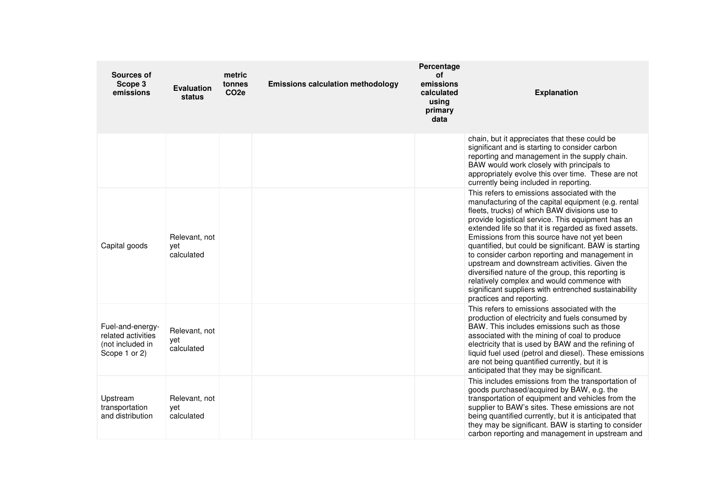| <b>Sources of</b><br>Scope 3<br>emissions                                   | <b>Evaluation</b><br>status        | metric<br>tonnes<br>CO <sub>2e</sub> | <b>Emissions calculation methodology</b> | Percentage<br><b>of</b><br>emissions<br>calculated<br>using<br>primary<br>data | <b>Explanation</b>                                                                                                                                                                                                                                                                                                                                                                                                                                                                                                                                                                                                                                                     |
|-----------------------------------------------------------------------------|------------------------------------|--------------------------------------|------------------------------------------|--------------------------------------------------------------------------------|------------------------------------------------------------------------------------------------------------------------------------------------------------------------------------------------------------------------------------------------------------------------------------------------------------------------------------------------------------------------------------------------------------------------------------------------------------------------------------------------------------------------------------------------------------------------------------------------------------------------------------------------------------------------|
|                                                                             |                                    |                                      |                                          |                                                                                | chain, but it appreciates that these could be<br>significant and is starting to consider carbon<br>reporting and management in the supply chain.<br>BAW would work closely with principals to<br>appropriately evolve this over time. These are not<br>currently being included in reporting.                                                                                                                                                                                                                                                                                                                                                                          |
| Capital goods                                                               | Relevant, not<br>vet<br>calculated |                                      |                                          |                                                                                | This refers to emissions associated with the<br>manufacturing of the capital equipment (e.g. rental<br>fleets, trucks) of which BAW divisions use to<br>provide logistical service. This equipment has an<br>extended life so that it is regarded as fixed assets.<br>Emissions from this source have not yet been<br>quantified, but could be significant. BAW is starting<br>to consider carbon reporting and management in<br>upstream and downstream activities. Given the<br>diversified nature of the group, this reporting is<br>relatively complex and would commence with<br>significant suppliers with entrenched sustainability<br>practices and reporting. |
| Fuel-and-energy-<br>related activities<br>(not included in<br>Scope 1 or 2) | Relevant, not<br>yet<br>calculated |                                      |                                          |                                                                                | This refers to emissions associated with the<br>production of electricity and fuels consumed by<br>BAW. This includes emissions such as those<br>associated with the mining of coal to produce<br>electricity that is used by BAW and the refining of<br>liquid fuel used (petrol and diesel). These emissions<br>are not being quantified currently, but it is<br>anticipated that they may be significant.                                                                                                                                                                                                                                                           |
| Upstream<br>transportation<br>and distribution                              | Relevant, not<br>yet<br>calculated |                                      |                                          |                                                                                | This includes emissions from the transportation of<br>goods purchased/acquired by BAW, e.g. the<br>transportation of equipment and vehicles from the<br>supplier to BAW's sites. These emissions are not<br>being quantified currently, but it is anticipated that<br>they may be significant. BAW is starting to consider<br>carbon reporting and management in upstream and                                                                                                                                                                                                                                                                                          |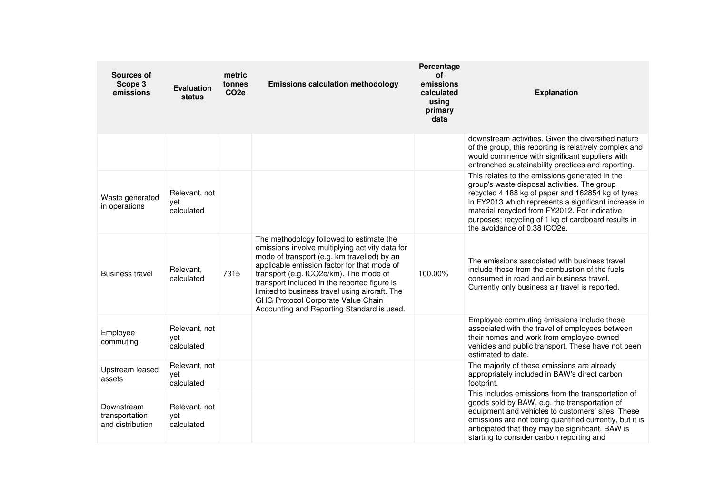| Sources of<br>Scope 3<br>emissions               | <b>Evaluation</b><br>status        | metric<br>tonnes<br>CO <sub>2e</sub> | <b>Emissions calculation methodology</b>                                                                                                                                                                                                                                                                                                                                                                                  | Percentage<br>of<br>emissions<br>calculated<br>using<br>primary<br>data | <b>Explanation</b>                                                                                                                                                                                                                                                                                                                                  |
|--------------------------------------------------|------------------------------------|--------------------------------------|---------------------------------------------------------------------------------------------------------------------------------------------------------------------------------------------------------------------------------------------------------------------------------------------------------------------------------------------------------------------------------------------------------------------------|-------------------------------------------------------------------------|-----------------------------------------------------------------------------------------------------------------------------------------------------------------------------------------------------------------------------------------------------------------------------------------------------------------------------------------------------|
|                                                  |                                    |                                      |                                                                                                                                                                                                                                                                                                                                                                                                                           |                                                                         | downstream activities. Given the diversified nature<br>of the group, this reporting is relatively complex and<br>would commence with significant suppliers with<br>entrenched sustainability practices and reporting.                                                                                                                               |
| Waste generated<br>in operations                 | Relevant, not<br>vet<br>calculated |                                      |                                                                                                                                                                                                                                                                                                                                                                                                                           |                                                                         | This relates to the emissions generated in the<br>group's waste disposal activities. The group<br>recycled 4 188 kg of paper and 162854 kg of tyres<br>in FY2013 which represents a significant increase in<br>material recycled from FY2012. For indicative<br>purposes; recycling of 1 kg of cardboard results in<br>the avoidance of 0.38 tCO2e. |
| <b>Business travel</b>                           | Relevant,<br>calculated            | 7315                                 | The methodology followed to estimate the<br>emissions involve multiplying activity data for<br>mode of transport (e.g. km travelled) by an<br>applicable emission factor for that mode of<br>transport (e.g. tCO2e/km). The mode of<br>transport included in the reported figure is<br>limited to business travel using aircraft. The<br>GHG Protocol Corporate Value Chain<br>Accounting and Reporting Standard is used. | 100.00%                                                                 | The emissions associated with business travel<br>include those from the combustion of the fuels<br>consumed in road and air business travel.<br>Currently only business air travel is reported.                                                                                                                                                     |
| Employee<br>commuting                            | Relevant, not<br>yet<br>calculated |                                      |                                                                                                                                                                                                                                                                                                                                                                                                                           |                                                                         | Employee commuting emissions include those<br>associated with the travel of employees between<br>their homes and work from employee-owned<br>vehicles and public transport. These have not been<br>estimated to date.                                                                                                                               |
| Upstream leased<br>assets                        | Relevant, not<br>yet<br>calculated |                                      |                                                                                                                                                                                                                                                                                                                                                                                                                           |                                                                         | The majority of these emissions are already<br>appropriately included in BAW's direct carbon<br>footprint.                                                                                                                                                                                                                                          |
| Downstream<br>transportation<br>and distribution | Relevant, not<br>yet<br>calculated |                                      |                                                                                                                                                                                                                                                                                                                                                                                                                           |                                                                         | This includes emissions from the transportation of<br>goods sold by BAW, e.g. the transportation of<br>equipment and vehicles to customers' sites. These<br>emissions are not being quantified currently, but it is<br>anticipated that they may be significant. BAW is<br>starting to consider carbon reporting and                                |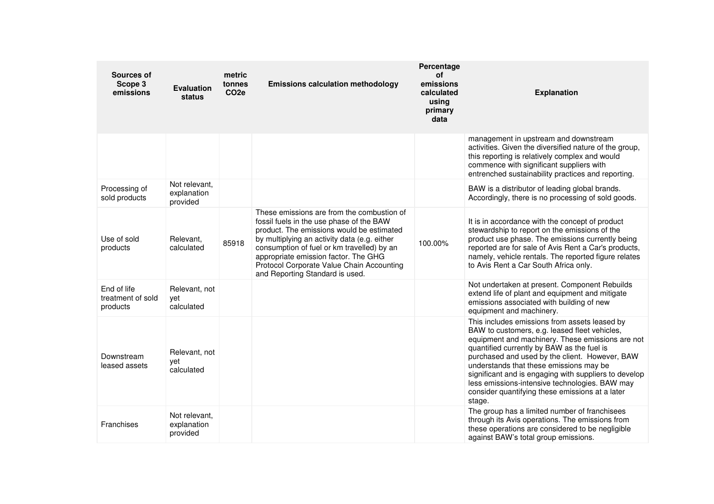| Sources of<br>Scope 3<br>emissions           | <b>Evaluation</b><br>status              | metric<br>tonnes<br>CO <sub>2e</sub> | <b>Emissions calculation methodology</b>                                                                                                                                                                                                                                                                                                                  | Percentage<br><b>of</b><br>emissions<br>calculated<br>using<br>primary<br>data | <b>Explanation</b>                                                                                                                                                                                                                                                                                                                                                                                                                                                    |
|----------------------------------------------|------------------------------------------|--------------------------------------|-----------------------------------------------------------------------------------------------------------------------------------------------------------------------------------------------------------------------------------------------------------------------------------------------------------------------------------------------------------|--------------------------------------------------------------------------------|-----------------------------------------------------------------------------------------------------------------------------------------------------------------------------------------------------------------------------------------------------------------------------------------------------------------------------------------------------------------------------------------------------------------------------------------------------------------------|
|                                              |                                          |                                      |                                                                                                                                                                                                                                                                                                                                                           |                                                                                | management in upstream and downstream<br>activities. Given the diversified nature of the group,<br>this reporting is relatively complex and would<br>commence with significant suppliers with<br>entrenched sustainability practices and reporting.                                                                                                                                                                                                                   |
| Processing of<br>sold products               | Not relevant,<br>explanation<br>provided |                                      |                                                                                                                                                                                                                                                                                                                                                           |                                                                                | BAW is a distributor of leading global brands.<br>Accordingly, there is no processing of sold goods.                                                                                                                                                                                                                                                                                                                                                                  |
| Use of sold<br>products                      | Relevant,<br>calculated                  | 85918                                | These emissions are from the combustion of<br>fossil fuels in the use phase of the BAW<br>product. The emissions would be estimated<br>by multiplying an activity data (e.g. either<br>consumption of fuel or km travelled) by an<br>appropriate emission factor. The GHG<br>Protocol Corporate Value Chain Accounting<br>and Reporting Standard is used. | 100.00%                                                                        | It is in accordance with the concept of product<br>stewardship to report on the emissions of the<br>product use phase. The emissions currently being<br>reported are for sale of Avis Rent a Car's products,<br>namely, vehicle rentals. The reported figure relates<br>to Avis Rent a Car South Africa only.                                                                                                                                                         |
| End of life<br>treatment of sold<br>products | Relevant, not<br>vet<br>calculated       |                                      |                                                                                                                                                                                                                                                                                                                                                           |                                                                                | Not undertaken at present. Component Rebuilds<br>extend life of plant and equipment and mitigate<br>emissions associated with building of new<br>equipment and machinery.                                                                                                                                                                                                                                                                                             |
| Downstream<br>leased assets                  | Relevant, not<br>vet<br>calculated       |                                      |                                                                                                                                                                                                                                                                                                                                                           |                                                                                | This includes emissions from assets leased by<br>BAW to customers, e.g. leased fleet vehicles,<br>equipment and machinery. These emissions are not<br>quantified currently by BAW as the fuel is<br>purchased and used by the client. However, BAW<br>understands that these emissions may be<br>significant and is engaging with suppliers to develop<br>less emissions-intensive technologies. BAW may<br>consider quantifying these emissions at a later<br>stage. |
| Franchises                                   | Not relevant.<br>explanation<br>provided |                                      |                                                                                                                                                                                                                                                                                                                                                           |                                                                                | The group has a limited number of franchisees<br>through its Avis operations. The emissions from<br>these operations are considered to be negligible<br>against BAW's total group emissions.                                                                                                                                                                                                                                                                          |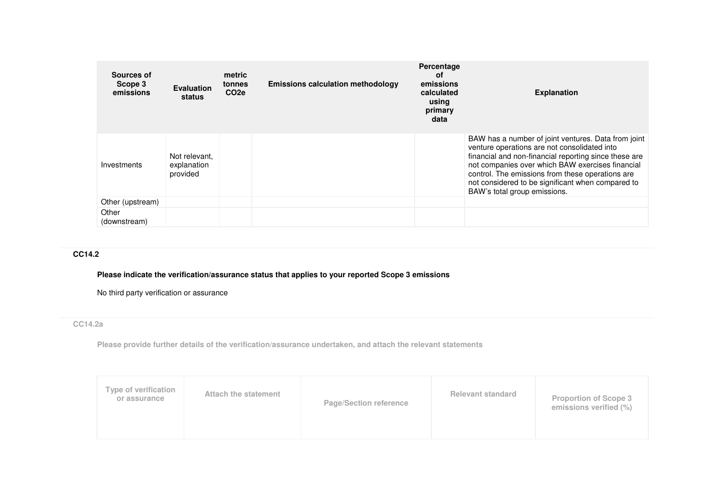| Sources of<br>Scope 3<br>emissions | <b>Evaluation</b><br>status              | metric<br>tonnes<br>CO <sub>2e</sub> | <b>Emissions calculation methodology</b> | Percentage<br>οf<br>emissions<br>calculated<br>using<br>primary<br>data | <b>Explanation</b>                                                                                                                                                                                                                                                                                                                                        |
|------------------------------------|------------------------------------------|--------------------------------------|------------------------------------------|-------------------------------------------------------------------------|-----------------------------------------------------------------------------------------------------------------------------------------------------------------------------------------------------------------------------------------------------------------------------------------------------------------------------------------------------------|
| Investments                        | Not relevant.<br>explanation<br>provided |                                      |                                          |                                                                         | BAW has a number of joint ventures. Data from joint<br>venture operations are not consolidated into<br>financial and non-financial reporting since these are<br>not companies over which BAW exercises financial<br>control. The emissions from these operations are<br>not considered to be significant when compared to<br>BAW's total group emissions. |
| Other (upstream)                   |                                          |                                      |                                          |                                                                         |                                                                                                                                                                                                                                                                                                                                                           |
| Other<br>(downstream)              |                                          |                                      |                                          |                                                                         |                                                                                                                                                                                                                                                                                                                                                           |

# **CC14.2**

# **Please indicate the verification/assurance status that applies to your reported Scope 3 emissions**

No third party verification or assurance

# **CC14.2a**

**Please provide further details of the verification/assurance undertaken, and attach the relevant statements**

| Type of verification<br>or assurance | Attach the statement | <b>Page/Section reference</b> | <b>Relevant standard</b> | <b>Proportion of Scope 3</b><br>emissions verified (%) |
|--------------------------------------|----------------------|-------------------------------|--------------------------|--------------------------------------------------------|
|--------------------------------------|----------------------|-------------------------------|--------------------------|--------------------------------------------------------|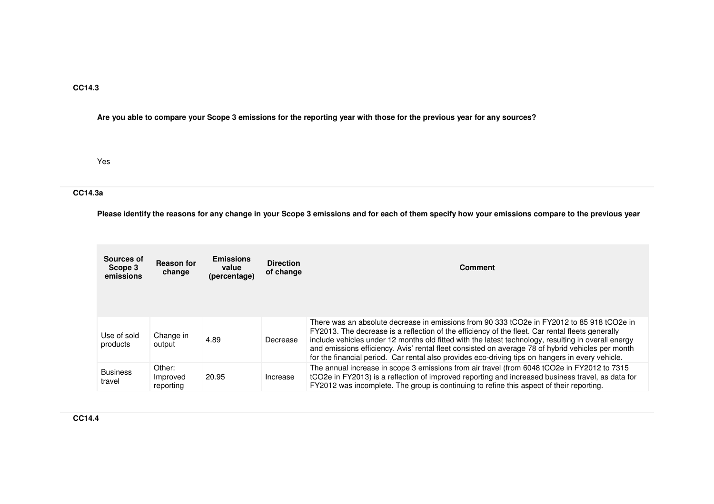## **CC14.3**

**Are you able to compare your Scope 3 emissions for the reporting year with those for the previous year for any sources?**

Yes

# **CC14.3a**

**Please identify the reasons for any change in your Scope 3 emissions and for each of them specify how your emissions compare to the previous year**

| Sources of<br>Scope 3<br>emissions | <b>Reason for</b><br>change     | <b>Emissions</b><br>value<br>(percentage) | <b>Direction</b><br>of change | <b>Comment</b>                                                                                                                                                                                                                                                                                                                                                                                                                                                                                                 |
|------------------------------------|---------------------------------|-------------------------------------------|-------------------------------|----------------------------------------------------------------------------------------------------------------------------------------------------------------------------------------------------------------------------------------------------------------------------------------------------------------------------------------------------------------------------------------------------------------------------------------------------------------------------------------------------------------|
| Use of sold<br>products            | Change in<br>output             | 4.89                                      | Decrease                      | There was an absolute decrease in emissions from 90 333 tCO2e in FY2012 to 85 918 tCO2e in<br>FY2013. The decrease is a reflection of the efficiency of the fleet. Car rental fleets generally<br>include vehicles under 12 months old fitted with the latest technology, resulting in overall energy<br>and emissions efficiency. Avis' rental fleet consisted on average 78 of hybrid vehicles per month<br>for the financial period. Car rental also provides eco-driving tips on hangers in every vehicle. |
| <b>Business</b><br>travel          | Other:<br>Improved<br>reporting | 20.95                                     | Increase                      | The annual increase in scope 3 emissions from air travel (from 6048 tCO2e in FY2012 to 7315<br>tCO2e in FY2013) is a reflection of improved reporting and increased business travel, as data for<br>FY2012 was incomplete. The group is continuing to refine this aspect of their reporting.                                                                                                                                                                                                                   |

**CC14.4**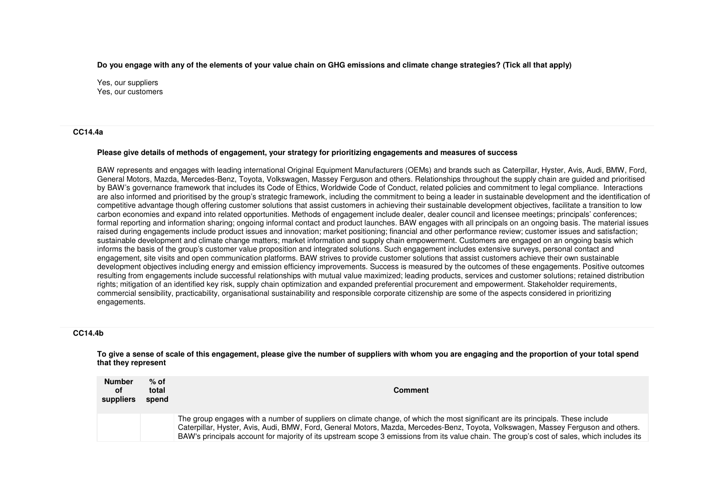**Do you engage with any of the elements of your value chain on GHG emissions and climate change strategies? (Tick all that apply)**

Yes, our suppliers Yes, our customers

#### **CC14.4a**

#### **Please give details of methods of engagement, your strategy for prioritizing engagements and measures of success**

BAW represents and engages with leading international Original Equipment Manufacturers (OEMs) and brands such as Caterpillar, Hyster, Avis, Audi, BMW, Ford, General Motors, Mazda, Mercedes-Benz, Toyota, Volkswagen, Massey Ferguson and others. Relationships throughout the supply chain are guided and prioritised by BAW's governance framework that includes its Code of Ethics, Worldwide Code of Conduct, related policies and commitment to legal compliance. Interactions are also informed and prioritised by the group's strategic framework, including the commitment to being a leader in sustainable development and the identification of competitive advantage though offering customer solutions that assist customers in achieving their sustainable development objectives, facilitate a transition to low carbon economies and expand into related opportunities. Methods of engagement include dealer, dealer council and licensee meetings; principals' conferences; formal reporting and information sharing; ongoing informal contact and product launches. BAW engages with all principals on an ongoing basis. The material issues raised during engagements include product issues and innovation; market positioning; financial and other performance review; customer issues and satisfaction; sustainable development and climate change matters; market information and supply chain empowerment. Customers are engaged on an ongoing basis which informs the basis of the group's customer value proposition and integrated solutions. Such engagement includes extensive surveys, personal contact and engagement, site visits and open communication platforms. BAW strives to provide customer solutions that assist customers achieve their own sustainable development objectives including energy and emission efficiency improvements. Success is measured by the outcomes of these engagements. Positive outcomes resulting from engagements include successful relationships with mutual value maximized; leading products, services and customer solutions; retained distribution rights; mitigation of an identified key risk, supply chain optimization and expanded preferential procurement and empowerment. Stakeholder requirements, commercial sensibility, practicability, organisational sustainability and responsible corporate citizenship are some of the aspects considered in prioritizing engagements.

#### **CC14.4b**

**To give a sense of scale of this engagement, please give the number of suppliers with whom you are engaging and the proportion of your total spend that they represent**

| <b>Number</b><br>οf<br>suppliers | $%$ of<br>total<br>spend | Comment                                                                                                                                                                                                                                                                                                                                                                                                             |
|----------------------------------|--------------------------|---------------------------------------------------------------------------------------------------------------------------------------------------------------------------------------------------------------------------------------------------------------------------------------------------------------------------------------------------------------------------------------------------------------------|
|                                  |                          | The group engages with a number of suppliers on climate change, of which the most significant are its principals. These include<br>Caterpillar, Hyster, Avis, Audi, BMW, Ford, General Motors, Mazda, Mercedes-Benz, Toyota, Volkswagen, Massey Ferguson and others.<br>BAW's principals account for majority of its upstream scope 3 emissions from its value chain. The group's cost of sales, which includes its |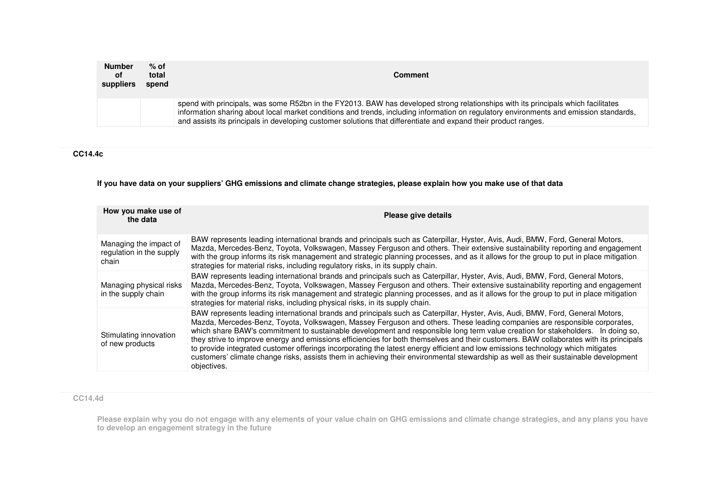| <b>Number</b><br>0f<br>suppliers | $%$ of<br>total<br>spend | <b>Comment</b>                                                                                                                                                                                                                                                                                                                                                                                 |  |
|----------------------------------|--------------------------|------------------------------------------------------------------------------------------------------------------------------------------------------------------------------------------------------------------------------------------------------------------------------------------------------------------------------------------------------------------------------------------------|--|
|                                  |                          | spend with principals, was some R52bn in the FY2013. BAW has developed strong relationships with its principals which facilitates<br>information sharing about local market conditions and trends, including information on regulatory environments and emission standards,<br>and assists its principals in developing customer solutions that differentiate and expand their product ranges. |  |

## **CC14.4c**

### **If you have data on your suppliers' GHG emissions and climate change strategies, please explain how you make use of that data**

| How you make use of<br>the data                             | Please give details                                                                                                                                                                                                                                                                                                                                                                                                                                                                                                                                                                                                                                                                                                                                                                                                               |
|-------------------------------------------------------------|-----------------------------------------------------------------------------------------------------------------------------------------------------------------------------------------------------------------------------------------------------------------------------------------------------------------------------------------------------------------------------------------------------------------------------------------------------------------------------------------------------------------------------------------------------------------------------------------------------------------------------------------------------------------------------------------------------------------------------------------------------------------------------------------------------------------------------------|
| Managing the impact of<br>regulation in the supply<br>chain | BAW represents leading international brands and principals such as Caterpillar, Hyster, Avis, Audi, BMW, Ford, General Motors,<br>Mazda, Mercedes-Benz, Toyota, Volkswagen, Massey Ferguson and others. Their extensive sustainability reporting and engagement<br>with the group informs its risk management and strategic planning processes, and as it allows for the group to put in place mitigation<br>strategies for material risks, including regulatory risks, in its supply chain.                                                                                                                                                                                                                                                                                                                                      |
| Managing physical risks<br>in the supply chain              | BAW represents leading international brands and principals such as Caterpillar, Hyster, Avis, Audi, BMW, Ford, General Motors,<br>Mazda, Mercedes-Benz, Toyota, Volkswagen, Massey Ferguson and others. Their extensive sustainability reporting and engagement<br>with the group informs its risk management and strategic planning processes, and as it allows for the group to put in place mitigation<br>strategies for material risks, including physical risks, in its supply chain.                                                                                                                                                                                                                                                                                                                                        |
| Stimulating innovation<br>of new products                   | BAW represents leading international brands and principals such as Caterpillar, Hyster, Avis, Audi, BMW, Ford, General Motors,<br>Mazda, Mercedes-Benz, Toyota, Volkswagen, Massey Ferguson and others. These leading companies are responsible corporates,<br>which share BAW's commitment to sustainable development and responsible long term value creation for stakeholders. In doing so,<br>they strive to improve energy and emissions efficiencies for both themselves and their customers. BAW collaborates with its principals<br>to provide integrated customer offerings incorporating the latest energy efficient and low emissions technology which mitigates<br>customers' climate change risks, assists them in achieving their environmental stewardship as well as their sustainable development<br>objectives. |

#### **CC14.4d**

**Please explain why you do not engage with any elements of your value chain on GHG emissions and climate change strategies, and any plans you have to develop an engagement strategy in the future**